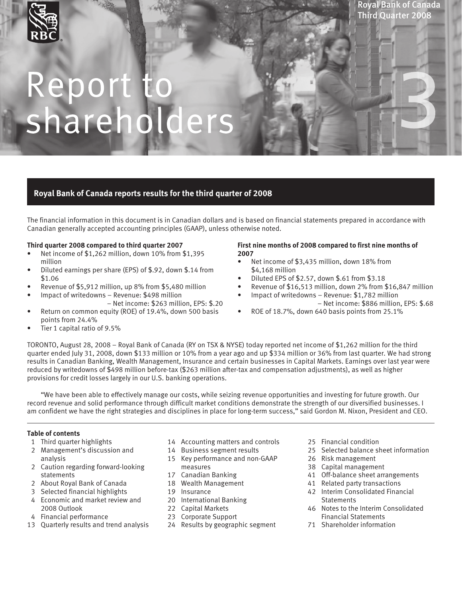

# Royal Bank of Canada Third Quarter 2008

# Report to<br>shareholders

# **Royal Bank of Canada reports results for the third quarter of 2008**

The financial information in this document is in Canadian dollars and is based on financial statements prepared in accordance with Canadian generally accepted accounting principles (GAAP), unless otherwise noted.

#### **Third quarter 2008 compared to third quarter 2007**

- Net income of \$1,262 million, down 10% from \$1,395 million
- Diluted earnings per share (EPS) of \$.92, down \$.14 from \$1.06
- Revenue of \$5,912 million, up 8% from \$5,480 million
- Impact of writedowns Revenue: \$498 million
	- Net income: \$263 million, EPS: \$.20
- Return on common equity (ROE) of 19.4%, down 500 basis points from 24.4%
- Tier 1 capital ratio of 9.5%

#### **First nine months of 2008 compared to first nine months of 2007**

- Net income of \$3,435 million, down 18% from \$4,168 million
- Diluted EPS of \$2.57, down \$.61 from \$3.18
- Revenue of \$16,513 million, down 2% from \$16,847 million
- Impact of writedowns Revenue: \$1,782 million
	- Net income: \$886 million, EPS: \$.68
- ROE of 18.7%, down 640 basis points from 25.1%

TORONTO, August 28, 2008 – Royal Bank of Canada (RY on TSX & NYSE) today reported net income of \$1,262 million for the third quarter ended July 31, 2008, down \$133 million or 10% from a year ago and up \$334 million or 36% from last quarter. We had strong results in Canadian Banking, Wealth Management, Insurance and certain businesses in Capital Markets. Earnings over last year were reduced by writedowns of \$498 million before-tax (\$263 million after-tax and compensation adjustments), as well as higher provisions for credit losses largely in our U.S. banking operations.

"We have been able to effectively manage our costs, while seizing revenue opportunities and investing for future growth. Our record revenue and solid performance through difficult market conditions demonstrate the strength of our diversified businesses. I am confident we have the right strategies and disciplines in place for long-term success," said Gordon M. Nixon, President and CEO.

#### **Table of contents**

- 1 Third quarter highlights
- 2 Management's discussion and analysis
- 2 Caution regarding forward-looking statements
- 2 About Royal Bank of Canada
- 3 Selected financial highlights
- 4 Economic and market review and 2008 Outlook
- 4 Financial performance
- 13 Quarterly results and trend analysis
- 14 Accounting matters and controls
- 14 Business segment results
- 15 Key performance and non-GAAP measures
- 17 Canadian Banking
- 18 Wealth Management
- 19 Insurance
- 20 International Banking
- 22 Capital Markets
- 23 Corporate Support
- 24 Results by geographic segment
- 25 Financial condition
- 25 Selected balance sheet information
- 26 Risk management
- 38 Capital management
- 41 Off-balance sheet arrangements
- 41 Related party transactions
- 42 Interim Consolidated Financial **Statements**
- 46 Notes to the Interim Consolidated Financial Statements
- 71 Shareholder information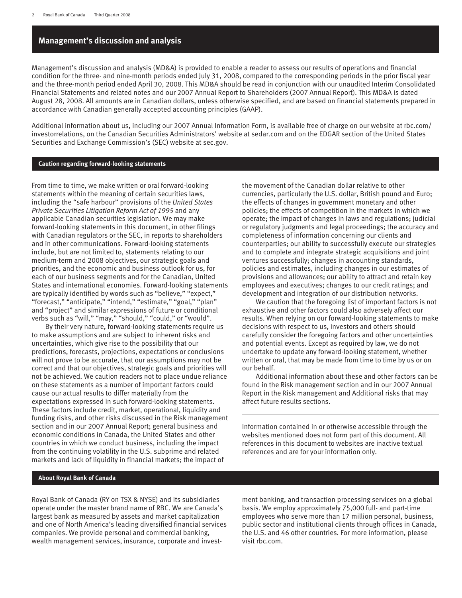## **Management's discussion and analysis**

Management's discussion and analysis (MD&A) is provided to enable a reader to assess our results of operations and financial condition for the three- and nine-month periods ended July 31, 2008, compared to the corresponding periods in the prior fiscal year and the three-month period ended April 30, 2008. This MD&A should be read in conjunction with our unaudited Interim Consolidated Financial Statements and related notes and our 2007 Annual Report to Shareholders (2007 Annual Report). This MD&A is dated August 28, 2008. All amounts are in Canadian dollars, unless otherwise specified, and are based on financial statements prepared in accordance with Canadian generally accepted accounting principles (GAAP).

Additional information about us, including our 2007 Annual Information Form, is available free of charge on our website at rbc.com/ investorrelations, on the Canadian Securities Administrators' website at sedar.com and on the EDGAR section of the United States Securities and Exchange Commission's (SEC) website at sec.gov.

#### **Caution regarding forward-looking statements**

From time to time, we make written or oral forward-looking statements within the meaning of certain securities laws, including the "safe harbour" provisions of the *United States Private Securities Litigation Reform Act of 1995* and any applicable Canadian securities legislation. We may make forward-looking statements in this document, in other filings with Canadian regulators or the SEC, in reports to shareholders and in other communications. Forward-looking statements include, but are not limited to, statements relating to our medium-term and 2008 objectives, our strategic goals and priorities, and the economic and business outlook for us, for each of our business segments and for the Canadian, United States and international economies. Forward-looking statements are typically identified by words such as "believe," "expect," "forecast," "anticipate," "intend," "estimate," "goal," "plan" and "project" and similar expressions of future or conditional verbs such as "will," "may," "should," "could," or "would".

By their very nature, forward-looking statements require us to make assumptions and are subject to inherent risks and uncertainties, which give rise to the possibility that our predictions, forecasts, projections, expectations or conclusions will not prove to be accurate, that our assumptions may not be correct and that our objectives, strategic goals and priorities will not be achieved. We caution readers not to place undue reliance on these statements as a number of important factors could cause our actual results to differ materially from the expectations expressed in such forward-looking statements. These factors include credit, market, operational, liquidity and funding risks, and other risks discussed in the Risk management section and in our 2007 Annual Report; general business and economic conditions in Canada, the United States and other countries in which we conduct business, including the impact from the continuing volatility in the U.S. subprime and related markets and lack of liquidity in financial markets; the impact of

the movement of the Canadian dollar relative to other currencies, particularly the U.S. dollar, British pound and Euro; the effects of changes in government monetary and other policies; the effects of competition in the markets in which we operate; the impact of changes in laws and regulations; judicial or regulatory judgments and legal proceedings; the accuracy and completeness of information concerning our clients and counterparties; our ability to successfully execute our strategies and to complete and integrate strategic acquisitions and joint ventures successfully; changes in accounting standards, policies and estimates, including changes in our estimates of provisions and allowances; our ability to attract and retain key employees and executives; changes to our credit ratings; and development and integration of our distribution networks.

We caution that the foregoing list of important factors is not exhaustive and other factors could also adversely affect our results. When relying on our forward-looking statements to make decisions with respect to us, investors and others should carefully consider the foregoing factors and other uncertainties and potential events. Except as required by law, we do not undertake to update any forward-looking statement, whether written or oral, that may be made from time to time by us or on our behalf.

Additional information about these and other factors can be found in the Risk management section and in our 2007 Annual Report in the Risk management and Additional risks that may affect future results sections.

Information contained in or otherwise accessible through the websites mentioned does not form part of this document. All references in this document to websites are inactive textual references and are for your information only.

#### **About Royal Bank of Canada**

Royal Bank of Canada (RY on TSX & NYSE) and its subsidiaries operate under the master brand name of RBC. We are Canada's largest bank as measured by assets and market capitalization and one of North America's leading diversified financial services companies. We provide personal and commercial banking, wealth management services, insurance, corporate and invest-

ment banking, and transaction processing services on a global basis. We employ approximately 75,000 full- and part-time employees who serve more than 17 million personal, business, public sector and institutional clients through offices in Canada, the U.S. and 46 other countries. For more information, please visit rbc.com.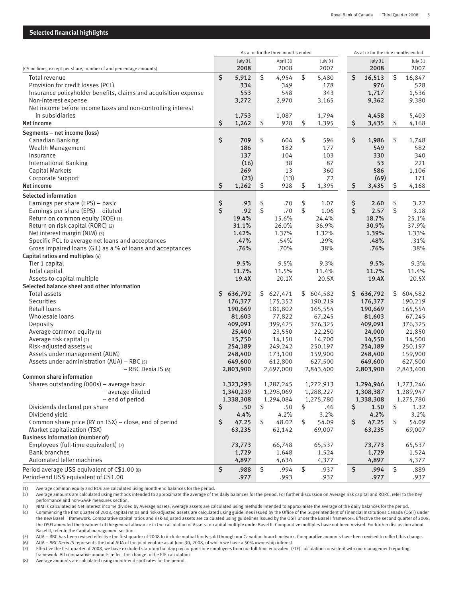#### **Selected financial highlights**

|                                                                    | As at or for the three months ended   |           |    |           |    |           | As at or for the nine months ended |           |    |           |  |
|--------------------------------------------------------------------|---------------------------------------|-----------|----|-----------|----|-----------|------------------------------------|-----------|----|-----------|--|
|                                                                    |                                       | July 31   |    | April 30  |    | July 31   |                                    | July 31   |    | July 31   |  |
| (C\$ millions, except per share, number of and percentage amounts) |                                       | 2008      |    | 2008      |    | 2007      |                                    | 2008      |    | 2007      |  |
| Total revenue                                                      | \$                                    | 5,912     | \$ | 4,954     | \$ | 5,480     | \$.                                | 16,513    | \$ | 16,847    |  |
| Provision for credit losses (PCL)                                  |                                       | 334       |    | 349       |    | 178       |                                    | 976       |    | 528       |  |
| Insurance policyholder benefits, claims and acquisition expense    |                                       | 553       |    | 548       |    | 343       |                                    | 1,717     |    | 1,536     |  |
| Non-interest expense                                               |                                       | 3,272     |    | 2,970     |    | 3,165     |                                    | 9,362     |    | 9,380     |  |
| Net income before income taxes and non-controlling interest        |                                       |           |    |           |    |           |                                    |           |    |           |  |
| in subsidiaries                                                    |                                       | 1,753     |    | 1,087     |    | 1,794     |                                    | 4,458     |    | 5,403     |  |
| Net income                                                         | \$                                    | 1,262     | \$ | 928       | \$ | 1,395     | \$                                 | 3,435     | \$ | 4,168     |  |
| Segments - net income (loss)                                       |                                       |           |    |           |    |           |                                    |           |    |           |  |
| Canadian Banking                                                   | \$                                    | 709       | \$ | 604       | \$ | 596       | \$                                 | 1,986     | \$ | 1,748     |  |
| <b>Wealth Management</b>                                           |                                       | 186       |    | 182       |    | 177       |                                    | 549       |    | 582       |  |
| Insurance                                                          |                                       | 137       |    | 104       |    | 103       |                                    | 330       |    | 340       |  |
| <b>International Banking</b>                                       |                                       | (16)      |    | 38        |    | 87        |                                    | 53        |    | 221       |  |
| <b>Capital Markets</b>                                             |                                       | 269       |    | 13        |    | 360       |                                    | 586       |    | 1,106     |  |
| Corporate Support                                                  |                                       | (23)      |    | (13)      |    | 72        |                                    | (69)      |    | 171       |  |
| Net income                                                         | \$                                    | 1,262     | \$ | 928       | \$ | 1,395     | \$                                 | 3,435     | \$ | 4,168     |  |
| Selected information                                               |                                       |           |    |           |    |           |                                    |           |    |           |  |
| Earnings per share (EPS) - basic                                   | $\begin{array}{c} 5 \\ 5 \end{array}$ | .93       | \$ | .70       | \$ | 1.07      | \$                                 | 2.60      | \$ | 3.22      |  |
| Earnings per share (EPS) - diluted                                 |                                       | .92       | \$ | .70       | \$ | 1.06      | $\mathsf{S}$                       | 2.57      | \$ | 3.18      |  |
| Return on common equity (ROE) (1)                                  |                                       | 19.4%     |    | 15.6%     |    | 24.4%     |                                    | 18.7%     |    | 25.1%     |  |
| Return on risk capital (RORC) (2)                                  |                                       | 31.1%     |    | 26.0%     |    | 36.9%     |                                    | 30.9%     |    | 37.9%     |  |
| Net interest margin (NIM) (3)                                      |                                       | 1.42%     |    | 1.37%     |    | 1.32%     |                                    | 1.39%     |    | 1.33%     |  |
| Specific PCL to average net loans and acceptances                  |                                       | .47%      |    | .54%      |    | .29%      |                                    | .48%      |    | .31%      |  |
| Gross impaired loans (GIL) as a % of loans and acceptances         |                                       | .76%      |    | .70%      |    | .38%      |                                    | .76%      |    | .38%      |  |
| Capital ratios and multiples (4)                                   |                                       |           |    |           |    |           |                                    |           |    |           |  |
| Tier 1 capital                                                     |                                       | 9.5%      |    | 9.5%      |    | 9.3%      |                                    | 9.5%      |    | 9.3%      |  |
| Total capital                                                      |                                       | 11.7%     |    | 11.5%     |    | 11.4%     |                                    | 11.7%     |    | 11.4%     |  |
| Assets-to-capital multiple                                         |                                       | 19.4X     |    | 20.1X     |    | 20.5X     |                                    | 19.4X     |    | 20.5X     |  |
| Selected balance sheet and other information                       |                                       |           |    |           |    |           |                                    |           |    |           |  |
| Total assets                                                       |                                       | \$636,792 |    | \$627,471 | \$ | 604,582   |                                    | \$636,792 |    | \$604,582 |  |
| <b>Securities</b>                                                  |                                       | 176,377   |    | 175,352   |    | 190,219   |                                    | 176,377   |    | 190,219   |  |
| Retail loans                                                       |                                       | 190,669   |    | 181,802   |    | 165,554   |                                    | 190,669   |    | 165,554   |  |
| Wholesale loans                                                    |                                       | 81,603    |    | 77,822    |    | 67,245    |                                    | 81,603    |    | 67,245    |  |
| Deposits                                                           |                                       | 409,091   |    | 399,425   |    | 376,325   |                                    | 409,091   |    | 376,325   |  |
| Average common equity (1)                                          |                                       | 25,400    |    | 23,550    |    | 22,250    |                                    | 24,000    |    | 21,850    |  |
| Average risk capital (2)                                           |                                       | 15,750    |    | 14,150    |    | 14,700    |                                    | 14,550    |    | 14,500    |  |
| Risk-adjusted assets (4)                                           |                                       | 254,189   |    | 249,242   |    | 250,197   |                                    | 254,189   |    | 250,197   |  |
| Assets under management (AUM)                                      |                                       | 248,400   |    | 173,100   |    | 159,900   |                                    | 248,400   |    | 159,900   |  |
| Assets under administration (AUA) - RBC (5)                        |                                       | 649,600   |    | 612,800   |    | 627,500   |                                    | 649,600   |    | 627,500   |  |
| - RBC Dexia IS (6)                                                 |                                       | 2,803,900 |    | 2,697,000 |    | 2,843,400 |                                    | 2,803,900 |    | 2,843,400 |  |
| Common share information                                           |                                       |           |    |           |    |           |                                    |           |    |           |  |
| Shares outstanding (000s) - average basic                          |                                       | 1,323,293 |    | 1,287,245 |    | 1,272,913 |                                    | 1,294,946 |    | 1,273,246 |  |
| - average diluted                                                  |                                       | 1,340,239 |    | 1,298,069 |    | 1,288,227 |                                    | 1,308,387 |    | 1,289,947 |  |
| - end of period                                                    |                                       | 1,338,308 |    | 1,294,084 |    | 1,275,780 |                                    | 1,338,308 |    | 1,275,780 |  |
| Dividends declared per share                                       | \$                                    | .50       | \$ | .50       | \$ | .46       | S                                  | 1.50      | \$ | 1.32      |  |
| Dividend vield                                                     |                                       | 4.4%      |    | 4.2%      |    | 3.2%      |                                    | 4.2%      |    | 3.2%      |  |
| Common share price (RY on TSX) - close, end of period              | \$                                    | 47.25     | \$ | 48.02     | \$ | 54.09     | \$                                 | 47.25     | \$ | 54.09     |  |
| Market capitalization (TSX)                                        |                                       | 63,235    |    | 62,142    |    | 69,007    |                                    | 63,235    |    | 69,007    |  |
| <b>Business information (number of)</b>                            |                                       |           |    |           |    |           |                                    |           |    |           |  |
| Employees (full-time equivalent) (7)                               |                                       | 73,773    |    | 66,748    |    | 65,537    |                                    | 73,773    |    | 65,537    |  |
| <b>Bank branches</b>                                               |                                       | 1,729     |    | 1,648     |    | 1,524     |                                    | 1,729     |    | 1,524     |  |
| Automated teller machines                                          |                                       | 4,897     |    | 4,634     |    | 4,377     |                                    | 4,897     |    | 4,377     |  |
| Period average US\$ equivalent of C\$1.00 (8)                      | \$                                    | .988      | \$ | .994      | \$ | .937      | \$                                 | .994      | \$ | .889      |  |
| Period-end US\$ equivalent of C\$1.00                              |                                       | .977      |    | .993      |    | .937      |                                    | .977      |    | .937      |  |

(1) Average common equity and ROE are calculated using month-end balances for the period.

(2) Average amounts are calculated using methods intended to approximate the average of the daily balances for the period. For further discussion on Average risk capital and RORC, refer to the Key performance and non-GAAP measures section.

(3) NIM is calculated as Net interest income divided by Average assets. Average assets are calculated using methods intended to approximate the average of the daily balances for the period.

(4) Commencing the first quarter of 2008, capital ratios and risk-adjusted assets are calculated using guidelines issued by the Office of the Superintendent of Financial Institutions Canada (OSFI) under the new Basel II framework. Comparative capital ratios and risk-adjusted assets are calculated using guidelines issued by the OSFI under the Basel I framework. Effective the second quarter of 2008, the OSFI amended the treatment of the general allowance in the calculation of Assets-to-capital multiple under Basel II. Comparative multiples have not been revised. For further discussion about Basel II, refer to the Capital management section.

UA – RBC has been revised effective the first quarter of 2008 to include mutual funds sold through our Canadian branch network. Comparative amounts have been revised to reflect this change.<br>(6) AUA – RBC Dexia IS represent (6) AUA – *RBC Dexia IS* represents the total AUA of the joint venture as at June 30, 2008, of which we have a 50% ownership interest.

(7) Effective the first quarter of 2008, we have excluded statutory holiday pay for part-time employees from our full-time equivalent (FTE) calculation consistent with our management reporting framework. All comparative amounts reflect the change to the FTE calculation.

(8) Average amounts are calculated using month-end spot rates for the period.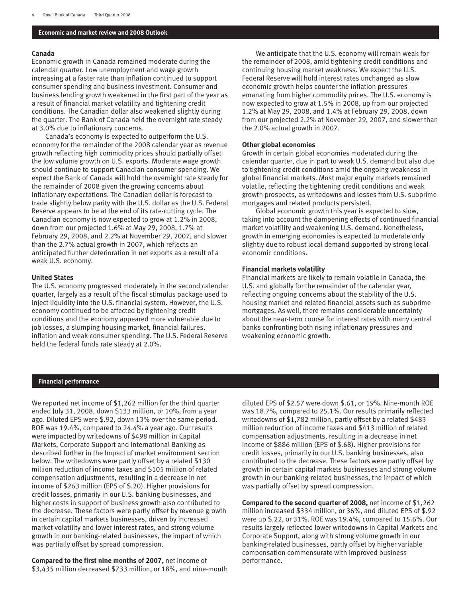#### **Economic and market review and 2008 Outlook**

#### **Canada**

Economic growth in Canada remained moderate during the calendar quarter. Low unemployment and wage growth increasing at a faster rate than inflation continued to support consumer spending and business investment. Consumer and business lending growth weakened in the first part of the year as a result of financial market volatility and tightening credit conditions. The Canadian dollar also weakened slightly during the quarter. The Bank of Canada held the overnight rate steady at 3.0% due to inflationary concerns.

Canada's economy is expected to outperform the U.S. economy for the remainder of the 2008 calendar year as revenue growth reflecting high commodity prices should partially offset the low volume growth on U.S. exports. Moderate wage growth should continue to support Canadian consumer spending. We expect the Bank of Canada will hold the overnight rate steady for the remainder of 2008 given the growing concerns about inflationary expectations. The Canadian dollar is forecast to trade slightly below parity with the U.S. dollar as the U.S. Federal Reserve appears to be at the end of its rate-cutting cycle. The Canadian economy is now expected to grow at 1.2% in 2008, down from our projected 1.6% at May 29, 2008, 1.7% at February 29, 2008, and 2.2% at November 29, 2007, and slower than the 2.7% actual growth in 2007, which reflects an anticipated further deterioration in net exports as a result of a weak U.S. economy.

#### **United States**

The U.S. economy progressed moderately in the second calendar quarter, largely as a result of the fiscal stimulus package used to inject liquidity into the U.S. financial system. However, the U.S. economy continued to be affected by tightening credit conditions and the economy appeared more vulnerable due to job losses, a slumping housing market, financial failures, inflation and weak consumer spending. The U.S. Federal Reserve held the federal funds rate steady at 2.0%.

We anticipate that the U.S. economy will remain weak for the remainder of 2008, amid tightening credit conditions and continuing housing market weakness. We expect the U.S. Federal Reserve will hold interest rates unchanged as slow economic growth helps counter the inflation pressures emanating from higher commodity prices. The U.S. economy is now expected to grow at 1.5% in 2008, up from our projected 1.2% at May 29, 2008, and 1.4% at February 29, 2008, down from our projected 2.2% at November 29, 2007, and slower than the 2.0% actual growth in 2007.

#### **Other global economies**

Growth in certain global economies moderated during the calendar quarter, due in part to weak U.S. demand but also due to tightening credit conditions amid the ongoing weakness in global financial markets. Most major equity markets remained volatile, reflecting the tightening credit conditions and weak growth prospects, as writedowns and losses from U.S. subprime mortgages and related products persisted.

Global economic growth this year is expected to slow, taking into account the dampening effects of continued financial market volatility and weakening U.S. demand. Nonetheless, growth in emerging economies is expected to moderate only slightly due to robust local demand supported by strong local economic conditions.

#### **Financial markets volatility**

Financial markets are likely to remain volatile in Canada, the U.S. and globally for the remainder of the calendar year, reflecting ongoing concerns about the stability of the U.S. housing market and related financial assets such as subprime mortgages. As well, there remains considerable uncertainty about the near-term course for interest rates with many central banks confronting both rising inflationary pressures and weakening economic growth.

#### **Financial performance**

We reported net income of \$1,262 million for the third quarter ended July 31, 2008, down \$133 million, or 10%, from a year ago. Diluted EPS were \$.92, down 13% over the same period. ROE was 19.4%, compared to 24.4% a year ago. Our results were impacted by writedowns of \$498 million in Capital Markets, Corporate Support and International Banking as described further in the Impact of market environment section below. The writedowns were partly offset by a related \$130 million reduction of income taxes and \$105 million of related compensation adjustments, resulting in a decrease in net income of \$263 million (EPS of \$.20). Higher provisions for credit losses, primarily in our U.S. banking businesses, and higher costs in support of business growth also contributed to the decrease. These factors were partly offset by revenue growth in certain capital markets businesses, driven by increased market volatility and lower interest rates, and strong volume growth in our banking-related businesses, the impact of which was partially offset by spread compression.

**Compared to the first nine months of 2007,** net income of \$3,435 million decreased \$733 million, or 18%, and nine-month diluted EPS of \$2.57 were down \$.61, or 19%. Nine-month ROE was 18.7%, compared to 25.1%. Our results primarily reflected writedowns of \$1,782 million, partly offset by a related \$483 million reduction of income taxes and \$413 million of related compensation adjustments, resulting in a decrease in net income of \$886 million (EPS of \$.68). Higher provisions for credit losses, primarily in our U.S. banking businesses, also contributed to the decrease. These factors were partly offset by growth in certain capital markets businesses and strong volume growth in our banking-related businesses, the impact of which was partially offset by spread compression.

**Compared to the second quarter of 2008,** net income of \$1,262 million increased \$334 million, or 36%, and diluted EPS of \$.92 were up \$.22, or 31%. ROE was 19.4%, compared to 15.6%. Our results largely reflected lower writedowns in Capital Markets and Corporate Support, along with strong volume growth in our banking-related businesses, partly offset by higher variable compensation commensurate with improved business performance.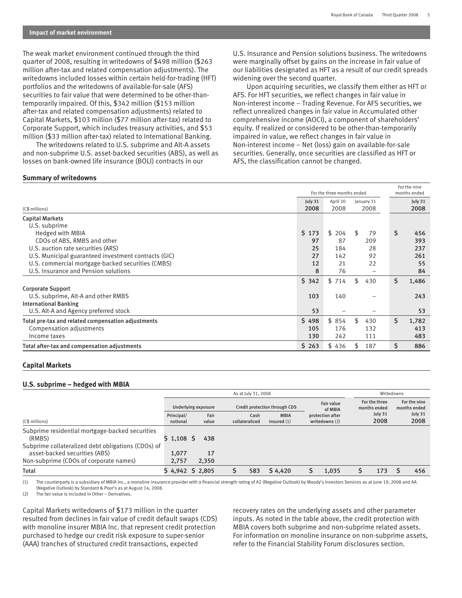The weak market environment continued through the third quarter of 2008, resulting in writedowns of \$498 million (\$263 million after-tax and related compensation adjustments). The writedowns included losses within certain held-for-trading (HFT) portfolios and the writedowns of available-for-sale (AFS) securities to fair value that were determined to be other-thantemporarily impaired. Of this, \$342 million (\$153 million after-tax and related compensation adjustments) related to Capital Markets, \$103 million (\$77 million after-tax) related to Corporate Support, which includes treasury activities, and \$53 million (\$33 million after-tax) related to International Banking.

The writedowns related to U.S. subprime and Alt-A assets and non-subprime U.S. asset-backed securities (ABS), as well as losses on bank-owned life insurance (BOLI) contracts in our

#### **Summary of writedowns**

U.S. Insurance and Pension solutions business. The writedowns were marginally offset by gains on the increase in fair value of our liabilities designated as HFT as a result of our credit spreads widening over the second quarter.

Upon acquiring securities, we classify them either as HFT or AFS. For HFT securities, we reflect changes in fair value in Non-interest income – Trading Revenue. For AFS securities, we reflect unrealized changes in fair value in Accumulated other comprehensive income (AOCI), a component of shareholders' equity. If realized or considered to be other-than-temporarily impaired in value, we reflect changes in fair value in Non-interest income – Net (loss) gain on available-for-sale securities. Generally, once securities are classified as HFT or AFS, the classification cannot be changed.

|                                                      |                 | For the three months ended     |    |      | For the nine<br>months ended |              |                 |
|------------------------------------------------------|-----------------|--------------------------------|----|------|------------------------------|--------------|-----------------|
| (C\$ millions)                                       | July 31<br>2008 | April 30<br>January 31<br>2008 |    | 2008 |                              |              | July 31<br>2008 |
| <b>Capital Markets</b>                               |                 |                                |    |      |                              |              |                 |
| U.S. subprime                                        |                 |                                |    |      |                              |              |                 |
| Hedged with MBIA                                     | 5173            | \$204                          | \$ | 79   |                              | $\mathsf{S}$ | 456             |
| CDOs of ABS, RMBS and other                          | 97              | 87                             |    | 209  |                              |              | 393             |
| U.S. auction rate securities (ARS)                   | 25              | 184                            |    | 28   |                              |              | 237             |
| U.S. Municipal guaranteed investment contracts (GIC) | 27              | 142                            |    | 92   |                              |              | 261             |
| U.S. commercial mortgage-backed securities (CMBS)    | 12              | 21                             |    | 22   |                              |              | 55              |
| U.S. Insurance and Pension solutions                 | 8               | 76                             |    |      |                              |              | 84              |
|                                                      | \$342           | \$714                          | \$ | 430  |                              | \$           | 1,486           |
| <b>Corporate Support</b>                             |                 |                                |    |      |                              |              |                 |
| U.S. subprime, Alt-A and other RMBS                  | 103             | 140                            |    |      |                              |              | 243             |
| <b>International Banking</b>                         |                 |                                |    |      |                              |              |                 |
| U.S. Alt-A and Agency preferred stock                | 53              |                                |    |      |                              |              | 53              |
| Total pre-tax and related compensation adjustments   | \$498           | \$854                          | \$ | 430  |                              | $\mathsf{S}$ | 1,782           |
| Compensation adjustments                             | 105             | 176                            |    | 132  |                              |              | 413             |
| Income taxes                                         | 130             | 242                            |    | 111  |                              |              | 483             |
| Total after-tax and compensation adjustments         | 5263            | \$436                          | \$ | 187  |                              | Ŝ.           | 886             |

#### **Capital Markets**

#### **U.S. subprime – hedged with MBIA**

|                                                                                     |                    | As at July 31, 2008                                                                         |                |                     |               |                  |                  |  |      | Writedowns |                               |  |                              |  |  |  |  |  |  |  |  |  |  |  |  |  |  |  |  |  |  |  |  |  |         |  |         |
|-------------------------------------------------------------------------------------|--------------------|---------------------------------------------------------------------------------------------|----------------|---------------------|---------------|------------------|------------------|--|------|------------|-------------------------------|--|------------------------------|--|--|--|--|--|--|--|--|--|--|--|--|--|--|--|--|--|--|--|--|--|---------|--|---------|
|                                                                                     |                    | <b>Fair value</b><br>Credit protection through CDS<br><b>Underlying exposure</b><br>of MBIA |                |                     |               |                  |                  |  |      |            | For the three<br>months ended |  | For the nine<br>months ended |  |  |  |  |  |  |  |  |  |  |  |  |  |  |  |  |  |  |  |  |  |         |  |         |
|                                                                                     | Principal/<br>Fair |                                                                                             |                | <b>MBIA</b><br>Cash |               | protection after |                  |  |      |            |                               |  |                              |  |  |  |  |  |  |  |  |  |  |  |  |  |  |  |  |  |  |  |  |  | July 31 |  | July 31 |
| (C\$ millions)                                                                      | notional           | value                                                                                       | collateralized |                     | insured $(1)$ |                  | writedowns $(2)$ |  | 2008 |            | 2008                          |  |                              |  |  |  |  |  |  |  |  |  |  |  |  |  |  |  |  |  |  |  |  |  |         |  |         |
| Subprime residential mortgage-backed securities<br>(RMBS)                           | $$1,108$ $$$       | 438                                                                                         |                |                     |               |                  |                  |  |      |            |                               |  |                              |  |  |  |  |  |  |  |  |  |  |  |  |  |  |  |  |  |  |  |  |  |         |  |         |
| Subprime collateralized debt obligations (CDOs) of<br>asset-backed securities (ABS) | 1.077              | 17                                                                                          |                |                     |               |                  |                  |  |      |            |                               |  |                              |  |  |  |  |  |  |  |  |  |  |  |  |  |  |  |  |  |  |  |  |  |         |  |         |
| Non-subprime (CDOs of corporate names)                                              | 2,757              | 2,350                                                                                       |                |                     |               |                  |                  |  |      |            |                               |  |                              |  |  |  |  |  |  |  |  |  |  |  |  |  |  |  |  |  |  |  |  |  |         |  |         |
| <b>Total</b>                                                                        | \$4,942 \$2,805    |                                                                                             |                | 583                 | \$4,420       |                  | 1,035            |  | 173  |            | 456                           |  |                              |  |  |  |  |  |  |  |  |  |  |  |  |  |  |  |  |  |  |  |  |  |         |  |         |

(1) The counterparty is a subsidiary of MBIA Inc., a monoline insurance provider with a financial strength rating of A2 (Negative Outlook) by Moody's Investors Services as at June 19, 2008 and AA (Negative Outlook) by Standard & Poor's as at August 14, 2008.

(2) The fair value is included in Other – Derivatives.

Capital Markets writedowns of \$173 million in the quarter resulted from declines in fair value of credit default swaps (CDS) with monoline insurer MBIA Inc. that represent credit protection purchased to hedge our credit risk exposure to super-senior (AAA) tranches of structured credit transactions, expected

recovery rates on the underlying assets and other parameter inputs. As noted in the table above, the credit protection with MBIA covers both subprime and non-subprime related assets. For information on monoline insurance on non-subprime assets, refer to the Financial Stability Forum disclosures section.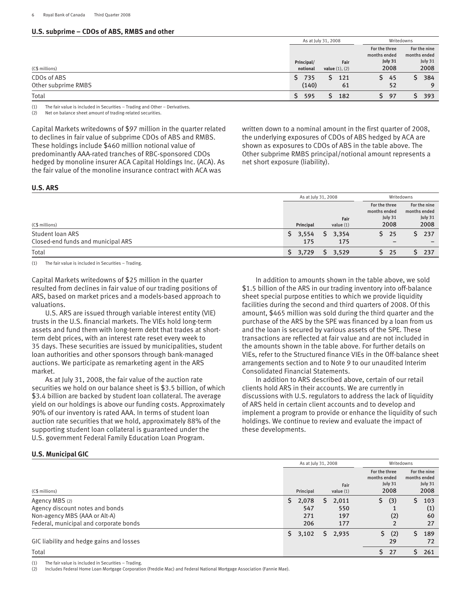#### **U.S. subprime – CDOs of ABS, RMBS and other**

|                                    | As at July 31, 2008    |                                    |                                                  |                                                 |  |  |
|------------------------------------|------------------------|------------------------------------|--------------------------------------------------|-------------------------------------------------|--|--|
| (C\$ millions)                     | Principal/<br>notional | Fair<br><b>value</b> $(1)$ , $(2)$ | For the three<br>months ended<br>July 31<br>2008 | For the nine<br>months ended<br>July 31<br>2008 |  |  |
| CDOs of ABS<br>Other subprime RMBS | 735<br>S.<br>(140)     | 121<br>S.<br>61                    | 45<br>S.<br>52                                   | 384<br>9                                        |  |  |
| Total                              | 595<br>S.              | 182<br>S.                          | 97                                               | 393                                             |  |  |

(1) The fair value is included in Securities – Trading and Other – Derivatives.

(2) Net on balance sheet amount of trading-related securities.

Capital Markets writedowns of \$97 million in the quarter related to declines in fair value of subprime CDOs of ABS and RMBS. These holdings include \$460 million notional value of predominantly AAA-rated tranches of RBC-sponsored CDOs hedged by monoline insurer ACA Capital Holdings Inc. (ACA). As the fair value of the monoline insurance contract with ACA was

written down to a nominal amount in the first quarter of 2008, the underlying exposures of CDOs of ABS hedged by ACA are shown as exposures to CDOs of ABS in the table above. The Other subprime RMBS principal/notional amount represents a net short exposure (liability).

#### **U.S. ARS**

|                                                        |                        | As at July 31, 2008    |                                                  | Writedowns                                      |
|--------------------------------------------------------|------------------------|------------------------|--------------------------------------------------|-------------------------------------------------|
| (C\$ millions)                                         | Principal              | Fair<br>value $(1)$    | For the three<br>months ended<br>July 31<br>2008 | For the nine<br>months ended<br>July 31<br>2008 |
| Student loan ARS<br>Closed-end funds and municipal ARS | $5 \quad 3,554$<br>175 | $5 \quad 3.354$<br>175 | 25<br>S.                                         | 237                                             |
| Total                                                  | $5 \t3,729$            | \$ 3,529               | 25                                               | 237                                             |

(1) The fair value is included in Securities – Trading.

Capital Markets writedowns of \$25 million in the quarter resulted from declines in fair value of our trading positions of ARS, based on market prices and a models-based approach to valuations.

U.S. ARS are issued through variable interest entity (VIE) trusts in the U.S. financial markets. The VIEs hold long-term assets and fund them with long-term debt that trades at shortterm debt prices, with an interest rate reset every week to 35 days. These securities are issued by municipalities, student loan authorities and other sponsors through bank-managed auctions. We participate as remarketing agent in the ARS market.

As at July 31, 2008, the fair value of the auction rate securities we hold on our balance sheet is \$3.5 billion, of which \$3.4 billion are backed by student loan collateral. The average yield on our holdings is above our funding costs. Approximately 90% of our inventory is rated AAA. In terms of student loan auction rate securities that we hold, approximately 88% of the supporting student loan collateral is guaranteed under the U.S. government Federal Family Education Loan Program.

In addition to amounts shown in the table above, we sold \$1.5 billion of the ARS in our trading inventory into off-balance sheet special purpose entities to which we provide liquidity facilities during the second and third quarters of 2008. Of this amount, \$465 million was sold during the third quarter and the purchase of the ARS by the SPE was financed by a loan from us and the loan is secured by various assets of the SPE. These transactions are reflected at fair value and are not included in the amounts shown in the table above. For further details on VIEs, refer to the Structured finance VIEs in the Off-balance sheet arrangements section and to Note 9 to our unaudited Interim Consolidated Financial Statements.

In addition to ARS described above, certain of our retail clients hold ARS in their accounts. We are currently in discussions with U.S. regulators to address the lack of liquidity of ARS held in certain client accounts and to develop and implement a program to provide or enhance the liquidity of such holdings. We continue to review and evaluate the impact of these developments.

#### **U.S. Municipal GIC**

|                                          |    | As at July 31, 2008 |                                  |        |                                                  | Writedowns |     |    |                                                 |
|------------------------------------------|----|---------------------|----------------------------------|--------|--------------------------------------------------|------------|-----|----|-------------------------------------------------|
| (C\$ millions)                           |    |                     | Fair<br>Principal<br>value $(1)$ |        | For the three<br>months ended<br>July 31<br>2008 |            |     |    | For the nine<br>months ended<br>July 31<br>2008 |
| Agency MBS (2)                           | Ŝ. | 2,078               | S.                               | 2,011  |                                                  | (3)<br>S.  |     | S. | 103                                             |
| Agency discount notes and bonds          |    | 547                 |                                  | 550    |                                                  |            |     |    | (1)                                             |
| Non-agency MBS (AAA or Alt-A)            |    | 271                 |                                  | 197    |                                                  |            | (2) |    | 60                                              |
| Federal, municipal and corporate bonds   |    | 206                 |                                  | 177    |                                                  |            |     |    | 27                                              |
|                                          | S. | 3,102               |                                  | 52,935 |                                                  | Ś          | (2) | S. | 189                                             |
| GIC liability and hedge gains and losses |    |                     |                                  |        |                                                  | 29         |     |    | 72                                              |
| Total                                    |    |                     |                                  |        |                                                  | S.<br>27   |     | S. | 261                                             |

(1) The fair value is included in Securities – Trading.

(2) Includes Federal Home Loan Mortgage Corporation (Freddie Mac) and Federal National Mortgage Association (Fannie Mae).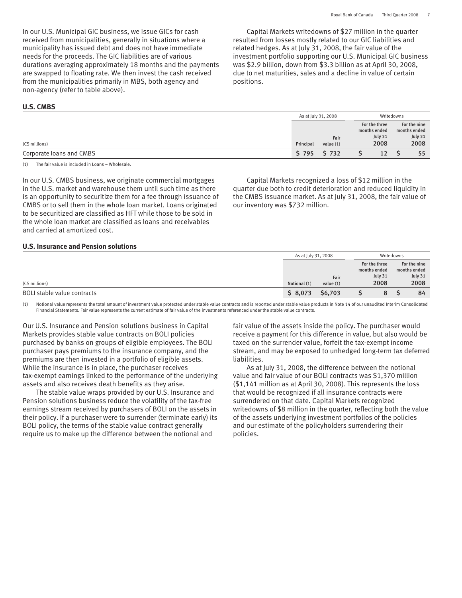In our U.S. Municipal GIC business, we issue GICs for cash received from municipalities, generally in situations where a municipality has issued debt and does not have immediate needs for the proceeds. The GIC liabilities are of various durations averaging approximately 18 months and the payments are swapped to floating rate. We then invest the cash received from the municipalities primarily in MBS, both agency and non-agency (refer to table above).

#### **U.S. CMBS**

Capital Markets writedowns of \$27 million in the quarter resulted from losses mostly related to our GIC liabilities and related hedges. As at July 31, 2008, the fair value of the investment portfolio supporting our U.S. Municipal GIC business was \$2.9 billion, down from \$3.3 billion as at April 30, 2008, due to net maturities, sales and a decline in value of certain positions.

|                          |           | As at July 31, 2008 |               | Writedowns |              |
|--------------------------|-----------|---------------------|---------------|------------|--------------|
|                          |           |                     | For the three |            | For the nine |
|                          |           |                     | months ended  |            | months ended |
|                          |           | Fair                | July 31       |            | July 31      |
| (C\$ millions)           | Principal | value $(1)$         | 2008          |            | 2008         |
| Corporate loans and CMBS |           | \$795 \$732         | 12            |            | 55           |
|                          |           |                     |               |            |              |

(1) The fair value is included in Loans – Wholesale.

In our U.S. CMBS business, we originate commercial mortgages in the U.S. market and warehouse them until such time as there is an opportunity to securitize them for a fee through issuance of CMBS or to sell them in the whole loan market. Loans originated to be securitized are classified as HFT while those to be sold in the whole loan market are classified as loans and receivables and carried at amortized cost.

Capital Markets recognized a loss of \$12 million in the quarter due both to credit deterioration and reduced liquidity in the CMBS issuance market. As at July 31, 2008, the fair value of our inventory was \$732 million.

#### **U.S. Insurance and Pension solutions**

|                             | As at July 31, 2008 | Writedowns  |               |  |              |  |
|-----------------------------|---------------------|-------------|---------------|--|--------------|--|
|                             |                     |             | For the three |  | For the nine |  |
|                             |                     |             | months ended  |  | months ended |  |
|                             |                     | Fair        | July 31       |  | July 31      |  |
| (C\$ millions)              | Notional (1)        | value $(1)$ | 2008          |  | 2008         |  |
| BOLI stable value contracts | \$8,073             | \$6,703     |               |  | 84           |  |

(1) Notional value represents the total amount of investment value protected under stable value contracts and is reported under stable value products in Note 14 of our unaudited Interim Consolidated Financial Statements. Fair value represents the current estimate of fair value of the investments referenced under the stable value contracts.

Our U.S. Insurance and Pension solutions business in Capital Markets provides stable value contracts on BOLI policies purchased by banks on groups of eligible employees. The BOLI purchaser pays premiums to the insurance company, and the premiums are then invested in a portfolio of eligible assets. While the insurance is in place, the purchaser receives tax-exempt earnings linked to the performance of the underlying assets and also receives death benefits as they arise.

The stable value wraps provided by our U.S. Insurance and Pension solutions business reduce the volatility of the tax-free earnings stream received by purchasers of BOLI on the assets in their policy. If a purchaser were to surrender (terminate early) its BOLI policy, the terms of the stable value contract generally require us to make up the difference between the notional and

fair value of the assets inside the policy. The purchaser would receive a payment for this difference in value, but also would be taxed on the surrender value, forfeit the tax-exempt income stream, and may be exposed to unhedged long-term tax deferred liabilities.

As at July 31, 2008, the difference between the notional value and fair value of our BOLI contracts was \$1,370 million (\$1,141 million as at April 30, 2008). This represents the loss that would be recognized if all insurance contracts were surrendered on that date. Capital Markets recognized writedowns of \$8 million in the quarter, reflecting both the value of the assets underlying investment portfolios of the policies and our estimate of the policyholders surrendering their policies.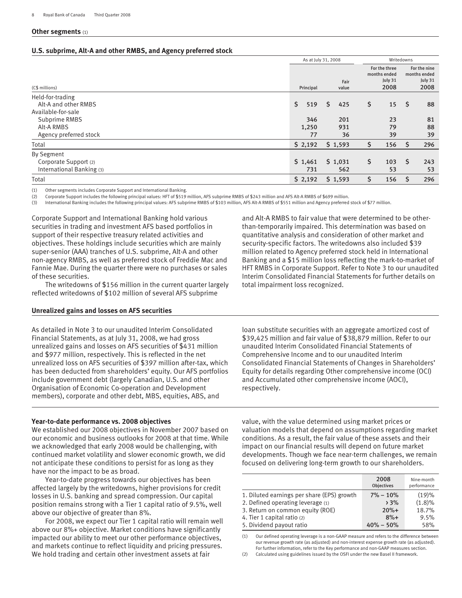#### **Other segments** (1)

#### **U.S. subprime, Alt-A and other RMBS, and Agency preferred stock**

|                                                                             |                    | As at July 31, 2008 |    |                                                  |          |                                                 |
|-----------------------------------------------------------------------------|--------------------|---------------------|----|--------------------------------------------------|----------|-------------------------------------------------|
| (C\$ millions)                                                              | Principal          | Fair<br>value       |    | For the three<br>months ended<br>July 31<br>2008 |          | For the nine<br>months ended<br>July 31<br>2008 |
| Held-for-trading<br>Alt-A and other RMBS                                    | \$<br>519          | Ś<br>425            | \$ | 15                                               | <b>S</b> | 88                                              |
| Available-for-sale<br>Subprime RMBS<br>Alt-A RMBS<br>Agency preferred stock | 346<br>1,250<br>77 | 201<br>931<br>36    |    | 23<br>79<br>39                                   |          | 81<br>88<br>39                                  |
| Total                                                                       | \$2,192            | \$1,593             | \$ | 156                                              | S        | 296                                             |
| <b>By Segment</b><br>Corporate Support (2)<br>International Banking (3)     | \$1,461<br>731     | \$1,031<br>562      | \$ | 103<br>53                                        | Ś        | 243<br>53                                       |
| Total                                                                       | \$2,192            | \$1,593             | \$ | 156                                              | Ŝ        | 296                                             |

(1) Other segments includes Corporate Support and International Banking.

(2) Corporate Support includes the following principal values: HFT of \$519 million, AFS subprime RMBS of \$243 million and AFS Alt-A RMBS of \$699 million.

(3) International Banking includes the following principal values: AFS subprime RMBS of \$103 million, AFS Alt-A RMBS of \$551 million and Agency preferred stock of \$77 million.

Corporate Support and International Banking hold various securities in trading and investment AFS based portfolios in support of their respective treasury related activities and objectives. These holdings include securities which are mainly super-senior (AAA) tranches of U.S. subprime, Alt-A and other non-agency RMBS, as well as preferred stock of Freddie Mac and Fannie Mae. During the quarter there were no purchases or sales of these securities.

The writedowns of \$156 million in the current quarter largely reflected writedowns of \$102 million of several AFS subprime

#### **Unrealized gains and losses on AFS securities**

As detailed in Note 3 to our unaudited Interim Consolidated Financial Statements, as at July 31, 2008, we had gross unrealized gains and losses on AFS securities of \$431 million and \$977 million, respectively. This is reflected in the net unrealized loss on AFS securities of \$397 million after-tax, which has been deducted from shareholders' equity. Our AFS portfolios include government debt (largely Canadian, U.S. and other Organisation of Economic Co-operation and Development members), corporate and other debt, MBS, equities, ABS, and

and Alt-A RMBS to fair value that were determined to be otherthan-temporarily impaired. This determination was based on quantitative analysis and consideration of other market and security-specific factors. The writedowns also included \$39 million related to Agency preferred stock held in International Banking and a \$15 million loss reflecting the mark-to-market of HFT RMBS in Corporate Support. Refer to Note 3 to our unaudited Interim Consolidated Financial Statements for further details on total impairment loss recognized.

loan substitute securities with an aggregate amortized cost of \$39,425 million and fair value of \$38,879 million. Refer to our unaudited Interim Consolidated Financial Statements of Comprehensive Income and to our unaudited Interim Consolidated Financial Statements of Changes in Shareholders' Equity for details regarding Other comprehensive income (OCI) and Accumulated other comprehensive income (AOCI), respectively.

#### **Year-to-date performance vs. 2008 objectives**

We established our 2008 objectives in November 2007 based on our economic and business outlooks for 2008 at that time. While we acknowledged that early 2008 would be challenging, with continued market volatility and slower economic growth, we did not anticipate these conditions to persist for as long as they have nor the impact to be as broad.

Year-to-date progress towards our objectives has been affected largely by the writedowns, higher provisions for credit losses in U.S. banking and spread compression. Our capital position remains strong with a Tier 1 capital ratio of 9.5%, well above our objective of greater than 8%.

For 2008, we expect our Tier 1 capital ratio will remain well above our 8%+ objective. Market conditions have significantly impacted our ability to meet our other performance objectives, and markets continue to reflect liquidity and pricing pressures. We hold trading and certain other investment assets at fair

value, with the value determined using market prices or valuation models that depend on assumptions regarding market conditions. As a result, the fair value of these assets and their impact on our financial results will depend on future market developments. Though we face near-term challenges, we remain focused on delivering long-term growth to our shareholders.

|                                            | 2008<br><b>Objectives</b> | Nine-month<br>performance |
|--------------------------------------------|---------------------------|---------------------------|
| 1. Diluted earnings per share (EPS) growth | $7\% - 10\%$              | (19)%                     |
| 2. Defined operating leverage (1)          | $>3\%$                    | $(1.8)\%$                 |
| 3. Return on common equity (ROE)           | $20%+$                    | 18.7%                     |
| 4. Tier 1 capital ratio (2)                | $8%+$                     | 9.5%                      |
| 5. Dividend payout ratio                   | $40\% - 50\%$             | 58%                       |

(1) Our defined operating leverage is a non-GAAP measure and refers to the difference between our revenue growth rate (as adjusted) and non-interest expense growth rate (as adjusted). For further information, refer to the Key performance and non-GAAP measures section.

(2) Calculated using guidelines issued by the OSFI under the new Basel II framework.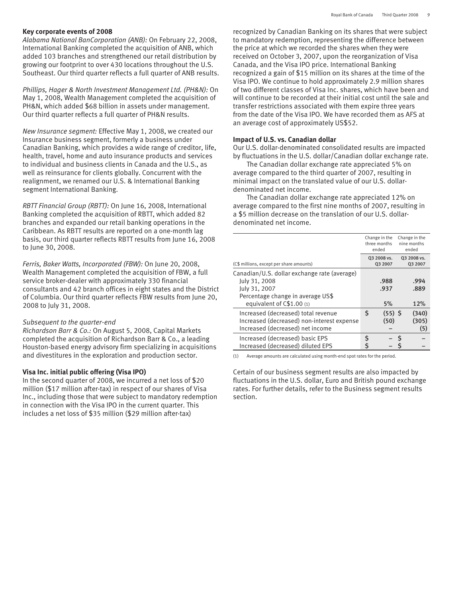#### **Key corporate events of 2008**

*Alabama National BanCorporation (ANB):* On February 22, 2008, International Banking completed the acquisition of ANB, which added 103 branches and strengthened our retail distribution by growing our footprint to over 430 locations throughout the U.S. Southeast. Our third quarter reflects a full quarter of ANB results.

*Phillips, Hager & North Investment Management Ltd. (PH&N):* On May 1, 2008, Wealth Management completed the acquisition of PH&N, which added \$68 billion in assets under management. Our third quarter reflects a full quarter of PH&N results.

*New Insurance segment:* Effective May 1, 2008, we created our Insurance business segment, formerly a business under Canadian Banking, which provides a wide range of creditor, life, health, travel, home and auto insurance products and services to individual and business clients in Canada and the U.S., as well as reinsurance for clients globally. Concurrent with the realignment, we renamed our U.S. & International Banking segment International Banking.

*RBTT Financial Group (RBTT):* On June 16, 2008, International Banking completed the acquisition of RBTT, which added 82 branches and expanded our retail banking operations in the Caribbean. As RBTT results are reported on a one-month lag basis, our third quarter reflects RBTT results from June 16, 2008 to June 30, 2008.

*Ferris, Baker Watts, Incorporated (FBW):* On June 20, 2008, Wealth Management completed the acquisition of FBW, a full service broker-dealer with approximately 330 financial consultants and 42 branch offices in eight states and the District of Columbia. Our third quarter reflects FBW results from June 20, 2008 to July 31, 2008.

# *Subsequent to the quarter-end*

*Richardson Barr & Co.:* On August 5, 2008, Capital Markets completed the acquisition of Richardson Barr & Co., a leading Houston-based energy advisory firm specializing in acquisitions and divestitures in the exploration and production sector.

# **Visa Inc. initial public offering (Visa IPO)**

In the second quarter of 2008, we incurred a net loss of \$20 million (\$17 million after-tax) in respect of our shares of Visa Inc., including those that were subject to mandatory redemption in connection with the Visa IPO in the current quarter. This includes a net loss of \$35 million (\$29 million after-tax)

recognized by Canadian Banking on its shares that were subject to mandatory redemption, representing the difference between the price at which we recorded the shares when they were received on October 3, 2007, upon the reorganization of Visa Canada, and the Visa IPO price. International Banking recognized a gain of \$15 million on its shares at the time of the Visa IPO. We continue to hold approximately 2.9 million shares of two different classes of Visa Inc. shares, which have been and will continue to be recorded at their initial cost until the sale and transfer restrictions associated with them expire three years from the date of the Visa IPO. We have recorded them as AFS at an average cost of approximately US\$52.

# **Impact of U.S. vs. Canadian dollar**

Our U.S. dollar-denominated consolidated results are impacted by fluctuations in the U.S. dollar/Canadian dollar exchange rate.

The Canadian dollar exchange rate appreciated 5% on average compared to the third quarter of 2007, resulting in minimal impact on the translated value of our U.S. dollardenominated net income.

The Canadian dollar exchange rate appreciated 12% on average compared to the first nine months of 2007, resulting in a \$5 million decrease on the translation of our U.S. dollardenominated net income.

|                                              |   | Change in the<br>three months<br>ended | Change in the<br>nine months<br>ended |
|----------------------------------------------|---|----------------------------------------|---------------------------------------|
|                                              |   | Q3 2008 vs.                            | Q3 2008 vs.                           |
| (C\$ millions, except per share amounts)     |   | Q3 2007                                | Q3 2007                               |
| Canadian/U.S. dollar exchange rate (average) |   |                                        |                                       |
| July 31, 2008                                |   | .988                                   | .994                                  |
| July 31, 2007                                |   | .937                                   | .889                                  |
| Percentage change in average US\$            |   |                                        |                                       |
| equivalent of $C$1.00(1)$                    |   | 5%                                     | 12%                                   |
| Increased (decreased) total revenue          | Ś | $(55)$ S                               | (340)                                 |
| Increased (decreased) non-interest expense   |   | (50)                                   | (305)                                 |
| Increased (decreased) net income             |   |                                        | (5)                                   |
| Increased (decreased) basic EPS              |   |                                        |                                       |
| Increased (decreased) diluted EPS            |   |                                        |                                       |

(1) Average amounts are calculated using month-end spot rates for the period.

Certain of our business segment results are also impacted by fluctuations in the U.S. dollar, Euro and British pound exchange rates. For further details, refer to the Business segment results section.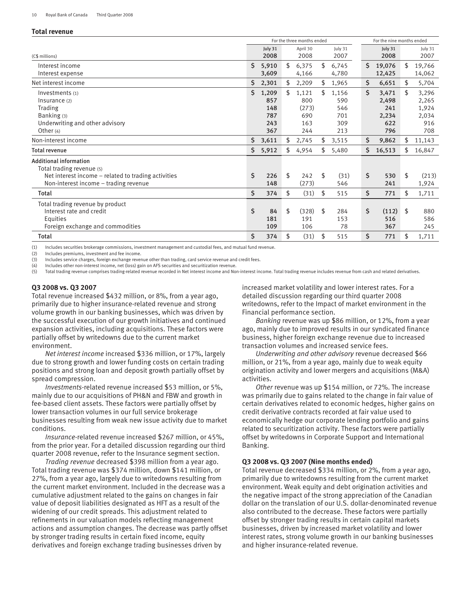#### **Total revenue**

|                                                                                                                                                            |    |                                          |    | For the three months ended                 |                                                | For the nine months ended                          |     |                                                |  |  |  |  |
|------------------------------------------------------------------------------------------------------------------------------------------------------------|----|------------------------------------------|----|--------------------------------------------|------------------------------------------------|----------------------------------------------------|-----|------------------------------------------------|--|--|--|--|
| (C\$ millions)                                                                                                                                             |    | July 31<br>2008                          |    | April 30<br>2008                           | July 31<br>2007                                | July 31<br>2008                                    |     | July 31<br>2007                                |  |  |  |  |
| Interest income<br>Interest expense                                                                                                                        | Ŝ  | 5,910<br>3,609                           | \$ | 6,375<br>4,166                             | \$<br>6,745<br>4,780                           | Ś.<br>19,076<br>12,425                             | \$  | 19,766<br>14,062                               |  |  |  |  |
| Net interest income                                                                                                                                        | \$ | 2,301                                    | \$ | 2,209                                      | \$<br>1,965                                    | \$<br>6,651                                        | \$  | 5,704                                          |  |  |  |  |
| Investments (1)<br>Insurance(2)<br>Trading<br>Banking (3)<br>Underwriting and other advisory<br>Other (4)                                                  | Ś. | 1,209<br>857<br>148<br>787<br>243<br>367 | \$ | 1,121<br>800<br>(273)<br>690<br>163<br>244 | \$<br>1,156<br>590<br>546<br>701<br>309<br>213 | \$<br>3,471<br>2,498<br>241<br>2,234<br>622<br>796 | \$  | 3,296<br>2,265<br>1,924<br>2,034<br>916<br>708 |  |  |  |  |
| Non-interest income                                                                                                                                        | \$ | 3,611                                    | S. | 2,745                                      | \$<br>3,515                                    | \$<br>9,862                                        | \$  | 11,143                                         |  |  |  |  |
| <b>Total revenue</b>                                                                                                                                       | Ś. | 5,912                                    | \$ | 4,954                                      | \$<br>5,480                                    | \$<br>16,513                                       | \$. | 16,847                                         |  |  |  |  |
| <b>Additional information</b><br>Total trading revenue (5)<br>Net interest income – related to trading activities<br>Non-interest income – trading revenue | \$ | 226<br>148                               | \$ | 242<br>(273)                               | \$<br>(31)<br>546                              | \$<br>530<br>241                                   | \$  | (213)<br>1,924                                 |  |  |  |  |
| Total                                                                                                                                                      | \$ | 374                                      | \$ | (31)                                       | \$<br>515                                      | \$<br>771                                          | \$  | 1,711                                          |  |  |  |  |
| Total trading revenue by product<br>Interest rate and credit<br>Equities<br>Foreign exchange and commodities                                               | Ś  | 84<br>181<br>109                         | \$ | (328)<br>191<br>106                        | \$<br>284<br>153<br>78                         | Ś<br>(112)<br>516<br>367                           | \$  | 880<br>586<br>245                              |  |  |  |  |
| <b>Total</b>                                                                                                                                               | \$ | 374                                      | \$ | (31)                                       | \$<br>515                                      | \$<br>771                                          | \$  | 1,711                                          |  |  |  |  |

(1) Includes securities brokerage commissions, investment management and custodial fees, and mutual fund revenue.

(2) Includes premiums, investment and fee income.

(3) Includes service charges, foreign exchange revenue other than trading, card service revenue and credit fees.

(4) Includes other non-interest income, net (loss) gain on AFS securities and securitization revenue.

(5) Total trading revenue comprises trading-related revenue recorded in Net interest income and Non-interest income. Total trading revenue includes revenue from cash and related derivatives.

#### **Q3 2008 vs. Q3 2007**

Total revenue increased \$432 million, or 8%, from a year ago, primarily due to higher insurance-related revenue and strong volume growth in our banking businesses, which was driven by the successful execution of our growth initiatives and continued expansion activities, including acquisitions. These factors were partially offset by writedowns due to the current market environment.

*Net interest income* increased \$336 million, or 17%, largely due to strong growth and lower funding costs on certain trading positions and strong loan and deposit growth partially offset by spread compression.

*Investments*-related revenue increased \$53 million, or 5%, mainly due to our acquisitions of PH&N and FBW and growth in fee-based client assets. These factors were partially offset by lower transaction volumes in our full service brokerage businesses resulting from weak new issue activity due to market conditions.

*Insurance*-related revenue increased \$267 million, or 45%, from the prior year. For a detailed discussion regarding our third quarter 2008 revenue, refer to the Insurance segment section.

*Trading revenue* decreased \$398 million from a year ago. Total trading revenue was \$374 million, down \$141 million, or 27%, from a year ago, largely due to writedowns resulting from the current market environment. Included in the decrease was a cumulative adjustment related to the gains on changes in fair value of deposit liabilities designated as HFT as a result of the widening of our credit spreads. This adjustment related to refinements in our valuation models reflecting management actions and assumption changes. The decrease was partly offset by stronger trading results in certain fixed income, equity derivatives and foreign exchange trading businesses driven by

increased market volatility and lower interest rates. For a detailed discussion regarding our third quarter 2008 writedowns, refer to the Impact of market environment in the Financial performance section.

*Banking* revenue was up \$86 million, or 12%, from a year ago, mainly due to improved results in our syndicated finance business, higher foreign exchange revenue due to increased transaction volumes and increased service fees.

*Underwriting and other advisory* revenue decreased \$66 million, or 21%, from a year ago, mainly due to weak equity origination activity and lower mergers and acquisitions (M&A) activities.

*Other* revenue was up \$154 million, or 72%. The increase was primarily due to gains related to the change in fair value of certain derivatives related to economic hedges, higher gains on credit derivative contracts recorded at fair value used to economically hedge our corporate lending portfolio and gains related to securitization activity. These factors were partially offset by writedowns in Corporate Support and International Banking.

#### **Q3 2008 vs. Q3 2007 (Nine months ended)**

Total revenue decreased \$334 million, or 2%, from a year ago, primarily due to writedowns resulting from the current market environment. Weak equity and debt origination activities and the negative impact of the strong appreciation of the Canadian dollar on the translation of our U.S. dollar-denominated revenue also contributed to the decrease. These factors were partially offset by stronger trading results in certain capital markets businesses, driven by increased market volatility and lower interest rates, strong volume growth in our banking businesses and higher insurance-related revenue.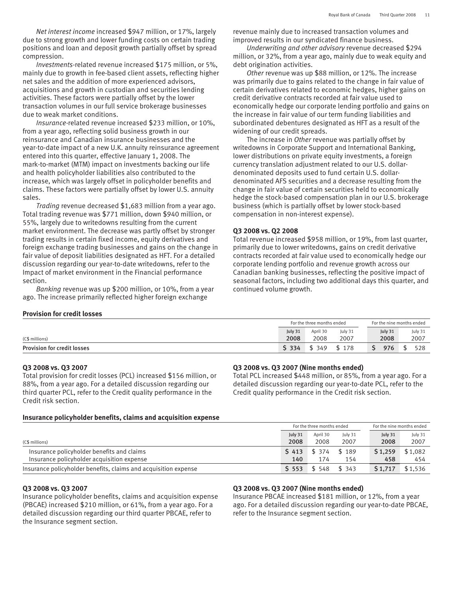*Net interest income* increased \$947 million, or 17%, largely due to strong growth and lower funding costs on certain trading positions and loan and deposit growth partially offset by spread compression.

*Investments*-related revenue increased \$175 million, or 5%, mainly due to growth in fee-based client assets, reflecting higher net sales and the addition of more experienced advisors, acquisitions and growth in custodian and securities lending activities. These factors were partially offset by the lower transaction volumes in our full service brokerage businesses due to weak market conditions.

*Insurance*-related revenue increased \$233 million, or 10%, from a year ago, reflecting solid business growth in our reinsurance and Canadian insurance businesses and the year-to-date impact of a new U.K. annuity reinsurance agreement entered into this quarter, effective January 1, 2008. The mark-to-market (MTM) impact on investments backing our life and health policyholder liabilities also contributed to the increase, which was largely offset in policyholder benefits and claims. These factors were partially offset by lower U.S. annuity sales.

*Trading* revenue decreased \$1,683 million from a year ago. Total trading revenue was \$771 million, down \$940 million, or 55%, largely due to writedowns resulting from the current market environment. The decrease was partly offset by stronger trading results in certain fixed income, equity derivatives and foreign exchange trading businesses and gains on the change in fair value of deposit liabilities designated as HFT. For a detailed discussion regarding our year-to-date writedowns, refer to the Impact of market environment in the Financial performance section.

*Banking* revenue was up \$200 million, or 10%, from a year ago. The increase primarily reflected higher foreign exchange

revenue mainly due to increased transaction volumes and improved results in our syndicated finance business.

*Underwriting and other advisory* revenue decreased \$294 million, or 32%, from a year ago, mainly due to weak equity and debt origination activities.

*Other* revenue was up \$88 million, or 12%. The increase was primarily due to gains related to the change in fair value of certain derivatives related to economic hedges, higher gains on credit derivative contracts recorded at fair value used to economically hedge our corporate lending portfolio and gains on the increase in fair value of our term funding liabilities and subordinated debentures designated as HFT as a result of the widening of our credit spreads.

The increase in *Other* revenue was partially offset by writedowns in Corporate Support and International Banking, lower distributions on private equity investments, a foreign currency translation adjustment related to our U.S. dollardenominated deposits used to fund certain U.S. dollardenominated AFS securities and a decrease resulting from the change in fair value of certain securities held to economically hedge the stock-based compensation plan in our U.S. brokerage business (which is partially offset by lower stock-based compensation in non-interest expense).

#### **Q3 2008 vs. Q2 2008**

Total revenue increased \$958 million, or 19%, from last quarter, primarily due to lower writedowns, gains on credit derivative contracts recorded at fair value used to economically hedge our corporate lending portfolio and revenue growth across our Canadian banking businesses, reflecting the positive impact of seasonal factors, including two additional days this quarter, and continued volume growth.

#### **Provision for credit losses**

|                                    |         | For the three months ended |         |  | For the nine months ended |         |
|------------------------------------|---------|----------------------------|---------|--|---------------------------|---------|
|                                    | July 31 | April 30                   | July 31 |  | July 31                   | July 31 |
| (C\$ millions)                     | 2008    | 2008                       | 2007    |  | 2008                      | 2007    |
| <b>Provision for credit losses</b> |         | $$334$ $$349$ $$178$       |         |  | 976                       | 528     |

#### **Q3 2008 vs. Q3 2007**

Total provision for credit losses (PCL) increased \$156 million, or 88%, from a year ago. For a detailed discussion regarding our third quarter PCL, refer to the Credit quality performance in the Credit risk section.

# **Insurance policyholder benefits, claims and acquisition expense**

# **Q3 2008 vs. Q3 2007 (Nine months ended)**

Total PCL increased \$448 million, or 85%, from a year ago. For a detailed discussion regarding our year-to-date PCL, refer to the Credit quality performance in the Credit risk section.

|                                                                 |         | For the three months ended |         |         | For the nine months ended |
|-----------------------------------------------------------------|---------|----------------------------|---------|---------|---------------------------|
|                                                                 | July 31 | April 30                   | July 31 | July 31 | July 31                   |
| (C\$ millions)                                                  | 2008    | 2008                       | 2007    | 2008    | 2007                      |
| Insurance policyholder benefits and claims                      | S 413   | \$ 374                     | \$189   | \$1,259 | \$1.082                   |
| Insurance policyholder acquisition expense                      | 140     | 174                        | 154     | 458     | 454                       |
| Insurance policyholder benefits, claims and acquisition expense | $S$ 553 | 548                        | \$343   | \$1,717 | \$1,536                   |

#### **Q3 2008 vs. Q3 2007**

Insurance policyholder benefits, claims and acquisition expense (PBCAE) increased \$210 million, or 61%, from a year ago. For a detailed discussion regarding our third quarter PBCAE, refer to the Insurance segment section.

#### **Q3 2008 vs. Q3 2007 (Nine months ended)**

Insurance PBCAE increased \$181 million, or 12%, from a year ago. For a detailed discussion regarding our year-to-date PBCAE, refer to the Insurance segment section.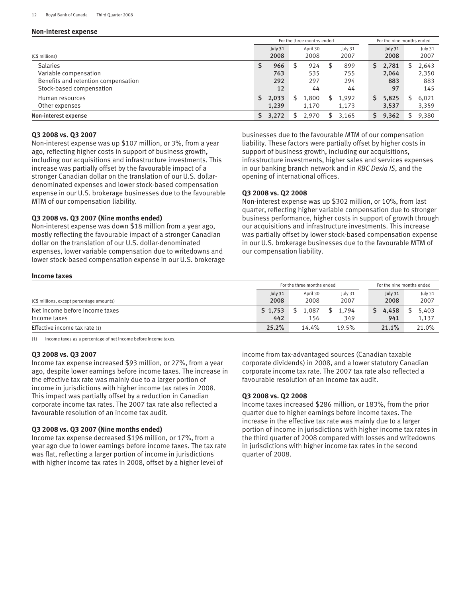#### **Non-interest expense**

|                                                                                                             |    |                         |    | For the three months ended |    | For the nine months ended |    |                             |   |                              |
|-------------------------------------------------------------------------------------------------------------|----|-------------------------|----|----------------------------|----|---------------------------|----|-----------------------------|---|------------------------------|
| (C\$ millions)                                                                                              |    | July 31<br>2008         |    | April 30<br>2008           |    | July 31<br>2007           |    | July 31<br>2008             |   | July 31<br>2007              |
| <b>Salaries</b><br>Variable compensation<br>Benefits and retention compensation<br>Stock-based compensation | \$ | 966<br>763<br>292<br>12 | \$ | 924<br>535<br>297<br>44    |    | 899<br>755<br>294<br>44   | S. | 2,781<br>2,064<br>883<br>97 |   | 2,643<br>2,350<br>883<br>145 |
| Human resources<br>Other expenses                                                                           | S. | 2,033<br>1,239          | S  | 1,800<br>1,170             | \$ | 1,992<br>1,173            | S. | 5,825<br>3,537              | S | 6,021<br>3,359               |
| Non-interest expense                                                                                        | S. | 3,272                   | \$ | 2,970                      | S. | 3,165                     | S. | 9,362                       |   | 9,380                        |

#### **Q3 2008 vs. Q3 2007**

Non-interest expense was up \$107 million, or 3%, from a year ago, reflecting higher costs in support of business growth, including our acquisitions and infrastructure investments. This increase was partially offset by the favourable impact of a stronger Canadian dollar on the translation of our U.S. dollardenominated expenses and lower stock-based compensation expense in our U.S. brokerage businesses due to the favourable MTM of our compensation liability.

#### **Q3 2008 vs. Q3 2007 (Nine months ended)**

Non-interest expense was down \$18 million from a year ago, mostly reflecting the favourable impact of a stronger Canadian dollar on the translation of our U.S. dollar-denominated expenses, lower variable compensation due to writedowns and lower stock-based compensation expense in our U.S. brokerage businesses due to the favourable MTM of our compensation liability. These factors were partially offset by higher costs in support of business growth, including our acquisitions, infrastructure investments, higher sales and services expenses in our banking branch network and in *RBC Dexia IS*, and the opening of international offices.

#### **Q3 2008 vs. Q2 2008**

Non-interest expense was up \$302 million, or 10%, from last quarter, reflecting higher variable compensation due to stronger business performance, higher costs in support of growth through our acquisitions and infrastructure investments. This increase was partially offset by lower stock-based compensation expense in our U.S. brokerage businesses due to the favourable MTM of our compensation liability.

#### **Income taxes**

|                                           |             | For the three months ended |         | For the nine months ended |         |
|-------------------------------------------|-------------|----------------------------|---------|---------------------------|---------|
|                                           | July 31     | April 30                   | July 31 | July 31                   | July 31 |
| (C\$ millions, except percentage amounts) | 2008        | 2008                       | 2007    | 2008                      | 2007    |
| Net income before income taxes            | $5 \t1,753$ | .087                       | 1.794   | 4.458                     | 5.403   |
| Income taxes                              | 442         | 156                        | 349     | 941                       | 1,137   |
| Effective income tax rate (1)             | 25.2%       | 14.4%                      | 19.5%   | 21.1%                     | 21.0%   |

(1) Income taxes as a percentage of net income before income taxes.

#### **Q3 2008 vs. Q3 2007**

Income tax expense increased \$93 million, or 27%, from a year ago, despite lower earnings before income taxes. The increase in the effective tax rate was mainly due to a larger portion of income in jurisdictions with higher income tax rates in 2008. This impact was partially offset by a reduction in Canadian corporate income tax rates. The 2007 tax rate also reflected a favourable resolution of an income tax audit.

#### **Q3 2008 vs. Q3 2007 (Nine months ended)**

Income tax expense decreased \$196 million, or 17%, from a year ago due to lower earnings before income taxes. The tax rate was flat, reflecting a larger portion of income in jurisdictions with higher income tax rates in 2008, offset by a higher level of

income from tax-advantaged sources (Canadian taxable corporate dividends) in 2008, and a lower statutory Canadian corporate income tax rate. The 2007 tax rate also reflected a favourable resolution of an income tax audit.

#### **Q3 2008 vs. Q2 2008**

Income taxes increased \$286 million, or 183%, from the prior quarter due to higher earnings before income taxes. The increase in the effective tax rate was mainly due to a larger portion of income in jurisdictions with higher income tax rates in the third quarter of 2008 compared with losses and writedowns in jurisdictions with higher income tax rates in the second quarter of 2008.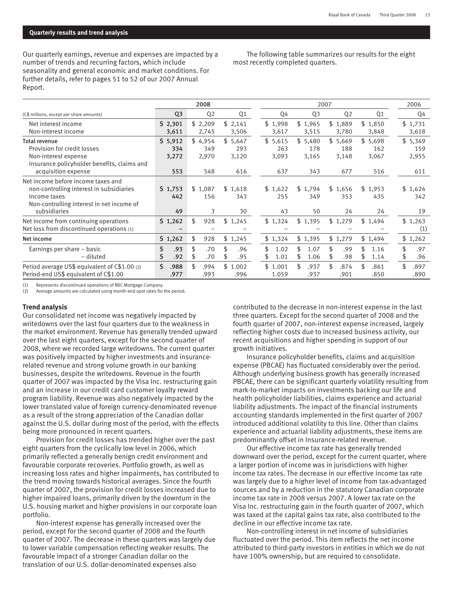Our quarterly earnings, revenue and expenses are impacted by a number of trends and recurring factors, which include seasonality and general economic and market conditions. For further details, refer to pages 51 to 52 of our 2007 Annual Report.

The following table summarizes our results for the eight most recently completed quarters.

|                                                                                                                                                             | 2008                           |                                |                                |  |                                |                                | 2006                           |                                |                                |
|-------------------------------------------------------------------------------------------------------------------------------------------------------------|--------------------------------|--------------------------------|--------------------------------|--|--------------------------------|--------------------------------|--------------------------------|--------------------------------|--------------------------------|
| (C\$ millions, except per share amounts)                                                                                                                    | Q <sub>3</sub>                 | Q <sub>2</sub>                 | Q <sub>1</sub>                 |  | Q4                             | Q <sub>3</sub>                 | Q <sub>2</sub>                 | Q <sub>1</sub>                 | Q4                             |
| Net interest income<br>Non-interest income                                                                                                                  | \$2,301<br>3,611               | \$2,209<br>2,745               | \$2,141<br>3,506               |  | \$1,998<br>3,617               | \$1,965<br>3,515               | \$1,889<br>3,780               | \$1,850<br>3,848               | \$1,731<br>3,618               |
| <b>Total revenue</b><br>Provision for credit losses<br>Non-interest expense<br>Insurance policyholder benefits, claims and<br>acquisition expense           | \$5,912<br>334<br>3,272<br>553 | \$4,954<br>349<br>2,970<br>548 | \$5,647<br>293<br>3,120<br>616 |  | \$5,615<br>263<br>3,093<br>637 | \$5,480<br>178<br>3,165<br>343 | \$5,669<br>188<br>3,148<br>677 | \$5,698<br>162<br>3,067<br>516 | \$5,349<br>159<br>2,955<br>611 |
| Net income before income taxes and<br>non-controlling interest in subsidiaries<br>Income taxes<br>Non-controlling interest in net income of<br>subsidiaries | \$1,753<br>442<br>49           | \$1,087<br>156<br>3            | \$1,618<br>343<br>30           |  | \$1,622<br>255<br>43           | \$1,794<br>349<br>50           | \$1,656<br>353<br>24           | \$1,953<br>435<br>24           | \$1,624<br>342<br>19           |
| Net income from continuing operations<br>Net loss from discontinued operations (1)                                                                          | \$1,262                        | \$<br>928                      | \$1,245                        |  | \$1,324                        | \$1,395                        | \$1,279                        | \$1,494                        | \$1,263<br>(1)                 |
| Net income                                                                                                                                                  | \$1,262                        | \$<br>928                      | \$1,245                        |  | \$1,324                        | \$1,395                        | \$1,279                        | \$1,494                        | \$1,262                        |
| Earnings per share – basic<br>- diluted                                                                                                                     | \$<br>.93<br>\$<br>.92         | \$<br>.70<br>.70<br>\$         | .96<br>.95<br>\$               |  | \$<br>1.02<br>\$<br>1.01       | 1.07<br>1.06<br>S              | .99<br>.98<br>\$               | 1.16<br>\$.<br>1.14            | \$<br>.97<br>\$<br>.96         |
| Period average US\$ equivalent of C\$1.00 (2)<br>Period-end US\$ equivalent of C\$1.00                                                                      | $\mathsf{S}$<br>.988<br>.977   | \$<br>.994<br>.993             | \$1.002<br>.996                |  | \$1.001<br>1.059               | \$<br>.937<br>.937             | \$<br>.874<br>.901             | \$<br>.861<br>.850             | \$<br>.897<br>.890             |

(1) Represents discontinued operations of RBC Mortgage Company.

Average amounts are calculated using month-end spot rates for the period.

#### **Trend analysis**

Our consolidated net income was negatively impacted by writedowns over the last four quarters due to the weakness in the market environment. Revenue has generally trended upward over the last eight quarters, except for the second quarter of 2008, where we recorded large writedowns. The current quarter was positively impacted by higher investments and insurancerelated revenue and strong volume growth in our banking businesses, despite the writedowns. Revenue in the fourth quarter of 2007 was impacted by the Visa Inc. restructuring gain and an increase in our credit card customer loyalty reward program liability. Revenue was also negatively impacted by the lower translated value of foreign currency-denominated revenue as a result of the strong appreciation of the Canadian dollar against the U.S. dollar during most of the period, with the effects being more pronounced in recent quarters.

Provision for credit losses has trended higher over the past eight quarters from the cyclically low level in 2006, which primarily reflected a generally benign credit environment and favourable corporate recoveries. Portfolio growth, as well as increasing loss rates and higher impairments, has contributed to the trend moving towards historical averages. Since the fourth quarter of 2007, the provision for credit losses increased due to higher impaired loans, primarily driven by the downturn in the U.S. housing market and higher provisions in our corporate loan portfolio.

Non-interest expense has generally increased over the period, except for the second quarter of 2008 and the fourth quarter of 2007. The decrease in these quarters was largely due to lower variable compensation reflecting weaker results. The favourable impact of a stronger Canadian dollar on the translation of our U.S. dollar-denominated expenses also

contributed to the decrease in non-interest expense in the last three quarters. Except for the second quarter of 2008 and the fourth quarter of 2007, non-interest expense increased, largely reflecting higher costs due to increased business activity, our recent acquisitions and higher spending in support of our growth initiatives.

Insurance policyholder benefits, claims and acquisition expense (PBCAE) has fluctuated considerably over the period. Although underlying business growth has generally increased PBCAE, there can be significant quarterly volatility resulting from mark-to-market impacts on investments backing our life and health policyholder liabilities, claims experience and actuarial liability adjustments. The impact of the financial instruments accounting standards implemented in the first quarter of 2007 introduced additional volatility to this line. Other than claims experience and actuarial liability adjustments, these items are predominantly offset in Insurance-related revenue.

Our effective income tax rate has generally trended downward over the period, except for the current quarter, where a larger portion of income was in jurisdictions with higher income tax rates. The decrease in our effective income tax rate was largely due to a higher level of income from tax-advantaged sources and by a reduction in the statutory Canadian corporate income tax rate in 2008 versus 2007. A lower tax rate on the Visa Inc. restructuring gain in the fourth quarter of 2007, which was taxed at the capital gains tax rate, also contributed to the decline in our effective income tax rate.

Non-controlling interest in net income of subsidiaries fluctuated over the period. This item reflects the net income attributed to third-party investors in entities in which we do not have 100% ownership, but are required to consolidate.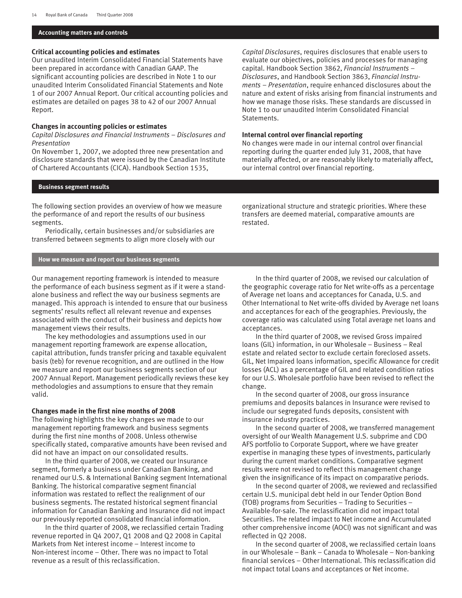#### **Accounting matters and controls**

#### **Critical accounting policies and estimates**

Our unaudited Interim Consolidated Financial Statements have been prepared in accordance with Canadian GAAP. The significant accounting policies are described in Note 1 to our unaudited Interim Consolidated Financial Statements and Note 1 of our 2007 Annual Report. Our critical accounting policies and estimates are detailed on pages 38 to 42 of our 2007 Annual Report.

#### **Changes in accounting policies or estimates**

#### *Capital Disclosures and Financial Instruments – Disclosures and Presentation*

On November 1, 2007, we adopted three new presentation and disclosure standards that were issued by the Canadian Institute of Chartered Accountants (CICA). Handbook Section 1535,

*Capital Disclosures*, requires disclosures that enable users to evaluate our objectives, policies and processes for managing capital. Handbook Section 3862, *Financial Instruments – Disclosures*, and Handbook Section 3863, *Financial Instruments – Presentation*, require enhanced disclosures about the nature and extent of risks arising from financial instruments and how we manage those risks. These standards are discussed in Note 1 to our unaudited Interim Consolidated Financial Statements.

#### **Internal control over financial reporting**

No changes were made in our internal control over financial reporting during the quarter ended July 31, 2008, that have materially affected, or are reasonably likely to materially affect, our internal control over financial reporting.

#### **Business segment results**

The following section provides an overview of how we measure the performance of and report the results of our business segments.

Periodically, certain businesses and/or subsidiaries are transferred between segments to align more closely with our

#### organizational structure and strategic priorities. Where these transfers are deemed material, comparative amounts are restated.

#### **How we measure and report our business segments**

Our management reporting framework is intended to measure the performance of each business segment as if it were a standalone business and reflect the way our business segments are managed. This approach is intended to ensure that our business segments' results reflect all relevant revenue and expenses associated with the conduct of their business and depicts how management views their results.

The key methodologies and assumptions used in our management reporting framework are expense allocation, capital attribution, funds transfer pricing and taxable equivalent basis (teb) for revenue recognition, and are outlined in the How we measure and report our business segments section of our 2007 Annual Report. Management periodically reviews these key methodologies and assumptions to ensure that they remain valid.

#### **Changes made in the first nine months of 2008**

The following highlights the key changes we made to our management reporting framework and business segments during the first nine months of 2008. Unless otherwise specifically stated, comparative amounts have been revised and did not have an impact on our consolidated results.

In the third quarter of 2008, we created our Insurance segment, formerly a business under Canadian Banking, and renamed our U.S. & International Banking segment International Banking. The historical comparative segment financial information was restated to reflect the realignment of our business segments. The restated historical segment financial information for Canadian Banking and Insurance did not impact our previously reported consolidated financial information.

In the third quarter of 2008, we reclassified certain Trading revenue reported in Q4 2007, Q1 2008 and Q2 2008 in Capital Markets from Net interest income – Interest income to Non-interest income – Other. There was no impact to Total revenue as a result of this reclassification.

In the third quarter of 2008, we revised our calculation of the geographic coverage ratio for Net write-offs as a percentage of Average net loans and acceptances for Canada, U.S. and Other International to Net write-offs divided by Average net loans and acceptances for each of the geographies. Previously, the coverage ratio was calculated using Total average net loans and acceptances.

In the third quarter of 2008, we revised Gross impaired loans (GIL) information, in our Wholesale – Business – Real estate and related sector to exclude certain foreclosed assets. GIL, Net Impaired loans information, specific Allowance for credit losses (ACL) as a percentage of GIL and related condition ratios for our U.S. Wholesale portfolio have been revised to reflect the change.

In the second quarter of 2008, our gross insurance premiums and deposits balances in Insurance were revised to include our segregated funds deposits, consistent with insurance industry practices.

In the second quarter of 2008, we transferred management oversight of our Wealth Management U.S. subprime and CDO AFS portfolio to Corporate Support, where we have greater expertise in managing these types of investments, particularly during the current market conditions. Comparative segment results were not revised to reflect this management change given the insignificance of its impact on comparative periods.

In the second quarter of 2008, we reviewed and reclassified certain U.S. municipal debt held in our Tender Option Bond (TOB) programs from Securities – Trading to Securities – Available-for-sale. The reclassification did not impact total Securities. The related impact to Net income and Accumulated other comprehensive income (AOCI) was not significant and was reflected in Q2 2008.

In the second quarter of 2008, we reclassified certain loans in our Wholesale – Bank – Canada to Wholesale – Non-banking financial services – Other International. This reclassification did not impact total Loans and acceptances or Net income.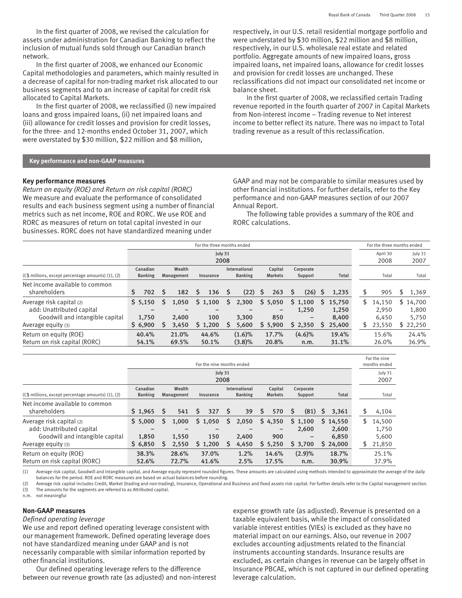In the first quarter of 2008, we revised the calculation for assets under administration for Canadian Banking to reflect the inclusion of mutual funds sold through our Canadian branch network.

In the first quarter of 2008, we enhanced our Economic Capital methodologies and parameters, which mainly resulted in a decrease of capital for non-trading market risk allocated to our business segments and to an increase of capital for credit risk allocated to Capital Markets.

In the first quarter of 2008, we reclassified (i) new impaired loans and gross impaired loans, (ii) net impaired loans and (iii) allowance for credit losses and provision for credit losses, for the three- and 12-months ended October 31, 2007, which were overstated by \$30 million, \$22 million and \$8 million,

**Key performance and non-GAAP measures**

#### **Key performance measures**

*Return on equity (ROE) and Return on risk capital (RORC)* We measure and evaluate the performance of consolidated results and each business segment using a number of financial metrics such as net income, ROE and RORC. We use ROE and RORC as measures of return on total capital invested in our businesses. RORC does not have standardized meaning under

were understated by \$30 million, \$22 million and \$8 million, respectively, in our U.S. wholesale real estate and related portfolio. Aggregate amounts of new impaired loans, gross impaired loans, net impaired loans, allowance for credit losses and provision for credit losses are unchanged. These reclassifications did not impact our consolidated net income or balance sheet.

respectively, in our U.S. retail residential mortgage portfolio and

In the first quarter of 2008, we reclassified certain Trading revenue reported in the fourth quarter of 2007 in Capital Markets from Non-interest income – Trading revenue to Net interest income to better reflect its nature. There was no impact to Total trading revenue as a result of this reclassification.

GAAP and may not be comparable to similar measures used by other financial institutions. For further details, refer to the Key performance and non-GAAP measures section of our 2007 Annual Report.

The following table provides a summary of the ROE and RORC calculations.

|                                                                                                                |                               |   |                         |   | For the three months ended     |                 |                                 |                            |   |                               |              |                                    |          | For the three months ended         |   |                                        |
|----------------------------------------------------------------------------------------------------------------|-------------------------------|---|-------------------------|---|--------------------------------|-----------------|---------------------------------|----------------------------|---|-------------------------------|--------------|------------------------------------|----------|------------------------------------|---|----------------------------------------|
|                                                                                                                |                               |   |                         |   |                                | July 31<br>2008 |                                 |                            |   |                               |              |                                    |          | April 30<br>2008                   |   | July 31<br>2007                        |
| $(C$$ millions, except percentage amounts) $(1)$ , $(2)$                                                       | Canadian<br><b>Banking</b>    |   | Wealth<br>Management    |   | Insurance                      |                 | International<br><b>Banking</b> | Capital<br><b>Markets</b>  |   | Corporate<br>Support          |              | <b>Total</b>                       |          | Total                              |   | Total                                  |
| Net income available to common<br>shareholders                                                                 | S.<br>702                     | S | 182                     | S | 136                            | S               | (22)                            | S<br>263                   | S | (26)                          | <sub>S</sub> | 1,235                              |          | 905                                | S | 1,369                                  |
| Average risk capital (2)<br>add: Unattributed capital<br>Goodwill and intangible capital<br>Average equity (3) | 5,150<br>-<br>1.750<br>56,900 | S | 1,050<br>2,400<br>3,450 |   | \$1,100<br>100<br>$5 \; 1,200$ | S               | 2,300<br>3.300<br>5,600         | 5,050<br>-<br>850<br>5,900 |   | 5, 1, 100<br>1,250<br>\$2,350 | S.<br>S.     | 15,750<br>1,250<br>8.400<br>25,400 | \$<br>S. | 14.150<br>2.950<br>6.450<br>23,550 |   | \$14.700<br>1,800<br>5.750<br>\$22,250 |
| Return on equity (ROE)<br>Return on risk capital (RORC)                                                        | 40.4%<br>54.1%                |   | 21.0%<br>69.5%          |   | 44.6%<br>50.1%                 |                 | $(1.6)\%$<br>$(3.8)\%$          | 17.7%<br>20.8%             |   | $(4.6)\%$<br>n.m.             |              | 19.4%<br>31.1%                     |          | 15.6%<br>26.0%                     |   | 24.4%<br>36.9%                         |

|                                                                                                                |                            |        |                         |   | For the nine months ended       |        |                                        |   |                             |   |                                   |    |                                        |          | For the nine<br>months ended       |
|----------------------------------------------------------------------------------------------------------------|----------------------------|--------|-------------------------|---|---------------------------------|--------|----------------------------------------|---|-----------------------------|---|-----------------------------------|----|----------------------------------------|----------|------------------------------------|
|                                                                                                                |                            |        |                         |   | July 31                         |        |                                        |   |                             |   |                                   |    |                                        |          | July 31                            |
|                                                                                                                |                            |        |                         |   |                                 | 2008   |                                        |   |                             |   |                                   |    |                                        |          | 2007                               |
| $(C$$ millions, except percentage amounts) $(1)$ , $(2)$                                                       | Canadian<br><b>Banking</b> |        | Wealth<br>Management    |   | Insurance                       |        | <b>International</b><br><b>Banking</b> |   | Capital<br><b>Markets</b>   |   | Corporate<br>Support              |    | <b>Total</b>                           |          | Total                              |
| Net income available to common<br>shareholders                                                                 | 51,965                     | S      | 541                     | S | 327                             | S      | 39                                     | S | 570                         | S | (81)                              | S. | 3.361                                  | \$       | 4,104                              |
| Average risk capital (2)<br>add: Unattributed capital<br>Goodwill and intangible capital<br>Average equity (3) | 5,000<br>1,850<br>\$6,850  | S<br>S | 1.000<br>1,550<br>2,550 |   | 5, 1,050<br>150<br>$5 \; 1,200$ | S<br>S | 2,050<br>2.400<br>4,450                |   | \$4,350<br>900<br>5, 5, 250 |   | 5, 1, 100<br>2.600<br>-<br>53,700 |    | \$14,550<br>2,600<br>6,850<br>\$24,000 | \$<br>S. | 14.500<br>1,750<br>5,600<br>21,850 |
| Return on equity (ROE)<br>Return on risk capital (RORC)                                                        | 38.3%<br>52.6%             |        | 28.6%<br>72.7%          |   | 37.0%<br>41.6%                  |        | 1.2%<br>2.5%                           |   | 14.6%<br>17.5%              |   | $(2.9)\%$<br>n.m.                 |    | 18.7%<br>30.9%                         |          | 25.1%<br>37.9%                     |

(1) Average risk capital, Goodwill and intangible capital, and Average equity represent rounded figures. These amounts are calculated using methods intended to approximate the average of the daily balances for the period. ROE and RORC measures are based on actual balances before rounding.

(2) Average risk capital includes Credit, Market (trading and non-trading), Insurance, Operational and Business and fixed assets risk capital. For further details refer to the Capital management section. (3) The amounts for the segments are referred to as Attributed capital.

n.m. not meaningful

#### **Non-GAAP measures**

#### *Defined operating leverage*

We use and report defined operating leverage consistent with our management framework. Defined operating leverage does not have standardized meaning under GAAP and is not necessarily comparable with similar information reported by other financial institutions.

Our defined operating leverage refers to the difference between our revenue growth rate (as adjusted) and non-interest expense growth rate (as adjusted). Revenue is presented on a taxable equivalent basis, while the impact of consolidated variable interest entities (VIEs) is excluded as they have no material impact on our earnings. Also, our revenue in 2007 excludes accounting adjustments related to the financial instruments accounting standards. Insurance results are excluded, as certain changes in revenue can be largely offset in Insurance PBCAE, which is not captured in our defined operating leverage calculation.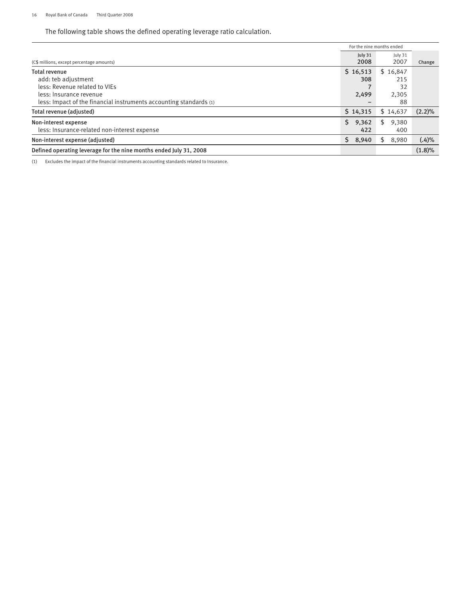The following table shows the defined operating leverage ratio calculation.

|                                                                                                         | For the nine months ended |                                |           |
|---------------------------------------------------------------------------------------------------------|---------------------------|--------------------------------|-----------|
| (C\$ millions, except percentage amounts)                                                               | July 31<br>2008           | July 31<br>2007                | Change    |
| <b>Total revenue</b><br>add: teb adjustment<br>less: Revenue related to VIEs<br>less: Insurance revenue | 516,513<br>308<br>2,499   | \$16,847<br>215<br>32<br>2,305 |           |
| less: Impact of the financial instruments accounting standards (1)                                      |                           | 88                             |           |
| Total revenue (adjusted)                                                                                | 5 14,315                  | \$14,637                       | $(2.2)\%$ |
| Non-interest expense<br>less: Insurance-related non-interest expense                                    | S.<br>9,362<br>422        | 9,380<br>S.<br>400             |           |
| Non-interest expense (adjusted)                                                                         | S.<br>8,940               | 8,980<br>\$                    | (.4)%     |
| Defined operating leverage for the nine months ended July 31, 2008                                      |                           |                                | (1.8)%    |

(1) Excludes the impact of the financial instruments accounting standards related to Insurance.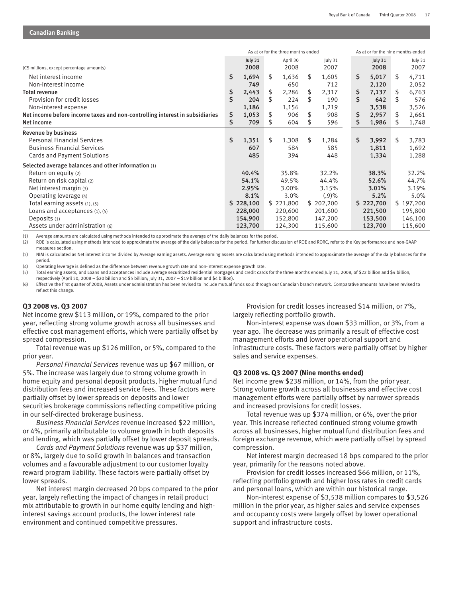|                                                                             |             |    | As at or for the three months ended |    |           | As at or for the nine months ended |           |    |           |  |  |
|-----------------------------------------------------------------------------|-------------|----|-------------------------------------|----|-----------|------------------------------------|-----------|----|-----------|--|--|
|                                                                             | July 31     |    | April 30                            |    | July 31   |                                    | July 31   |    | July 31   |  |  |
| (C\$ millions, except percentage amounts)                                   | 2008        |    | 2008                                |    | 2007      |                                    | 2008      |    | 2007      |  |  |
| Net interest income                                                         | \$<br>1,694 | \$ | 1,636                               | \$ | 1,605     | \$                                 | 5,017     | \$ | 4,711     |  |  |
| Non-interest income                                                         | 749         |    | 650                                 |    | 712       |                                    | 2,120     |    | 2,052     |  |  |
| <b>Total revenue</b>                                                        | \$<br>2,443 | \$ | 2,286                               | S. | 2,317     | \$                                 | 7,137     | \$ | 6,763     |  |  |
| Provision for credit losses                                                 | \$<br>204   | \$ | 224                                 |    | 190       | Ś                                  | 642       |    | 576       |  |  |
| Non-interest expense                                                        | 1,186       |    | 1,156                               |    | 1,219     |                                    | 3,538     |    | 3,526     |  |  |
| Net income before income taxes and non-controlling interest in subsidiaries | \$<br>1,053 | S  | 906                                 | \$ | 908       | \$                                 | 2,957     | \$ | 2,661     |  |  |
| Net income                                                                  | \$<br>709   | \$ | 604                                 | \$ | 596       | \$                                 | 1,986     | S  | 1,748     |  |  |
| Revenue by business                                                         |             |    |                                     |    |           |                                    |           |    |           |  |  |
| <b>Personal Financial Services</b>                                          | \$<br>1,351 | \$ | 1,308                               | \$ | 1,284     | \$                                 | 3,992     | \$ | 3,783     |  |  |
| <b>Business Financial Services</b>                                          | 607         |    | 584                                 |    | 585       |                                    | 1,811     |    | 1,692     |  |  |
| <b>Cards and Payment Solutions</b>                                          | 485         |    | 394                                 |    | 448       |                                    | 1,334     |    | 1,288     |  |  |
| Selected average balances and other information (1)                         |             |    |                                     |    |           |                                    |           |    |           |  |  |
| Return on equity (2)                                                        | 40.4%       |    | 35.8%                               |    | 32.2%     |                                    | 38.3%     |    | 32.2%     |  |  |
| Return on risk capital (2)                                                  | 54.1%       |    | 49.5%                               |    | 44.4%     |                                    | 52.6%     |    | 44.7%     |  |  |
| Net interest margin (3)                                                     | 2.95%       |    | 3.00%                               |    | 3.15%     |                                    | 3.01%     |    | 3.19%     |  |  |
| Operating leverage (4)                                                      | 8.1%        |    | $3.0\%$                             |    | (0.9)%    |                                    | 5.2%      |    | 5.0%      |  |  |
| Total earning assets (1), (5)                                               | \$228,100   |    | \$221,800                           |    | \$202,200 |                                    | \$222,700 |    | \$197,200 |  |  |
| Loans and acceptances (1), (5)                                              | 228,000     |    | 220,600                             |    | 201,600   |                                    | 221,500   |    | 195,800   |  |  |
| Deposits (1)                                                                | 154,900     |    | 152,800                             |    | 147,200   |                                    | 153,500   |    | 146,100   |  |  |
| Assets under administration (6)                                             | 123,700     |    | 124,300                             |    | 115,600   |                                    | 123,700   |    | 115,600   |  |  |

(1) Average amounts are calculated using methods intended to approximate the average of the daily balances for the period.

(2) ROE is calculated using methods intended to approximate the average of the daily balances for the period. For further discussion of ROE and RORC, refer to the Key performance and non-GAAP measures section.

(3) NIM is calculated as Net interest income divided by Average earning assets. Average earning assets are calculated using methods intended to approximate the average of the daily balances for the period.

(4) Operating leverage is defined as the difference between revenue growth rate and non-interest expense growth rate.

(5) Total earning assets, and Loans and acceptances include average securitized residential mortgages and credit cards for the three months ended July 31, 2008, of \$22 billion and \$4 billion,

respectively (April 30, 2008 – \$20 billion and \$5 billion; July 31, 2007 – \$19 billion and \$4 billion). (6) Effective the first quarter of 2008, Assets under administration has been revised to include mutual funds sold through our Canadian branch network. Comparative amounts have been revised to reflect this change.

#### **Q3 2008 vs. Q3 2007**

Net income grew \$113 million, or 19%, compared to the prior year, reflecting strong volume growth across all businesses and effective cost management efforts, which were partially offset by spread compression.

Total revenue was up \$126 million, or 5%, compared to the prior year.

*Personal Financial Services* revenue was up \$67 million, or 5%. The increase was largely due to strong volume growth in home equity and personal deposit products, higher mutual fund distribution fees and increased service fees. These factors were partially offset by lower spreads on deposits and lower securities brokerage commissions reflecting competitive pricing in our self-directed brokerage business.

*Business Financial Services* revenue increased \$22 million, or 4%, primarily attributable to volume growth in both deposits and lending, which was partially offset by lower deposit spreads.

*Cards and Payment Solutions* revenue was up \$37 million, or 8%, largely due to solid growth in balances and transaction volumes and a favourable adjustment to our customer loyalty reward program liability. These factors were partially offset by lower spreads.

Net interest margin decreased 20 bps compared to the prior year, largely reflecting the impact of changes in retail product mix attributable to growth in our home equity lending and highinterest savings account products, the lower interest rate environment and continued competitive pressures.

Provision for credit losses increased \$14 million, or 7%, largely reflecting portfolio growth.

Non-interest expense was down \$33 million, or 3%, from a year ago. The decrease was primarily a result of effective cost management efforts and lower operational support and infrastructure costs. These factors were partially offset by higher sales and service expenses.

#### **Q3 2008 vs. Q3 2007 (Nine months ended)**

Net income grew \$238 million, or 14%, from the prior year. Strong volume growth across all businesses and effective cost management efforts were partially offset by narrower spreads and increased provisions for credit losses.

Total revenue was up \$374 million, or 6%, over the prior year. This increase reflected continued strong volume growth across all businesses, higher mutual fund distribution fees and foreign exchange revenue, which were partially offset by spread compression.

Net interest margin decreased 18 bps compared to the prior year, primarily for the reasons noted above.

Provision for credit losses increased \$66 million, or 11%, reflecting portfolio growth and higher loss rates in credit cards and personal loans, which are within our historical range.

Non-interest expense of \$3,538 million compares to \$3,526 million in the prior year, as higher sales and service expenses and occupancy costs were largely offset by lower operational support and infrastructure costs.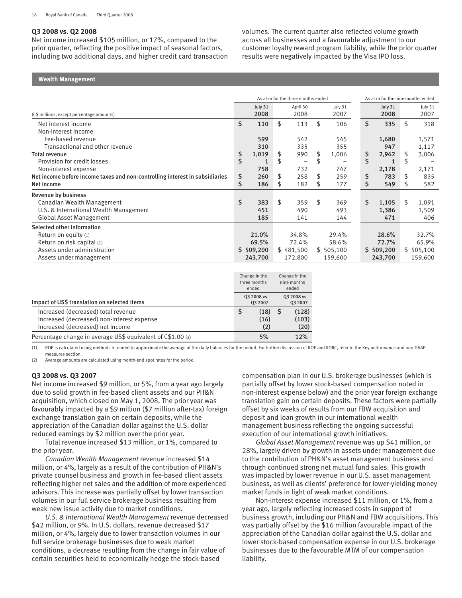#### **Q3 2008 vs. Q2 2008**

Net income increased \$105 million, or 17%, compared to the prior quarter, reflecting the positive impact of seasonal factors, including two additional days, and higher credit card transaction volumes. The current quarter also reflected volume growth across all businesses and a favourable adjustment to our customer loyalty reward program liability, while the prior quarter results were negatively impacted by the Visa IPO loss.

#### **Wealth Management**

|                                                                             |             |    | As at or for the three months ended |     | As at or for the nine months ended |  |             |    |           |  |
|-----------------------------------------------------------------------------|-------------|----|-------------------------------------|-----|------------------------------------|--|-------------|----|-----------|--|
|                                                                             | July 31     |    | April 30                            |     | July 31                            |  | July 31     |    | July 31   |  |
| (C\$ millions, except percentage amounts)                                   | 2008        |    | 2008                                |     | 2007                               |  | 2008        |    | 2007      |  |
| Net interest income                                                         | \$<br>110   | \$ | 113                                 | \$  | 106                                |  | Ś<br>335    | \$ | 318       |  |
| Non-interest income                                                         |             |    |                                     |     |                                    |  |             |    |           |  |
| Fee-based revenue                                                           | 599         |    | 542                                 |     | 545                                |  | 1,680       |    | 1,571     |  |
| Transactional and other revenue                                             | 310         |    | 335                                 |     | 355                                |  | 947         |    | 1,117     |  |
| <b>Total revenue</b>                                                        | \$<br>1,019 | S  | 990                                 | S.  | 1,006                              |  | \$<br>2,962 | \$ | 3,006     |  |
| Provision for credit losses                                                 | \$          | \$ | $\qquad \qquad$                     |     |                                    |  | \$          |    |           |  |
| Non-interest expense                                                        | 758         |    | 732                                 |     | 747                                |  | 2,178       |    | 2,171     |  |
| Net income before income taxes and non-controlling interest in subsidiaries | \$<br>260   | \$ | 258                                 | \$. | 259                                |  | \$<br>783   | S  | 835       |  |
| Net income                                                                  | \$<br>186   | \$ | 182                                 | \$  | 177                                |  | \$<br>549   | \$ | 582       |  |
| Revenue by business                                                         |             |    |                                     |     |                                    |  |             |    |           |  |
| Canadian Wealth Management                                                  | \$<br>383   | \$ | 359                                 | \$  | 369                                |  | Ś<br>1,105  | \$ | 1,091     |  |
| U.S. & International Wealth Management                                      | 451         |    | 490                                 |     | 493                                |  | 1,386       |    | 1,509     |  |
| Global Asset Management                                                     | 185         |    | 141                                 |     | 144                                |  | 471         |    | 406       |  |
| Selected other information                                                  |             |    |                                     |     |                                    |  |             |    |           |  |
| Return on equity (1)                                                        | 21.0%       |    | 34.8%                               |     | 29.4%                              |  | 28.6%       |    | 32.7%     |  |
| Return on risk capital (1)                                                  | 69.5%       |    | 72.4%                               |     | 58.6%                              |  | 72.7%       |    | 65.9%     |  |
| Assets under administration                                                 | \$509,200   |    | \$481,500                           |     | \$505,100                          |  | \$509,200   |    | \$505,100 |  |
| Assets under management                                                     | 243,700     |    | 172,800                             |     | 159,600                            |  | 243,700     |    | 159,600   |  |

|                                                                                                                       |   | Change in the<br>three months<br>ended | Change in the<br>nine months<br>ended |
|-----------------------------------------------------------------------------------------------------------------------|---|----------------------------------------|---------------------------------------|
| Impact of US\$ translation on selected items                                                                          |   | 03 2008 vs.<br>03 2007                 | 03 2008 vs.<br>Q3 2007                |
| Increased (decreased) total revenue<br>Increased (decreased) non-interest expense<br>Increased (decreased) net income | S | (18)<br>(16)<br>(2)                    | (128)<br>(103)<br>(20)                |
| Percentage change in average US\$ equivalent of C\$1.00 (2)                                                           |   | 5%                                     | 12%                                   |

(1) ROE is calculated using methods intended to approximate the average of the daily balances for the period. For further discussion of ROE and RORC, refer to the Key performance and non-GAAP measures section.

(2) Average amounts are calculated using month-end spot rates for the period.

#### **Q3 2008 vs. Q3 2007**

Net income increased \$9 million, or 5%, from a year ago largely due to solid growth in fee-based client assets and our PH&N acquisition, which closed on May 1, 2008. The prior year was favourably impacted by a \$9 million (\$7 million after-tax) foreign exchange translation gain on certain deposits, while the appreciation of the Canadian dollar against the U.S. dollar reduced earnings by \$2 million over the prior year.

Total revenue increased \$13 million, or 1%, compared to the prior year.

*Canadian Wealth Management* revenue increased \$14 million, or 4%, largely as a result of the contribution of PH&N's private counsel business and growth in fee-based client assets reflecting higher net sales and the addition of more experienced advisors. This increase was partially offset by lower transaction volumes in our full service brokerage business resulting from weak new issue activity due to market conditions.

*U.S. & International Wealth Management* revenue decreased \$42 million, or 9%. In U.S. dollars, revenue decreased \$17 million, or 4%, largely due to lower transaction volumes in our full service brokerage businesses due to weak market conditions, a decrease resulting from the change in fair value of certain securities held to economically hedge the stock-based

compensation plan in our U.S. brokerage businesses (which is partially offset by lower stock-based compensation noted in non-interest expense below) and the prior year foreign exchange translation gain on certain deposits. These factors were partially offset by six weeks of results from our FBW acquisition and deposit and loan growth in our international wealth management business reflecting the ongoing successful execution of our international growth initiatives.

*Global Asset Management* revenue was up \$41 million, or 28%, largely driven by growth in assets under management due to the contribution of PH&N's asset management business and through continued strong net mutual fund sales. This growth was impacted by lower revenue in our U.S. asset management business, as well as clients' preference for lower-yielding money market funds in light of weak market conditions.

Non-interest expense increased \$11 million, or 1%, from a year ago, largely reflecting increased costs in support of business growth, including our PH&N and FBW acquisitions. This was partially offset by the \$16 million favourable impact of the appreciation of the Canadian dollar against the U.S. dollar and lower stock-based compensation expense in our U.S. brokerage businesses due to the favourable MTM of our compensation liability.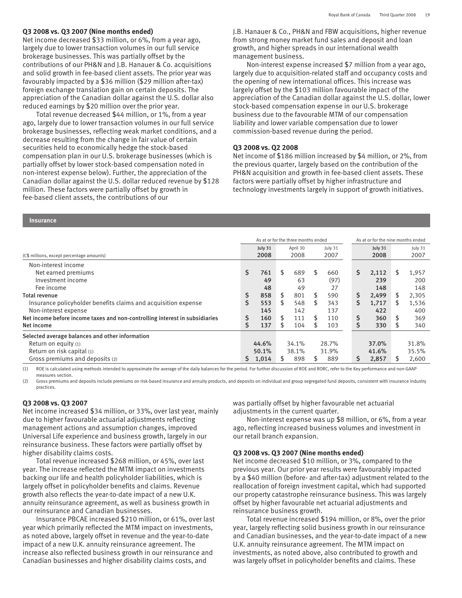#### **Q3 2008 vs. Q3 2007 (Nine months ended)**

Net income decreased \$33 million, or 6%, from a year ago, largely due to lower transaction volumes in our full service brokerage businesses. This was partially offset by the contributions of our PH&N and J.B. Hanauer & Co. acquisitions and solid growth in fee-based client assets. The prior year was favourably impacted by a \$36 million (\$29 million after-tax) foreign exchange translation gain on certain deposits. The appreciation of the Canadian dollar against the U.S. dollar also reduced earnings by \$20 million over the prior year.

Total revenue decreased \$44 million, or 1%, from a year ago, largely due to lower transaction volumes in our full service brokerage businesses, reflecting weak market conditions, and a decrease resulting from the change in fair value of certain securities held to economically hedge the stock-based compensation plan in our U.S. brokerage businesses (which is partially offset by lower stock-based compensation noted in non-interest expense below). Further, the appreciation of the Canadian dollar against the U.S. dollar reduced revenue by \$128 million. These factors were partially offset by growth in fee-based client assets, the contributions of our

J.B. Hanauer & Co., PH&N and FBW acquisitions, higher revenue from strong money market fund sales and deposit and loan growth, and higher spreads in our international wealth management business.

Non-interest expense increased \$7 million from a year ago, largely due to acquisition-related staff and occupancy costs and the opening of new international offices. This increase was largely offset by the \$103 million favourable impact of the appreciation of the Canadian dollar against the U.S. dollar, lower stock-based compensation expense in our U.S. brokerage business due to the favourable MTM of our compensation liability and lower variable compensation due to lower commission-based revenue during the period.

#### **Q3 2008 vs. Q2 2008**

Net income of \$186 million increased by \$4 million, or 2%, from the previous quarter, largely based on the contribution of the PH&N acquisition and growth in fee-based client assets. These factors were partially offset by higher infrastructure and technology investments largely in support of growth initiatives.

#### **Insurance**

|                                                                             |    |         |    | As at or for the three months ended |     |         |    | As at or for the nine months ended |    |         |  |
|-----------------------------------------------------------------------------|----|---------|----|-------------------------------------|-----|---------|----|------------------------------------|----|---------|--|
|                                                                             |    |         |    |                                     |     |         |    |                                    |    |         |  |
|                                                                             |    | July 31 |    | April 30                            |     | July 31 |    | July 31                            |    | July 31 |  |
| (C\$ millions, except percentage amounts)                                   |    | 2008    |    | 2008                                |     | 2007    |    | 2008                               |    | 2007    |  |
| Non-interest income                                                         |    |         |    |                                     |     |         |    |                                    |    |         |  |
| Net earned premiums                                                         | \$ | 761     | \$ | 689                                 | \$  | 660     | Ś. | 2,112                              | S. | 1,957   |  |
| Investment income                                                           |    | 49      |    | 63                                  |     | (97)    |    | 239                                |    | 200     |  |
| Fee income                                                                  |    | 48      |    | 49                                  |     | 27      |    | 148                                |    | 148     |  |
| <b>Total revenue</b>                                                        | Ş  | 858     | \$ | 801                                 | \$  | 590     | \$ | 2,499                              | S  | 2,305   |  |
| Insurance policyholder benefits claims and acquisition expense              | Ś  | 553     | \$ | 548                                 | \$  | 343     | Ś. | 1,717                              | S  | 1,536   |  |
| Non-interest expense                                                        |    | 145     |    | 142                                 |     | 137     |    | 422                                |    | 400     |  |
| Net income before income taxes and non-controlling interest in subsidiaries | S  | 160     | \$ | 111                                 | \$. | 110     | \$ | 360                                |    | 369     |  |
| Net income                                                                  | Ś  | 137     | S  | 104                                 | S   | 103     | \$ | 330                                |    | 340     |  |
| Selected average balances and other information                             |    |         |    |                                     |     |         |    |                                    |    |         |  |
| Return on equity (1)                                                        |    | 44.6%   |    | 34.1%                               |     | 28.7%   |    | 37.0%                              |    | 31.8%   |  |
| Return on risk capital (1)                                                  |    | 50.1%   |    | 38.1%                               |     | 31.9%   |    | 41.6%                              |    | 35.5%   |  |
| Gross premiums and deposits (2)                                             | S. | 1,014   | S. | 898                                 | Ъ.  | 889     | S. | 2,857                              |    | 2,600   |  |

(1) ROE is calculated using methods intended to approximate the average of the daily balances for the period. For further discussion of ROE and RORC, refer to the Key performance and non-GAAP measures section.

(2) Gross premiums and deposits include premiums on risk-based insurance and annuity products, and deposits on individual and group segregated fund deposits, consistent with insurance industry practices.

#### **Q3 2008 vs. Q3 2007**

Net income increased \$34 million, or 33%, over last year, mainly due to higher favourable actuarial adjustments reflecting management actions and assumption changes, improved Universal Life experience and business growth, largely in our reinsurance business. These factors were partially offset by higher disability claims costs.

Total revenue increased \$268 million, or 45%, over last year. The increase reflected the MTM impact on investments backing our life and health policyholder liabilities, which is largely offset in policyholder benefits and claims. Revenue growth also reflects the year-to-date impact of a new U.K. annuity reinsurance agreement, as well as business growth in our reinsurance and Canadian businesses.

Insurance PBCAE increased \$210 million, or 61%, over last year which primarily reflected the MTM impact on investments, as noted above, largely offset in revenue and the year-to-date impact of a new U.K. annuity reinsurance agreement. The increase also reflected business growth in our reinsurance and Canadian businesses and higher disability claims costs, and

was partially offset by higher favourable net actuarial adjustments in the current quarter.

Non-interest expense was up \$8 million, or 6%, from a year ago, reflecting increased business volumes and investment in our retail branch expansion.

#### **Q3 2008 vs. Q3 2007 (Nine months ended)**

Net income decreased \$10 million, or 3%, compared to the previous year. Our prior year results were favourably impacted by a \$40 million (before- and after-tax) adjustment related to the reallocation of foreign investment capital, which had supported our property catastrophe reinsurance business. This was largely offset by higher favourable net actuarial adjustments and reinsurance business growth.

Total revenue increased \$194 million, or 8%, over the prior year, largely reflecting solid business growth in our reinsurance and Canadian businesses, and the year-to-date impact of a new U.K. annuity reinsurance agreement. The MTM impact on investments, as noted above, also contributed to growth and was largely offset in policyholder benefits and claims. These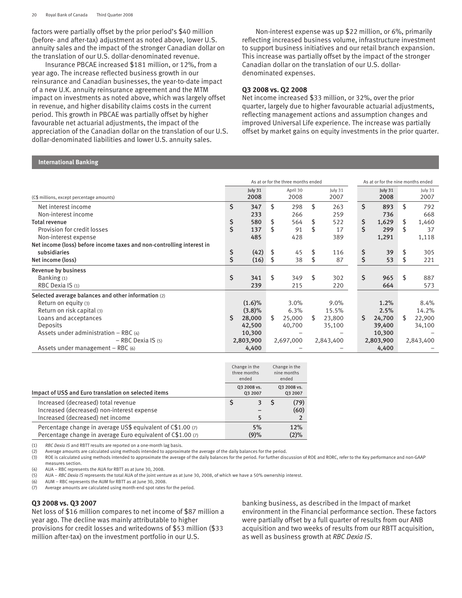factors were partially offset by the prior period's \$40 million (before- and after-tax) adjustment as noted above, lower U.S. annuity sales and the impact of the stronger Canadian dollar on the translation of our U.S. dollar-denominated revenue.

Insurance PBCAE increased \$181 million, or 12%, from a year ago. The increase reflected business growth in our reinsurance and Canadian businesses, the year-to-date impact of a new U.K. annuity reinsurance agreement and the MTM impact on investments as noted above, which was largely offset in revenue, and higher disability claims costs in the current period. This growth in PBCAE was partially offset by higher favourable net actuarial adjustments, the impact of the appreciation of the Canadian dollar on the translation of our U.S. dollar-denominated liabilities and lower U.S. annuity sales.

Non-interest expense was up \$22 million, or 6%, primarily reflecting increased business volume, infrastructure investment to support business initiatives and our retail branch expansion. This increase was partially offset by the impact of the stronger Canadian dollar on the translation of our U.S. dollardenominated expenses.

#### **Q3 2008 vs. Q2 2008**

Net income increased \$33 million, or 32%, over the prior quarter, largely due to higher favourable actuarial adjustments, reflecting management actions and assumption changes and improved Universal Life experience. The increase was partially offset by market gains on equity investments in the prior quarter.

## **International Banking**

|                                                                       |          |           | As at or for the three months ended |     |           |    | As at or for the nine months ended |              |
|-----------------------------------------------------------------------|----------|-----------|-------------------------------------|-----|-----------|----|------------------------------------|--------------|
|                                                                       |          | July 31   | April 30                            |     | July 31   |    | July 31                            | July 31      |
| (C\$ millions, except percentage amounts)                             |          | 2008      | 2008                                |     | 2007      |    | 2008                               | 2007         |
| Net interest income                                                   | \$       | 347       | \$<br>298                           | \$  | 263       | Ś. | 893                                | \$<br>792    |
| Non-interest income                                                   |          | 233       | 266                                 |     | 259       |    | 736                                | 668          |
| <b>Total revenue</b>                                                  | \$<br>\$ | 580       | \$<br>564                           | \$  | 522       | \$ | 1,629                              | \$<br>1,460  |
| Provision for credit losses                                           |          | 137       | \$<br>91                            |     | 17        | Ś  | 299                                | \$<br>37     |
| Non-interest expense                                                  |          | 485       | 428                                 |     | 389       |    | 1,291                              | 1,118        |
| Net income (loss) before income taxes and non-controlling interest in |          |           |                                     |     |           |    |                                    |              |
| subsidiaries                                                          |          | (42)      | \$<br>45                            |     | 116       | \$ | 39                                 | \$<br>305    |
| Net income (loss)                                                     | \$<br>\$ | (16)      | \$<br>38                            |     | 87        | \$ | 53                                 | \$<br>221    |
| <b>Revenue by business</b>                                            |          |           |                                     |     |           |    |                                    |              |
| Banking (1)                                                           | \$       | 341       | \$<br>349                           | \$  | 302       | \$ | 965                                | \$<br>887    |
| RBC Dexia IS (1)                                                      |          | 239       | 215                                 |     | 220       |    | 664                                | 573          |
| Selected average balances and other information (2)                   |          |           |                                     |     |           |    |                                    |              |
| Return on equity (3)                                                  |          | $(1.6)\%$ | 3.0%                                |     | $9.0\%$   |    | 1.2%                               | 8.4%         |
| Return on risk capital (3)                                            |          | $(3.8)\%$ | 6.3%                                |     | 15.5%     |    | 2.5%                               | 14.2%        |
| Loans and acceptances                                                 | Ś        | 28,000    | \$<br>25,000                        | \$. | 23,800    | Ŝ. | 24,700                             | \$<br>22,900 |
| Deposits                                                              |          | 42,500    | 40,700                              |     | 35,100    |    | 39,400                             | 34,100       |
| Assets under administration $-$ RBC $(4)$                             |          | 10,300    |                                     |     |           |    | 10,300                             |              |
| $-$ RBC Dexia IS $(5)$                                                |          | 2,803,900 | 2,697,000                           |     | 2,843,400 |    | 2,803,900                          | 2,843,400    |
| Assets under management $-$ RBC $(6)$                                 |          | 4,400     |                                     |     |           |    | 4,400                              |              |

|                                                                                                                            | Change in the<br>three months<br>ended | Change in the<br>nine months<br>ended |  |
|----------------------------------------------------------------------------------------------------------------------------|----------------------------------------|---------------------------------------|--|
| Impact of US\$ and Euro translation on selected items                                                                      | 03 2008 vs.<br>Q3 2007                 | 03 2008 vs.<br>Q3 2007                |  |
| Increased (decreased) total revenue                                                                                        | S                                      | (79)                                  |  |
| Increased (decreased) non-interest expense                                                                                 |                                        | (60)                                  |  |
| Increased (decreased) net income                                                                                           |                                        |                                       |  |
| Percentage change in average US\$ equivalent of C\$1.00 (7)<br>Percentage change in average Euro equivalent of C\$1.00 (7) | 5%<br>(9)%                             | 12%<br>$(2)\%$                        |  |

(1) *RBC Dexia IS* and RBTT results are reported on a one-month lag basis.

(2) Average amounts are calculated using methods intended to approximate the average of the daily balances for the period.

(3) ROE is calculated using methods intended to approximate the average of the daily balances for the period. For further discussion of ROE and RORC, refer to the Key performance and non-GAAP measures section.

(4) AUA – RBC represents the AUA for RBTT as at June 30, 2008.

(5) AUA – *RBC Dexia IS* represents the total AUA of the joint venture as at June 30, 2008, of which we have a 50% ownership interest.

(6) AUM – RBC represents the AUM for RBTT as at June 30, 2008.

(7) Average amounts are calculated using month-end spot rates for the period.

#### **Q3 2008 vs. Q3 2007**

Net loss of \$16 million compares to net income of \$87 million a year ago. The decline was mainly attributable to higher provisions for credit losses and writedowns of \$53 million (\$33 million after-tax) on the investment portfolio in our U.S.

banking business, as described in the Impact of market environment in the Financial performance section. These factors were partially offset by a full quarter of results from our ANB acquisition and two weeks of results from our RBTT acquisition, as well as business growth at *RBC Dexia IS*.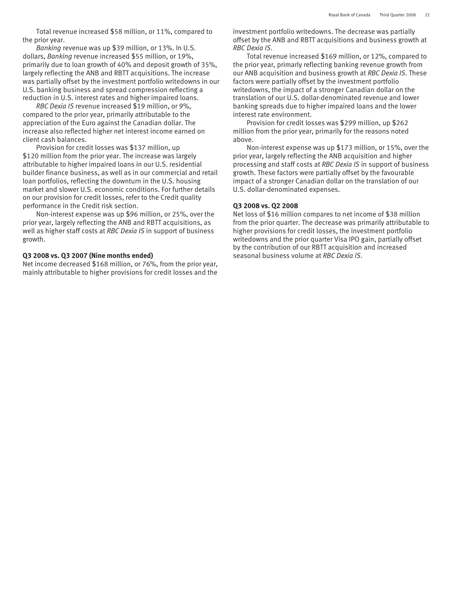Total revenue increased \$58 million, or 11%, compared to the prior year.

*Banking* revenue was up \$39 million, or 13%. In U.S. dollars, *Banking* revenue increased \$55 million, or 19%, primarily due to loan growth of 40% and deposit growth of 35%, largely reflecting the ANB and RBTT acquisitions. The increase was partially offset by the investment portfolio writedowns in our U.S. banking business and spread compression reflecting a reduction in U.S. interest rates and higher impaired loans.

*RBC Dexia IS* revenue increased \$19 million, or 9%, compared to the prior year, primarily attributable to the appreciation of the Euro against the Canadian dollar. The increase also reflected higher net interest income earned on client cash balances.

Provision for credit losses was \$137 million, up \$120 million from the prior year. The increase was largely attributable to higher impaired loans in our U.S. residential builder finance business, as well as in our commercial and retail loan portfolios, reflecting the downturn in the U.S. housing market and slower U.S. economic conditions. For further details on our provision for credit losses, refer to the Credit quality performance in the Credit risk section.

Non-interest expense was up \$96 million, or 25%, over the prior year, largely reflecting the ANB and RBTT acquisitions, as well as higher staff costs at *RBC Dexia IS* in support of business growth.

#### **Q3 2008 vs. Q3 2007 (Nine months ended)**

Net income decreased \$168 million, or 76%, from the prior year, mainly attributable to higher provisions for credit losses and the investment portfolio writedowns. The decrease was partially offset by the ANB and RBTT acquisitions and business growth at *RBC Dexia IS*.

Total revenue increased \$169 million, or 12%, compared to the prior year, primarly reflecting banking revenue growth from our ANB acquisition and business growth at *RBC Dexia IS*. These factors were partially offset by the investment portfolio writedowns, the impact of a stronger Canadian dollar on the translation of our U.S. dollar-denominated revenue and lower banking spreads due to higher impaired loans and the lower interest rate environment.

Provision for credit losses was \$299 million, up \$262 million from the prior year, primarily for the reasons noted above.

Non-interest expense was up \$173 million, or 15%, over the prior year, largely reflecting the ANB acquisition and higher processing and staff costs at *RBC Dexia IS* in support of business growth. These factors were partially offset by the favourable impact of a stronger Canadian dollar on the translation of our U.S. dollar-denominated expenses.

#### **Q3 2008 vs. Q2 2008**

Net loss of \$16 million compares to net income of \$38 million from the prior quarter. The decrease was primarily attributable to higher provisions for credit losses, the investment portfolio writedowns and the prior quarter Visa IPO gain, partially offset by the contribution of our RBTT acquisition and increased seasonal business volume at *RBC Dexia IS*.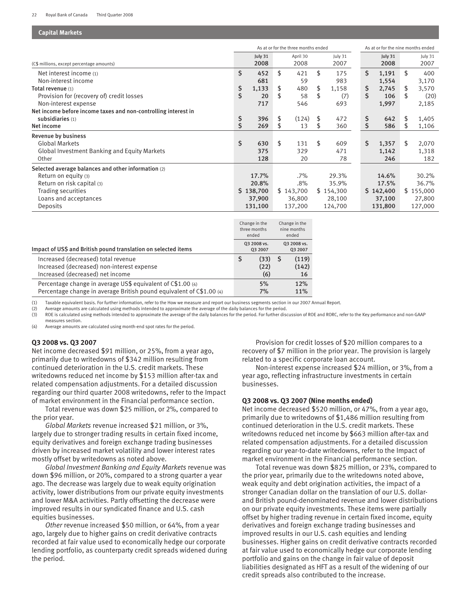#### **Capital Markets**

|                                                                |                                       |           | As at or for the three months ended |    | As at or for the nine months ended |     |           |    |           |
|----------------------------------------------------------------|---------------------------------------|-----------|-------------------------------------|----|------------------------------------|-----|-----------|----|-----------|
|                                                                |                                       | July 31   | April 30                            |    | July 31                            |     | July 31   |    | July 31   |
| (C\$ millions, except percentage amounts)                      |                                       | 2008      | 2008                                |    | 2007                               |     | 2008      |    | 2007      |
| Net interest income (1)                                        | \$                                    | 452       | \$<br>421                           | \$ | 175                                | Ś.  | 1,191     | \$ | 400       |
| Non-interest income                                            |                                       | 681       | 59                                  |    | 983                                |     | 1,554     |    | 3,170     |
| Total revenue (1)                                              | \$                                    | 1,133     | \$<br>480                           | S. | 1,158                              | \$. | 2,745     | S. | 3,570     |
| Provision for (recovery of) credit losses                      | \$                                    | 20        | \$<br>58                            |    | (7)                                | Ś   | 106       |    | (20)      |
| Non-interest expense                                           |                                       | 717       | 546                                 |    | 693                                |     | 1,997     |    | 2,185     |
| Net income before income taxes and non-controlling interest in |                                       |           |                                     |    |                                    |     |           |    |           |
| subsidiaries (1)                                               | $\begin{array}{c} 5 \\ 5 \end{array}$ | 396       | \$<br>(124)                         | S  | 472                                | \$  | 642       | \$ | 1,405     |
| Net income                                                     |                                       | 269       | \$<br>13                            | \$ | 360                                | \$  | 586       | \$ | 1,106     |
| Revenue by business                                            |                                       |           |                                     |    |                                    |     |           |    |           |
| <b>Global Markets</b>                                          | \$                                    | 630       | \$<br>131                           | \$ | 609                                | Ś.  | 1,357     | \$ | 2,070     |
| Global Investment Banking and Equity Markets                   |                                       | 375       | 329                                 |    | 471                                |     | 1,142     |    | 1,318     |
| Other                                                          |                                       | 128       | 20                                  |    | 78                                 |     | 246       |    | 182       |
| Selected average balances and other information (2)            |                                       |           |                                     |    |                                    |     |           |    |           |
| Return on equity (3)                                           |                                       | 17.7%     | $.7\%$                              |    | 29.3%                              |     | 14.6%     |    | 30.2%     |
| Return on risk capital (3)                                     |                                       | 20.8%     | $.8\%$                              |    | 35.9%                              |     | 17.5%     |    | 36.7%     |
| Trading securities                                             |                                       | \$138,700 | \$143,700                           |    | \$154,300                          |     | \$142,400 |    | \$155,000 |
| Loans and acceptances                                          |                                       | 37,900    | 36,800                              |    | 28,100                             |     | 37,100    |    | 27,800    |
| Deposits                                                       |                                       | 131,100   | 137,200                             |    | 124,700                            |     | 131,800   |    | 127,000   |

|                                                                                                                                     |   | Change in the<br>three months<br>ended | Change in the<br>nine months<br>ended |
|-------------------------------------------------------------------------------------------------------------------------------------|---|----------------------------------------|---------------------------------------|
| Impact of US\$ and British pound translation on selected items                                                                      |   | 03 2008 vs.<br>03 2007                 | 03 2008 vs.<br>Q3 2007                |
| Increased (decreased) total revenue<br>Increased (decreased) non-interest expense<br>Increased (decreased) net income               | S | (33)<br>(22)<br>(6)                    | (119)<br>(142)<br>16                  |
| Percentage change in average US\$ equivalent of C\$1.00 (4)<br>Percentage change in average British pound equivalent of C\$1.00 (4) |   | 5%<br>7%                               | 12%<br>11%                            |

(1) Taxable equivalent basis. For further information, refer to the How we measure and report our business segments section in our 2007 Annual Report.

(2) Average amounts are calculated using methods intended to approximate the average of the daily balances for the period.

(3) ROE is calculated using methods intended to approximate the average of the daily balances for the period. For further discussion of ROE and RORC, refer to the Key performance and non-GAAP measures section.

(4) Average amounts are calculated using month-end spot rates for the period.

#### **Q3 2008 vs. Q3 2007**

Net income decreased \$91 million, or 25%, from a year ago, primarily due to writedowns of \$342 million resulting from continued deterioration in the U.S. credit markets. These writedowns reduced net income by \$153 million after-tax and related compensation adjustments. For a detailed discussion regarding our third quarter 2008 writedowns, refer to the Impact of market environment in the Financial performance section.

Total revenue was down \$25 million, or 2%, compared to the prior year.

*Global Markets* revenue increased \$21 million, or 3%, largely due to stronger trading results in certain fixed income, equity derivatives and foreign exchange trading businesses driven by increased market volatility and lower interest rates mostly offset by writedowns as noted above.

*Global Investment Banking and Equity Markets* revenue was down \$96 million, or 20%, compared to a strong quarter a year ago. The decrease was largely due to weak equity origination activity, lower distributions from our private equity investments and lower M&A activities. Partly offsetting the decrease were improved results in our syndicated finance and U.S. cash equities businesses.

*Other* revenue increased \$50 million, or 64%, from a year ago, largely due to higher gains on credit derivative contracts recorded at fair value used to economically hedge our corporate lending portfolio, as counterparty credit spreads widened during the period.

Provision for credit losses of \$20 million compares to a recovery of \$7 million in the prior year. The provision is largely related to a specific corporate loan account.

Non-interest expense increased \$24 million, or 3%, from a year ago, reflecting infrastructure investments in certain businesses.

#### **Q3 2008 vs. Q3 2007 (Nine months ended)**

Net income decreased \$520 million, or 47%, from a year ago, primarily due to writedowns of \$1,486 million resulting from continued deterioration in the U.S. credit markets. These writedowns reduced net income by \$663 million after-tax and related compensation adjustments. For a detailed discussion regarding our year-to-date writedowns, refer to the Impact of market environment in the Financial performance section.

Total revenue was down \$825 million, or 23%, compared to the prior year, primarily due to the writedowns noted above, weak equity and debt origination activities, the impact of a stronger Canadian dollar on the translation of our U.S. dollarand British pound-denominated revenue and lower distributions on our private equity investments. These items were partially offset by higher trading revenue in certain fixed income, equity derivatives and foreign exchange trading businesses and improved results in our U.S. cash equities and lending businesses. Higher gains on credit derivative contracts recorded at fair value used to economically hedge our corporate lending portfolio and gains on the change in fair value of deposit liabilities designated as HFT as a result of the widening of our credit spreads also contributed to the increase.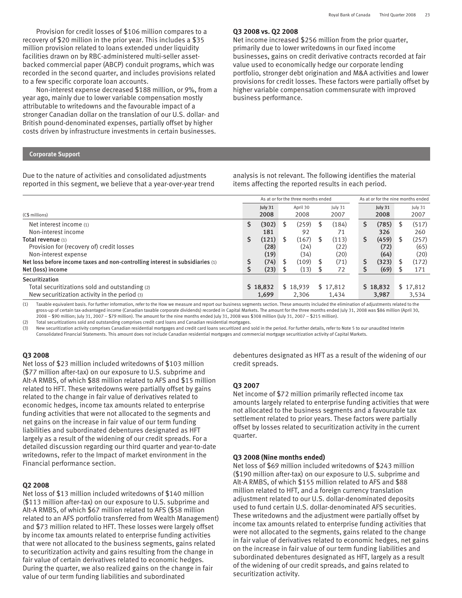Provision for credit losses of \$106 million compares to a recovery of \$20 million in the prior year. This includes a \$35 million provision related to loans extended under liquidity facilities drawn on by RBC-administered multi-seller assetbacked commercial paper (ABCP) conduit programs, which was recorded in the second quarter, and includes provisions related to a few specific corporate loan accounts.

Non-interest expense decreased \$188 million, or 9%, from a year ago, mainly due to lower variable compensation mostly attributable to writedowns and the favourable impact of a stronger Canadian dollar on the translation of our U.S. dollar- and British pound-denominated expenses, partially offset by higher costs driven by infrastructure investments in certain businesses.

#### **Q3 2008 vs. Q2 2008**

Net income increased \$256 million from the prior quarter, primarily due to lower writedowns in our fixed income businesses, gains on credit derivative contracts recorded at fair value used to economically hedge our corporate lending portfolio, stronger debt origination and M&A activities and lower provisions for credit losses. These factors were partially offset by higher variable compensation commensurate with improved business performance.

#### **Corporate Support**

Due to the nature of activities and consolidated adjustments reported in this segment, we believe that a year-over-year trend analysis is not relevant. The following identifies the material items affecting the reported results in each period.

|   | July 31<br>2008 |                                  | April 30<br>2008 |                                         | July 31<br>2007 |                                                                              | July 31<br>2008 |                                 | July 31<br>2007                             |
|---|-----------------|----------------------------------|------------------|-----------------------------------------|-----------------|------------------------------------------------------------------------------|-----------------|---------------------------------|---------------------------------------------|
| S | (302)           | S                                | (259)            | S                                       | (184)           | Ś                                                                            | (785)           |                                 | (517)                                       |
| S | (121)           | S                                | (167)            | S                                       | (113)           | S                                                                            | (459)           |                                 | 260<br>(257)                                |
|   | (28)            |                                  | (24)             |                                         | (22)            |                                                                              | (72)            |                                 | (65)<br>(20)                                |
|   | (74)            | S                                | (109)            | -S                                      | (71)            | \$                                                                           | (323)           |                                 | (172)<br>171                                |
|   |                 |                                  |                  |                                         |                 |                                                                              |                 |                                 |                                             |
|   |                 |                                  |                  |                                         |                 |                                                                              |                 |                                 | \$17,812<br>3,534                           |
|   |                 | 181<br>(19)<br>S 18,832<br>1,699 | (23)             | 92<br>(34)<br>(13)<br>\$18,939<br>2.306 |                 | As at or for the three months ended<br>71<br>(20)<br>72<br>\$17.812<br>1.434 |                 | 326<br>(64)<br>(69)<br>\$18,832 | As at or for the nine months ended<br>3,987 |

(1) Taxable equivalent basis. For further information, refer to the How we measure and report our business segments section. These amounts included the elimination of adjustments related to the gross-up of certain tax-advantaged income (Canadian taxable corporate dividends) recorded in Capital Markets. The amount for the three months ended July 31, 2008 was \$86 million (April 30, 2008 – \$90 million; July 31, 2007 – \$79 million). The amount for the nine months ended July 31, 2008 was \$308 million (July 31, 2007 – \$215 million).

(2) Total securitizations sold and outstanding comprises credit card loans and Canadian residential mortgages.

(3) New securitization activity comprises Canadian residential mortgages and credit card loans securitized and sold in the period. For further details, refer to Note 5 to our unaudited Interim Consolidated Financial Statements. This amount does not include Canadian residential mortgages and commercial mortgage securitization activity of Capital Markets.

#### **Q3 2008**

Net loss of \$23 million included writedowns of \$103 million (\$77 million after-tax) on our exposure to U.S. subprime and Alt-A RMBS, of which \$88 million related to AFS and \$15 million related to HFT. These writedowns were partially offset by gains related to the change in fair value of derivatives related to economic hedges, income tax amounts related to enterprise funding activities that were not allocated to the segments and net gains on the increase in fair value of our term funding liabilities and subordinated debentures designated as HFT largely as a result of the widening of our credit spreads. For a detailed discussion regarding our third quarter and year-to-date writedowns, refer to the Impact of market environment in the Financial performance section.

#### **Q2 2008**

Net loss of \$13 million included writedowns of \$140 million (\$113 million after-tax) on our exposure to U.S. subprime and Alt-A RMBS, of which \$67 million related to AFS (\$58 million related to an AFS portfolio transferred from Wealth Management) and \$73 million related to HFT. These losses were largely offset by income tax amounts related to enterprise funding activities that were not allocated to the business segments, gains related to securitization activity and gains resulting from the change in fair value of certain derivatives related to economic hedges. During the quarter, we also realized gains on the change in fair value of our term funding liabilities and subordinated

debentures designated as HFT as a result of the widening of our credit spreads.

#### **Q3 2007**

Net income of \$72 million primarily reflected income tax amounts largely related to enterprise funding activities that were not allocated to the business segments and a favourable tax settlement related to prior years. These factors were partially offset by losses related to securitization activity in the current quarter.

#### **Q3 2008 (Nine months ended)**

Net loss of \$69 million included writedowns of \$243 million (\$190 million after-tax) on our exposure to U.S. subprime and Alt-A RMBS, of which \$155 million related to AFS and \$88 million related to HFT, and a foreign currency translation adjustment related to our U.S. dollar-denominated deposits used to fund certain U.S. dollar-denominated AFS securities. These writedowns and the adjustment were partially offset by income tax amounts related to enterprise funding activities that were not allocated to the segments, gains related to the change in fair value of derivatives related to economic hedges, net gains on the increase in fair value of our term funding liabilities and subordinated debentures designated as HFT, largely as a result of the widening of our credit spreads, and gains related to securitization activity.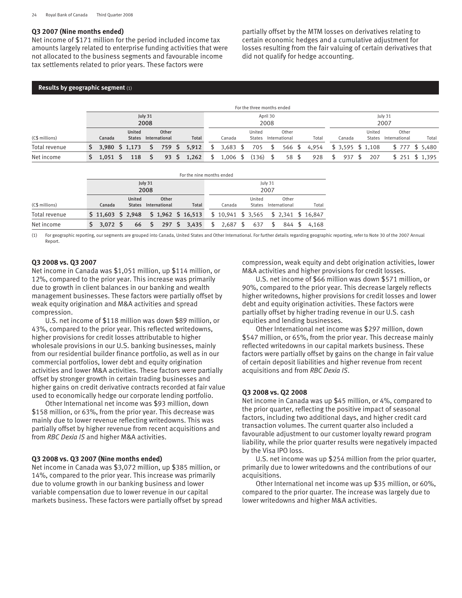#### **Q3 2007 (Nine months ended)**

Net income of \$171 million for the period included income tax amounts largely related to enterprise funding activities that were not allocated to the business segments and favourable income tax settlements related to prior years. These factors were

partially offset by the MTM losses on derivatives relating to certain economic hedges and a cumulative adjustment for losses resulting from the fair valuing of certain derivatives that did not qualify for hedge accounting.

#### **Results by geographic segment** (1)

|                |               |                                |                 |                        |       |                  |            |  | For the three months ended |                        |       |  |                   |  |                  |                        |                 |
|----------------|---------------|--------------------------------|-----------------|------------------------|-------|------------------|------------|--|----------------------------|------------------------|-------|--|-------------------|--|------------------|------------------------|-----------------|
|                |               |                                | July 31<br>2008 |                        |       | April 30<br>2008 |            |  |                            | July 31<br>2007        |       |  |                   |  |                  |                        |                 |
| (C\$ millions) | Canada        | <b>United</b><br><b>States</b> |                 | Other<br>International | Total |                  | Canada     |  | United<br>States           | Other<br>International | Total |  | Canada            |  | United<br>States | Other<br>International | Total           |
| Total revenue  | 3,980 S 1,173 |                                |                 | 759 S                  | 5,912 |                  | 3,683 \$   |  | 705                        | 566 \$                 | 4.954 |  | $$3,595$ $$1,108$ |  |                  |                        | $$777$ $$5,480$ |
| Net income     | 1.051 S       | 118                            |                 | 93 <sub>5</sub>        | 1,262 |                  | $1,006$ \$ |  | (136)                      | 58 \$                  | 928   |  | 937               |  | 207              |                        | $$251$ $$1,395$ |

|                | For the nine months ended |  |               |         |               |  |                                       |    |                                       |  |        |         |                      |  |       |
|----------------|---------------------------|--|---------------|---------|---------------|--|---------------------------------------|----|---------------------------------------|--|--------|---------|----------------------|--|-------|
|                |                           |  |               | July 31 |               |  |                                       |    |                                       |  |        | July 31 |                      |  |       |
|                | 2008                      |  |               |         |               |  | 2007                                  |    |                                       |  |        |         |                      |  |       |
|                |                           |  | <b>United</b> |         | Other         |  |                                       |    |                                       |  | United |         | Other                |  |       |
| (C\$ millions) | Canada                    |  | <b>States</b> |         | International |  | Total                                 |    | Canada                                |  |        |         | States International |  | Total |
| Total revenue  |                           |  |               |         |               |  | $$11,603$ $$2,948$ $$1,962$ $$16,513$ |    | $$10,941$ \$ 3,565 \$ 2,341 \$ 16,847 |  |        |         |                      |  |       |
| Net income     | $3.072$ S                 |  | 66            | S       | 297S          |  | 3,435                                 | \$ | 2,687                                 |  | 637    |         | 844                  |  | 4.168 |

(1) For geographic reporting, our segments are grouped into Canada, United States and Other International. For further details regarding geographic reporting, refer to Note 30 of the 2007 Annual Report.

#### **Q3 2008 vs. Q3 2007**

Net income in Canada was \$1,051 million, up \$114 million, or 12%, compared to the prior year. This increase was primarily due to growth in client balances in our banking and wealth management businesses. These factors were partially offset by weak equity origination and M&A activities and spread compression.

U.S. net income of \$118 million was down \$89 million, or 43%, compared to the prior year. This reflected writedowns, higher provisions for credit losses attributable to higher wholesale provisions in our U.S. banking businesses, mainly from our residential builder finance portfolio, as well as in our commercial portfolios, lower debt and equity origination activities and lower M&A activities. These factors were partially offset by stronger growth in certain trading businesses and higher gains on credit derivative contracts recorded at fair value used to economically hedge our corporate lending portfolio.

Other International net income was \$93 million, down \$158 million, or 63%, from the prior year. This decrease was mainly due to lower revenue reflecting writedowns. This was partially offset by higher revenue from recent acquisitions and from *RBC Dexia IS* and higher M&A activities.

#### **Q3 2008 vs. Q3 2007 (Nine months ended)**

Net income in Canada was \$3,072 million, up \$385 million, or 14%, compared to the prior year. This increase was primarily due to volume growth in our banking business and lower variable compensation due to lower revenue in our capital markets business. These factors were partially offset by spread

compression, weak equity and debt origination activities, lower M&A activities and higher provisions for credit losses.

U.S. net income of \$66 million was down \$571 million, or 90%, compared to the prior year. This decrease largely reflects higher writedowns, higher provisions for credit losses and lower debt and equity origination activities. These factors were partially offset by higher trading revenue in our U.S. cash equities and lending businesses.

Other International net income was \$297 million, down \$547 million, or 65%, from the prior year. This decrease mainly reflected writedowns in our capital markets business. These factors were partially offset by gains on the change in fair value of certain deposit liabilities and higher revenue from recent acquisitions and from *RBC Dexia IS*.

#### **Q3 2008 vs. Q2 2008**

Net income in Canada was up \$45 million, or 4%, compared to the prior quarter, reflecting the positive impact of seasonal factors, including two additional days, and higher credit card transaction volumes. The current quarter also included a favourable adjustment to our customer loyalty reward program liability, while the prior quarter results were negatively impacted by the Visa IPO loss.

U.S. net income was up \$254 million from the prior quarter, primarily due to lower writedowns and the contributions of our acquisitions.

Other International net income was up \$35 million, or 60%, compared to the prior quarter. The increase was largely due to lower writedowns and higher M&A activities.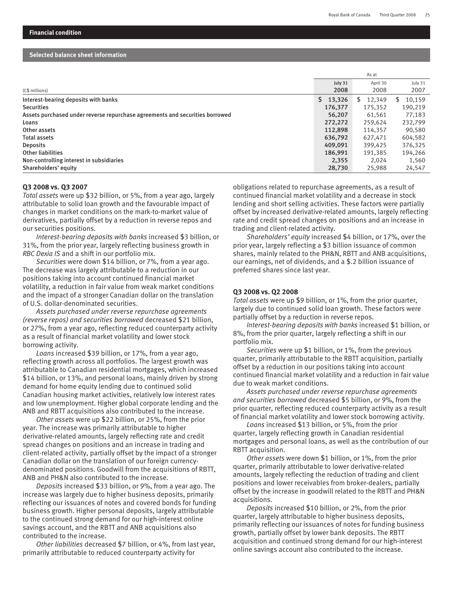#### **Selected balance sheet information**

|                                                                              |                 | As at            |                 |
|------------------------------------------------------------------------------|-----------------|------------------|-----------------|
| (C\$ millions)                                                               | July 31<br>2008 | April 30<br>2008 | July 31<br>2007 |
|                                                                              |                 |                  |                 |
| Interest-bearing deposits with banks                                         | S.<br>13,326    | 12,349<br>S.     | 10,159<br>S.    |
| <b>Securities</b>                                                            | 176,377         | 175,352          | 190,219         |
| Assets purchased under reverse repurchase agreements and securities borrowed | 56,207          | 61,561           | 77,183          |
| Loans                                                                        | 272,272         | 259.624          | 232,799         |
| Other assets                                                                 | 112,898         | 114.357          | 90,580          |
| <b>Total assets</b>                                                          | 636,792         | 627.471          | 604,582         |
| <b>Deposits</b>                                                              | 409.091         | 399.425          | 376,325         |
| Other liabilities                                                            | 186.991         | 191.385          | 194,266         |
| Non-controlling interest in subsidiaries                                     | 2,355           | 2.024            | 1,560           |
| Shareholders' equity                                                         | 28,730          | 25,988           | 24,547          |

#### **Q3 2008 vs. Q3 2007**

*Total assets* were up \$32 billion, or 5%, from a year ago, largely attributable to solid loan growth and the favourable impact of changes in market conditions on the mark-to-market value of derivatives, partially offset by a reduction in reverse repos and our securities positions.

*Interest-bearing deposits with banks* increased \$3 billion, or 31%, from the prior year, largely reflecting business growth in *RBC Dexia IS* and a shift in our portfolio mix.

*Securities* were down \$14 billion, or 7%, from a year ago. The decrease was largely attributable to a reduction in our positions taking into account continued financial market volatility, a reduction in fair value from weak market conditions and the impact of a stronger Canadian dollar on the translation of U.S. dollar-denominated securities.

*Assets purchased under reverse repurchase agreements (reverse repos) and securities borrowed* decreased \$21 billion, or 27%, from a year ago, reflecting reduced counterparty activity as a result of financial market volatility and lower stock borrowing activity.

*Loans* increased \$39 billion, or 17%, from a year ago, reflecting growth across all portfolios. The largest growth was attributable to Canadian residential mortgages, which increased \$14 billion, or 13%, and personal loans, mainly driven by strong demand for home equity lending due to continued solid Canadian housing market activities, relatively low interest rates and low unemployment. Higher global corporate lending and the ANB and RBTT acquisitions also contributed to the increase.

*Other assets* were up \$22 billion, or 25%, from the prior year. The increase was primarily attributable to higher derivative-related amounts, largely reflecting rate and credit spread changes on positions and an increase in trading and client-related activity, partially offset by the impact of a stronger Canadian dollar on the translation of our foreign currencydenominated positions. Goodwill from the acquisitions of RBTT, ANB and PH&N also contributed to the increase.

*Deposits* increased \$33 billion, or 9%, from a year ago. The increase was largely due to higher business deposits, primarily reflecting our issuances of notes and covered bonds for funding business growth. Higher personal deposits, largely attributable to the continued strong demand for our high-interest online savings account, and the RBTT and ANB acquisitions also contributed to the increase.

*Other liabilities* decreased \$7 billion, or 4%, from last year, primarily attributable to reduced counterparty activity for

obligations related to repurchase agreements, as a result of continued financial market volatility and a decrease in stock lending and short selling activities. These factors were partially offset by increased derivative-related amounts, largely reflecting rate and credit spread changes on positions and an increase in trading and client-related activity.

*Shareholders' equity* increased \$4 billion, or 17%, over the prior year, largely reflecting a \$3 billion issuance of common shares, mainly related to the PH&N, RBTT and ANB acquisitions, our earnings, net of dividends, and a \$.2 billion issuance of preferred shares since last year.

#### **Q3 2008 vs. Q2 2008**

*Total assets* were up \$9 billion, or 1%, from the prior quarter, largely due to continued solid loan growth. These factors were partially offset by a reduction in reverse repos.

*Interest-bearing deposits with banks* increased \$1 billion, or 8%, from the prior quarter, largely reflecting a shift in our portfolio mix.

*Securities* were up \$1 billion, or 1%, from the previous quarter, primarily attributable to the RBTT acquisition, partially offset by a reduction in our positions taking into account continued financial market volatility and a reduction in fair value due to weak market conditions.

*Assets purchased under reverse repurchase agreements and securities borrowed* decreased \$5 billion, or 9%, from the prior quarter, reflecting reduced counterparty activity as a result of financial market volatility and lower stock borrowing activity.

*Loans* increased \$13 billion, or 5%, from the prior quarter, largely reflecting growth in Canadian residential mortgages and personal loans, as well as the contribution of our RBTT acquisition.

*Other assets* were down \$1 billion, or 1%, from the prior quarter, primarily attributable to lower derivative-related amounts, largely reflecting the reduction of trading and client positions and lower receivables from broker-dealers, partially offset by the increase in goodwill related to the RBTT and PH&N acquisitions.

*Deposits* increased \$10 billion, or 2%, from the prior quarter, largely attributable to higher business deposits, primarily reflecting our issuances of notes for funding business growth, partially offset by lower bank deposits. The RBTT acquisition and continued strong demand for our high-interest online savings account also contributed to the increase.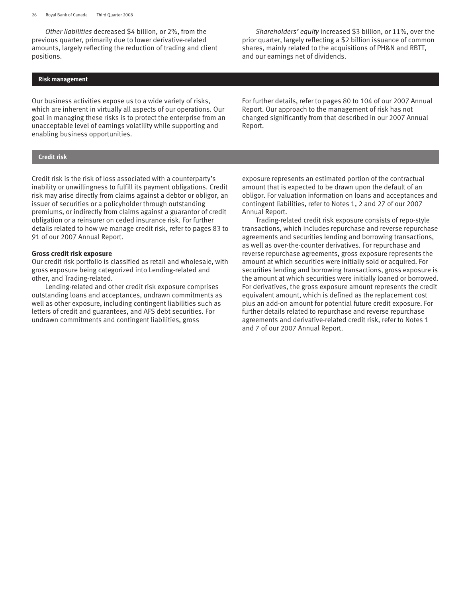*Other liabilities* decreased \$4 billion, or 2%, from the previous quarter, primarily due to lower derivative-related amounts, largely reflecting the reduction of trading and client positions.

#### **Risk management**

Our business activities expose us to a wide variety of risks, which are inherent in virtually all aspects of our operations. Our goal in managing these risks is to protect the enterprise from an unacceptable level of earnings volatility while supporting and enabling business opportunities.

*Shareholders' equity* increased \$3 billion, or 11%, over the prior quarter, largely reflecting a \$2 billion issuance of common shares, mainly related to the acquisitions of PH&N and RBTT, and our earnings net of dividends.

For further details, refer to pages 80 to 104 of our 2007 Annual Report. Our approach to the management of risk has not changed significantly from that described in our 2007 Annual Report.

#### **Credit risk**

Credit risk is the risk of loss associated with a counterparty's inability or unwillingness to fulfill its payment obligations. Credit risk may arise directly from claims against a debtor or obligor, an issuer of securities or a policyholder through outstanding premiums, or indirectly from claims against a guarantor of credit obligation or a reinsurer on ceded insurance risk. For further details related to how we manage credit risk, refer to pages 83 to 91 of our 2007 Annual Report.

#### **Gross credit risk exposure**

Our credit risk portfolio is classified as retail and wholesale, with gross exposure being categorized into Lending-related and other, and Trading-related.

Lending-related and other credit risk exposure comprises outstanding loans and acceptances, undrawn commitments as well as other exposure, including contingent liabilities such as letters of credit and guarantees, and AFS debt securities. For undrawn commitments and contingent liabilities, gross

exposure represents an estimated portion of the contractual amount that is expected to be drawn upon the default of an obligor. For valuation information on loans and acceptances and contingent liabilities, refer to Notes 1, 2 and 27 of our 2007 Annual Report.

Trading-related credit risk exposure consists of repo-style transactions, which includes repurchase and reverse repurchase agreements and securities lending and borrowing transactions, as well as over-the-counter derivatives. For repurchase and reverse repurchase agreements, gross exposure represents the amount at which securities were initially sold or acquired. For securities lending and borrowing transactions, gross exposure is the amount at which securities were initially loaned or borrowed. For derivatives, the gross exposure amount represents the credit equivalent amount, which is defined as the replacement cost plus an add-on amount for potential future credit exposure. For further details related to repurchase and reverse repurchase agreements and derivative-related credit risk, refer to Notes 1 and 7 of our 2007 Annual Report.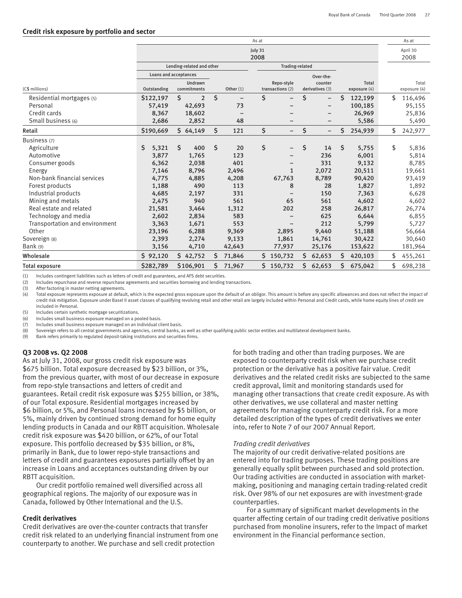#### **Credit risk exposure by portfolio and sector**

|                                |             |                           |    |                   | As at           |                          |    |                          |    |              | As at            |
|--------------------------------|-------------|---------------------------|----|-------------------|-----------------|--------------------------|----|--------------------------|----|--------------|------------------|
|                                |             |                           |    |                   | July 31<br>2008 |                          |    |                          |    |              | April 30<br>2008 |
|                                |             | Lending-related and other |    |                   |                 | <b>Trading-related</b>   |    |                          |    |              |                  |
|                                |             | Loans and acceptances     |    |                   |                 |                          |    | Over-the-                |    |              |                  |
|                                |             | Undrawn                   |    |                   |                 | Repo-style               |    | counter                  |    | <b>Total</b> | Total            |
| (C\$ millions)                 | Outstanding | commitments               |    | Other $(1)$       |                 | transactions $(2)$       |    | derivatives (3)          |    | exposure (4) | exposure (4)     |
| Residential mortgages (5)      | \$122,197   | \$.<br>$\overline{2}$     | \$ | -                 | \$              |                          | \$ | $\overline{\phantom{0}}$ | S  | 122,199      | \$<br>116,496    |
| Personal                       | 57,419      | 42,693                    |    | 73                |                 |                          |    |                          |    | 100,185      | 95,155           |
| Credit cards                   | 8,367       | 18,602                    |    | $\qquad \qquad -$ |                 |                          |    |                          |    | 26,969       | 25,836           |
| Small business (6)             | 2,686       | 2,852                     |    | 48                |                 |                          |    |                          |    | 5,586        | 5,490            |
| Retail                         | \$190,669   | \$64,149                  | Ś  | 121               | \$              | $\overline{\phantom{0}}$ | \$ | $\overline{\phantom{0}}$ | S  | 254,939      | \$<br>242,977    |
| Business (7)                   |             |                           |    |                   |                 |                          |    |                          |    |              |                  |
| Agriculture                    | Ŝ.<br>5,321 | Ŝ.<br>400                 | Ś  | 20                | \$              |                          | \$ | 14                       | Ŝ  | 5,755        | \$<br>5,836      |
| Automotive                     | 3,877       | 1,765                     |    | 123               |                 |                          |    | 236                      |    | 6,001        | 5,814            |
| Consumer goods                 | 6,362       | 2,038                     |    | 401               |                 |                          |    | 331                      |    | 9,132        | 8,785            |
| Energy                         | 7,146       | 8,796                     |    | 2,496             |                 | $\mathbf{1}$             |    | 2,072                    |    | 20,511       | 19,661           |
| Non-bank financial services    | 4,775       | 4,885                     |    | 4,208             |                 | 67,763                   |    | 8,789                    |    | 90,420       | 93,419           |
| Forest products                | 1,188       | 490                       |    | 113               |                 | 8                        |    | 28                       |    | 1,827        | 1,892            |
| Industrial products            | 4,685       | 2,197                     |    | 331               |                 |                          |    | 150                      |    | 7,363        | 6,628            |
| Mining and metals              | 2,475       | 940                       |    | 561               |                 | 65                       |    | 561                      |    | 4,602        | 4,602            |
| Real estate and related        | 21,581      | 3,464                     |    | 1,312             |                 | 202                      |    | 258                      |    | 26,817       | 26,774           |
| Technology and media           | 2,602       | 2,834                     |    | 583               |                 |                          |    | 625                      |    | 6,644        | 6,855            |
| Transportation and environment | 3,363       | 1,671                     |    | 553               |                 |                          |    | 212                      |    | 5,799        | 5,727            |
| Other                          | 23,196      | 6,288                     |    | 9,369             |                 | 2,895                    |    | 9,440                    |    | 51,188       | 56,664           |
| Sovereign (8)                  | 2,393       | 2,274                     |    | 9,133             |                 | 1,861                    |    | 14,761                   |    | 30,422       | 30,640           |
| Bank (9)                       | 3,156       | 4,710                     |    | 42,643            |                 | 77,937                   |    | 25,176                   |    | 153,622      | 181,964          |
| Wholesale                      | \$92,120    | \$42,752                  | S  | 71,846            |                 | 5 150,732                | S. | 62,653                   | S  | 420,103      | \$<br>455,261    |
| Total exposure                 | \$282,789   | \$106,901                 | S  | 71,967            |                 | \$150,732                | s  | 62,653                   | S. | 675,042      | \$<br>698,238    |

(1) Includes contingent liabilities such as letters of credit and guarantees, and AFS debt securities.

(2) Includes repurchase and reverse repurchase agreements and securities borrowing and lending transactions.

(3) After factoring in master netting agreements.

(4) Total exposure represents exposure at default, which is the expected gross exposure upon the default of an obligor. This amount is before any specific allowances and does not reflect the impact of credit risk mitigation. Exposure under Basel II asset classes of qualifying revolving retail and other retail are largely included within Personal and Credit cards, while home equity lines of credit are included in Personal.

(5) Includes certain synthetic mortgage securitizations.

(6) Includes small business exposure managed on a pooled basis.

(7) Includes small business exposure managed on an individual client basis.

(8) Sovereign refers to all central governments and agencies, central banks, as well as other qualifying public sector entities and multilateral development banks. (9) Bank refers primarily to regulated deposit-taking institutions and securities firms.

#### **Q3 2008 vs. Q2 2008**

As at July 31, 2008, our gross credit risk exposure was \$675 billion. Total exposure decreased by \$23 billion, or 3%, from the previous quarter, with most of our decrease in exposure from repo-style transactions and letters of credit and guarantees. Retail credit risk exposure was \$255 billion, or 38%, of our Total exposure. Residential mortgages increased by \$6 billion, or 5%, and Personal loans increased by \$5 billion, or 5%, mainly driven by continued strong demand for home equity lending products in Canada and our RBTT acquisition. Wholesale credit risk exposure was \$420 billion, or 62%, of our Total exposure. This portfolio decreased by \$35 billion, or 8%, primarily in Bank, due to lower repo-style transactions and letters of credit and guarantees exposures partially offset by an increase in Loans and acceptances outstanding driven by our RBTT acquisition.

Our credit portfolio remained well diversified across all geographical regions. The majority of our exposure was in Canada, followed by Other International and the U.S.

#### **Credit derivatives**

Credit derivatives are over-the-counter contracts that transfer credit risk related to an underlying financial instrument from one counterparty to another. We purchase and sell credit protection

for both trading and other than trading purposes. We are exposed to counterparty credit risk when we purchase credit protection or the derivative has a positive fair value. Credit derivatives and the related credit risks are subjected to the same credit approval, limit and monitoring standards used for managing other transactions that create credit exposure. As with other derivatives, we use collateral and master netting agreements for managing counterparty credit risk. For a more detailed description of the types of credit derivatives we enter into, refer to Note 7 of our 2007 Annual Report.

#### *Trading credit derivatives*

The majority of our credit derivative-related positions are entered into for trading purposes. These trading positions are generally equally split between purchased and sold protection. Our trading activities are conducted in association with marketmaking, positioning and managing certain trading-related credit risk. Over 98% of our net exposures are with investment-grade counterparties.

For a summary of significant market developments in the quarter affecting certain of our trading credit derivative positions purchased from monoline insurers, refer to the Impact of market environment in the Financial performance section.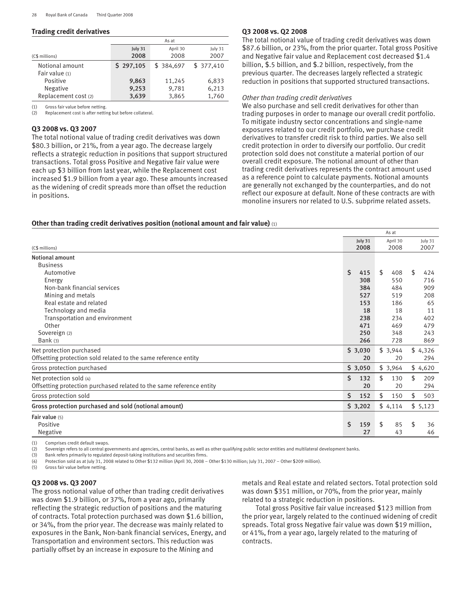#### **Trading credit derivatives**

|                      | As at     |            |           |  |  |  |  |  |  |  |
|----------------------|-----------|------------|-----------|--|--|--|--|--|--|--|
|                      | July 31   | April 30   | July 31   |  |  |  |  |  |  |  |
| (C\$ millions)       | 2008      | 2008       | 2007      |  |  |  |  |  |  |  |
| Notional amount      | \$297,105 | \$ 384,697 | \$377,410 |  |  |  |  |  |  |  |
| Fair value (1)       |           |            |           |  |  |  |  |  |  |  |
| Positive             | 9,863     | 11,245     | 6,833     |  |  |  |  |  |  |  |
| <b>Negative</b>      | 9,253     | 9,781      | 6,213     |  |  |  |  |  |  |  |
| Replacement cost (2) | 3,639     | 3,865      | 1,760     |  |  |  |  |  |  |  |

(1) Gross fair value before netting.

(2) Replacement cost is after netting but before collateral.

#### **Q3 2008 vs. Q3 2007**

The total notional value of trading credit derivatives was down \$80.3 billion, or 21%, from a year ago. The decrease largely reflects a strategic reduction in positions that support structured transactions. Total gross Positive and Negative fair value were each up \$3 billion from last year, while the Replacement cost increased \$1.9 billion from a year ago. These amounts increased as the widening of credit spreads more than offset the reduction in positions.

#### **Q3 2008 vs. Q2 2008**

The total notional value of trading credit derivatives was down \$87.6 billion, or 23%, from the prior quarter. Total gross Positive and Negative fair value and Replacement cost decreased \$1.4 billion, \$.5 billion, and \$.2 billion, respectively, from the previous quarter. The decreases largely reflected a strategic reduction in positions that supported structured transactions.

#### *Other than trading credit derivatives*

We also purchase and sell credit derivatives for other than trading purposes in order to manage our overall credit portfolio. To mitigate industry sector concentrations and single-name exposures related to our credit portfolio, we purchase credit derivatives to transfer credit risk to third parties. We also sell credit protection in order to diversify our portfolio. Our credit protection sold does not constitute a material portion of our overall credit exposure. The notional amount of other than trading credit derivatives represents the contract amount used as a reference point to calculate payments. Notional amounts are generally not exchanged by the counterparties, and do not reflect our exposure at default. None of these contracts are with monoline insurers nor related to U.S. subprime related assets.

#### **Other than trading credit derivatives position (notional amount and fair value)** (1)

|                                                                      |           | As at     |           |
|----------------------------------------------------------------------|-----------|-----------|-----------|
|                                                                      | July 31   | April 30  | July 31   |
| (C\$ millions)                                                       | 2008      | 2008      | 2007      |
| <b>Notional amount</b>                                               |           |           |           |
| <b>Business</b>                                                      |           |           |           |
| Automotive                                                           | \$<br>415 | \$<br>408 | \$<br>424 |
| Energy                                                               | 308       | 550       | 716       |
| Non-bank financial services                                          | 384       | 484       | 909       |
| Mining and metals                                                    | 527       | 519       | 208       |
| Real estate and related                                              | 153       | 186       | 65        |
| Technology and media                                                 | 18        | 18        | 11        |
| Transportation and environment                                       | 238       | 234       | 402       |
| Other                                                                | 471       | 469       | 479       |
| Sovereign (2)                                                        | 250       | 348       | 243       |
| Bank $(3)$                                                           | 266       | 728       | 869       |
| Net protection purchased                                             | \$3,030   | \$3,944   | \$4,326   |
| Offsetting protection sold related to the same reference entity      | 20        | 20        | 294       |
| Gross protection purchased                                           | \$3,050   | \$3,964   | \$4,620   |
| Net protection sold (4)                                              | Ś<br>132  | \$<br>130 | \$<br>209 |
| Offsetting protection purchased related to the same reference entity | 20        | 20        | 294       |
| Gross protection sold                                                | \$<br>152 | \$<br>150 | \$<br>503 |
| Gross protection purchased and sold (notional amount)                | \$3,202   | \$4,114   | \$5,123   |
| Fair value (5)                                                       |           |           |           |
| Positive                                                             | Ś<br>159  | \$<br>85  | \$<br>36  |
| Negative                                                             | 27        | 43        | 46        |

(1) Comprises credit default swaps.

(2) Sovereign refers to all central governments and agencies, central banks, as well as other qualifying public sector entities and multilateral development banks.

(3) Bank refers primarily to regulated deposit-taking institutions and securities firms.

(4) Protection sold as at July 31, 2008 related to Other \$132 million (April 30, 2008 – Other \$130 million; July 31, 2007 – Other \$209 million).

(5) Gross fair value before netting.

#### **Q3 2008 vs. Q3 2007**

The gross notional value of other than trading credit derivatives was down \$1.9 billion, or 37%, from a year ago, primarily reflecting the strategic reduction of positions and the maturing of contracts. Total protection purchased was down \$1.6 billion, or 34%, from the prior year. The decrease was mainly related to exposures in the Bank, Non-bank financial services, Energy, and Transportation and environment sectors. This reduction was partially offset by an increase in exposure to the Mining and

metals and Real estate and related sectors. Total protection sold was down \$351 million, or 70%, from the prior year, mainly related to a strategic reduction in positions.

Total gross Positive fair value increased \$123 million from the prior year, largely related to the continued widening of credit spreads. Total gross Negative fair value was down \$19 million, or 41%, from a year ago, largely related to the maturing of contracts.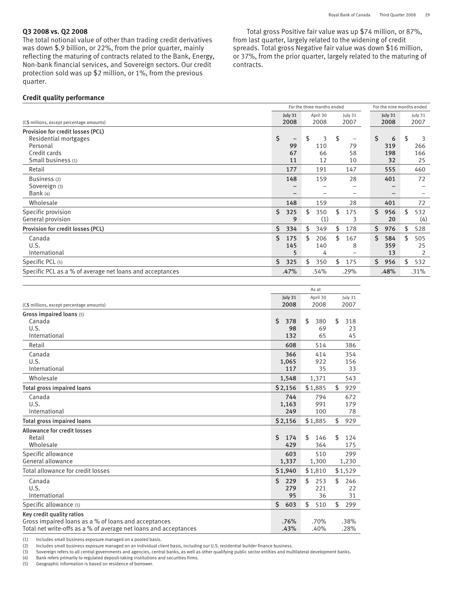#### Royal Bank of Canada Third Quarter 2008 29

#### **Q3 2008 vs. Q2 2008**

The total notional value of other than trading credit derivatives was down \$.9 billion, or 22%, from the prior quarter, mainly reflecting the maturing of contracts related to the Bank, Energy, Non-bank financial services, and Sovereign sectors. Our credit protection sold was up \$2 million, or 1%, from the previous quarter.

Total gross Positive fair value was up \$74 million, or 87%, from last quarter, largely related to the widening of credit spreads. Total gross Negative fair value was down \$16 million, or 37%, from the prior quarter, largely related to the maturing of contracts.

#### **Credit quality performance**

|                                                          |                     | For the three months ended |           | For the nine months ended |           |  |  |
|----------------------------------------------------------|---------------------|----------------------------|-----------|---------------------------|-----------|--|--|
|                                                          | July 31             | April 30                   | July 31   | July 31                   | July 31   |  |  |
| (C\$ millions, except percentage amounts)                | 2008                | 2008                       | 2007      | 2008                      | 2007      |  |  |
| Provision for credit losses (PCL)                        |                     |                            |           |                           |           |  |  |
| Residential mortgages                                    | \$                  | 3<br>\$                    | \$        | \$<br>6                   | S<br>3    |  |  |
| Personal                                                 | 99                  | 110                        | 79        | 319                       | 266       |  |  |
| Credit cards                                             | 67                  | 66                         | 58        | 198                       | 166       |  |  |
| Small business (1)                                       | 11                  | 12                         | 10        | 32                        | 25        |  |  |
| Retail                                                   | 177                 | 191                        | 147       | 555                       | 460       |  |  |
| Business (2)                                             | 148                 | 159                        | 28        | 401                       | 72        |  |  |
| Sovereign (3)                                            |                     |                            |           |                           |           |  |  |
| Bank $(4)$                                               | –                   |                            |           | —                         |           |  |  |
| Wholesale                                                | 148                 | 159                        | 28        | 401                       | 72        |  |  |
| Specific provision                                       | $\mathsf{S}$<br>325 | \$<br>350                  | \$<br>175 | Ś.<br>956                 | \$<br>532 |  |  |
| General provision                                        | 9                   | (1)                        | 3         | 20                        | (4)       |  |  |
| Provision for credit losses (PCL)                        | \$<br>334           | \$<br>349                  | \$<br>178 | \$<br>976                 | \$<br>528 |  |  |
| Canada                                                   | Ś.<br>175           | \$<br>206                  | \$<br>167 | Ś.<br>584                 | \$<br>505 |  |  |
| U.S.                                                     | 145                 | 140                        | 8         | 359                       | 25        |  |  |
| International                                            | 5                   | 4                          |           | 13                        | 2         |  |  |
| Specific PCL (5)                                         | Ś.<br>325           | 350<br>S                   | \$<br>175 | \$<br>956                 | \$<br>532 |  |  |
| Specific PCL as a % of average net loans and acceptances | .47%                | .54%                       | .29%      | .48%                      | .31%      |  |  |

|                                                                  |                 | As at            |                 |  |  |  |  |  |  |  |  |
|------------------------------------------------------------------|-----------------|------------------|-----------------|--|--|--|--|--|--|--|--|
|                                                                  | July 31<br>2008 | April 30<br>2008 | July 31<br>2007 |  |  |  |  |  |  |  |  |
| (C\$ millions, except percentage amounts)                        |                 |                  |                 |  |  |  |  |  |  |  |  |
| Gross impaired loans (5)                                         |                 |                  |                 |  |  |  |  |  |  |  |  |
| Canada<br>U.S.                                                   | Ŝ<br>378        | \$<br>380        | \$<br>318       |  |  |  |  |  |  |  |  |
| International                                                    | 98<br>132       | 69<br>65         | 23<br>45        |  |  |  |  |  |  |  |  |
| Retail                                                           | 608             | 514              | 386             |  |  |  |  |  |  |  |  |
|                                                                  |                 |                  |                 |  |  |  |  |  |  |  |  |
| Canada                                                           | 366             | 414              | 354             |  |  |  |  |  |  |  |  |
| U.S.                                                             | 1,065           | 922              | 156             |  |  |  |  |  |  |  |  |
| International                                                    | 117             | 35               | 33              |  |  |  |  |  |  |  |  |
| Wholesale                                                        | 1,548           | 1,371            | 543             |  |  |  |  |  |  |  |  |
| <b>Total gross impaired loans</b>                                | \$2,156         | \$1,885          | \$<br>929       |  |  |  |  |  |  |  |  |
| Canada                                                           | 744             | 794              | 672             |  |  |  |  |  |  |  |  |
| U.S.                                                             | 1,163           | 991              | 179             |  |  |  |  |  |  |  |  |
| International                                                    | 249             | 100              | 78              |  |  |  |  |  |  |  |  |
| <b>Total gross impaired loans</b>                                | \$2,156         | \$1,885          | \$<br>929       |  |  |  |  |  |  |  |  |
| Allowance for credit losses                                      |                 |                  |                 |  |  |  |  |  |  |  |  |
| Retail                                                           | Ŝ<br>174        | \$<br>146        | \$<br>124       |  |  |  |  |  |  |  |  |
| Wholesale                                                        | 429             | 364              | 175             |  |  |  |  |  |  |  |  |
| Specific allowance                                               | 603             | 510              | 299             |  |  |  |  |  |  |  |  |
| General allowance                                                | 1,337           | 1,300            | 1,230           |  |  |  |  |  |  |  |  |
| Total allowance for credit losses                                | \$1,940         | \$1,810          | \$1,529         |  |  |  |  |  |  |  |  |
| Canada                                                           | Ś.<br>229       | \$<br>253        | \$<br>246       |  |  |  |  |  |  |  |  |
| U.S.                                                             | 279             | 221              | 22              |  |  |  |  |  |  |  |  |
| International                                                    | 95              | 36               | 31              |  |  |  |  |  |  |  |  |
| Specific allowance (5)                                           | Ŝ<br>603        | \$<br>510        | \$<br>299       |  |  |  |  |  |  |  |  |
| Key credit quality ratios                                        |                 |                  |                 |  |  |  |  |  |  |  |  |
| Gross impaired loans as a % of loans and acceptances             | .76%            | .70%             | .38%            |  |  |  |  |  |  |  |  |
| Total net write-offs as a % of average net loans and acceptances | .43%            | .40%             | .28%            |  |  |  |  |  |  |  |  |

(1) Includes small business exposure managed on a pooled basis.

(2) Includes small business exposure managed on an individual client basis, including our U.S. residential builder finance business.<br>(3) Sovereign refers to all central governments and agencies, central banks, as well as o

Sovereign refers to all central governments and agencies, central banks, as well as other qualifying public sector entities and multilateral development banks.

(4) Bank refers primarily to regulated deposit-taking institutions and securities firms.

Geographic information is based on residence of borrower.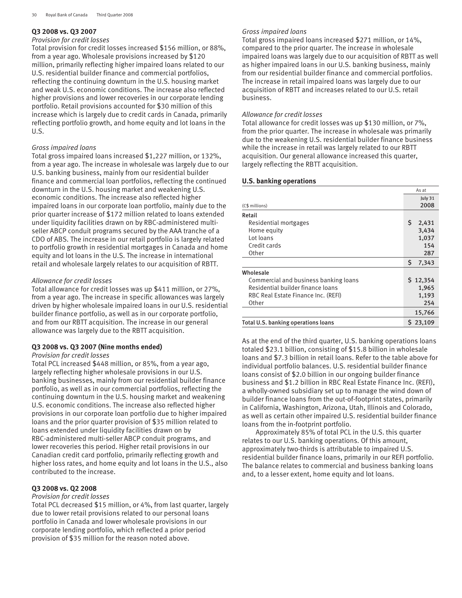#### **Q3 2008 vs. Q3 2007**

#### *Provision for credit losses*

Total provision for credit losses increased \$156 million, or 88%, from a year ago. Wholesale provisions increased by \$120 million, primarily reflecting higher impaired loans related to our U.S. residential builder finance and commercial portfolios, reflecting the continuing downturn in the U.S. housing market and weak U.S. economic conditions. The increase also reflected higher provisions and lower recoveries in our corporate lending portfolio. Retail provisions accounted for \$30 million of this increase which is largely due to credit cards in Canada, primarily reflecting portfolio growth, and home equity and lot loans in the U.S.

#### *Gross impaired loans*

Total gross impaired loans increased \$1,227 million, or 132%, from a year ago. The increase in wholesale was largely due to our U.S. banking business, mainly from our residential builder finance and commercial loan portfolios, reflecting the continued downturn in the U.S. housing market and weakening U.S. economic conditions. The increase also reflected higher impaired loans in our corporate loan portfolio, mainly due to the prior quarter increase of \$172 million related to loans extended under liquidity facilities drawn on by RBC-administered multiseller ABCP conduit programs secured by the AAA tranche of a CDO of ABS. The increase in our retail portfolio is largely related to portfolio growth in residential mortgages in Canada and home equity and lot loans in the U.S. The increase in international retail and wholesale largely relates to our acquisition of RBTT.

#### *Allowance for credit losses*

Total allowance for credit losses was up \$411 million, or 27%, from a year ago. The increase in specific allowances was largely driven by higher wholesale impaired loans in our U.S. residential builder finance portfolio, as well as in our corporate portfolio, and from our RBTT acquisition. The increase in our general allowance was largely due to the RBTT acquisition.

#### **Q3 2008 vs. Q3 2007 (Nine months ended)**

#### *Provision for credit losses*

Total PCL increased \$448 million, or 85%, from a year ago, largely reflecting higher wholesale provisions in our U.S. banking businesses, mainly from our residential builder finance portfolio, as well as in our commercial portfolios, reflecting the continuing downturn in the U.S. housing market and weakening U.S. economic conditions. The increase also reflected higher provisions in our corporate loan portfolio due to higher impaired loans and the prior quarter provision of \$35 million related to loans extended under liquidity facilities drawn on by RBC-administered multi-seller ABCP conduit programs, and lower recoveries this period. Higher retail provisions in our Canadian credit card portfolio, primarily reflecting growth and higher loss rates, and home equity and lot loans in the U.S., also contributed to the increase.

### **Q3 2008 vs. Q2 2008**

#### *Provision for credit losses*

Total PCL decreased \$15 million, or 4%, from last quarter, largely due to lower retail provisions related to our personal loans portfolio in Canada and lower wholesale provisions in our corporate lending portfolio, which reflected a prior period provision of \$35 million for the reason noted above.

#### *Gross impaired loans*

Total gross impaired loans increased \$271 million, or 14%, compared to the prior quarter. The increase in wholesale impaired loans was largely due to our acquisition of RBTT as well as higher impaired loans in our U.S. banking business, mainly from our residential builder finance and commercial portfolios. The increase in retail impaired loans was largely due to our acquisition of RBTT and increases related to our U.S. retail business.

#### *Allowance for credit losses*

Total allowance for credit losses was up \$130 million, or 7%, from the prior quarter. The increase in wholesale was primarily due to the weakening U.S. residential builder finance business while the increase in retail was largely related to our RBTT acquisition. Our general allowance increased this quarter, largely reflecting the RBTT acquisition.

#### **U.S. banking operations**

|                                       | As at           |
|---------------------------------------|-----------------|
| (C\$ millions)                        | July 31<br>2008 |
| Retail                                |                 |
| Residential mortgages                 | \$<br>2,431     |
| Home equity                           | 3,434           |
| Lot loans                             | 1,037           |
| Credit cards                          | 154             |
| Other                                 | 287             |
|                                       | \$<br>7,343     |
| Wholesale                             |                 |
| Commercial and business banking loans | S.<br>12,354    |
| Residential builder finance loans     | 1,965           |
| RBC Real Estate Finance Inc. (REFI)   | 1,193           |
| Other                                 | 254             |
|                                       | 15,766          |
| Total U.S. banking operations loans   | \$23,109        |

As at the end of the third quarter, U.S. banking operations loans totaled \$23.1 billion, consisting of \$15.8 billion in wholesale loans and \$7.3 billion in retail loans. Refer to the table above for individual portfolio balances. U.S. residential builder finance loans consist of \$2.0 billion in our ongoing builder finance business and \$1.2 billion in RBC Real Estate Finance Inc. (REFI), a wholly-owned subsidiary set up to manage the wind down of builder finance loans from the out-of-footprint states, primarily in California, Washington, Arizona, Utah, Illinois and Colorado, as well as certain other impaired U.S. residential builder finance loans from the in-footprint portfolio.

Approximately 85% of total PCL in the U.S. this quarter relates to our U.S. banking operations. Of this amount, approximately two-thirds is attributable to impaired U.S. residential builder finance loans, primarily in our REFI portfolio. The balance relates to commercial and business banking loans and, to a lesser extent, home equity and lot loans.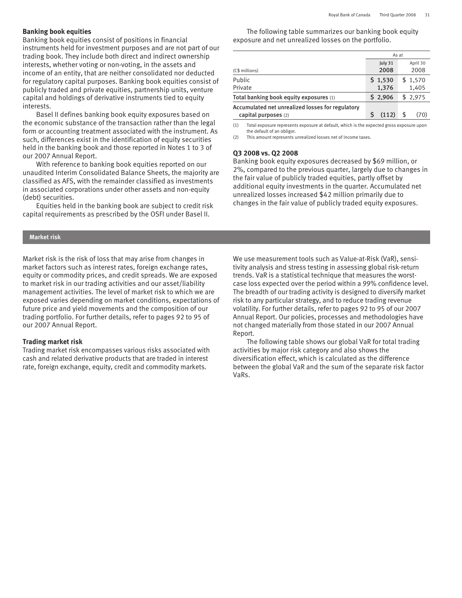#### **Banking book equities**

Banking book equities consist of positions in financial instruments held for investment purposes and are not part of our trading book. They include both direct and indirect ownership interests, whether voting or non-voting, in the assets and income of an entity, that are neither consolidated nor deducted for regulatory capital purposes. Banking book equities consist of publicly traded and private equities, partnership units, venture capital and holdings of derivative instruments tied to equity interests.

Basel II defines banking book equity exposures based on the economic substance of the transaction rather than the legal form or accounting treatment associated with the instrument. As such, differences exist in the identification of equity securities held in the banking book and those reported in Notes 1 to 3 of our 2007 Annual Report.

With reference to banking book equities reported on our unaudited Interim Consolidated Balance Sheets, the majority are classified as AFS, with the remainder classified as investments in associated corporations under other assets and non-equity (debt) securities.

Equities held in the banking book are subject to credit risk capital requirements as prescribed by the OSFI under Basel II.

#### **Market risk**

Market risk is the risk of loss that may arise from changes in market factors such as interest rates, foreign exchange rates, equity or commodity prices, and credit spreads. We are exposed to market risk in our trading activities and our asset/liability management activities. The level of market risk to which we are exposed varies depending on market conditions, expectations of future price and yield movements and the composition of our trading portfolio. For further details, refer to pages 92 to 95 of our 2007 Annual Report.

#### **Trading market risk**

Trading market risk encompasses various risks associated with cash and related derivative products that are traded in interest rate, foreign exchange, equity, credit and commodity markets.

The following table summarizes our banking book equity exposure and net unrealized losses on the portfolio.

|                                                  | As at   |          |
|--------------------------------------------------|---------|----------|
|                                                  | July 31 | April 30 |
| (C\$ millions)                                   | 2008    | 2008     |
| Public                                           | 51,530  | \$1,570  |
| Private                                          | 1,376   | 1,405    |
| Total banking book equity exposures (1)          | \$2,906 | \$2,975  |
| Accumulated net unrealized losses for regulatory |         |          |
| capital purposes (2)                             | (112)   | .70)     |

(1) Total exposure represents exposure at default, which is the expected gross exposure upon the default of an obligor.

(2) This amount represents unrealized losses net of income taxes.

#### **Q3 2008 vs. Q2 2008**

Banking book equity exposures decreased by \$69 million, or 2%, compared to the previous quarter, largely due to changes in the fair value of publicly traded equities, partly offset by additional equity investments in the quarter. Accumulated net unrealized losses increased \$42 million primarily due to changes in the fair value of publicly traded equity exposures.

We use measurement tools such as Value-at-Risk (VaR), sensitivity analysis and stress testing in assessing global risk-return trends. VaR is a statistical technique that measures the worstcase loss expected over the period within a 99% confidence level. The breadth of our trading activity is designed to diversify market risk to any particular strategy, and to reduce trading revenue volatility. For further details, refer to pages 92 to 95 of our 2007 Annual Report. Our policies, processes and methodologies have not changed materially from those stated in our 2007 Annual Report.

The following table shows our global VaR for total trading activities by major risk category and also shows the diversification effect, which is calculated as the difference between the global VaR and the sum of the separate risk factor VaRs.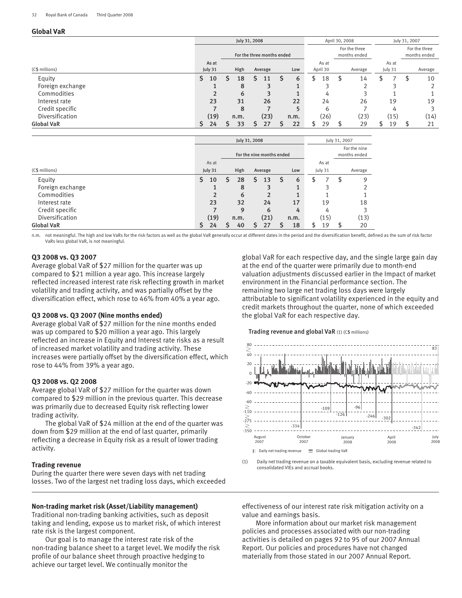#### 32 Royal Bank of Canada Third Quarter 2008

#### **Global VaR**

|                        |                  | July 31, 2008              |      |    |         | April 30, 2008 |      |    |                   |                               | July 31, 2007 |  |                  |                               |         |
|------------------------|------------------|----------------------------|------|----|---------|----------------|------|----|-------------------|-------------------------------|---------------|--|------------------|-------------------------------|---------|
|                        |                  | For the three months ended |      |    |         |                |      |    |                   | For the three<br>months ended |               |  |                  | For the three<br>months ended |         |
| (C\$ millions)         | As at<br>July 31 |                            | High |    | Average |                | Low  |    | As at<br>April 30 |                               | Average       |  | As at<br>July 31 |                               | Average |
| Equity                 | \$<br>10         | S                          | 18   | S. | 11      | S              | 6    | \$ | 18                | S                             | 14            |  |                  |                               | 10      |
| Foreign exchange       |                  |                            | 8    |    |         |                |      |    |                   |                               |               |  |                  |                               |         |
| Commodities            |                  |                            | 6    |    |         |                |      |    | 4                 |                               |               |  |                  |                               |         |
| Interest rate          | 23               |                            | 31   |    | 26      |                | 22   |    | 24                |                               | 26            |  | 19               |                               | 19      |
| Credit specific        |                  |                            | 8    |    |         |                |      |    | 6                 |                               |               |  | 4                |                               |         |
| <b>Diversification</b> | (19)             |                            | n.m. |    | (23)    |                | n.m. |    | (26)              |                               | (23)          |  | (15)             |                               | (14)    |
| <b>Global VaR</b>      | 24<br>S.         |                            | 33   | S  | 27      |                | 22   |    | 29                |                               | 29            |  | 19               |                               | 21      |

|                        |         |         | July 31, 2008             |        | July 31, 2007 |    |                              |  |  |  |
|------------------------|---------|---------|---------------------------|--------|---------------|----|------------------------------|--|--|--|
|                        |         |         | For the nine months ended |        |               |    | For the nine<br>months ended |  |  |  |
|                        | As at   |         |                           |        | As at         |    |                              |  |  |  |
| (C\$ millions)         | July 31 | High    | Average                   | Low    | July 31       |    | Average                      |  |  |  |
| Equity                 | S<br>10 | S<br>28 | 13<br>S                   | 6<br>S | \$            | \$ | Q                            |  |  |  |
| Foreign exchange       |         | 8       | 3                         | 1      | ੨             |    |                              |  |  |  |
| Commodities            |         | 6       |                           |        |               |    |                              |  |  |  |
| Interest rate          | 23      | 32      | 24                        | 17     | 19            |    | 18                           |  |  |  |
| Credit specific        |         | 9       | 6                         | 4      | 4             |    |                              |  |  |  |
| <b>Diversification</b> | (19)    | n.m.    | (21)                      | n.m.   | (15)          |    | (13)                         |  |  |  |
| <b>Global VaR</b>      | 24<br>s | 40      | 27                        | 18     | 19<br>\$      | \$ | 20                           |  |  |  |

n.m. not meaningful. The high and low VaRs for the risk factors as well as the global VaR generally occur at different dates in the period and the diversification benefit, defined as the sum of risk factor VaRs less global VaR, is not meaningful.

#### **Q3 2008 vs. Q3 2007**

Average global VaR of \$27 million for the quarter was up compared to \$21 million a year ago. This increase largely reflected increased interest rate risk reflecting growth in market volatility and trading activity, and was partially offset by the diversification effect, which rose to 46% from 40% a year ago.

#### **Q3 2008 vs. Q3 2007 (Nine months ended)**

Average global VaR of \$27 million for the nine months ended was up compared to \$20 million a year ago. This largely reflected an increase in Equity and Interest rate risks as a result of increased market volatility and trading activity. These increases were partially offset by the diversification effect, which rose to 44% from 39% a year ago.

#### **Q3 2008 vs. Q2 2008**

Average global VaR of \$27 million for the quarter was down compared to \$29 million in the previous quarter. This decrease was primarily due to decreased Equity risk reflecting lower trading activity.

The global VaR of \$24 million at the end of the quarter was down from \$29 million at the end of last quarter, primarily reflecting a decrease in Equity risk as a result of lower trading activity.

#### **Trading revenue**

During the quarter there were seven days with net trading losses. Two of the largest net trading loss days, which exceeded

#### **Non-trading market risk (Asset/Liability management)**

Traditional non-trading banking activities, such as deposit taking and lending, expose us to market risk, of which interest rate risk is the largest component.

Our goal is to manage the interest rate risk of the non-trading balance sheet to a target level. We modify the risk profile of our balance sheet through proactive hedging to achieve our target level. We continually monitor the

global VaR for each respective day, and the single large gain day at the end of the quarter were primarily due to month-end valuation adjustments discussed earlier in the Impact of market environment in the Financial performance section. The remaining two large net trading loss days were largely attributable to significant volatility experienced in the equity and credit markets throughout the quarter, none of which exceeded the global VaR for each respective day.

#### Trading revenue and global VaR (1) (C\$ millions)



(1) Daily net trading revenue on a taxable equivalent basis, excluding revenue related to consolidated VIEs and accrual books.

effectiveness of our interest rate risk mitigation activity on a value and earnings basis.

More information about our market risk management policies and processes associated with our non-trading activities is detailed on pages 92 to 95 of our 2007 Annual Report. Our policies and procedures have not changed materially from those stated in our 2007 Annual Report.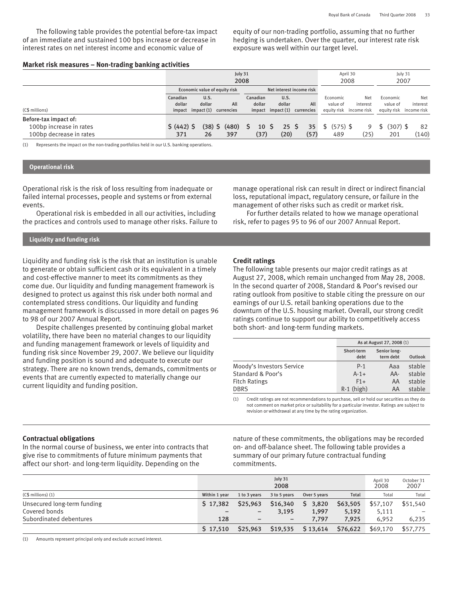The following table provides the potential before-tax impact of an immediate and sustained 100 bps increase or decrease in interest rates on net interest income and economic value of

equity of our non-trading portfolio, assuming that no further hedging is undertaken. Over the quarter, our interest rate risk exposure was well within our target level.

#### **Market risk measures – Non-trading banking activities**

|                                                                             |                                                           |                |                                     | July 31<br>2008 |                         | April 30<br>2008 |                                     | July 31<br>2007      |                                            |                      |                                            |
|-----------------------------------------------------------------------------|-----------------------------------------------------------|----------------|-------------------------------------|-----------------|-------------------------|------------------|-------------------------------------|----------------------|--------------------------------------------|----------------------|--------------------------------------------|
|                                                                             | Economic value of equity risk<br>Net interest income risk |                |                                     |                 |                         |                  |                                     |                      |                                            |                      |                                            |
| (C\$ millions)                                                              | Canadian<br>dollar                                        | U.S.<br>dollar | All<br>impact impact (1) currencies |                 | Canadian<br>dollar      | U.S.<br>dollar   | All<br>impact impact (1) currencies | Economic<br>value of | Net<br>interest<br>equity risk income risk | Economic<br>value of | Net<br>interest<br>equity risk income risk |
| Before-tax impact of:<br>100bp increase in rates<br>100bp decrease in rates | $5(442)$ \$<br>371                                        | 26             | $(38)$ \$ $(480)$<br>397            | S               | 10 <sub>5</sub><br>(37) | 25S<br>(20)      | 35<br>(57)                          | $(575)$ \$<br>489    | 9<br>(25)                                  | $(307)$ \$<br>201    | 82<br>(140)                                |

(1) Represents the impact on the non-trading portfolios held in our U.S. banking operations.

#### **Operational risk**

Operational risk is the risk of loss resulting from inadequate or failed internal processes, people and systems or from external events.

Operational risk is embedded in all our activities, including the practices and controls used to manage other risks. Failure to

#### **Liquidity and funding risk**

Liquidity and funding risk is the risk that an institution is unable to generate or obtain sufficient cash or its equivalent in a timely and cost-effective manner to meet its commitments as they come due. Our liquidity and funding management framework is designed to protect us against this risk under both normal and contemplated stress conditions. Our liquidity and funding management framework is discussed in more detail on pages 96 to 98 of our 2007 Annual Report.

Despite challenges presented by continuing global market volatility, there have been no material changes to our liquidity and funding management framework or levels of liquidity and funding risk since November 29, 2007. We believe our liquidity and funding position is sound and adequate to execute our strategy. There are no known trends, demands, commitments or events that are currently expected to materially change our current liquidity and funding position.

manage operational risk can result in direct or indirect financial loss, reputational impact, regulatory censure, or failure in the management of other risks such as credit or market risk.

For further details related to how we manage operational risk, refer to pages 95 to 96 of our 2007 Annual Report.

#### **Credit ratings**

The following table presents our major credit ratings as at August 27, 2008, which remain unchanged from May 28, 2008. In the second quarter of 2008, Standard & Poor's revised our rating outlook from positive to stable citing the pressure on our earnings of our U.S. retail banking operations due to the downturn of the U.S. housing market. Overall, our strong credit ratings continue to support our ability to competitively access both short- and long-term funding markets.

|                           |                    | As at August 27, 2008 (1) |         |
|---------------------------|--------------------|---------------------------|---------|
|                           | Short-term<br>debt | Senior long-<br>term debt | Outlook |
| Moody's Investors Service | $P-1$              | Aaa                       | stable  |
| Standard & Poor's         | $A-1+$             | AA-                       | stable  |
| <b>Fitch Ratings</b>      | $F1+$              | AA                        | stable  |
| <b>DBRS</b>               | $R-1$ (high)       | AA                        | stable  |

(1) Credit ratings are not recommendations to purchase, sell or hold our securities as they do not comment on market price or suitability for a particular investor. Ratings are subject to revision or withdrawal at any time by the rating organization.

#### **Contractual obligations**

In the normal course of business, we enter into contracts that give rise to commitments of future minimum payments that affect our short- and long-term liquidity. Depending on the

nature of these commitments, the obligations may be recorded on- and off-balance sheet. The following table provides a summary of our primary future contractual funding commitments.

|                             |               |                   | July 31<br>2008   |              |          | April 30<br>2008 | October 31<br>2007 |
|-----------------------------|---------------|-------------------|-------------------|--------------|----------|------------------|--------------------|
| $(C$$ millions) $(1)$       | Within 1 year | 1 to 3 years      | 3 to 5 years      | Over 5 years | Total    | Total            | Total              |
| Unsecured long-term funding | \$17,382      | \$25,963          | \$16,340          | $5 \t3,820$  | \$63,505 | \$57,107         | \$51,540           |
| Covered bonds               |               | $\qquad \qquad -$ | 3,195             | 1,997        | 5,192    | 5,111            |                    |
| Subordinated debentures     | 128           | $\qquad \qquad$   | $\qquad \qquad -$ | 7,797        | 7.925    | 6.952            | 6,235              |
|                             | S 17.510      | \$25,963          | \$19,535          | S 13.614     | \$76,622 | \$69,170         | \$57,775           |

(1) Amounts represent principal only and exclude accrued interest.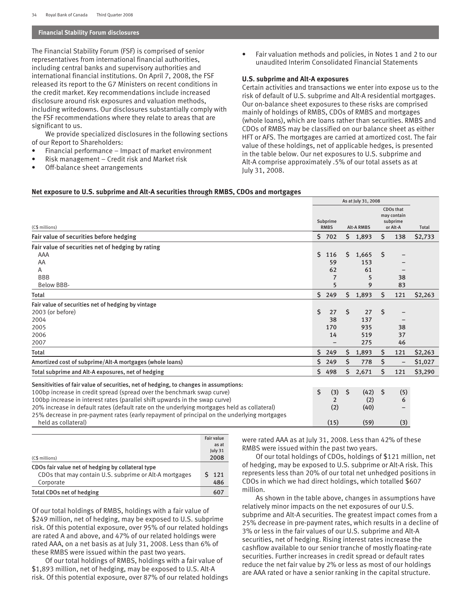#### **Financial Stability Forum disclosures**

The Financial Stability Forum (FSF) is comprised of senior representatives from international financial authorities, including central banks and supervisory authorities and international financial institutions. On April 7, 2008, the FSF released its report to the G7 Ministers on recent conditions in the credit market. Key recommendations include increased disclosure around risk exposures and valuation methods, including writedowns. Our disclosures substantially comply with the FSF recommendations where they relate to areas that are significant to us.

We provide specialized disclosures in the following sections of our Report to Shareholders:

- Financial performance Impact of market environment
- Risk management Credit risk and Market risk
- Off-balance sheet arrangements

• Fair valuation methods and policies, in Notes 1 and 2 to our unaudited Interim Consolidated Financial Statements

#### **U.S. subprime and Alt-A exposures**

Certain activities and transactions we enter into expose us to the risk of default of U.S. subprime and Alt-A residential mortgages. Our on-balance sheet exposures to these risks are comprised mainly of holdings of RMBS, CDOs of RMBS and mortgages (whole loans), which are loans rather than securities. RMBS and CDOs of RMBS may be classified on our balance sheet as either HFT or AFS. The mortgages are carried at amortized cost. The fair value of these holdings, net of applicable hedges, is presented in the table below. Our net exposures to U.S. subprime and Alt-A comprise approximately .5% of our total assets as at July 31, 2008.

#### **Net exposure to U.S. subprime and Alt-A securities through RMBS, CDOs and mortgages**

|                                                                                             |    |                         |    | As at July 31, 2008 |    |                                                  |         |
|---------------------------------------------------------------------------------------------|----|-------------------------|----|---------------------|----|--------------------------------------------------|---------|
| (C\$ millions)                                                                              |    | Subprime<br><b>RMBS</b> |    | <b>Alt-A RMBS</b>   |    | CDOs that<br>may contain<br>subprime<br>or Alt-A | Total   |
| Fair value of securities before hedging                                                     |    | 5702                    | S. | 1,893               | \$ | 138                                              | \$2,733 |
| Fair value of securities net of hedging by rating                                           |    |                         |    |                     |    |                                                  |         |
| AAA                                                                                         | Ś. | 116                     | S. | 1.665               | \$ |                                                  |         |
| AA                                                                                          |    | 59                      |    | 153                 |    |                                                  |         |
| Α                                                                                           |    | 62                      |    | 61                  |    |                                                  |         |
| <b>BBB</b>                                                                                  |    |                         |    | 5                   |    | 38                                               |         |
| Below BBB-                                                                                  |    | 5                       |    | 9                   |    | 83                                               |         |
| Total                                                                                       | Ś. | 249                     | Ś. | 1,893               | Ś  | 121                                              | \$2,263 |
| Fair value of securities net of hedging by vintage                                          |    |                         |    |                     |    |                                                  |         |
| 2003 (or before)                                                                            | Ś  | 27                      | Ś  | 27                  | \$ |                                                  |         |
| 2004                                                                                        |    | 38                      |    | 137                 |    |                                                  |         |
| 2005                                                                                        |    | 170                     |    | 935                 |    | 38                                               |         |
| 2006                                                                                        |    | 14                      |    | 519                 |    | 37                                               |         |
| 2007                                                                                        |    |                         |    | 275                 |    | 46                                               |         |
| Total                                                                                       | Ś. | 249                     | \$ | 1,893               | \$ | 121                                              | \$2,263 |
| Amortized cost of subprime/Alt-A mortgages (whole loans)                                    | \$ | 249                     | \$ | 778                 | \$ | $\overline{\phantom{m}}$                         | \$1,027 |
| Total subprime and Alt-A exposures, net of hedging                                          | Ŝ. | 498                     | Ś. | 2,671               | Ś  | 121                                              | \$3,290 |
| Sensitivities of fair value of securities, net of hedging, to changes in assumptions:       |    |                         |    |                     |    |                                                  |         |
| 100bp increase in credit spread (spread over the benchmark swap curve)                      | \$ | $(3)$                   | \$ | (42)                | \$ | (5)                                              |         |
| 100bp increase in interest rates (parallel shift upwards in the swap curve)                 |    | 2                       |    | (2)                 |    | 6                                                |         |
| 20% increase in default rates (default rate on the underlying mortgages held as collateral) |    | (2)                     |    | (40)                |    |                                                  |         |
| 25% decrease in pre-payment rates (early repayment of principal on the underlying mortgages |    |                         |    |                     |    |                                                  |         |
| held as collateral)                                                                         |    | (15)                    |    | (59)                |    | (3)                                              |         |

|                                                        | <b>Fair value</b> |
|--------------------------------------------------------|-------------------|
|                                                        | as at             |
|                                                        | July 31           |
| (C\$ millions)                                         | 2008              |
| CDOs fair value net of hedging by collateral type      |                   |
| CDOs that may contain U.S. subprime or Alt-A mortgages | 121               |
| Corporate                                              | 486               |
| <b>Total CDOs net of hedging</b>                       | 607               |

Of our total holdings of RMBS, holdings with a fair value of \$249 million, net of hedging, may be exposed to U.S. subprime risk. Of this potential exposure, over 95% of our related holdings are rated A and above, and 47% of our related holdings were rated AAA, on a net basis as at July 31, 2008. Less than 6% of these RMBS were issued within the past two years.

Of our total holdings of RMBS, holdings with a fair value of \$1,893 million, net of hedging, may be exposed to U.S. Alt-A risk. Of this potential exposure, over 87% of our related holdings were rated AAA as at July 31, 2008. Less than 42% of these RMBS were issued within the past two years.

Of our total holdings of CDOs, holdings of \$121 million, net of hedging, may be exposed to U.S. subprime or Alt-A risk. This represents less than 20% of our total net unhedged positions in CDOs in which we had direct holdings, which totalled \$607 million.

As shown in the table above, changes in assumptions have relatively minor impacts on the net exposures of our U.S. subprime and Alt-A securities. The greatest impact comes from a 25% decrease in pre-payment rates, which results in a decline of 3% or less in the fair values of our U.S. subprime and Alt-A securities, net of hedging. Rising interest rates increase the cashflow available to our senior tranche of mostly floating-rate securities. Further increases in credit spread or default rates reduce the net fair value by 2% or less as most of our holdings are AAA rated or have a senior ranking in the capital structure.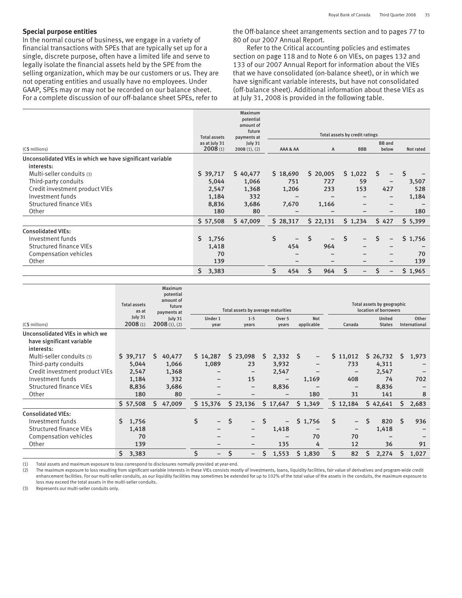#### **Special purpose entities**

In the normal course of business, we engage in a variety of financial transactions with SPEs that are typically set up for a single, discrete purpose, often have a limited life and serve to legally isolate the financial assets held by the SPE from the selling organization, which may be our customers or us. They are not operating entities and usually have no employees. Under GAAP, SPEs may or may not be recorded on our balance sheet. For a complete discussion of our off-balance sheet SPEs, refer to

the Off-balance sheet arrangements section and to pages 77 to 80 of our 2007 Annual Report.

Refer to the Critical accounting policies and estimates section on page 118 and to Note 6 on VIEs, on pages 132 and 133 of our 2007 Annual Report for information about the VIEs that we have consolidated (on-balance sheet), or in which we have significant variable interests, but have not consolidated (off-balance sheet). Additional information about these VIEs as at July 31, 2008 is provided in the following table.

|                                                           |                          | <b>Maximum</b><br>potential<br>amount of |                                |                                |                                |                          |           |
|-----------------------------------------------------------|--------------------------|------------------------------------------|--------------------------------|--------------------------------|--------------------------------|--------------------------|-----------|
|                                                           |                          | future                                   |                                |                                | Total assets by credit ratings |                          |           |
|                                                           | <b>Total assets</b>      | payments at                              |                                |                                |                                |                          |           |
| (C\$ millions)                                            | as at July 31<br>2008(1) | July 31<br>2008(1), (2)                  | AAA & AA                       | A                              | <b>BBB</b>                     | <b>BB</b> and<br>below   | Not rated |
| Unconsolidated VIEs in which we have significant variable |                          |                                          |                                |                                |                                |                          |           |
| interests:                                                |                          |                                          |                                |                                |                                |                          |           |
| Multi-seller conduits (3)                                 | \$39,717                 | \$40,477                                 | \$18,690                       | \$20,005                       | \$1,022                        | Ś<br>-                   |           |
| Third-party conduits                                      | 5,044                    | 1,066                                    | 751                            | 727                            | 59                             | $\overline{\phantom{0}}$ | 3,507     |
| Credit investment product VIEs                            | 2,547                    | 1,368                                    | 1,206                          | 233                            | 153                            | 427                      | 528       |
| Investment funds                                          | 1,184                    | 332                                      |                                |                                |                                | -                        | 1,184     |
| <b>Structured finance VIEs</b>                            | 8,836                    | 3,686                                    | 7,670                          | 1,166                          |                                | $\overline{\phantom{0}}$ |           |
| Other                                                     | 180                      | 80                                       |                                |                                |                                |                          | 180       |
|                                                           | \$ 57,508                | \$47,009                                 | \$28,317                       | \$22,131                       | \$1,234                        | 5427                     | \$5,399   |
| <b>Consolidated VIEs:</b>                                 |                          |                                          |                                |                                |                                |                          |           |
| Investment funds                                          | Ŝ.<br>1,756              |                                          | \$<br>$\overline{\phantom{0}}$ | \$<br>$\overline{\phantom{0}}$ | Ś<br>-                         | Ś.<br>—                  | \$1,756   |
| <b>Structured finance VIEs</b>                            | 1,418                    |                                          | 454                            | 964                            |                                |                          |           |
| Compensation vehicles                                     | 70                       |                                          |                                |                                |                                |                          | 70        |
| Other                                                     | 139                      |                                          |                                |                                |                                | -                        | 139       |
|                                                           | \$<br>3,383              |                                          | \$<br>454                      | \$<br>964                      | Ś<br>-                         | Ś<br>—                   | \$1,965   |

|                                                   | <b>Total assets</b><br>as at<br>July 31 |    | Maximum<br>potential<br>amount of<br>future<br>payments at<br>July 31 | Total assets by average maturities<br>Under 1<br>$1 - 5$<br><b>Not</b><br>Over <sub>5</sub> |    |                          |   |                   |   |                   |   |                   | Total assets by geographic<br>location of borrowers<br>Other<br>International |               |    |       |
|---------------------------------------------------|-----------------------------------------|----|-----------------------------------------------------------------------|---------------------------------------------------------------------------------------------|----|--------------------------|---|-------------------|---|-------------------|---|-------------------|-------------------------------------------------------------------------------|---------------|----|-------|
| (C\$ millions)<br>Unconsolidated VIEs in which we | 2008(1)                                 |    | 2008(1), (2)                                                          | year                                                                                        |    | years                    |   | years             |   | applicable        |   | Canada            |                                                                               | <b>States</b> |    |       |
| have significant variable                         |                                         |    |                                                                       |                                                                                             |    |                          |   |                   |   |                   |   |                   |                                                                               |               |    |       |
| interests:                                        |                                         |    |                                                                       |                                                                                             |    |                          |   |                   |   |                   |   |                   |                                                                               |               |    |       |
| Multi-seller conduits (3)                         | \$ 39,717                               | S. | 40,477                                                                | \$14,287                                                                                    |    | \$23,098                 | S | 2,332             | S | $\qquad \qquad -$ |   | \$11,012          |                                                                               | \$26,732      | Ŝ. | 1,973 |
| Third-party conduits                              | 5,044                                   |    | 1,066                                                                 | 1,089                                                                                       |    | 23                       |   | 3,932             |   |                   |   | 733               |                                                                               | 4,311         |    |       |
| Credit investment product VIEs                    | 2,547                                   |    | 1,368                                                                 |                                                                                             |    | $\qquad \qquad$          |   | 2,547             |   |                   |   |                   |                                                                               | 2,547         |    |       |
| Investment funds                                  | 1,184                                   |    | 332                                                                   |                                                                                             |    | 15                       |   | $\qquad \qquad$   |   | 1,169             |   | 408               |                                                                               | 74            |    | 702   |
| <b>Structured finance VIEs</b>                    | 8,836                                   |    | 3,686                                                                 | —                                                                                           |    | $\qquad \qquad -$        |   | 8,836             |   |                   |   | $\qquad \qquad -$ |                                                                               | 8,836         |    |       |
| Other                                             | 180                                     |    | 80                                                                    |                                                                                             |    |                          |   |                   |   | 180               |   | 31                |                                                                               | 141           |    | 8     |
|                                                   | \$5,57,508                              | S. | 47,009                                                                | \$15,376                                                                                    |    | \$23,136                 |   | \$17,647          |   | \$1,349           |   | \$12,184          |                                                                               | \$42,641      | S. | 2,683 |
| <b>Consolidated VIEs:</b>                         |                                         |    |                                                                       |                                                                                             |    |                          |   |                   |   |                   |   |                   |                                                                               |               |    |       |
| Investment funds                                  | Ś.<br>1,756                             |    |                                                                       | \$<br>$\overline{\phantom{0}}$                                                              | \$ | $\overline{\phantom{0}}$ | Ś | $\qquad \qquad -$ |   | \$1,756           | Ś | $\qquad \qquad -$ | \$                                                                            | 820           | Ŝ. | 936   |
| <b>Structured finance VIEs</b>                    | 1,418                                   |    |                                                                       |                                                                                             |    | $\overline{\phantom{0}}$ |   | 1,418             |   |                   |   | -                 |                                                                               | 1,418         |    |       |
| Compensation vehicles                             | 70                                      |    |                                                                       |                                                                                             |    |                          |   |                   |   | 70                |   | 70                |                                                                               |               |    |       |
| Other                                             | 139                                     |    |                                                                       |                                                                                             |    | $\overline{\phantom{0}}$ |   | 135               |   | 4                 |   | 12                |                                                                               | 36            |    | 91    |
|                                                   | \$<br>3,383                             |    |                                                                       | \$<br>—                                                                                     | Ś  | $\overline{\phantom{0}}$ | Ś | 1,553             |   | \$1,830           | Ś | 82                | Ś                                                                             | 2,274         | S  | 1,027 |

(1) Total assets and maximum exposure to loss correspond to disclosures normally provided at year-end.

(2) The maximum exposure to loss resulting from significant variable interests in these VIEs consists mostly of investments, loans, liquidity facilities, fair value of derivatives and program-wide credit enhancement facilities. For our multi-seller conduits, as our liquidity facilities may sometimes be extended for up to 102% of the total value of the assets in the conduits, the maximum exposure to loss may exceed the total assets in the multi-seller conduits.

(3) Represents our multi-seller conduits only.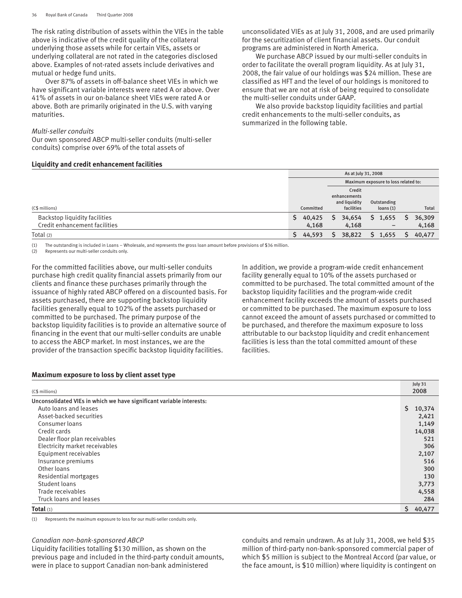The risk rating distribution of assets within the VIEs in the table above is indicative of the credit quality of the collateral underlying those assets while for certain VIEs, assets or underlying collateral are not rated in the categories disclosed above. Examples of not-rated assets include derivatives and mutual or hedge fund units.

Over 87% of assets in off-balance sheet VIEs in which we have significant variable interests were rated A or above. Over 41% of assets in our on-balance sheet VIEs were rated A or above. Both are primarily originated in the U.S. with varying maturities.

#### *Multi-seller conduits*

Our own sponsored ABCP multi-seller conduits (multi-seller conduits) comprise over 69% of the total assets of

#### **Liquidity and credit enhancement facilities**

unconsolidated VIEs as at July 31, 2008, and are used primarily for the securitization of client financial assets. Our conduit programs are administered in North America.

We purchase ABCP issued by our multi-seller conduits in order to facilitate the overall program liquidity. As at July 31, 2008, the fair value of our holdings was \$24 million. These are classified as HFT and the level of our holdings is monitored to ensure that we are not at risk of being required to consolidate the multi-seller conduits under GAAP.

We also provide backstop liquidity facilities and partial credit enhancements to the multi-seller conduits, as summarized in the following table.

|                               | As at July 31, 2008 |    |           |                                      |                        |    |                   |    |        |  |
|-------------------------------|---------------------|----|-----------|--------------------------------------|------------------------|----|-------------------|----|--------|--|
|                               |                     |    |           | Maximum exposure to loss related to: |                        |    |                   |    |        |  |
|                               |                     |    |           |                                      | Credit<br>enhancements |    |                   |    |        |  |
|                               |                     |    |           |                                      | and liquidity          |    | Outstanding       |    |        |  |
| (C\$ millions)                |                     |    | Committed |                                      | facilities             |    | loans(1)          |    | Total  |  |
| Backstop liquidity facilities |                     | S. | 40,425    | S.                                   | 34,654                 |    | \$1,655           | S. | 36,309 |  |
| Credit enhancement facilities |                     |    | 4,168     |                                      | 4,168                  |    | $\qquad \qquad -$ |    | 4,168  |  |
| Total $(2)$                   |                     |    | 44,593    | S                                    | 38,822                 | S. | 1,655             |    | 40,477 |  |

(1) The outstanding is included in Loans – Wholesale, and represents the gross loan amount before provisions of \$36 million.

(2) Represents our multi-seller conduits only.

For the committed facilities above, our multi-seller conduits purchase high credit quality financial assets primarily from our clients and finance these purchases primarily through the issuance of highly rated ABCP offered on a discounted basis. For assets purchased, there are supporting backstop liquidity facilities generally equal to 102% of the assets purchased or committed to be purchased. The primary purpose of the backstop liquidity facilities is to provide an alternative source of financing in the event that our multi-seller conduits are unable to access the ABCP market. In most instances, we are the provider of the transaction specific backstop liquidity facilities.

In addition, we provide a program-wide credit enhancement facility generally equal to 10% of the assets purchased or committed to be purchased. The total committed amount of the backstop liquidity facilities and the program-wide credit enhancement facility exceeds the amount of assets purchased or committed to be purchased. The maximum exposure to loss cannot exceed the amount of assets purchased or committed to be purchased, and therefore the maximum exposure to loss attributable to our backstop liquidity and credit enhancement facilities is less than the total committed amount of these facilities.

#### **Maximum exposure to loss by client asset type**

| (C\$ millions)                                                       | July 31<br>2008 |
|----------------------------------------------------------------------|-----------------|
| Unconsolidated VIEs in which we have significant variable interests: |                 |
| Auto loans and leases                                                | Ŝ.<br>10,374    |
| Asset-backed securities                                              | 2,421           |
| Consumer loans                                                       | 1,149           |
| Credit cards                                                         | 14,038          |
| Dealer floor plan receivables                                        | 521             |
| Electricity market receivables                                       | 306             |
| Equipment receivables                                                | 2,107           |
| Insurance premiums                                                   | 516             |
| Other loans                                                          | 300             |
| Residential mortgages                                                | 130             |
| Student loans                                                        | 3,773           |
| Trade receivables                                                    | 4,558           |
| Truck loans and leases                                               | 284             |
| Total $(1)$                                                          | Ś.<br>40,477    |

(1) Represents the maximum exposure to loss for our multi-seller conduits only.

#### *Canadian non-bank-sponsored ABCP*

Liquidity facilities totalling \$130 million, as shown on the previous page and included in the third-party conduit amounts, were in place to support Canadian non-bank administered

conduits and remain undrawn. As at July 31, 2008, we held \$35 million of third-party non-bank-sponsored commercial paper of which \$5 million is subject to the Montreal Accord (par value, or the face amount, is \$10 million) where liquidity is contingent on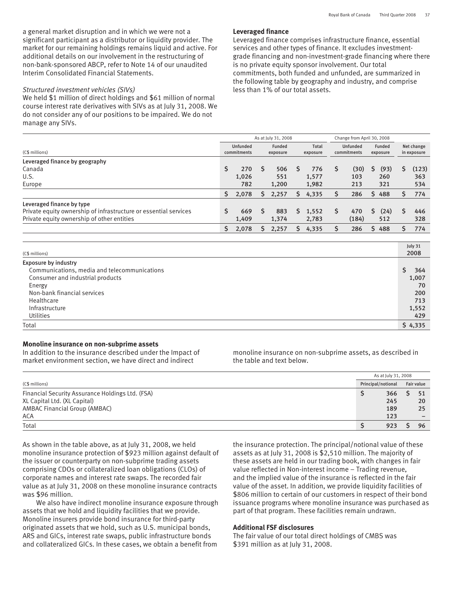a general market disruption and in which we were not a significant participant as a distributor or liquidity provider. The market for our remaining holdings remains liquid and active. For additional details on our involvement in the restructuring of non-bank-sponsored ABCP, refer to Note 14 of our unaudited Interim Consolidated Financial Statements.

# *Structured investment vehicles (SIVs)*

We held \$1 million of direct holdings and \$61 million of normal course interest rate derivatives with SIVs as at July 31, 2008. We do not consider any of our positions to be impaired. We do not manage any SIVs.

# **Leveraged finance**

Leveraged finance comprises infrastructure finance, essential services and other types of finance. It excludes investmentgrade financing and non-investment-grade financing where there is no private equity sponsor involvement. Our total commitments, both funded and unfunded, are summarized in the following table by geography and industry, and comprise less than 1% of our total assets.

|                                                                  | As at July 31, 2008<br>Change from April 30, 2008 |                         |          |       |                             |       |                                |       |    |                    |   |                           |
|------------------------------------------------------------------|---------------------------------------------------|-------------------------|----------|-------|-----------------------------|-------|--------------------------------|-------|----|--------------------|---|---------------------------|
| (C\$ millions)                                                   |                                                   | Unfunded<br>commitments | exposure |       | Funded<br>Total<br>exposure |       | <b>Unfunded</b><br>commitments |       |    | Funded<br>exposure |   | Net change<br>in exposure |
| Leveraged finance by geography                                   |                                                   |                         |          |       |                             |       |                                |       |    |                    |   |                           |
| Canada                                                           | Ś                                                 | 270                     | S        | 506   |                             | 776   | S                              | (30)  | S  | (93)               | s | (123)                     |
| U.S.                                                             |                                                   | 1,026                   |          | 551   |                             | 1,577 |                                | 103   |    | 260                |   | 363                       |
| Europe                                                           |                                                   | 782                     |          | 1,200 |                             | 1,982 |                                | 213   |    | 321                |   | 534                       |
|                                                                  | S                                                 | 2,078                   |          | 2,257 |                             | 4,335 |                                | 286   | S. | 488                |   | 774                       |
| Leveraged finance by type                                        |                                                   |                         |          |       |                             |       |                                |       |    |                    |   |                           |
| Private equity ownership of infrastructure or essential services | Ś                                                 | 669                     | S        | 883   | S                           | 1,552 | S                              | 470   | S  | (24)               | S | 446                       |
| Private equity ownership of other entities                       |                                                   | 1,409                   |          | 1,374 |                             | 2,783 |                                | (184) |    | 512                |   | 328                       |
|                                                                  | Ŝ                                                 | 2,078                   |          | 2,257 |                             | 4,335 |                                | 286   | S  | 488                |   | 774                       |

| (C\$ millions)                               | July 31<br>2008 |
|----------------------------------------------|-----------------|
| <b>Exposure by industry</b>                  |                 |
| Communications, media and telecommunications | 364             |
| Consumer and industrial products             | 1,007           |
| Energy                                       | 70              |
| Non-bank financial services                  | 200             |
| Healthcare                                   | 713             |
| Infrastructure                               | 1,552           |
| Utilities                                    | 429             |
| Total                                        | \$4,335         |
|                                              |                 |

# **Monoline insurance on non-subprime assets**

In addition to the insurance described under the Impact of market environment section, we have direct and indirect

monoline insurance on non-subprime assets, as described in the table and text below.

|                                                  |  | As at July 31, 2008 |                   |    |
|--------------------------------------------------|--|---------------------|-------------------|----|
| (C\$ millions)                                   |  | Principal/notional  | <b>Fair value</b> |    |
| Financial Security Assurance Holdings Ltd. (FSA) |  | 366                 |                   | 51 |
| XL Capital Ltd. (XL Capital)                     |  | 245                 |                   | 20 |
| AMBAC Financial Group (AMBAC)                    |  | 189                 |                   | 25 |
| ACA                                              |  | 123                 |                   |    |
| Total                                            |  | 923                 |                   | 96 |

As shown in the table above, as at July 31, 2008, we held monoline insurance protection of \$923 million against default of the issuer or counterparty on non-subprime trading assets comprising CDOs or collateralized loan obligations (CLOs) of corporate names and interest rate swaps. The recorded fair value as at July 31, 2008 on these monoline insurance contracts was \$96 million.

We also have indirect monoline insurance exposure through assets that we hold and liquidity facilities that we provide. Monoline insurers provide bond insurance for third-party originated assets that we hold, such as U.S. municipal bonds, ARS and GICs, interest rate swaps, public infrastructure bonds and collateralized GICs. In these cases, we obtain a benefit from

the insurance protection. The principal/notional value of these assets as at July 31, 2008 is \$2,510 million. The majority of these assets are held in our trading book, with changes in fair value reflected in Non-interest income – Trading revenue, and the implied value of the insurance is reflected in the fair value of the asset. In addition, we provide liquidity facilities of \$806 million to certain of our customers in respect of their bond issuance programs where monoline insurance was purchased as part of that program. These facilities remain undrawn.

# **Additional FSF disclosures**

The fair value of our total direct holdings of CMBS was \$391 million as at July 31, 2008.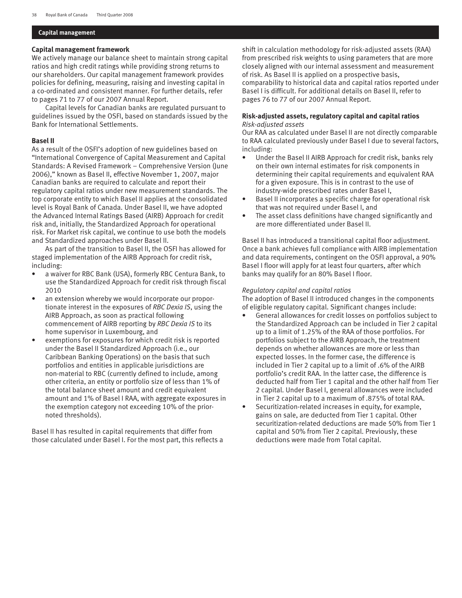## **Capital management**

# **Capital management framework**

We actively manage our balance sheet to maintain strong capital ratios and high credit ratings while providing strong returns to our shareholders. Our capital management framework provides policies for defining, measuring, raising and investing capital in a co-ordinated and consistent manner. For further details, refer to pages 71 to 77 of our 2007 Annual Report.

Capital levels for Canadian banks are regulated pursuant to guidelines issued by the OSFI, based on standards issued by the Bank for International Settlements.

# **Basel II**

As a result of the OSFI's adoption of new guidelines based on "International Convergence of Capital Measurement and Capital Standards: A Revised Framework – Comprehensive Version (June 2006)," known as Basel II, effective November 1, 2007, major Canadian banks are required to calculate and report their regulatory capital ratios under new measurement standards. The top corporate entity to which Basel II applies at the consolidated level is Royal Bank of Canada. Under Basel II, we have adopted the Advanced Internal Ratings Based (AIRB) Approach for credit risk and, initially, the Standardized Approach for operational risk. For Market risk capital, we continue to use both the models and Standardized approaches under Basel II.

As part of the transition to Basel II, the OSFI has allowed for staged implementation of the AIRB Approach for credit risk, including:

- a waiver for RBC Bank (USA), formerly RBC Centura Bank, to use the Standardized Approach for credit risk through fiscal 2010
- an extension whereby we would incorporate our proportionate interest in the exposures of *RBC Dexia IS*, using the AIRB Approach, as soon as practical following commencement of AIRB reporting by *RBC Dexia IS* to its home supervisor in Luxembourg, and
- exemptions for exposures for which credit risk is reported under the Basel II Standardized Approach (i.e., our Caribbean Banking Operations) on the basis that such portfolios and entities in applicable jurisdictions are non-material to RBC (currently defined to include, among other criteria, an entity or portfolio size of less than 1% of the total balance sheet amount and credit equivalent amount and 1% of Basel I RAA, with aggregate exposures in the exemption category not exceeding 10% of the priornoted thresholds).

Basel II has resulted in capital requirements that differ from those calculated under Basel I. For the most part, this reflects a shift in calculation methodology for risk-adjusted assets (RAA) from prescribed risk weights to using parameters that are more closely aligned with our internal assessment and measurement of risk. As Basel II is applied on a prospective basis, comparability to historical data and capital ratios reported under Basel I is difficult. For additional details on Basel II, refer to pages 76 to 77 of our 2007 Annual Report.

# **Risk-adjusted assets, regulatory capital and capital ratios** *Risk-adjusted assets*

Our RAA as calculated under Basel II are not directly comparable to RAA calculated previously under Basel I due to several factors, including:

- Under the Basel II AIRB Approach for credit risk, banks rely on their own internal estimates for risk components in determining their capital requirements and equivalent RAA for a given exposure. This is in contrast to the use of industry-wide prescribed rates under Basel I,
- Basel II incorporates a specific charge for operational risk that was not required under Basel I, and
- The asset class definitions have changed significantly and are more differentiated under Basel II.

Basel II has introduced a transitional capital floor adjustment. Once a bank achieves full compliance with AIRB implementation and data requirements, contingent on the OSFI approval, a 90% Basel I floor will apply for at least four quarters, after which banks may qualify for an 80% Basel I floor.

# *Regulatory capital and capital ratios*

The adoption of Basel II introduced changes in the components of eligible regulatory capital. Significant changes include:

- General allowances for credit losses on portfolios subject to the Standardized Approach can be included in Tier 2 capital up to a limit of 1.25% of the RAA of those portfolios. For portfolios subject to the AIRB Approach, the treatment depends on whether allowances are more or less than expected losses. In the former case, the difference is included in Tier 2 capital up to a limit of .6% of the AIRB portfolio's credit RAA. In the latter case, the difference is deducted half from Tier 1 capital and the other half from Tier 2 capital. Under Basel I, general allowances were included in Tier 2 capital up to a maximum of .875% of total RAA.
- Securitization-related increases in equity, for example, gains on sale, are deducted from Tier 1 capital. Other securitization-related deductions are made 50% from Tier 1 capital and 50% from Tier 2 capital. Previously, these deductions were made from Total capital.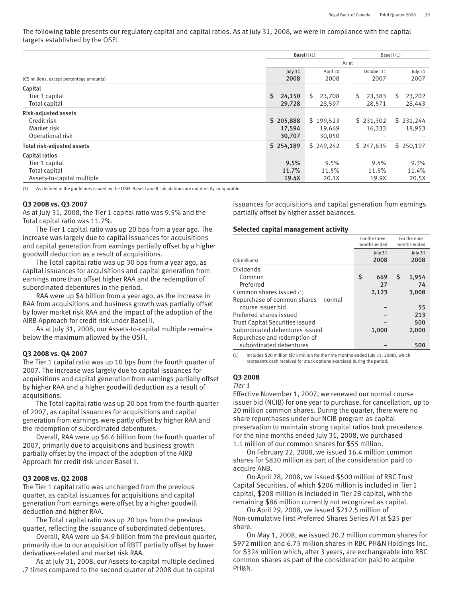The following table presents our regulatory capital and capital ratios. As at July 31, 2008, we were in compliance with the capital targets established by the OSFI.

|                                           |              | Basel II (1)  | Basel I(1)   |              |  |  |  |
|-------------------------------------------|--------------|---------------|--------------|--------------|--|--|--|
|                                           |              |               | As at        |              |  |  |  |
|                                           | July 31      | April 30      | October 31   | July 31      |  |  |  |
| (C\$ millions, except percentage amounts) | 2008         | 2008          | 2007         | 2007         |  |  |  |
| Capital                                   |              |               |              |              |  |  |  |
| Tier 1 capital                            | Ś.<br>24,150 | \$.<br>23,708 | \$<br>23,383 | \$<br>23,202 |  |  |  |
| Total capital                             | 29,728       | 28,597        | 28,571       | 28,443       |  |  |  |
| Risk-adjusted assets                      |              |               |              |              |  |  |  |
| Credit risk                               | \$205,888    | \$199,523     | \$231,302    | \$231,244    |  |  |  |
| Market risk                               | 17,594       | 19,669        | 16,333       | 18,953       |  |  |  |
| Operational risk                          | 30,707       | 30,050        |              |              |  |  |  |
| Total risk-adjusted assets                | \$254,189    | \$249,242     | \$247,635    | \$250,197    |  |  |  |
| Capital ratios                            |              |               |              |              |  |  |  |
| Tier 1 capital                            | 9.5%         | 9.5%          | 9.4%         | 9.3%         |  |  |  |
| Total capital                             | 11.7%        | 11.5%         | 11.5%        | 11.4%        |  |  |  |
| Assets-to-capital multiple                | 19.4X        | 20.1X         | 19.9X        | 20.5X        |  |  |  |

(1) As defined in the guidelines issued by the OSFI. Basel I and II calculations are not directly comparable.

# **Q3 2008 vs. Q3 2007**

As at July 31, 2008, the Tier 1 capital ratio was 9.5% and the Total capital ratio was 11.7%.

The Tier 1 capital ratio was up 20 bps from a year ago. The increase was largely due to capital issuances for acquisitions and capital generation from earnings partially offset by a higher goodwill deduction as a result of acquisitions.

The Total capital ratio was up 30 bps from a year ago, as capital issuances for acquisitions and capital generation from earnings more than offset higher RAA and the redemption of subordinated debentures in the period.

RAA were up \$4 billion from a year ago, as the increase in RAA from acquisitions and business growth was partially offset by lower market risk RAA and the impact of the adoption of the AIRB Approach for credit risk under Basel II.

As at July 31, 2008, our Assets-to-capital multiple remains below the maximum allowed by the OSFI.

# **Q3 2008 vs. Q4 2007**

The Tier 1 capital ratio was up 10 bps from the fourth quarter of 2007. The increase was largely due to capital issuances for acquisitions and capital generation from earnings partially offset by higher RAA and a higher goodwill deduction as a result of acquisitions.

The Total capital ratio was up 20 bps from the fourth quarter of 2007, as capital issuances for acquisitions and capital generation from earnings were partly offset by higher RAA and the redemption of subordinated debentures.

Overall, RAA were up \$6.6 billion from the fourth quarter of 2007, primarily due to acquisitions and business growth partially offset by the impact of the adoption of the AIRB Approach for credit risk under Basel II.

# **Q3 2008 vs. Q2 2008**

The Tier 1 capital ratio was unchanged from the previous quarter, as capital issuances for acquisitions and capital generation from earnings were offset by a higher goodwill deduction and higher RAA.

The Total capital ratio was up 20 bps from the previous quarter, reflecting the issuance of subordinated debentures.

Overall, RAA were up \$4.9 billion from the previous quarter, primarily due to our acquisition of RBTT partially offset by lower derivatives-related and market risk RAA.

As at July 31, 2008, our Assets-to-capital multiple declined .7 times compared to the second quarter of 2008 due to capital issuances for acquisitions and capital generation from earnings partially offset by higher asset balances.

## **Selected capital management activity**

|                                        |   | For the three<br>months ended |   | For the nine<br>months ended |
|----------------------------------------|---|-------------------------------|---|------------------------------|
| (C\$ millions)                         |   | July 31<br>2008               |   | July 31<br>2008              |
| <b>Dividends</b>                       |   |                               |   |                              |
| Common                                 | Ś | 669                           | S | 1,954                        |
| Preferred                              |   | 27                            |   | 74                           |
| Common shares issued (1)               |   | 2,123                         |   | 3,008                        |
| Repurchase of common shares - normal   |   |                               |   |                              |
| course issuer bid                      |   |                               |   | 55                           |
| Preferred shares issued                |   |                               |   | 213                          |
| <b>Trust Capital Securities issued</b> |   |                               |   | 500                          |
| Subordinated debentures issued         |   | 1,000                         |   | 2,000                        |
| Repurchase and redemption of           |   |                               |   |                              |
| subordinated debentures                |   |                               |   | 500                          |

(1) Includes \$20 million (\$75 million for the nine months ended July 31, 2008), which represents cash received for stock options exercised during the period.

# **Q3 2008**

## *Tier 1*

Effective November 1, 2007, we renewed our normal course issuer bid (NCIB) for one year to purchase, for cancellation, up to 20 million common shares. During the quarter, there were no share repurchases under our NCIB program as capital preservation to maintain strong capital ratios took precedence. For the nine months ended July 31, 2008, we purchased 1.1 million of our common shares for \$55 million.

On February 22, 2008, we issued 16.4 million common shares for \$830 million as part of the consideration paid to acquire ANB.

On April 28, 2008, we issued \$500 million of RBC Trust Capital Securities, of which \$206 million is included in Tier 1 capital, \$208 million is included in Tier 2B capital, with the remaining \$86 million currently not recognized as capital.

On April 29, 2008, we issued \$212.5 million of Non-cumulative First Preferred Shares Series AH at \$25 per share.

On May 1, 2008, we issued 20.2 million common shares for \$972 million and 6.75 million shares in RBC PH&N Holdings Inc. for \$324 million which, after 3 years, are exchangeable into RBC common shares as part of the consideration paid to acquire PH&N.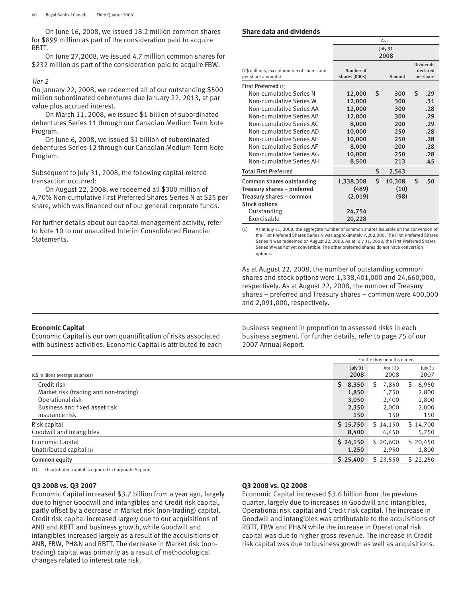On June 16, 2008, we issued 18.2 million common shares for \$899 million as part of the consideration paid to acquire RBTT.

On June 27,2008, we issued 4.7 million common shares for \$232 million as part of the consideration paid to acquire FBW.

## *Tier 2*

On January 22, 2008, we redeemed all of our outstanding \$500 million subordinated debentures due January 22, 2013, at par value plus accrued interest.

On March 11, 2008, we issued \$1 billion of subordinated debentures Series 11 through our Canadian Medium Term Note Program.

On June 6, 2008, we issued \$1 billion of subordinated debentures Series 12 through our Canadian Medium Term Note Program.

Subsequent to July 31, 2008, the following capital-related transaction occurred:

On August 22, 2008, we redeemed all \$300 million of 4.70% Non-cumulative First Preferred Shares Series N at \$25 per share, which was financed out of our general corporate funds.

For further details about our capital management activity, refer to Note 10 to our unaudited Interim Consolidated Financial Statements.

# **Share data and dividends**

| <b>Dividends</b> |
|------------------|
| declared         |
| per share        |
|                  |
| .29              |
| .31              |
| .28              |
| .29              |
| .29              |
| .28              |
| .28              |
| .28              |
| .28              |
| .45              |
|                  |
| .50              |
|                  |
|                  |
|                  |
|                  |
|                  |
|                  |

(1) As at July 31, 2008, the aggregate number of common shares issuable on the conversion of the First Preferred Shares Series N was approximately 7,202,000. The First Preferred Shares Series N was redeemed on August 22, 2008. As at July 31, 2008, the First Preferred Shares Series W was not yet convertible. The other preferred shares do not have conversion options.

As at August 22, 2008, the number of outstanding common shares and stock options were 1,338,401,000 and 24,660,000, respectively. As at August 22, 2008, the number of Treasury shares – preferred and Treasury shares – common were 400,000 and 2,091,000, respectively.

# **Economic Capital**

Economic Capital is our own quantification of risks associated with business activities. Economic Capital is attributed to each business segment in proportion to assessed risks in each business segment. For further details, refer to page 75 of our 2007 Annual Report.

For the three months ended

|                                                                                                                             | FUI LITE LITTLE INDITIONS ENGED               |                                               |                                              |  |  |  |  |  |  |
|-----------------------------------------------------------------------------------------------------------------------------|-----------------------------------------------|-----------------------------------------------|----------------------------------------------|--|--|--|--|--|--|
| (C\$ millions average balances)                                                                                             | July 31                                       | April 30                                      | July 31                                      |  |  |  |  |  |  |
|                                                                                                                             | 2008                                          | 2008                                          | 2007                                         |  |  |  |  |  |  |
| Credit risk<br>Market risk (trading and non-trading)<br>Operational risk<br>Business and fixed asset risk<br>Insurance risk | S.<br>8,350<br>1,850<br>3,050<br>2,350<br>150 | 7,850<br>\$<br>1,750<br>2,400<br>2,000<br>150 | 6,950<br>Ъ<br>2,800<br>2,800<br>2,000<br>150 |  |  |  |  |  |  |
| Risk capital                                                                                                                | \$15,750                                      | \$14,150                                      | \$14,700                                     |  |  |  |  |  |  |
| Goodwill and intangibles                                                                                                    | 8,400                                         | 6,450                                         | 5,750                                        |  |  |  |  |  |  |
| Economic Capital                                                                                                            | \$24,150                                      | \$20,600                                      | \$20,450                                     |  |  |  |  |  |  |
| Unattributed capital (1)                                                                                                    | 1,250                                         | 2,950                                         | 1,800                                        |  |  |  |  |  |  |
| Common equity                                                                                                               | \$25,400                                      | \$23,550                                      | \$22,250                                     |  |  |  |  |  |  |

(1) Unattributed capital is reported in Corporate Support.

# **Q3 2008 vs. Q3 2007**

Economic Capital increased \$3.7 billion from a year ago, largely due to higher Goodwill and intangibles and Credit risk capital, partly offset by a decrease in Market risk (non-trading) capital. Credit risk capital increased largely due to our acquisitions of ANB and RBTT and business growth, while Goodwill and intangibles increased largely as a result of the acquisitions of ANB, FBW, PH&N and RBTT. The decrease in Market risk (nontrading) capital was primarily as a result of methodological changes related to interest rate risk.

# **Q3 2008 vs. Q2 2008**

Economic Capital increased \$3.6 billion from the previous quarter, largely due to increases in Goodwill and intangibles, Operational risk capital and Credit risk capital. The increase in Goodwill and intangibles was attributable to the acquisitions of RBTT, FBW and PH&N while the increase in Operational risk capital was due to higher gross revenue. The increase in Credit risk capital was due to business growth as well as acquisitions.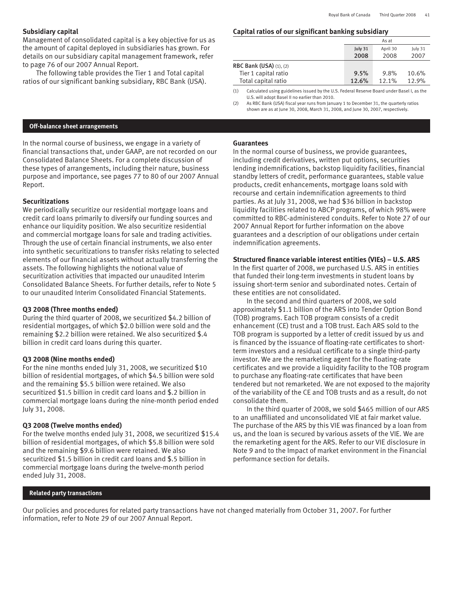#### Royal Bank of Canada Third Quarter 2008 41

# **Subsidiary capital**

Management of consolidated capital is a key objective for us as the amount of capital deployed in subsidiaries has grown. For details on our subsidiary capital management framework, refer to page 76 of our 2007 Annual Report.

The following table provides the Tier 1 and Total capital ratios of our significant banking subsidiary, RBC Bank (USA).

# **Off-balance sheet arrangements**

In the normal course of business, we engage in a variety of financial transactions that, under GAAP, are not recorded on our Consolidated Balance Sheets. For a complete discussion of these types of arrangements, including their nature, business purpose and importance, see pages 77 to 80 of our 2007 Annual Report.

# **Securitizations**

We periodically securitize our residential mortgage loans and credit card loans primarily to diversify our funding sources and enhance our liquidity position. We also securitize residential and commercial mortgage loans for sale and trading activities. Through the use of certain financial instruments, we also enter into synthetic securitizations to transfer risks relating to selected elements of our financial assets without actually transferring the assets. The following highlights the notional value of securitization activities that impacted our unaudited Interim Consolidated Balance Sheets. For further details, refer to Note 5 to our unaudited Interim Consolidated Financial Statements.

## **Q3 2008 (Three months ended)**

During the third quarter of 2008, we securitized \$4.2 billion of residential mortgages, of which \$2.0 billion were sold and the remaining \$2.2 billion were retained. We also securitized \$.4 billion in credit card loans during this quarter.

# **Q3 2008 (Nine months ended)**

For the nine months ended July 31, 2008, we securitized \$10 billion of residential mortgages, of which \$4.5 billion were sold and the remaining \$5.5 billion were retained. We also securitized \$1.5 billion in credit card loans and \$.2 billion in commercial mortgage loans during the nine-month period ended July 31, 2008.

# **Q3 2008 (Twelve months ended)**

For the twelve months ended July 31, 2008, we securitized \$15.4 billion of residential mortgages, of which \$5.8 billion were sold and the remaining \$9.6 billion were retained. We also securitized \$1.5 billion in credit card loans and \$.5 billion in commercial mortgage loans during the twelve-month period ended July 31, 2008.

# **Capital ratios of our significant banking subsidiary**

|                                |         | As at    |         |
|--------------------------------|---------|----------|---------|
|                                | July 31 | April 30 | July 31 |
|                                | 2008    | 2008     | 2007    |
| <b>RBC Bank (USA)</b> (1), (2) |         |          |         |
| Tier 1 capital ratio           | 9.5%    | 9.8%     | 10.6%   |
| Total capital ratio            | 12.6%   | 12.1%    | 12.9%   |
|                                |         |          |         |

(1) Calculated using guidelines issued by the U.S. Federal Reserve Board under Basel I, as the U.S. will adopt Basel II no earlier than 2010.

#### **Guarantees**

In the normal course of business, we provide guarantees, including credit derivatives, written put options, securities lending indemnifications, backstop liquidity facilities, financial standby letters of credit, performance guarantees, stable value products, credit enhancements, mortgage loans sold with recourse and certain indemnification agreements to third parties. As at July 31, 2008, we had \$36 billion in backstop liquidity facilities related to ABCP programs, of which 98% were committed to RBC-administered conduits. Refer to Note 27 of our 2007 Annual Report for further information on the above guarantees and a description of our obligations under certain indemnification agreements.

# **Structured finance variable interest entities (VIEs) – U.S. ARS**

In the first quarter of 2008, we purchased U.S. ARS in entities that funded their long-term investments in student loans by issuing short-term senior and subordinated notes. Certain of these entities are not consolidated.

In the second and third quarters of 2008, we sold approximately \$1.1 billion of the ARS into Tender Option Bond (TOB) programs. Each TOB program consists of a credit enhancement (CE) trust and a TOB trust. Each ARS sold to the TOB program is supported by a letter of credit issued by us and is financed by the issuance of floating-rate certificates to shortterm investors and a residual certificate to a single third-party investor. We are the remarketing agent for the floating-rate certificates and we provide a liquidity facility to the TOB program to purchase any floating-rate certificates that have been tendered but not remarketed. We are not exposed to the majority of the variability of the CE and TOB trusts and as a result, do not consolidate them.

In the third quarter of 2008, we sold \$465 million of our ARS to an unaffiliated and unconsolidated VIE at fair market value. The purchase of the ARS by this VIE was financed by a loan from us, and the loan is secured by various assets of the VIE. We are the remarketing agent for the ARS. Refer to our VIE disclosure in Note 9 and to the Impact of market environment in the Financial performance section for details.

# **Related party transactions**

Our policies and procedures for related party transactions have not changed materially from October 31, 2007. For further information, refer to Note 29 of our 2007 Annual Report.

<sup>(2)</sup> As RBC Bank (USA) fiscal year runs from January 1 to December 31, the quarterly ratios shown are as at June 30, 2008, March 31, 2008, and June 30, 2007, respectively.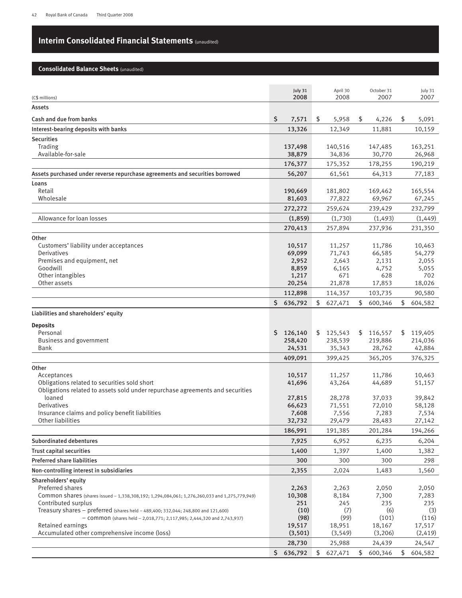# **Interim Consolidated Financial Statements (unaudited)**

# **Consolidated Balance Sheets** (unaudited)

| (C\$ millions)                                                                                           |              | July 31<br>2008  | April 30<br>2008  | October 31<br>2007 | July 31<br>2007  |
|----------------------------------------------------------------------------------------------------------|--------------|------------------|-------------------|--------------------|------------------|
| <b>Assets</b>                                                                                            |              |                  |                   |                    |                  |
| Cash and due from banks                                                                                  | \$           | 7,571            | \$<br>5,958       | \$<br>4,226        | \$<br>5,091      |
| Interest-bearing deposits with banks                                                                     |              | 13,326           | 12,349            | 11,881             | 10,159           |
| <b>Securities</b>                                                                                        |              |                  |                   |                    |                  |
| Trading                                                                                                  |              | 137,498          | 140,516           | 147,485            | 163,251          |
| Available-for-sale                                                                                       |              | 38,879           | 34,836            | 30,770             | 26,968           |
|                                                                                                          |              | 176,377          | 175,352           | 178,255            | 190,219          |
| Assets purchased under reverse repurchase agreements and securities borrowed                             |              | 56,207           | 61,561            | 64,313             | 77,183           |
| Loans                                                                                                    |              |                  |                   |                    |                  |
| Retail<br>Wholesale                                                                                      |              | 190,669          | 181,802<br>77,822 | 169,462<br>69,967  | 165,554          |
|                                                                                                          |              | 81,603           |                   |                    | 67,245           |
|                                                                                                          |              | 272,272          | 259,624           | 239,429            | 232,799          |
| Allowance for loan losses                                                                                |              | (1,859)          | (1,730)           | (1,493)            | (1,449)          |
|                                                                                                          |              | 270,413          | 257,894           | 237,936            | 231,350          |
| Other<br>Customers' liability under acceptances                                                          |              | 10,517           | 11,257            | 11,786             | 10,463           |
| Derivatives                                                                                              |              | 69,099           | 71,743            | 66,585             | 54,279           |
| Premises and equipment, net                                                                              |              | 2,952            | 2,643             | 2,131              | 2,055            |
| Goodwill<br>Other intangibles                                                                            |              | 8,859<br>1,217   | 6,165<br>671      | 4,752<br>628       | 5,055<br>702     |
| Other assets                                                                                             |              | 20,254           | 21,878            | 17,853             | 18,026           |
|                                                                                                          |              | 112,898          | 114,357           | 103,735            | 90,580           |
|                                                                                                          | $\mathsf{S}$ | 636,792          | \$<br>627,471     | \$<br>600,346      | \$<br>604,582    |
| Liabilities and shareholders' equity                                                                     |              |                  |                   |                    |                  |
| <b>Deposits</b>                                                                                          |              |                  |                   |                    |                  |
| Personal                                                                                                 | \$           | 126,140          | \$<br>125,543     | \$<br>116,557      | \$<br>119,405    |
| Business and government                                                                                  |              | 258,420          | 238,539           | 219,886            | 214,036          |
| Bank                                                                                                     |              | 24,531           | 35,343            | 28,762             | 42,884           |
|                                                                                                          |              | 409,091          | 399,425           | 365,205            | 376,325          |
| Other                                                                                                    |              |                  |                   |                    |                  |
| Acceptances<br>Obligations related to securities sold short                                              |              | 10,517<br>41,696 | 11,257<br>43,264  | 11,786<br>44,689   | 10,463<br>51,157 |
| Obligations related to assets sold under repurchase agreements and securities                            |              |                  |                   |                    |                  |
| loaned                                                                                                   |              | 27,815           | 28,278            | 37,033             | 39,842           |
| <b>Derivatives</b>                                                                                       |              | 66,623           | 71,551            | 72,010             | 58,128           |
| Insurance claims and policy benefit liabilities<br>Other liabilities                                     |              | 7,608<br>32,732  | 7,556<br>29,479   | 7,283<br>28,483    | 7,534<br>27,142  |
|                                                                                                          |              | 186,991          | 191,385           | 201,284            | 194,266          |
| <b>Subordinated debentures</b>                                                                           |              | 7,925            | 6,952             | 6,235              | 6,204            |
| <b>Trust capital securities</b>                                                                          |              | 1,400            | 1,397             | 1,400              | 1,382            |
| <b>Preferred share liabilities</b>                                                                       |              | 300              | 300               | 300                | 298              |
| Non-controlling interest in subsidiaries                                                                 |              | 2,355            | 2,024             | 1,483              | 1,560            |
| Shareholders' equity                                                                                     |              |                  |                   |                    |                  |
| Preferred shares                                                                                         |              | 2,263            | 2,263             | 2,050              | 2,050            |
| Common shares (shares issued - 1,338,308,192; 1,294,084,061; 1,276,260,033 and 1,275,779,949)            |              | 10,308           | 8,184             | 7,300              | 7,283            |
| Contributed surplus<br>Treasury shares - preferred (shares held - 489,400; 332,044; 248,800 and 121,600) |              | 251<br>(10)      | 245<br>(7)        | 235<br>(6)         | 235<br>(3)       |
| - COMMON (shares held - 2,018,771; 2,117,985; 2,444,320 and 2,743,937)                                   |              | (98)             | (99)              | (101)              | (116)            |
| Retained earnings                                                                                        |              | 19,517           | 18,951            | 18,167             | 17,517           |
| Accumulated other comprehensive income (loss)                                                            |              | (3,501)          | (3, 549)          | (3,206)            | (2, 419)         |
|                                                                                                          |              | 28,730           | 25,988            | 24,439             | 24,547           |
|                                                                                                          | \$           | 636,792          | \$<br>627,471     | \$<br>600,346      | \$<br>604,582    |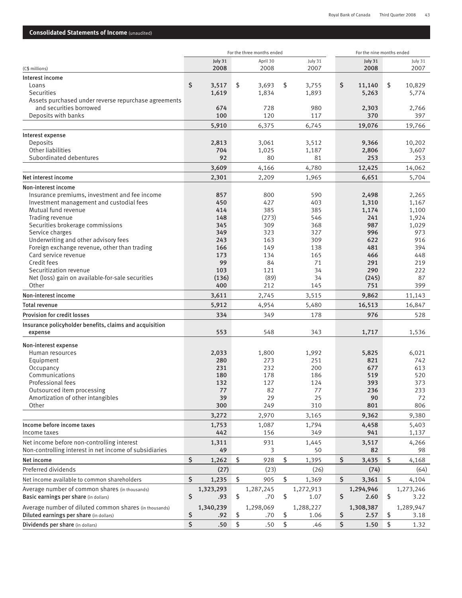|                                                                                                      |                      | For the three months ended |                      |     | For the nine months ended |                       |
|------------------------------------------------------------------------------------------------------|----------------------|----------------------------|----------------------|-----|---------------------------|-----------------------|
|                                                                                                      | July 31              | April 30                   | July 31              |     | July 31                   | July 31               |
| (C\$ millions)                                                                                       | 2008                 | 2008                       | 2007                 |     | 2008                      | 2007                  |
| Interest income                                                                                      |                      |                            |                      |     |                           |                       |
| Loans<br>Securities                                                                                  | \$<br>3,517<br>1,619 | \$<br>3,693<br>1,834       | \$<br>3,755<br>1,893 | \$  | 11,140<br>5,263           | \$<br>10,829<br>5,774 |
| Assets purchased under reverse repurchase agreements                                                 |                      |                            |                      |     |                           |                       |
| and securities borrowed                                                                              | 674                  | 728                        | 980                  |     | 2,303                     | 2,766                 |
| Deposits with banks                                                                                  | 100                  | 120                        | 117                  |     | 370                       | 397                   |
|                                                                                                      | 5,910                | 6,375                      | 6,745                |     | 19,076                    | 19,766                |
| Interest expense                                                                                     |                      |                            |                      |     |                           |                       |
| Deposits                                                                                             | 2,813                | 3,061                      | 3,512                |     | 9,366                     | 10,202                |
| Other liabilities                                                                                    | 704                  | 1,025                      | 1,187                |     | 2,806                     | 3,607                 |
| Subordinated debentures                                                                              | 92                   | 80                         | 81                   |     | 253                       | 253                   |
|                                                                                                      | 3,609                | 4,166                      | 4,780                |     | 12,425                    | 14,062                |
| Net interest income                                                                                  | 2,301                | 2,209                      | 1,965                |     | 6,651                     | 5,704                 |
| Non-interest income                                                                                  |                      |                            |                      |     |                           |                       |
| Insurance premiums, investment and fee income                                                        | 857                  | 800                        | 590                  |     | 2,498                     | 2,265                 |
| Investment management and custodial fees                                                             | 450                  | 427                        | 403                  |     | 1,310                     | 1,167                 |
| Mutual fund revenue                                                                                  | 414                  | 385                        | 385                  |     | 1,174                     | 1,100                 |
| Trading revenue                                                                                      | 148                  | (273)<br>309               | 546<br>368           |     | 241<br>987                | 1,924                 |
| Securities brokerage commissions<br>Service charges                                                  | 345<br>349           | 323                        | 327                  |     | 996                       | 1,029<br>973          |
| Underwriting and other advisory fees                                                                 | 243                  | 163                        | 309                  |     | 622                       | 916                   |
| Foreign exchange revenue, other than trading                                                         | 166                  | 149                        | 138                  |     | 481                       | 394                   |
| Card service revenue                                                                                 | 173                  | 134                        | 165                  |     | 466                       | 448                   |
| Credit fees                                                                                          | 99                   | 84                         | 71                   |     | 291                       | 219                   |
| Securitization revenue                                                                               | 103                  | 121                        | 34                   |     | 290                       | 222                   |
| Net (loss) gain on available-for-sale securities                                                     | (136)                | (89)                       | 34                   |     | (245)                     | 87                    |
| Other                                                                                                | 400                  | 212                        | 145                  |     | 751                       | 399                   |
| Non-interest income                                                                                  | 3,611                | 2,745                      | 3,515                |     | 9,862                     | 11,143                |
| <b>Total revenue</b>                                                                                 | 5,912                | 4,954                      | 5,480                |     | 16,513                    | 16,847                |
| <b>Provision for credit losses</b>                                                                   | 334                  | 349                        | 178                  |     | 976                       | 528                   |
| Insurance policyholder benefits, claims and acquisition                                              |                      |                            |                      |     |                           |                       |
| expense                                                                                              | 553                  | 548                        | 343                  |     | 1,717                     | 1,536                 |
| Non-interest expense                                                                                 |                      |                            |                      |     |                           |                       |
| Human resources                                                                                      | 2,033                | 1,800                      | 1,992                |     | 5,825                     | 6,021                 |
| Equipment                                                                                            | 280                  | 273                        | 251                  |     | 821                       | 742                   |
| Occupancy                                                                                            | 231                  | 232                        | 200                  |     | 677                       | 613                   |
| Communications<br><b>Professional fees</b>                                                           | 180                  | 178<br>127                 | 186                  |     | 519<br>393                | 520<br>373            |
| Outsourced item processing                                                                           | 132<br>77            | 82                         | 124<br>77            |     | 236                       | 233                   |
| Amortization of other intangibles                                                                    | 39                   | 29                         | 25                   |     | 90                        | 72                    |
| Other                                                                                                | 300                  | 249                        | 310                  |     | 801                       | 806                   |
|                                                                                                      | 3,272                | 2,970                      | 3,165                |     | 9,362                     | 9,380                 |
| Income before income taxes                                                                           | 1,753                | 1,087                      | 1,794                |     | 4,458                     | 5,403                 |
| Income taxes                                                                                         | 442                  | 156                        | 349                  |     | 941                       | 1,137                 |
| Net income before non-controlling interest<br>Non-controlling interest in net income of subsidiaries | 1,311<br>49          | 931<br>3                   | 1,445<br>50          |     | 3,517<br>82               | 4,266<br>98           |
| Net income                                                                                           | \$<br>1,262          | \$<br>928                  | \$<br>1,395          | \$  | 3,435                     | \$<br>4,168           |
| Preferred dividends                                                                                  | (27)                 | (23)                       | (26)                 |     | (74)                      | (64)                  |
| Net income available to common shareholders                                                          | \$<br>1,235          | \$<br>905                  | \$<br>1,369          | \$. | 3,361                     | \$<br>4,104           |
| Average number of common shares (in thousands)                                                       | 1,323,293            | 1,287,245                  | 1,272,913            |     | 1,294,946                 | 1,273,246             |
| Basic earnings per share (in dollars)                                                                | \$<br>.93            | \$<br>.70                  | \$<br>1.07           | \$  | 2.60                      | \$<br>3.22            |
| Average number of diluted common shares (in thousands)                                               | 1,340,239            | 1,298,069                  | 1,288,227            |     | 1,308,387                 | 1,289,947             |
| Diluted earnings per share (in dollars)                                                              | \$<br>.92            | \$<br>.70                  | \$<br>1.06           | \$  | 2.57                      | \$<br>3.18            |
| Dividends per share (in dollars)                                                                     | \$<br>.50            | \$<br>.50                  | \$<br>.46            | \$  | 1.50                      | \$<br>1.32            |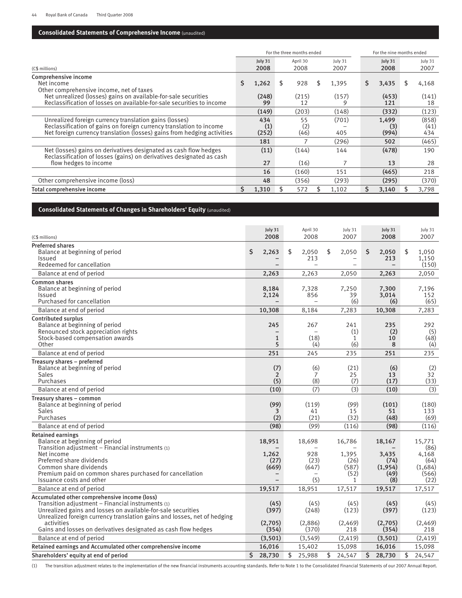# **Consolidated Statements of Comprehensive Income** (unaudited)

|                                                                         |    |         |    | For the three months ended |     |                | For the nine months ended |         |   |         |
|-------------------------------------------------------------------------|----|---------|----|----------------------------|-----|----------------|---------------------------|---------|---|---------|
|                                                                         |    | July 31 |    | April 30                   |     | July 31        |                           | July 31 |   | July 31 |
| (C\$ millions)                                                          |    | 2008    |    | 2008                       |     | 2007           |                           | 2008    |   | 2007    |
| Comprehensive income                                                    |    |         |    |                            |     |                |                           |         |   |         |
| Net income                                                              | S  | 1,262   | S. | 928                        | \$. | 1,395          | S                         | 3,435   | S | 4,168   |
| Other comprehensive income, net of taxes                                |    |         |    |                            |     |                |                           |         |   |         |
| Net unrealized (losses) gains on available-for-sale securities          |    | (248)   |    | (215)                      |     | (157)          |                           | (453)   |   | (141)   |
| Reclassification of losses on available-for-sale securities to income   |    | 99      |    | 12                         |     |                |                           | 121     |   | 18      |
|                                                                         |    | (149)   |    | (203)                      |     | (148)          |                           | (332)   |   | (123)   |
| Unrealized foreign currency translation gains (losses)                  |    | 434     |    | 55                         |     | (701)          |                           | 1,499   |   | (858)   |
| Reclassification of gains on foreign currency translation to income     |    | (1)     |    | (2)                        |     |                |                           | (3)     |   | (41)    |
| Net foreign currency translation (losses) gains from hedging activities |    | (252)   |    | (46)                       |     | 405            |                           | (994)   |   | 434     |
|                                                                         |    | 181     |    |                            |     | (296)          |                           | 502     |   | (465)   |
| Net (losses) gains on derivatives designated as cash flow hedges        |    | (11)    |    | (144)                      |     | 144            |                           | (478)   |   | 190     |
| Reclassification of losses (gains) on derivatives designated as cash    |    |         |    |                            |     |                |                           |         |   |         |
| flow hedges to income                                                   |    | 27      |    | (16)                       |     | $\overline{7}$ |                           | 13      |   | 28      |
|                                                                         |    | 16      |    | (160)                      |     | 151            |                           | (465)   |   | 218     |
| Other comprehensive income (loss)                                       |    | 48      |    | (356)                      |     | (293)          |                           | (295)   |   | (370)   |
| Total comprehensive income                                              | Ŝ. | 1,310   |    | 572                        |     | 1,102          | S                         | 3,140   |   | 3,798   |
|                                                                         |    |         |    |                            |     |                |                           |         |   |         |

# **Consolidated Statements of Changes in Shareholders' Equity** (unaudited)

|                                                                                                                                                                                                                                                | July 31                                              | April 30                     | July 31                           |    | July 31                 | July 31                         |
|------------------------------------------------------------------------------------------------------------------------------------------------------------------------------------------------------------------------------------------------|------------------------------------------------------|------------------------------|-----------------------------------|----|-------------------------|---------------------------------|
| (C\$ millions)                                                                                                                                                                                                                                 | 2008                                                 | 2008                         | 2007                              |    | 2008                    | 2007                            |
| <b>Preferred shares</b><br>Balance at beginning of period<br>Issued<br>Redeemed for cancellation                                                                                                                                               | \$<br>2,263                                          | \$<br>2,050<br>213           | \$<br>2,050                       | \$ | 2,050<br>213            | \$<br>1,050<br>1.150<br>(150)   |
| Balance at end of period                                                                                                                                                                                                                       | 2,263                                                | 2,263                        | 2,050                             |    | 2,263                   | 2,050                           |
| <b>Common shares</b><br>Balance at beginning of period<br>Issued<br>Purchased for cancellation                                                                                                                                                 | 8,184<br>2,124                                       | 7,328<br>856                 | 7,250<br>39<br>(6)                |    | 7,300<br>3,014<br>(6)   | 7,196<br>152<br>(65)            |
| Balance at end of period                                                                                                                                                                                                                       | 10,308                                               | 8,184                        | 7,283                             |    | 10,308                  | 7,283                           |
| <b>Contributed surplus</b><br>Balance at beginning of period<br>Renounced stock appreciation rights<br>Stock-based compensation awards<br>Other                                                                                                | 245<br>$\overline{\phantom{0}}$<br>$\mathbf{1}$<br>5 | 267<br>(18)<br>(4)           | 241<br>(1)<br>$\mathbf{1}$<br>(6) |    | 235<br>(2)<br>10<br>8   | 292<br>(5)<br>(48)<br>(4)       |
| Balance at end of period                                                                                                                                                                                                                       | 251                                                  | 245                          | 235                               |    | 251                     | 235                             |
| Treasury shares - preferred<br>Balance at beginning of period<br><b>Sales</b><br>Purchases                                                                                                                                                     | (7)<br>$\overline{2}$<br>(5)                         | (6)<br>$\overline{7}$<br>(8) | (21)<br>25<br>(7)                 |    | (6)<br>13<br>(17)       | (2)<br>32<br>(33)               |
| Balance at end of period                                                                                                                                                                                                                       | (10)                                                 | (7)                          | (3)                               |    | (10)                    | (3)                             |
| Treasury shares - common<br>Balance at beginning of period<br>Sales<br>Purchases                                                                                                                                                               | (99)<br>3<br>(2)                                     | (119)<br>41<br>(21)          | (99)<br>15<br>(32)                |    | (101)<br>51<br>(48)     | (180)<br>133<br>(69)            |
| Balance at end of period                                                                                                                                                                                                                       | (98)                                                 | (99)                         | (116)                             |    | (98)                    | (116)                           |
| <b>Retained earnings</b><br>Balance at beginning of period<br>Transition adjustment - Financial instruments (1)<br>Net income<br>Preferred share dividends                                                                                     | 18,951<br>1,262<br>(27)                              | 18,698<br>928<br>(23)        | 16,786<br>1,395<br>(26)           |    | 18,167<br>3,435<br>(74) | 15,771<br>(86)<br>4,168<br>(64) |
| Common share dividends<br>Premium paid on common shares purchased for cancellation<br>Issuance costs and other                                                                                                                                 | (669)                                                | (647)<br>(5)                 | (587)<br>(52)<br>$\mathbf{1}$     |    | (1,954)<br>(49)<br>(8)  | (1,684)<br>(566)<br>(22)        |
| Balance at end of period                                                                                                                                                                                                                       | 19,517                                               | 18,951                       | 17,517                            |    | 19,517                  | 17,517                          |
| Accumulated other comprehensive income (loss)<br>Transition adjustment - Financial instruments (1)<br>Unrealized gains and losses on available-for-sale securities<br>Unrealized foreign currency translation gains and losses, net of hedging | (45)<br>(397)                                        | (45)<br>(248)                | (45)<br>(123)                     |    | (45)<br>(397)           | (45)<br>(123)                   |
| activities<br>Gains and losses on derivatives designated as cash flow hedges                                                                                                                                                                   | (2,705)<br>(354)                                     | (2,886)<br>(370)             | (2,469)<br>218                    |    | (2,705)<br>(354)        | (2,469)<br>218                  |
| Balance at end of period                                                                                                                                                                                                                       | (3,501)                                              | (3, 549)                     | (2, 419)                          |    | (3, 501)                | (2,419)                         |
| Retained earnings and Accumulated other comprehensive income                                                                                                                                                                                   | 16,016                                               | 15,402                       | 15,098                            |    | 16,016                  | 15,098                          |
| Shareholders' equity at end of period                                                                                                                                                                                                          | \$<br>28,730                                         | \$<br>25,988                 | \$<br>24,547                      | S. | 28,730                  | \$<br>24,547                    |

(1) The transition adjustment relates to the implementation of the new financial instruments accounting standards. Refer to Note 1 to the Consolidated Financial Statements of our 2007 Annual Report.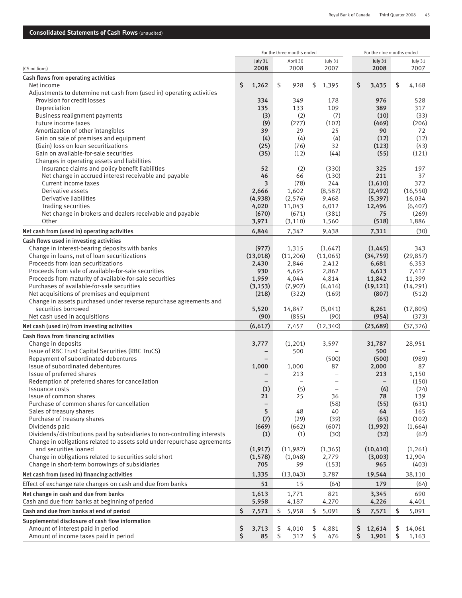|                                                                                                   |                         | For the three months ended |                          |                    | For the nine months ended |
|---------------------------------------------------------------------------------------------------|-------------------------|----------------------------|--------------------------|--------------------|---------------------------|
|                                                                                                   | July 31                 | April 30                   | July 31                  | July 31            | July 31                   |
| (C\$ millions)                                                                                    | 2008                    | 2008                       | 2007                     | 2008               | 2007                      |
| Cash flows from operating activities<br>Net income                                                | $\mathsf{S}$<br>1,262   | \$<br>928                  | \$<br>1,395              | \$<br>3,435        | \$<br>4,168               |
| Adjustments to determine net cash from (used in) operating activities                             |                         |                            |                          |                    |                           |
| Provision for credit losses                                                                       | 334                     | 349                        | 178                      | 976                | 528                       |
| Depreciation                                                                                      | 135                     | 133                        | 109                      | 389                | 317                       |
| <b>Business realignment payments</b>                                                              | (3)                     | (2)                        | (7)                      | (10)               | (33)                      |
| Future income taxes                                                                               | (9)                     | (277)                      | (102)                    | (469)              | (206)                     |
| Amortization of other intangibles                                                                 | 39                      | 29<br>(4)                  | 25<br>(4)                | 90                 | 72<br>(12)                |
| Gain on sale of premises and equipment<br>(Gain) loss on loan securitizations                     | (4)<br>(25)             | (76)                       | 32                       | (12)<br>(123)      | (43)                      |
| Gain on available-for-sale securities                                                             | (35)                    | (12)                       | (44)                     | (55)               | (121)                     |
| Changes in operating assets and liabilities                                                       |                         |                            |                          |                    |                           |
| Insurance claims and policy benefit liabilities                                                   | 52                      | (2)                        | (330)                    | 325                | 197                       |
| Net change in accrued interest receivable and payable                                             | 46                      | 66                         | (130)                    | 211                | 37                        |
| Current income taxes                                                                              | 3                       | (78)                       | 244                      | (1,610)            | 372                       |
| Derivative assets                                                                                 | 2,666                   | 1,602                      | (8, 587)                 | (2,492)            | (16, 550)                 |
| Derivative liabilities<br>Trading securities                                                      | (4,938)<br>4,020        | (2, 576)<br>11,043         | 9,468                    | (5, 397)<br>12,496 | 16,034<br>(6,407)         |
| Net change in brokers and dealers receivable and payable                                          | (670)                   | (671)                      | 6,012<br>(381)           | 75                 | (269)                     |
| Other                                                                                             | 3,971                   | (3, 110)                   | 1,560                    | (518)              | 1,886                     |
| Net cash from (used in) operating activities                                                      | 6,844                   | 7,342                      | 9,438                    | 7,311              | (30)                      |
| Cash flows used in investing activities                                                           |                         |                            |                          |                    |                           |
| Change in interest-bearing deposits with banks                                                    | (977)                   | 1,315                      | (1,647)                  | (1,445)            | 343                       |
| Change in loans, net of loan securitizations                                                      | (13,018)                | (11, 206)                  | (11, 065)                | (34, 759)          | (29, 857)                 |
| Proceeds from loan securitizations                                                                | 2,430                   | 2,846                      | 2,412                    | 6,681              | 6,353                     |
| Proceeds from sale of available-for-sale securities                                               | 930                     | 4,695                      | 2,862                    | 6,613              | 7,417                     |
| Proceeds from maturity of available-for-sale securities                                           | 1,959                   | 4,044                      | 4,814                    | 11,842             | 11,399                    |
| Purchases of available-for-sale securities                                                        | (3, 153)                | (7,907)                    | (4, 416)                 | (19, 121)          | (14, 291)                 |
| Net acquisitions of premises and equipment                                                        | (218)                   | (322)                      | (169)                    | (807)              | (512)                     |
| Change in assets purchased under reverse repurchase agreements and<br>securities borrowed         | 5,520                   | 14,847                     | (5,041)                  | 8,261              | (17, 805)                 |
| Net cash used in acquisitions                                                                     | (90)                    | (855)                      | (90)                     | (954)              | (373)                     |
| Net cash (used in) from investing activities                                                      | (6,617)                 | 7,457                      | (12, 340)                | (23, 689)          | (37, 326)                 |
| Cash flows from financing activities                                                              |                         |                            |                          |                    |                           |
| Change in deposits                                                                                | 3,777                   | (1,201)                    | 3,597                    | 31,787             | 28,951                    |
| Issue of RBC Trust Capital Securities (RBC TruCS)                                                 |                         | 500                        |                          | 500                |                           |
| Repayment of subordinated debentures                                                              |                         |                            | (500)                    | (500)              | (989)                     |
| Issue of subordinated debentures                                                                  | 1,000                   | 1,000                      | 87                       | 2,000              | 87                        |
| Issue of preferred shares                                                                         |                         | 213                        |                          | 213                | 1,150                     |
| Redemption of preferred shares for cancellation<br>Issuance costs                                 | (1)                     | (5)                        | $\overline{\phantom{0}}$ | (6)                | (150)<br>(24)             |
| Issue of common shares                                                                            | 21                      | 25                         | 36                       | 78                 | 139                       |
| Purchase of common shares for cancellation                                                        | —                       |                            | (58)                     | (55)               | (631)                     |
| Sales of treasury shares                                                                          | 5                       | 48                         | 40                       | 64                 | 165                       |
| Purchase of treasury shares                                                                       | (7)                     | (29)                       | (39)                     | (65)               | (102)                     |
| Dividends paid                                                                                    | (669)                   | (662)                      | (607)                    | (1,992)            | (1,664)                   |
| Dividends/distributions paid by subsidiaries to non-controlling interests                         | (1)                     | (1)                        | (30)                     | (32)               | (62)                      |
| Change in obligations related to assets sold under repurchase agreements<br>and securities loaned | (1, 917)                | (11,982)                   | (1, 365)                 | (10, 410)          | (1,261)                   |
| Change in obligations related to securities sold short                                            | (1, 578)                | (1,048)                    | 2,779                    | (3,003)            | 12,904                    |
| Change in short-term borrowings of subsidiaries                                                   | 705                     | 99                         | (153)                    | 965                | (403)                     |
| Net cash from (used in) financing activities                                                      | 1,335                   | (13, 043)                  | 3,787                    | 19,544             | 38,110                    |
| Effect of exchange rate changes on cash and due from banks                                        | 51                      | 15                         | (64)                     | 179                | (64)                      |
| Net change in cash and due from banks                                                             | 1,613                   | 1,771                      | 821                      | 3,345              | 690                       |
| Cash and due from banks at beginning of period                                                    | 5,958                   | 4,187                      | 4,270                    | 4,226              | 4,401                     |
| Cash and due from banks at end of period                                                          | \$<br>7,571             | \$<br>5,958                | \$<br>5,091              | \$<br>7,571        | \$<br>5,091               |
| Supplemental disclosure of cash flow information                                                  |                         |                            |                          |                    |                           |
| Amount of interest paid in period<br>Amount of income taxes paid in period                        | \$<br>3,713<br>\$<br>85 | \$<br>4,010<br>\$<br>312   | \$<br>4,881<br>\$<br>476 | \$<br>12,614<br>\$ | \$<br>14,061<br>\$        |
|                                                                                                   |                         |                            |                          | 1,901              | 1,163                     |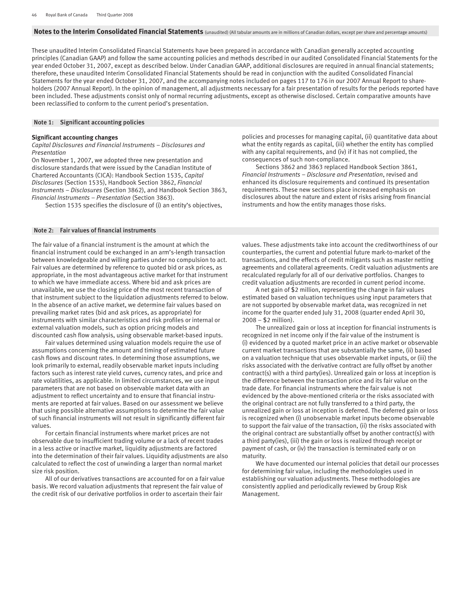**Notes to the Interim Consolidated Financial Statements** (unaudited) (All tabular amounts are in millions of Canadian dollars, except per share and percentage amounts)

These unaudited Interim Consolidated Financial Statements have been prepared in accordance with Canadian generally accepted accounting principles (Canadian GAAP) and follow the same accounting policies and methods described in our audited Consolidated Financial Statements for the year ended October 31, 2007, except as described below. Under Canadian GAAP, additional disclosures are required in annual financial statements; therefore, these unaudited Interim Consolidated Financial Statements should be read in conjunction with the audited Consolidated Financial Statements for the year ended October 31, 2007, and the accompanying notes included on pages 117 to 176 in our 2007 Annual Report to shareholders (2007 Annual Report). In the opinion of management, all adjustments necessary for a fair presentation of results for the periods reported have been included. These adjustments consist only of normal recurring adjustments, except as otherwise disclosed. Certain comparative amounts have been reclassified to conform to the current period's presentation.

## Note 1: Significant accounting policies

#### **Significant accounting changes**

*Capital Disclosures and Financial Instruments – Disclosures and Presentation*

On November 1, 2007, we adopted three new presentation and disclosure standards that were issued by the Canadian Institute of Chartered Accountants (CICA): Handbook Section 1535, *Capital Disclosures* (Section 1535), Handbook Section 3862, *Financial Instruments – Disclosures* (Section 3862), and Handbook Section 3863, *Financial Instruments – Presentation* (Section 3863).

Section 1535 specifies the disclosure of (i) an entity's objectives,

#### Note 2: Fair values of financial instruments

The fair value of a financial instrument is the amount at which the financial instrument could be exchanged in an arm's-length transaction between knowledgeable and willing parties under no compulsion to act. Fair values are determined by reference to quoted bid or ask prices, as appropriate, in the most advantageous active market for that instrument to which we have immediate access. Where bid and ask prices are unavailable, we use the closing price of the most recent transaction of that instrument subject to the liquidation adjustments referred to below. In the absence of an active market, we determine fair values based on prevailing market rates (bid and ask prices, as appropriate) for instruments with similar characteristics and risk profiles or internal or external valuation models, such as option pricing models and discounted cash flow analysis, using observable market-based inputs.

Fair values determined using valuation models require the use of assumptions concerning the amount and timing of estimated future cash flows and discount rates. In determining those assumptions, we look primarily to external, readily observable market inputs including factors such as interest rate yield curves, currency rates, and price and rate volatilities, as applicable. In limited circumstances, we use input parameters that are not based on observable market data with an adjustment to reflect uncertainty and to ensure that financial instruments are reported at fair values. Based on our assessment we believe that using possible alternative assumptions to determine the fair value of such financial instruments will not result in significantly different fair values.

For certain financial instruments where market prices are not observable due to insufficient trading volume or a lack of recent trades in a less active or inactive market, liquidity adjustments are factored into the determination of their fair values. Liquidity adjustments are also calculated to reflect the cost of unwinding a larger than normal market size risk position.

All of our derivatives transactions are accounted for on a fair value basis. We record valuation adjustments that represent the fair value of the credit risk of our derivative portfolios in order to ascertain their fair

policies and processes for managing capital, (ii) quantitative data about what the entity regards as capital, (iii) whether the entity has complied with any capital requirements, and (iv) if it has not complied, the consequences of such non-compliance.

Sections 3862 and 3863 replaced Handbook Section 3861, *Financial Instruments – Disclosure and Presentation*, revised and enhanced its disclosure requirements and continued its presentation requirements. These new sections place increased emphasis on disclosures about the nature and extent of risks arising from financial instruments and how the entity manages those risks.

values. These adjustments take into account the creditworthiness of our counterparties, the current and potential future mark-to-market of the transactions, and the effects of credit mitigants such as master netting agreements and collateral agreements. Credit valuation adjustments are recalculated regularly for all of our derivative portfolios. Changes to credit valuation adjustments are recorded in current period income.

A net gain of \$2 million, representing the change in fair values estimated based on valuation techniques using input parameters that are not supported by observable market data, was recognized in net income for the quarter ended July 31, 2008 (quarter ended April 30, 2008 – \$2 million).

The unrealized gain or loss at inception for financial instruments is recognized in net income only if the fair value of the instrument is (i) evidenced by a quoted market price in an active market or observable current market transactions that are substantially the same, (ii) based on a valuation technique that uses observable market inputs, or (iii) the risks associated with the derivative contract are fully offset by another contract(s) with a third party(ies). Unrealized gain or loss at inception is the difference between the transaction price and its fair value on the trade date. For financial instruments where the fair value is not evidenced by the above-mentioned criteria or the risks associated with the original contract are not fully transferred to a third party, the unrealized gain or loss at inception is deferred. The deferred gain or loss is recognized when (i) unobservable market inputs become observable to support the fair value of the transaction, (ii) the risks associated with the original contract are substantially offset by another contract(s) with a third party(ies), (iii) the gain or loss is realized through receipt or payment of cash, or (iv) the transaction is terminated early or on maturity.

We have documented our internal policies that detail our processes for determining fair value, including the methodologies used in establishing our valuation adjustments. These methodologies are consistently applied and periodically reviewed by Group Risk Management.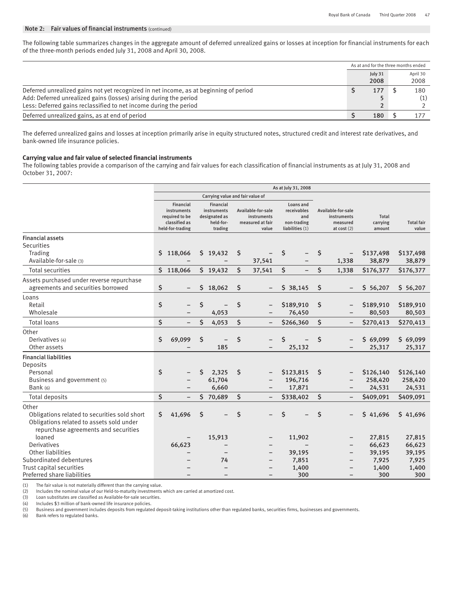# Note 2: Fair values of financial instruments (continued)

The following table summarizes changes in the aggregate amount of deferred unrealized gains or losses at inception for financial instruments for each of the three-month periods ended July 31, 2008 and April 30, 2008.

|                                                                                                                                                                                                                                 |                 | As at and for the three months ended |
|---------------------------------------------------------------------------------------------------------------------------------------------------------------------------------------------------------------------------------|-----------------|--------------------------------------|
|                                                                                                                                                                                                                                 | July 31<br>2008 | April 30<br>2008                     |
| Deferred unrealized gains not yet recognized in net income, as at beginning of period<br>Add: Deferred unrealized gains (losses) arising during the period<br>Less: Deferred gains reclassified to net income during the period | 177             | 180<br>(1)                           |
| Deferred unrealized gains, as at end of period                                                                                                                                                                                  | 180             |                                      |

The deferred unrealized gains and losses at inception primarily arise in equity structured notes, structured credit and interest rate derivatives, and bank-owned life insurance policies.

# **Carrying value and fair value of selected financial instruments**

The following tables provide a comparison of the carrying and fair values for each classification of financial instruments as at July 31, 2008 and October 31, 2007:

|                                                                                                                                           |    |                                                                                 |    |                                                                   |         |                                                                | As at July 31, 2008 |                                                |     |                                                               |                                    |                                |
|-------------------------------------------------------------------------------------------------------------------------------------------|----|---------------------------------------------------------------------------------|----|-------------------------------------------------------------------|---------|----------------------------------------------------------------|---------------------|------------------------------------------------|-----|---------------------------------------------------------------|------------------------------------|--------------------------------|
|                                                                                                                                           |    |                                                                                 |    | Carrying value and fair value of                                  |         |                                                                |                     |                                                |     |                                                               |                                    |                                |
|                                                                                                                                           |    | Financial<br>instruments<br>required to be<br>classified as<br>held-for-trading |    | Financial<br>instruments<br>designated as<br>held-for-<br>trading |         | Available-for-sale<br>instruments<br>measured at fair<br>value | liabilities (1)     | Loans and<br>receivables<br>and<br>non-trading |     | Available-for-sale<br>instruments<br>measured<br>at $cost(2)$ | <b>Total</b><br>carrying<br>amount | <b>Total fair</b><br>value     |
| <b>Financial assets</b><br><b>Securities</b><br>Trading<br>Available-for-sale (3)                                                         |    | \$118,066                                                                       |    | \$19,432                                                          | \$.     | $\overline{\phantom{0}}$<br>37,541                             | \$                  |                                                | \$  | $\qquad \qquad -$<br>1,338                                    | \$137,498<br>38,879                | \$137,498<br>38,879            |
| <b>Total securities</b>                                                                                                                   |    | \$118,066                                                                       |    | \$19,432                                                          | $\zeta$ | 37,541                                                         | \$                  |                                                | \$  | 1,338                                                         | \$176,377                          | \$176,377                      |
| Assets purchased under reverse repurchase<br>agreements and securities borrowed                                                           | \$ |                                                                                 |    | \$18,062                                                          | \$      |                                                                | \$ 38,145           |                                                | \$  |                                                               | \$56,207                           | \$56,207                       |
| Loans<br>Retail<br>Wholesale                                                                                                              | \$ |                                                                                 | \$ | 4,053                                                             | \$      |                                                                | \$189,910           | 76,450                                         | \$  |                                                               | \$189,910<br>80,503                | \$189,910<br>80,503            |
| <b>Total loans</b>                                                                                                                        | \$ | $\overline{\phantom{0}}$                                                        | \$ | 4,053                                                             | \$      | $\overline{\phantom{0}}$                                       | \$266,360           |                                                | \$  | -                                                             | \$270,413                          | \$270,413                      |
| Other<br>Derivatives (4)<br>Other assets                                                                                                  | \$ | 69,099                                                                          | \$ | $\qquad \qquad -$<br>185                                          | \$      |                                                                | \$                  | $\qquad \qquad -$<br>25,132                    | \$  |                                                               | \$69,099<br>25,317                 | \$69,099<br>25,317             |
| <b>Financial liabilities</b><br>Deposits                                                                                                  |    |                                                                                 |    |                                                                   |         |                                                                |                     |                                                |     |                                                               |                                    |                                |
| Personal<br>Business and government (5)<br>Bank $(6)$                                                                                     | \$ |                                                                                 | Ś  | 2.325<br>61,704<br>6,660                                          | \$.     |                                                                | \$123,815           | 196,716<br>17,871                              | S   | -                                                             | \$126,140<br>258,420<br>24,531     | \$126,140<br>258,420<br>24,531 |
| Total deposits                                                                                                                            | \$ | $\overline{\phantom{0}}$                                                        |    | \$70,689                                                          | \$      | —                                                              | \$338,402           |                                                | \$. | $\qquad \qquad -$                                             | \$409,091                          | \$409,091                      |
| Other<br>Obligations related to securities sold short<br>Obligations related to assets sold under<br>repurchase agreements and securities | Ŝ. | 41,696                                                                          | \$ |                                                                   | Ś       |                                                                | \$                  |                                                | \$  |                                                               | \$41,696                           | \$41,696                       |
| loaned<br><b>Derivatives</b><br>Other liabilities                                                                                         |    | 66,623                                                                          |    | 15,913<br>$\overline{\phantom{0}}$                                |         | $\overline{\phantom{0}}$                                       |                     | 11,902<br>39,195                               |     |                                                               | 27,815<br>66,623<br>39,195         | 27,815<br>66,623<br>39,195     |
| Subordinated debentures<br>Trust capital securities<br>Preferred share liabilities                                                        |    |                                                                                 |    | 74                                                                |         |                                                                |                     | 7,851<br>1,400<br>300                          |     |                                                               | 7,925<br>1,400<br>300              | 7,925<br>1,400<br>300          |

(1) The fair value is not materially different than the carrying value.

(2) Includes the nominal value of our Held-to-maturity investments which are carried at amortized cost.<br>(3) Loan substitutes are classified as Available-for-sale securities.

(3) Loan substitutes are classified as Available-for-sale securities.

(4) Includes \$3 million of bank-owned life insurance policies.

(5) Business and government includes deposits from regulated deposit-taking institutions other than regulated banks, securities firms, businesses and governments.

(6) Bank refers to regulated banks.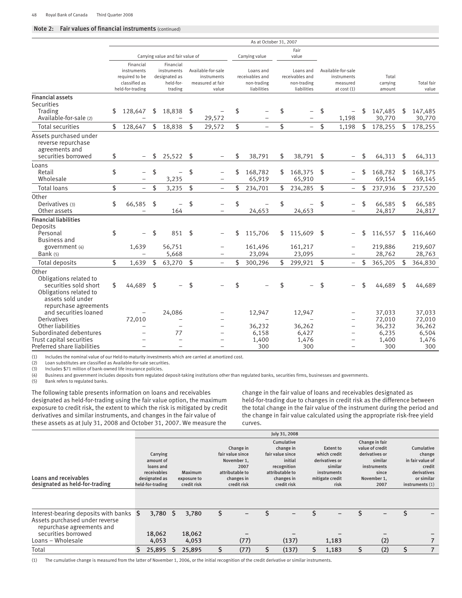## Note 2: Fair values of financial instruments (continued)

|                                                                                                                                  |                                                                                 |    |                                                                   |                                                                | As at October 31, 2007                                     |                                                            |                                                               |    |                                              |                                              |
|----------------------------------------------------------------------------------------------------------------------------------|---------------------------------------------------------------------------------|----|-------------------------------------------------------------------|----------------------------------------------------------------|------------------------------------------------------------|------------------------------------------------------------|---------------------------------------------------------------|----|----------------------------------------------|----------------------------------------------|
|                                                                                                                                  |                                                                                 |    | Carrying value and fair value of                                  |                                                                | Carrying value                                             | Fair<br>value                                              |                                                               |    |                                              |                                              |
|                                                                                                                                  | Financial<br>instruments<br>required to be<br>classified as<br>held-for-trading |    | Financial<br>instruments<br>designated as<br>held-for-<br>trading | Available-for-sale<br>instruments<br>measured at fair<br>value | Loans and<br>receivables and<br>non-trading<br>liabilities | Loans and<br>receivables and<br>non-trading<br>liabilities | Available-for-sale<br>instruments<br>measured<br>at $cost(1)$ |    | Total<br>carrying<br>amount                  | <b>Total fair</b><br>value                   |
| <b>Financial assets</b><br><b>Securities</b><br><b>Trading</b><br>Available-for-sale (2)                                         | \$<br>128,647                                                                   | S  | 18,838                                                            | \$<br>29,572                                                   | \$                                                         | \$                                                         | \$<br>1,198                                                   | S  | 147,485<br>30,770                            | \$<br>147,485<br>30,770                      |
| <b>Total securities</b>                                                                                                          | \$<br>128,647                                                                   | \$ | 18,838                                                            | \$<br>29,572                                                   | \$                                                         | \$<br>$\equiv$                                             | \$<br>1,198                                                   | \$ | 178,255                                      | \$<br>178,255                                |
| Assets purchased under<br>reverse repurchase<br>agreements and<br>securities borrowed                                            | \$                                                                              | \$ | 25,522                                                            | \$                                                             | \$<br>38,791                                               | \$<br>38,791                                               | \$<br>$\qquad \qquad -$                                       | \$ | 64,313                                       | \$<br>64,313                                 |
| Loans<br>Retail<br>Wholesale                                                                                                     | \$                                                                              | \$ | $\overline{\phantom{0}}$<br>3,235                                 | \$                                                             | 168,782<br>65,919                                          | \$<br>168,375<br>65,910                                    | \$                                                            | \$ | 168,782<br>69,154                            | \$<br>168,375<br>69,145                      |
| <b>Total loans</b>                                                                                                               | \$<br>$\overline{\phantom{m}}$                                                  | \$ | 3,235                                                             | \$<br>$\overline{\phantom{0}}$                                 | \$<br>234,701                                              | \$<br>234,285                                              | \$<br>$\qquad \qquad -$                                       | \$ | 237,936                                      | \$<br>237,520                                |
| Other<br>Derivatives (3)<br>Other assets                                                                                         | \$<br>66,585                                                                    | \$ | $\equiv$<br>164                                                   | \$<br>$\equiv$                                                 | \$<br>24,653                                               | \$<br>$\equiv$<br>24,653                                   | \$                                                            | \$ | 66,585<br>24,817                             | \$<br>66,585<br>24,817                       |
| <b>Financial liabilities</b><br>Deposits<br>Personal<br>Business and<br>government (4)<br>Bank $(5)$                             | \$<br>1,639                                                                     | \$ | 851<br>56,751<br>5,668                                            | \$<br>$\equiv$                                                 | 115,706<br>161,496<br>23,094                               | \$<br>115,609<br>161,217<br>23,095                         | \$                                                            | \$ | 116,557<br>219,886<br>28,762                 | \$<br>116,460<br>219,607<br>28,763           |
| Total deposits                                                                                                                   | \$<br>1,639                                                                     | \$ | 63,270                                                            | \$<br>$\equiv$                                                 | \$<br>300,296                                              | \$<br>299,921                                              | \$<br>$\equiv$                                                | \$ | 365,205                                      | \$<br>364,830                                |
| Other<br>Obligations related to<br>securities sold short<br>Obligations related to<br>assets sold under<br>repurchase agreements | \$<br>44,689                                                                    | \$ |                                                                   | \$                                                             | \$                                                         | \$                                                         | \$                                                            |    | 44,689                                       | \$<br>44,689                                 |
| and securities loaned<br>Derivatives<br>Other liabilities<br>Subordinated debentures<br>Trust capital securities                 | 72,010                                                                          |    | 24,086<br>$=$<br>77<br>$=$                                        |                                                                | 12,947<br>36,232<br>6,158<br>1,400                         | 12,947<br>36,262<br>6,427<br>1,476                         | $\equiv$                                                      |    | 37,033<br>72,010<br>36,232<br>6,235<br>1,400 | 37,033<br>72,010<br>36,262<br>6,504<br>1,476 |
| Preferred share liabilities                                                                                                      |                                                                                 |    |                                                                   |                                                                | 300                                                        | 300                                                        |                                                               |    | 300                                          | 300                                          |

(1) Includes the nominal value of our Held-to-maturity investments which are carried at amortized cost.

(2) Loan substitutes are classified as Available-for-sale securities.

(3) Includes \$71 million of bank-owned life insurance policies.<br>(4) Business and government includes deposits from regulated

Business and government includes deposits from regulated deposit-taking institutions other than regulated banks, securities firms, businesses and governments.

(5) Bank refers to regulated banks.

The following table presents information on loans and receivables designated as held-for-trading using the fair value option, the maximum exposure to credit risk, the extent to which the risk is mitigated by credit derivatives and similar instruments, and changes in the fair value of these assets as at July 31, 2008 and October 31, 2007. We measure the

change in the fair value of loans and receivables designated as held-for-trading due to changes in credit risk as the difference between the total change in the fair value of the instrument during the period and the change in fair value calculated using the appropriate risk-free yield curves.

|                                                                                                        |   |                          |     |                |                                | July 31, 2008                  |   |                          |    |                                   |     |                       |
|--------------------------------------------------------------------------------------------------------|---|--------------------------|-----|----------------|--------------------------------|--------------------------------|---|--------------------------|----|-----------------------------------|-----|-----------------------|
|                                                                                                        |   |                          |     |                | Change in                      | Cumulative<br>change in        |   | <b>Extent to</b>         |    | Change in fair<br>value of credit |     | Cumulative            |
|                                                                                                        |   | Carrying                 |     |                | fair value since               | fair value since               |   | which credit             |    | derivatives or                    |     | change                |
|                                                                                                        |   | amount of                |     |                | November 1,                    | initial                        |   | derivatives or           |    | similar                           |     | in fair value of      |
|                                                                                                        |   | loans and<br>receivables |     | <b>Maximum</b> | 2007<br>attributable to        | recognition<br>attributable to |   | similar<br>instruments   |    | instruments<br>since              |     | credit<br>derivatives |
| Loans and receivables                                                                                  |   | designated as            |     | exposure to    | changes in                     | changes in                     |   | mitigate credit          |    | November 1,                       |     | or similar            |
| designated as held-for-trading                                                                         |   | held-for-trading         |     | credit risk    | credit risk                    | credit risk                    |   | risk                     |    | 2007                              |     | instruments(1)        |
|                                                                                                        |   |                          |     |                |                                |                                |   |                          |    |                                   |     |                       |
| Interest-bearing deposits with banks \$<br>Assets purchased under reverse<br>repurchase agreements and |   | 3,780                    | - S | 3,780          | \$<br>$\overline{\phantom{0}}$ |                                | Ś | $\overline{\phantom{0}}$ | ς  |                                   | \$. |                       |
| securities borrowed                                                                                    |   | 18,062                   |     | 18,062         |                                |                                |   |                          |    |                                   |     |                       |
| Loans - Wholesale                                                                                      |   | 4,053                    |     | 4,053          | (77)                           | (137)                          |   | 1,183                    |    | (2)                               |     |                       |
| Total                                                                                                  | S | 25,895                   |     | 25,895         | \$<br>(77)                     | (137)                          | S | 1,183                    | \$ | (2)                               | S   |                       |

(1) The cumulative change is measured from the latter of November 1, 2006, or the initial recognition of the credit derivative or similar instruments.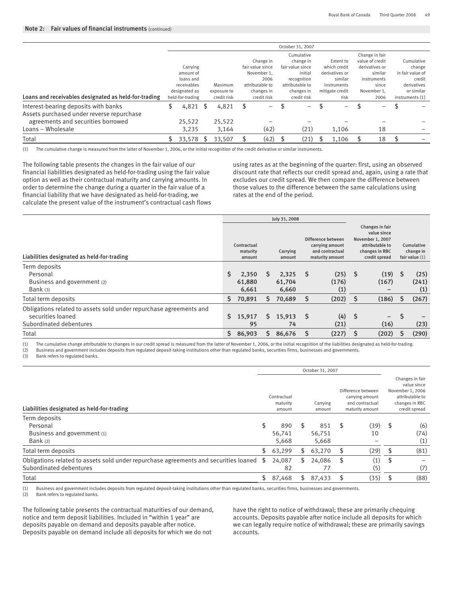|                                                      |                  |             |    |                  |     | October 31, 2007         |   |                          |   |                              |                  |
|------------------------------------------------------|------------------|-------------|----|------------------|-----|--------------------------|---|--------------------------|---|------------------------------|------------------|
|                                                      |                  |             |    |                  |     | Cumulative               |   |                          |   | Change in fair               |                  |
|                                                      |                  |             |    | Change in        |     | change in                |   | Extent to                |   | value of credit              | Cumulative       |
|                                                      | Carrying         |             |    | fair value since |     | fair value since         |   | which credit             |   | derivatives or               | change           |
|                                                      | amount of        |             |    | November 1.      |     | initial                  |   | derivatives or           |   | similar                      | in fair value of |
|                                                      | loans and        |             |    | 2006             |     | recognition              |   | similar                  |   | instruments                  | credit           |
|                                                      | receivables      | Maximum     |    | attributable to  |     | attributable to          |   | instruments              |   | since                        | derivatives      |
|                                                      | designated as    | exposure to |    | changes in       |     | changes in               |   | mitigate credit          |   | November 1,                  | or similar       |
| Loans and receivables designated as held-for-trading | held-for-trading | credit risk |    | credit risk      |     | credit risk              |   | risk                     |   | 2006                         | instruments (1)  |
| Interest-bearing deposits with banks                 | \$<br>4,821      | 4,821       | -5 | $-$              | \$. | $\overline{\phantom{0}}$ | S | $\overline{\phantom{0}}$ | S | $\qquad \qquad \blacksquare$ |                  |
| Assets purchased under reverse repurchase            |                  |             |    |                  |     |                          |   |                          |   |                              |                  |
| agreements and securities borrowed                   | 25,522           | 25,522      |    |                  |     |                          |   |                          |   |                              |                  |
| Loans - Wholesale                                    | 3,235            | 3,164       |    | (42)             |     | (21)                     |   | 1,106                    |   | 18                           |                  |
| Total                                                | 33,578           | 33,507      |    | (42)             |     | (21)                     |   | 1,106                    |   | 18                           |                  |

(1) The cumulative change is measured from the latter of November 1, 2006, or the initial recognition of the credit derivative or similar instruments.

The following table presents the changes in the fair value of our financial liabilities designated as held-for-trading using the fair value option as well as their contractual maturity and carrying amounts. In order to determine the change during a quarter in the fair value of a financial liability that we have designated as held-for-trading, we calculate the present value of the instrument's contractual cash flows using rates as at the beginning of the quarter: first, using an observed discount rate that reflects our credit spread and, again, using a rate that excludes our credit spread. We then compare the difference between those values to the difference between the same calculations using rates at the end of the period.

|                                                                                                                    |    |                                   |    | July 31, 2008            |          |                                                                             |    |                                                                                                          |     |                                             |
|--------------------------------------------------------------------------------------------------------------------|----|-----------------------------------|----|--------------------------|----------|-----------------------------------------------------------------------------|----|----------------------------------------------------------------------------------------------------------|-----|---------------------------------------------|
| Liabilities designated as held-for-trading                                                                         |    | Contractual<br>maturity<br>amount |    | Carrying<br>amount       |          | Difference between<br>carrying amount<br>and contractual<br>maturity amount |    | Changes in fair<br>value since<br>November 1, 2007<br>attributable to<br>changes in RBC<br>credit spread |     | Cumulative<br>change in<br>fair value $(1)$ |
| Term deposits<br>Personal<br>Business and government (2)<br>Bank $(3)$                                             | S  | 2,350<br>61,880<br>6,661          | s  | 2,325<br>61,704<br>6,660 | <b>S</b> | (25)<br>(176)<br>(1)                                                        | S  | (19)<br>(167)<br>$\overline{\phantom{0}}$                                                                | - S | (25)<br>(241)<br>(1)                        |
| Total term deposits                                                                                                | S. | 70,891                            | S  | 70,689                   | S        | (202)                                                                       | S  | (186)                                                                                                    |     | (267)                                       |
| Obligations related to assets sold under repurchase agreements and<br>securities loaned<br>Subordinated debentures | Ś. | 15,917<br>95                      | S. | 15,913<br>74             | S        | (4)<br>(21)                                                                 | S. | $\overline{\phantom{0}}$<br>(16)                                                                         | - Ś | (23)                                        |
| Total                                                                                                              | S. | 86,903                            | S. | 86,676                   |          | (227)                                                                       | S  | (202)                                                                                                    |     | (290)                                       |

(1) The cumulative change attributable to changes in our credit spread is measured from the latter of November 1, 2006, or the initial recognition of the liabilities designated as held-for-trading.

(2) Business and government includes deposits from regulated deposit-taking institutions other than regulated banks, securities firms, businesses and governments.

(3) Bank refers to regulated banks.

|                                                                                      |     |                                   |    | October 31, 2007   |    |                                                                             |    |                                                                                                          |
|--------------------------------------------------------------------------------------|-----|-----------------------------------|----|--------------------|----|-----------------------------------------------------------------------------|----|----------------------------------------------------------------------------------------------------------|
| Liabilities designated as held-for-trading                                           |     | Contractual<br>maturity<br>amount |    | Carrying<br>amount |    | Difference between<br>carrying amount<br>and contractual<br>maturity amount |    | Changes in fair<br>value since<br>November 1, 2006<br>attributable to<br>changes in RBC<br>credit spread |
| Term deposits                                                                        |     |                                   |    |                    |    |                                                                             |    |                                                                                                          |
| Personal                                                                             | \$  | 890                               | S  | 851                | \$ | (39)                                                                        | S  | (6)                                                                                                      |
| Business and government (1)                                                          |     | 56,741                            |    | 56,751             |    | 10                                                                          |    | (74)                                                                                                     |
| Bank $(2)$                                                                           |     | 5,668                             |    | 5,668              |    |                                                                             |    | (1)                                                                                                      |
| Total term deposits                                                                  | \$. | 63,299                            | S. | 63.270             | S  | (29)                                                                        | S  | (81)                                                                                                     |
| Obligations related to assets sold under repurchase agreements and securities loaned | S.  | 24,087                            | S. | 24,086             | S  | (1)                                                                         | \$ |                                                                                                          |
| Subordinated debentures                                                              |     | 82                                |    |                    |    | (5)                                                                         |    | (7)                                                                                                      |
| Total                                                                                | \$  | 87,468                            | S  | 87,433             | S  | (35)                                                                        | S  | (88)                                                                                                     |

(1) Business and government includes deposits from regulated deposit-taking institutions other than regulated banks, securities firms, businesses and governments.

(2) Bank refers to regulated banks.

The following table presents the contractual maturities of our demand, notice and term deposit liabilities. Included in "within 1 year" are deposits payable on demand and deposits payable after notice. Deposits payable on demand include all deposits for which we do not

have the right to notice of withdrawal; these are primarily chequing accounts. Deposits payable after notice include all deposits for which we can legally require notice of withdrawal; these are primarily savings accounts.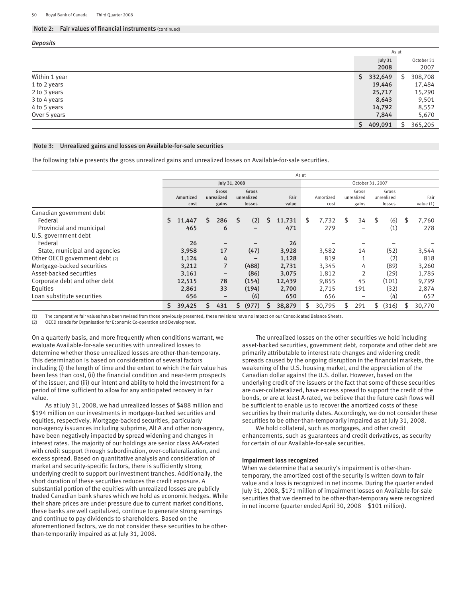#### Note 2: Fair values of financial instruments (continued)

*Deposits*

|               |                 | As at              |
|---------------|-----------------|--------------------|
|               | July 31<br>2008 | October 31<br>2007 |
| Within 1 year | \$.<br>332,649  | \$<br>308,708      |
| 1 to 2 years  | 19,446          | 17,484             |
| 2 to 3 years  | 25,717          | 15,290             |
| 3 to 4 years  | 8,643           | 9,501              |
| 4 to 5 years  | 14,792          | 8,552              |
| Over 5 years  | 7,844           | 5,670              |
|               | \$<br>409,091   | 365,205<br>\$      |

## Note 3: Unrealized gains and losses on Available-for-sale securities

The following table presents the gross unrealized gains and unrealized losses on Available-for-sale securities.

|                                |    |                   |    |                              |    |                               |   | As at         |                   |    |                              |                               |     |                     |
|--------------------------------|----|-------------------|----|------------------------------|----|-------------------------------|---|---------------|-------------------|----|------------------------------|-------------------------------|-----|---------------------|
|                                |    |                   |    | July 31, 2008                |    |                               |   |               |                   |    | October 31, 2007             |                               |     |                     |
|                                |    | Amortized<br>cost |    | Gross<br>unrealized<br>gains |    | Gross<br>unrealized<br>losses |   | Fair<br>value | Amortized<br>cost |    | Gross<br>unrealized<br>gains | Gross<br>unrealized<br>losses |     | Fair<br>value $(1)$ |
| Canadian government debt       |    |                   |    |                              |    |                               |   |               |                   |    |                              |                               |     |                     |
| Federal                        | S. | 11,447            | S. | 286                          | S  | (2)                           | S | 11,731        | \$<br>7,732       | \$ | 34                           | \$<br>(6)                     | \$  | 7,760               |
| Provincial and municipal       |    | 465               |    | 6                            |    | $\qquad \qquad$               |   | 471           | 279               |    |                              | (1)                           |     | 278                 |
| U.S. government debt           |    |                   |    |                              |    |                               |   |               |                   |    |                              |                               |     |                     |
| Federal                        |    | 26                |    |                              |    |                               |   | 26            |                   |    |                              |                               |     |                     |
| State, municipal and agencies  |    | 3,958             |    | 17                           |    | (47)                          |   | 3,928         | 3,582             |    | 14                           | (52)                          |     | 3,544               |
| Other OECD government debt (2) |    | 1,124             |    | 4                            |    | $\overline{\phantom{m}}$      |   | 1,128         | 819               |    |                              | (2)                           |     | 818                 |
| Mortgage-backed securities     |    | 3,212             |    | $\overline{7}$               |    | (488)                         |   | 2,731         | 3,345             |    | 4                            | (89)                          |     | 3,260               |
| Asset-backed securities        |    | 3,161             |    | $\overline{\phantom{m}}$     |    | (86)                          |   | 3,075         | 1,812             |    | $\overline{2}$               | (29)                          |     | 1,785               |
| Corporate debt and other debt  |    | 12,515            |    | 78                           |    | (154)                         |   | 12,439        | 9,855             |    | 45                           | (101)                         |     | 9,799               |
| Equities                       |    | 2,861             |    | 33                           |    | (194)                         |   | 2,700         | 2.715             |    | 191                          | (32)                          |     | 2,874               |
| Loan substitute securities     |    | 656               |    | $\overline{\phantom{m}}$     |    | (6)                           |   | 650           | 656               |    |                              | (4)                           |     | 652                 |
|                                | Ś. | 39,425            | S  | 431                          | S. | (977)                         | S | 38,879        | 30,795            | S. | 291                          | \$<br>(316)                   | \$. | 30,770              |

(1) The comparative fair values have been revised from those previously presented; these revisions have no impact on our Consolidated Balance Sheets.

(2) OECD stands for Organisation for Economic Co-operation and Development.

On a quarterly basis, and more frequently when conditions warrant, we evaluate Available-for-sale securities with unrealized losses to determine whether those unrealized losses are other-than-temporary. This determination is based on consideration of several factors including (i) the length of time and the extent to which the fair value has been less than cost, (ii) the financial condition and near-term prospects of the issuer, and (iii) our intent and ability to hold the investment for a period of time sufficient to allow for any anticipated recovery in fair value.

As at July 31, 2008, we had unrealized losses of \$488 million and \$194 million on our investments in mortgage-backed securities and equities, respectively. Mortgage-backed securities, particularly non-agency issuances including subprime, Alt A and other non-agency, have been negatively impacted by spread widening and changes in interest rates. The majority of our holdings are senior class AAA-rated with credit support through subordination, over-collateralization, and excess spread. Based on quantitative analysis and consideration of market and security-specific factors, there is sufficiently strong underlying credit to support our investment tranches. Additionally, the short duration of these securities reduces the credit exposure. A substantial portion of the equities with unrealized losses are publicly traded Canadian bank shares which we hold as economic hedges. While their share prices are under pressure due to current market conditions, these banks are well capitalized, continue to generate strong earnings and continue to pay dividends to shareholders. Based on the aforementioned factors, we do not consider these securities to be otherthan-temporarily impaired as at July 31, 2008.

The unrealized losses on the other securities we hold including asset-backed securities, government debt, corporate and other debt are primarily attributable to interest rate changes and widening credit spreads caused by the ongoing disruption in the financial markets, the weakening of the U.S. housing market, and the appreciation of the Canadian dollar against the U.S. dollar. However, based on the underlying credit of the issuers or the fact that some of these securities are over-collateralized, have excess spread to support the credit of the bonds, or are at least A-rated, we believe that the future cash flows will be sufficient to enable us to recover the amortized costs of these securities by their maturity dates. Accordingly, we do not consider these securities to be other-than-temporarily impaired as at July 31, 2008.

We hold collateral, such as mortgages, and other credit enhancements, such as guarantees and credit derivatives, as security for certain of our Available-for-sale securities.

#### **Impairment loss recognized**

When we determine that a security's impairment is other-thantemporary, the amortized cost of the security is written down to fair value and a loss is recognized in net income. During the quarter ended July 31, 2008, \$171 million of impairment losses on Available-for-sale securities that we deemed to be other-than-temporary were recognized in net income (quarter ended April 30, 2008 – \$101 million).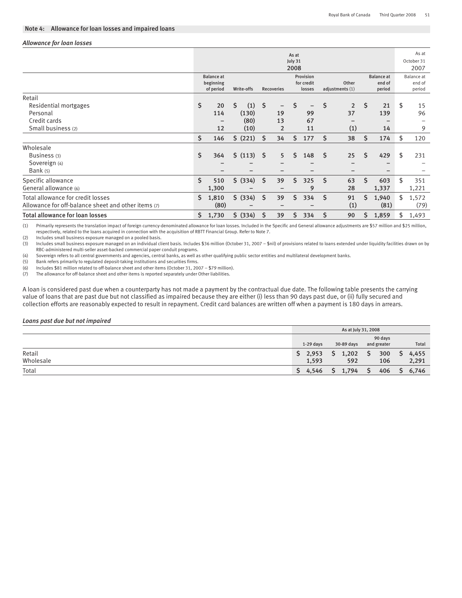# Note 4: Allowance for loan losses and impaired loans

#### *Allowance for loan losses*

|                                                     |     |                        |   |            |    |                   | As at   |                      |   |                          |    |                   | As at            |
|-----------------------------------------------------|-----|------------------------|---|------------|----|-------------------|---------|----------------------|---|--------------------------|----|-------------------|------------------|
|                                                     |     |                        |   |            |    |                   | July 31 |                      |   |                          |    |                   | October 31       |
|                                                     |     |                        |   |            |    |                   | 2008    |                      |   |                          |    |                   | 2007             |
|                                                     |     | <b>Balance</b> at      |   |            |    |                   |         | Provision            |   |                          |    | <b>Balance</b> at | Balance at       |
|                                                     |     | beginning<br>of period |   | Write-offs |    | <b>Recoveries</b> |         | for credit<br>losses |   | Other<br>adjustments (1) |    | end of<br>period  | end of<br>period |
| Retail                                              |     |                        |   |            |    |                   |         |                      |   |                          |    |                   |                  |
| Residential mortgages                               | \$  | 20                     | Ś | (1)        | \$ |                   | S       |                      | S | $\overline{2}$           | \$ | 21                | \$<br>15         |
| Personal                                            |     | 114                    |   | (130)      |    | 19                |         | 99                   |   | 37                       |    | 139               | 96               |
| Credit cards                                        |     |                        |   | (80)       |    | 13                |         | 67                   |   |                          |    |                   |                  |
| Small business (2)                                  |     | 12                     |   | (10)       |    | $\overline{2}$    |         | 11                   |   | (1)                      |    | 14                | 9                |
|                                                     | \$. | 146                    |   | 5(221)     | S  | 34                | Ś.      | 177                  | Ś | 38                       | Ś. | 174               | \$<br>120        |
| Wholesale                                           |     |                        |   |            |    |                   |         |                      |   |                          |    |                   |                  |
| Business (3)                                        | \$  | 364                    |   | \$ (113)   | Ŝ. | 5                 | Ś.      | 148                  | Ś | 25                       | Ś  | 429               | \$<br>231        |
| Sovereign (4)                                       |     |                        |   |            |    |                   |         |                      |   |                          |    |                   |                  |
| Bank $(5)$                                          |     |                        |   |            |    |                   |         |                      |   |                          |    |                   |                  |
| Specific allowance                                  | \$  | 510                    |   | \$ (334)   | Ś  | 39                | Ś.      | 325                  | Ś | 63                       | Ś. | 603               | \$<br>351        |
| General allowance (6)                               |     | 1,300                  |   |            |    |                   |         | 9                    |   | 28                       |    | 1,337             | 1,221            |
| Total allowance for credit losses                   | Ŝ.  | 1,810                  |   | 5(334)     | Ŝ  | 39                | Ś.      | 334                  | Ś | 91                       | Ś. | 1,940             | \$<br>1,572      |
| Allowance for off-balance sheet and other items (7) |     | (80)                   |   |            |    |                   |         |                      |   | (1)                      |    | (81)              | (79)             |
| <b>Total allowance for loan losses</b>              | Ŝ.  | 1,730                  |   | \$ (334)   | S  | 39                | Ś       | 334                  | Ś | 90                       | Ś. | 1,859             | \$<br>1,493      |

(1) Primarily represents the translation impact of foreign currency-denominated allowance for loan losses. Included in the Specific and General allowance adjustments are \$57 million and \$25 million, respectively, related to the loans acquired in connection with the acquisition of RBTT Financial Group. Refer to Note 7.

(2) Includes small business exposure managed on a pooled basis.

(3) Includes small business exposure managed on an individual client basis. Includes \$36 million (October 31, 2007 – \$nil) of provisions related to loans extended under liquidity facilities drawn on by RBC-administered multi-seller asset-backed commercial paper conduit programs.

(4) Sovereign refers to all central governments and agencies, central banks, as well as other qualifying public sector entities and multilateral development banks.

(5) Bank refers primarily to regulated deposit-taking institutions and securities firms.

(6) Includes \$81 million related to off-balance sheet and other items (October 31, 2007 – \$79 million).

(7) The allowance for off-balance sheet and other items is reported separately under Other liabilities.

A loan is considered past due when a counterparty has not made a payment by the contractual due date. The following table presents the carrying value of loans that are past due but not classified as impaired because they are either (i) less than 90 days past due, or (ii) fully secured and collection efforts are reasonably expected to result in repayment. Credit card balances are written off when a payment is 180 days in arrears.

## *Loans past due but not impaired*

|           |    |             | As at July 31, 2008 |              |             |   |              |
|-----------|----|-------------|---------------------|--------------|-------------|---|--------------|
|           |    |             |                     |              | 90 days     |   |              |
|           |    | $1-29$ days | 30-89 days          |              | and greater |   | <b>Total</b> |
| Retail    | S. | 2,953       | 1,202               | <sub>S</sub> | 300         | Ŝ | 4,455        |
| Wholesale |    | 1,593       | 592                 |              | 106         |   | 2,291        |
| Total     |    | 4.546       | 1.794               |              | 406         | S | 6,746        |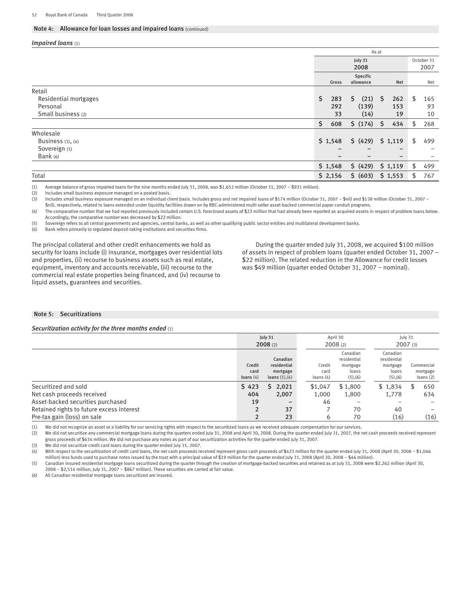#### Note 4: Allowance for loan losses and impaired loans (continued)

#### *Impaired loans* (1)

|                       |              |         |                       | As at |         |                          |
|-----------------------|--------------|---------|-----------------------|-------|---------|--------------------------|
|                       |              |         | July 31<br>2008       |       |         | October 31<br>2007       |
|                       |              | Gross   | Specific<br>allowance |       | Net     | Net                      |
| Retail                |              |         |                       |       |         |                          |
| Residential mortgages | \$           | 283     | \$<br>(21)            | S.    | 262     | \$<br>165                |
| Personal              |              | 292     | (139)                 |       | 153     | 93                       |
| Small business (2)    |              | 33      | (14)                  |       | 19      | 10                       |
|                       | $\mathsf{S}$ | 608     | 5(174)                | S.    | 434     | \$<br>268                |
| Wholesale             |              |         |                       |       |         |                          |
| Business (3), (4)     |              | \$1,548 | 5(429)                |       | \$1,119 | \$<br>499                |
| Sovereign (5)         |              |         |                       |       |         |                          |
| Bank $(6)$            |              |         |                       |       |         | $\overline{\phantom{m}}$ |
|                       |              | \$1,548 | 5(429)                |       | \$1,119 | \$<br>499                |
| Total                 |              | \$2,156 | \$ (603)              |       | \$1,553 | \$<br>767                |

(1) Average balance of gross impaired loans for the nine months ended July 31, 2008, was \$1,652 million (October 31, 2007 – \$921 million).

(2) Includes small business exposure managed on a pooled basis.

(3) Includes small business exposure managed on an individual client basis. Includes gross and net impaired loans of \$174 million (October 31, 2007 – \$nil) and \$138 million (October 31, 2007 – \$nil), respectively, related to loans extended under liquidity facilities drawn on by RBC-administered multi-seller asset-backed commercial paper conduit programs.

(4) The comparative number that we had reported previously included certain U.S. foreclosed assets of \$22 million that had already been reported as acquired assets in respect of problem loans below. Accordingly, the comparative number was decreased by \$22 million.

(5) Sovereign refers to all central governments and agencies, central banks, as well as other qualifying public sector entities and multilateral development banks.

(6) Bank refers primarily to regulated deposit-taking institutions and securities firms.

The principal collateral and other credit enhancements we hold as security for loans include (i) insurance, mortgages over residential lots and properties, (ii) recourse to business assets such as real estate, equipment, inventory and accounts receivable, (iii) recourse to the commercial real estate properties being financed, and (iv) recourse to liquid assets, guarantees and securities.

During the quarter ended July 31, 2008, we acquired \$100 million of assets in respect of problem loans (quarter ended October 31, 2007 – \$22 million). The related reduction in the Allowance for credit losses was \$49 million (quarter ended October 31, 2007 – nominal).

## Note 5: Securitizations

### *Securitization activity for the three months ended* (1)

|                                           | July 31<br>2008(2)            |                                                            |                            | April 30<br>2008(2)                                           |                                                               | July 31<br>2007(3)                 |
|-------------------------------------------|-------------------------------|------------------------------------------------------------|----------------------------|---------------------------------------------------------------|---------------------------------------------------------------|------------------------------------|
|                                           | Credit<br>card<br>loans $(4)$ | Canadian<br>residential<br>mortgage<br>loans $(5)$ , $(6)$ | Credit<br>card<br>loans(4) | Canadian<br>residential<br>mortgage<br>loans<br>$(5)$ , $(6)$ | Canadian<br>residential<br>mortgage<br>loans<br>$(5)$ , $(6)$ | Commercial<br>mortgage<br>loans(2) |
| Securitized and sold                      | \$423                         | 52,021                                                     | \$1,047                    | \$1,800                                                       | \$1,834                                                       | 650                                |
| Net cash proceeds received                | 404                           | 2,007                                                      | 1,000                      | 1,800                                                         | 1,778                                                         | 634                                |
| Asset-backed securities purchased         | 19                            |                                                            | 46                         |                                                               |                                                               |                                    |
| Retained rights to future excess interest |                               | 37                                                         |                            | 70                                                            | 40                                                            |                                    |
| Pre-tax gain (loss) on sale               |                               | 23                                                         | $\mathbf{6}$               | 70                                                            | (16)                                                          | (16)                               |

(1) We did not recognize an asset or a liability for our servicing rights with respect to the securitized loans as we received adequate compensation for our services.

(2) We did not securitize any commercial mortgage loans during the quarters ended July 31, 2008 and April 30, 2008. During the quarter ended July 31, 2007, the net cash proceeds received represent gross proceeds of \$634 million. We did not purchase any notes as part of our securitization activities for the quarter ended July 31, 2007.

(3) We did not securitize credit card loans during the quarter ended July 31, 2007.

(4) With respect to the securitization of credit card loans, the net cash proceeds received represent gross cash proceeds of \$423 million for the quarter ended July 31, 2008 (April 30, 2008 – \$1,046 million) less funds used to purchase notes issued by the trust with a principal value of \$19 million for the quarter ended July 31, 2008 (April 30, 2008 – \$46 million).

(5) Canadian insured residential mortgage loans securitized during the quarter through the creation of mortgage-backed securities and retained as at July 31, 2008 were \$2,262 million (April 30, 2008 – \$2,514 million; July 31, 2007 – \$867 million). These securities are carried at fair value.

(6) All Canadian residential mortgage loans securitized are insured.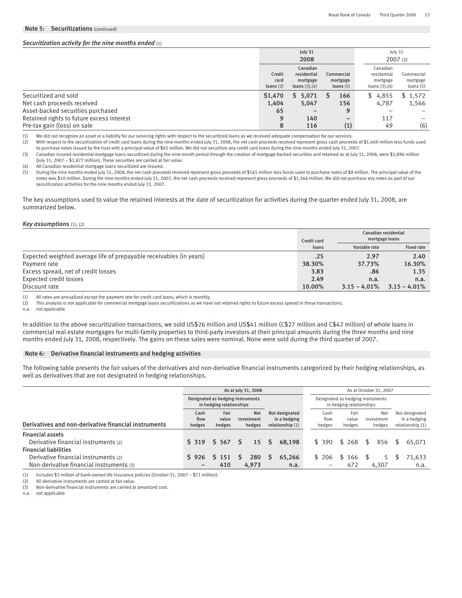## *Securitization activity for the nine months ended* (1)

|                                           |                            | July 31                                                    |                                       | July 31                                                    |                                    |
|-------------------------------------------|----------------------------|------------------------------------------------------------|---------------------------------------|------------------------------------------------------------|------------------------------------|
|                                           |                            | 2008                                                       |                                       | 2007(2)                                                    |                                    |
|                                           | Credit<br>card<br>loans(2) | Canadian<br>residential<br>mortgage<br>loans $(3)$ , $(4)$ | Commercial<br>mortgage<br>loans $(5)$ | Canadian<br>residential<br>mortgage<br>loans $(3)$ , $(4)$ | Commercial<br>mortgage<br>loans(5) |
| Securitized and sold                      | \$1,470                    | S.<br>5,071                                                | 166                                   | \$4,855                                                    | \$1,572                            |
| Net cash proceeds received                | 1,404                      | 5,047                                                      | 156                                   | 4,787                                                      | 1,566                              |
| Asset-backed securities purchased         | 65                         |                                                            | 9                                     |                                                            |                                    |
| Retained rights to future excess interest | 9                          | 140                                                        | $\overline{\phantom{0}}$              | 117                                                        |                                    |
| Pre-tax gain (loss) on sale               | 8                          | 116                                                        | (1)                                   | 49                                                         | (6)                                |

(1) We did not recognize an asset or a liability for our servicing rights with respect to the securitized loans as we received adequate compensation for our services.

(2) With respect to the securitization of credit card loans during the nine months ended July 31, 2008, the net cash proceeds received represent gross cash proceeds of \$1,469 million less funds used to purchase notes issued by the trust with a principal value of \$65 million. We did not securitize any credit card loans during the nine months ended July 31, 2007.

(3) Canadian insured residential mortgage loans securitized during the nine-month period through the creation of mortgage-backed securities and retained as at July 31, 2008, were \$3,896 million (July 31, 2007 – \$1,877 million). These securities are carried at fair value.

(4) All Canadian residential mortgage loans securitized are insured.

(5) During the nine months ended July 31, 2008, the net cash proceeds received represent gross proceeds of \$165 million less funds used to purchase notes of \$9 million. The principal value of the notes was \$10 million. During the nine months ended July 31, 2007, the net cash proceeds received represent gross proceeds of \$1,566 million. We did not purchase any notes as part of our securitization activities for the nine months ended July 31, 2007.

The key assumptions used to value the retained interests at the date of securitization for activities during the quarter ended July 31, 2008, are summarized below.

#### *Key assumptions* (1), (2)

|                                                                     | Credit card |               | Canadian residential<br>mortgage loans |
|---------------------------------------------------------------------|-------------|---------------|----------------------------------------|
|                                                                     | loans       | Variable rate | <b>Fixed rate</b>                      |
| Expected weighted average life of prepayable receivables (in years) | .25         | 2.97          | 2.40                                   |
| Payment rate                                                        | 38.30%      | 37.73%        | 16.30%                                 |
| Excess spread, net of credit losses                                 | 3.83        | .86           | 1.35                                   |
| Expected credit losses                                              | 2.49        | n.a.          | n.a.                                   |
| Discount rate                                                       | 10.00%      |               | $3.15 - 4.01\%$ $3.15 - 4.01\%$        |

(1) All rates are annualized except the payment rate for credit card loans, which is monthly.

(2) This analysis is not applicable for commercial mortgage loans securitizations as we have not retained rights to future excess spread in these transactions.

n.a. not applicable

In addition to the above securitization transactions, we sold US\$26 million and US\$41 million (C\$27 million and C\$42 million) of whole loans in commercial real estate mortgages for multi-family properties to third-party investors at their principal amounts during the three months and nine months ended July 31, 2008, respectively. The gains on these sales were nominal. None were sold during the third quarter of 2007.

#### Note 6: Derivative financial instruments and hedging activities

The following table presents the fair values of the derivatives and non-derivative financial instruments categorized by their hedging relationships, as well as derivatives that are not designated in hedging relationships.

|                                                      |                                                                    | As at July 31, 2008 |            |            |   |                                                               | As at October 31, 2007   |       |            |       |                |        |  |  |  |
|------------------------------------------------------|--------------------------------------------------------------------|---------------------|------------|------------|---|---------------------------------------------------------------|--------------------------|-------|------------|-------|----------------|--------|--|--|--|
|                                                      | Designated as hedging instruments<br>in hedging relationships      |                     |            |            |   | Designated as hedging instruments<br>in hedging relationships |                          |       |            |       |                |        |  |  |  |
|                                                      | Cash                                                               | Fair                |            | <b>Net</b> |   | Not designated                                                | Fair<br>Net<br>Cash      |       |            |       | Not designated |        |  |  |  |
|                                                      | flow                                                               | value               | investment |            |   | in a hedging                                                  | flow                     | value | investment |       | in a hedging   |        |  |  |  |
| Derivatives and non-derivative financial instruments | relationship (1)<br>hedges<br>hedges<br>hedges<br>hedges<br>hedges |                     |            |            |   | hedges                                                        | relationship (1)         |       |            |       |                |        |  |  |  |
| <b>Financial assets</b>                              |                                                                    |                     |            |            |   |                                                               |                          |       |            |       |                |        |  |  |  |
| Derivative financial instruments (2)                 | S <sub>319</sub>                                                   | S 567 S             |            | 15         | S | 68.198                                                        | \$ 390                   | \$268 | \$.        | 856   | -SS            | 65.071 |  |  |  |
| <b>Financial liabilities</b>                         |                                                                    |                     |            |            |   |                                                               |                          |       |            |       |                |        |  |  |  |
| Derivative financial instruments (2)                 | $S$ 926                                                            | $S$ 151             | S          | 280        | S | 65,266                                                        | \$206                    | 166   | S.         |       |                | 71.633 |  |  |  |
| Non-derivative financial instruments (3)             |                                                                    | 410                 |            | 4,973      |   | n.a.                                                          | $\overline{\phantom{m}}$ | 472   |            | 4,307 |                | n.a.   |  |  |  |

(1) Includes \$3 million of bank-owned life insurance policies (October 31, 2007 – \$71 million).

(2) All derivative instruments are carried at fair value.

(3) Non-derivative financial instruments are carried at amortized cost.

n.a. not applicable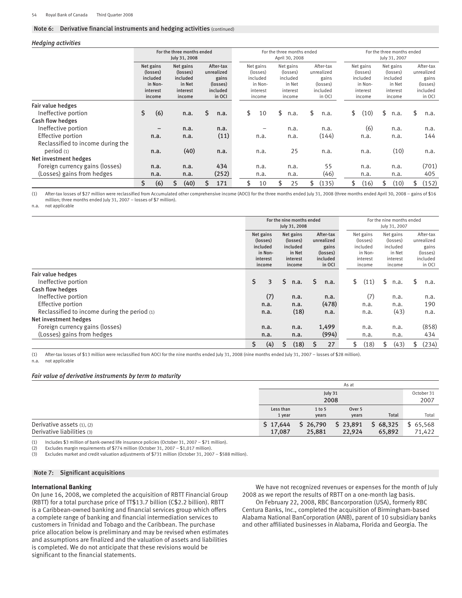## Note 6: Derivative financial instruments and hedging activities (continued)

## *Hedging activities*

|                                                   |                                   | For the three months ended<br>July 31, 2008 |   |                                  |    |                                   | For the three months ended<br>April 30, 2008 |                                  |                                   | For the three months ended<br>July 31, 2007 |                                  |
|---------------------------------------------------|-----------------------------------|---------------------------------------------|---|----------------------------------|----|-----------------------------------|----------------------------------------------|----------------------------------|-----------------------------------|---------------------------------------------|----------------------------------|
|                                                   | Net gains<br>(losses)<br>included | Net gains<br>(losses)<br>included           |   | After-tax<br>unrealized<br>gains |    | Net gains<br>(losses)<br>included | Net gains<br>(losses)<br>included            | After-tax<br>unrealized<br>gains | Net gains<br>(losses)<br>included | Net gains<br>(losses)<br>included           | After-tax<br>unrealized<br>gains |
|                                                   | in Non-<br>interest<br>income     | in Net<br>interest<br>income                |   | (losses)<br>included<br>in OCI   |    | in Non-<br>interest<br>income     | in Net<br>interest<br>income                 | (losses)<br>included<br>in OCI   | in Non-<br>interest<br>income     | in Net<br>interest<br>income                | (losses)<br>included<br>in OCI   |
| Fair value hedges                                 |                                   |                                             |   |                                  |    |                                   |                                              |                                  |                                   |                                             |                                  |
| Ineffective portion                               | \$<br>(6)                         | n.a.                                        | Ś | n.a.                             | \$ | 10                                | \$<br>n.a.                                   | \$<br>n.a.                       | \$<br>(10)                        | \$<br>n.a.                                  | \$<br>n.a.                       |
| Cash flow hedges                                  |                                   |                                             |   |                                  |    |                                   |                                              |                                  |                                   |                                             |                                  |
| Ineffective portion                               |                                   | n.a.                                        |   | n.a.                             |    |                                   | n.a.                                         | n.a.                             | (6)                               | n.a.                                        | n.a.                             |
| Effective portion                                 | n.a.                              | n.a.                                        |   | (11)                             |    | n.a.                              | n.a.                                         | (144)                            | n.a.                              | n.a.                                        | 144                              |
| Reclassified to income during the<br>period $(1)$ | n.a.                              | (40)                                        |   | n.a.                             |    | n.a.                              | 25                                           | n.a.                             | n.a.                              | (10)                                        | n.a.                             |
| Net investment hedges                             |                                   |                                             |   |                                  |    |                                   |                                              |                                  |                                   |                                             |                                  |
| Foreign currency gains (losses)                   | n.a.                              | n.a.                                        |   | 434                              |    | n.a.                              | n.a.                                         | 55                               | n.a.                              | n.a.                                        | (701)                            |
| (Losses) gains from hedges                        | n.a.                              | n.a.                                        |   | (252)                            |    | n.a.                              | n.a.                                         | (46)                             | n.a.                              | n.a.                                        | 405                              |
|                                                   | \$<br>(6)                         | (40)                                        |   | 171                              | \$ | 10                                | \$<br>25                                     | \$<br>(135)                      | \$<br>(16)                        | \$<br>(10)                                  | \$<br>(152)                      |

(1) After-tax losses of \$27 million were reclassified from Accumulated other comprehensive income (AOCI) for the three months ended July 31, 2008 (three months ended April 30, 2008 – gains of \$16 million; three months ended July 31, 2007 – losses of \$7 million).

n.a. not applicable

|                                                                                          |    | For the nine months ended<br>July 31, 2008                         |   |                      |    |                       | For the nine months ended<br>July 31, 2007 |                     |    |                      |    |                     |  |  |  |  |  |  |  |  |  |  |  |  |  |  |  |  |  |  |  |  |  |  |  |  |  |  |  |  |  |  |  |  |  |  |  |  |  |  |  |  |  |  |  |  |  |  |  |                                                                   |  |                                                                    |  |                                                                    |  |                                                                   |  |                                                                    |
|------------------------------------------------------------------------------------------|----|--------------------------------------------------------------------|---|----------------------|----|-----------------------|--------------------------------------------|---------------------|----|----------------------|----|---------------------|--|--|--|--|--|--|--|--|--|--|--|--|--|--|--|--|--|--|--|--|--|--|--|--|--|--|--|--|--|--|--|--|--|--|--|--|--|--|--|--|--|--|--|--|--|--|--|-------------------------------------------------------------------|--|--------------------------------------------------------------------|--|--------------------------------------------------------------------|--|-------------------------------------------------------------------|--|--------------------------------------------------------------------|
|                                                                                          |    | Net gains<br>(losses)<br>included<br>in Non-<br>interest<br>income |   |                      |    |                       |                                            |                     |    |                      |    |                     |  |  |  |  |  |  |  |  |  |  |  |  |  |  |  |  |  |  |  |  |  |  |  |  |  |  |  |  |  |  |  |  |  |  |  |  |  |  |  |  |  |  |  |  |  |  |  | Net gains<br>(losses)<br>included<br>in Net<br>interest<br>income |  | After-tax<br>unrealized<br>gains<br>(losses)<br>included<br>in OCI |  | Net gains<br>(losses)<br>included<br>in Non-<br>interest<br>income |  | Net gains<br>(losses)<br>included<br>in Net<br>interest<br>income |  | After-tax<br>unrealized<br>gains<br>(losses)<br>included<br>in OCI |
| Fair value hedges<br>Ineffective portion<br>Cash flow hedges                             | \$ | 3                                                                  | Ś | n.a.                 | Ś. | n.a.                  | \$                                         | (11)                | \$ | n.a.                 | \$ | n.a.                |  |  |  |  |  |  |  |  |  |  |  |  |  |  |  |  |  |  |  |  |  |  |  |  |  |  |  |  |  |  |  |  |  |  |  |  |  |  |  |  |  |  |  |  |  |  |  |                                                                   |  |                                                                    |  |                                                                    |  |                                                                   |  |                                                                    |
| Ineffective portion<br>Effective portion<br>Reclassified to income during the period (1) |    | (7)<br>n.a.<br>n.a.                                                |   | n.a.<br>n.a.<br>(18) |    | n.a.<br>(478)<br>n.a. |                                            | (7)<br>n.a.<br>n.a. |    | n.a.<br>n.a.<br>(43) |    | n.a.<br>190<br>n.a. |  |  |  |  |  |  |  |  |  |  |  |  |  |  |  |  |  |  |  |  |  |  |  |  |  |  |  |  |  |  |  |  |  |  |  |  |  |  |  |  |  |  |  |  |  |  |  |                                                                   |  |                                                                    |  |                                                                    |  |                                                                   |  |                                                                    |
| Net investment hedges<br>Foreign currency gains (losses)<br>(Losses) gains from hedges   |    | n.a.<br>n.a.                                                       |   | n.a.<br>n.a.         |    | 1,499<br>(994)        |                                            | n.a.<br>n.a.        |    | n.a.<br>n.a.         |    | (858)<br>434        |  |  |  |  |  |  |  |  |  |  |  |  |  |  |  |  |  |  |  |  |  |  |  |  |  |  |  |  |  |  |  |  |  |  |  |  |  |  |  |  |  |  |  |  |  |  |  |                                                                   |  |                                                                    |  |                                                                    |  |                                                                   |  |                                                                    |
|                                                                                          | Ś. | (4)                                                                | S | (18)                 |    | 27                    | \$                                         | (18)                | S. | (43)                 | \$ | (234)               |  |  |  |  |  |  |  |  |  |  |  |  |  |  |  |  |  |  |  |  |  |  |  |  |  |  |  |  |  |  |  |  |  |  |  |  |  |  |  |  |  |  |  |  |  |  |  |                                                                   |  |                                                                    |  |                                                                    |  |                                                                   |  |                                                                    |

(1) After-tax losses of \$13 million were reclassified from AOCI for the nine months ended July 31, 2008 (nine months ended July 31, 2007 – losses of \$28 million).

n.a. not applicable

#### *Fair value of derivative instruments by term to maturity*

|                            |           |                     | As at  |          |          |
|----------------------------|-----------|---------------------|--------|----------|----------|
|                            |           | October 31          |        |          |          |
|                            |           | 2007                |        |          |          |
|                            | Less than |                     |        |          |          |
|                            | 1 year    | Total               |        |          |          |
| Derivative assets (1), (2) | \$17,644  | \$ 26,790 \$ 23,891 |        | \$68,325 | \$65,568 |
| Derivative liabilities (3) | 17,087    | 25,881              | 22,924 | 65,892   | 71.422   |

(1) Includes \$3 million of bank-owned life insurance policies (October 31, 2007 – \$71 million).

(2) Excludes margin requirements of \$774 million (October 31, 2007 – \$1,017 million).

(3) Excludes market and credit valuation adjustments of \$731 million (October 31, 2007 – \$588 million).

# Note 7: Significant acquisitions

### **International Banking**

On June 16, 2008, we completed the acquisition of RBTT Financial Group (RBTT) for a total purchase price of TT\$13.7 billion (C\$2.2 billion). RBTT is a Caribbean-owned banking and financial services group which offers a complete range of banking and financial intermediation services to customers in Trinidad and Tobago and the Caribbean. The purchase price allocation below is preliminary and may be revised when estimates and assumptions are finalized and the valuation of assets and liabilities is completed. We do not anticipate that these revisions would be significant to the financial statements.

We have not recognized revenues or expenses for the month of July 2008 as we report the results of RBTT on a one-month lag basis.

On February 22, 2008, RBC Bancorporation (USA), formerly RBC Centura Banks, Inc., completed the acquisition of Birmingham-based Alabama National BanCorporation (ANB), parent of 10 subsidiary banks and other affiliated businesses in Alabama, Florida and Georgia. The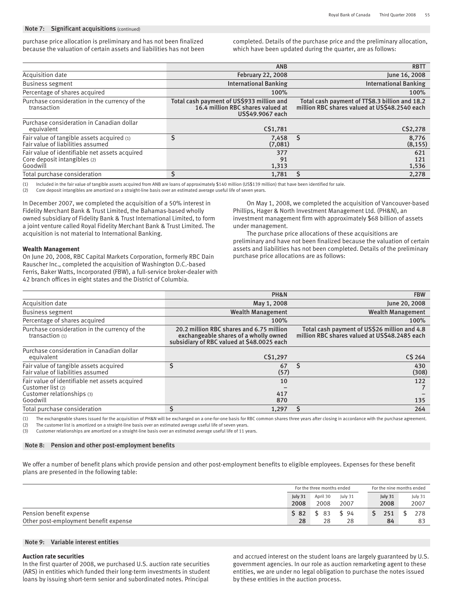#### Note 7: Significant acquisitions (continued)

purchase price allocation is preliminary and has not been finalized because the valuation of certain assets and liabilities has not been completed. Details of the purchase price and the preliminary allocation, which have been updated during the quarter, are as follows:

|                                                                                            | <b>ANB</b>                                                                                         | <b>RBTT</b>                                                                                     |
|--------------------------------------------------------------------------------------------|----------------------------------------------------------------------------------------------------|-------------------------------------------------------------------------------------------------|
| Acquisition date                                                                           | <b>February 22, 2008</b>                                                                           | June 16, 2008                                                                                   |
| <b>Business segment</b>                                                                    | <b>International Banking</b>                                                                       | <b>International Banking</b>                                                                    |
| Percentage of shares acquired                                                              | 100%                                                                                               | 100%                                                                                            |
| Purchase consideration in the currency of the<br>transaction                               | Total cash payment of US\$933 million and<br>16.4 million RBC shares valued at<br>US\$49.9067 each | Total cash payment of TT\$8.3 billion and 18.2<br>million RBC shares valued at US\$48.2540 each |
| Purchase consideration in Canadian dollar<br>equivalent                                    | C\$1,781                                                                                           | C\$2,278                                                                                        |
| Fair value of tangible assets acquired (1)<br>Fair value of liabilities assumed            | Ś<br>7.458<br>(7,081)                                                                              | - S<br>8,776<br>(8, 155)                                                                        |
| Fair value of identifiable net assets acquired<br>Core deposit intangibles (2)<br>Goodwill | 377<br>91<br>1,313                                                                                 | 621<br>121<br>1,536                                                                             |
| Total purchase consideration                                                               | Ś<br>1,781                                                                                         | 2,278                                                                                           |

(1) Included in the fair value of tangible assets acquired from ANB are loans of approximately \$140 million (US\$139 million) that have been identified for sale.

(2) Core deposit intangibles are amortized on a straight-line basis over an estimated average useful life of seven years.

In December 2007, we completed the acquisition of a 50% interest in Fidelity Merchant Bank & Trust Limited, the Bahamas-based wholly owned subsidiary of Fidelity Bank & Trust International Limited, to form a joint venture called Royal Fidelity Merchant Bank & Trust Limited. The acquisition is not material to International Banking.

On May 1, 2008, we completed the acquisition of Vancouver-based Phillips, Hager & North Investment Management Ltd. (PH&N), an investment management firm with approximately \$68 billion of assets under management.

The purchase price allocations of these acquisitions are preliminary and have not been finalized because the valuation of certain assets and liabilities has not been completed. Details of the preliminary purchase price allocations are as follows:

# **Wealth Management**

On June 20, 2008, RBC Capital Markets Corporation, formerly RBC Dain Rauscher Inc., completed the acquisition of Washington D.C.-based Ferris, Baker Watts, Incorporated (FBW), a full-service broker-dealer with 42 branch offices in eight states and the District of Columbia.

|                                                                                                               | PH&N                                                                                                                            | <b>FBW</b>                                                                                    |
|---------------------------------------------------------------------------------------------------------------|---------------------------------------------------------------------------------------------------------------------------------|-----------------------------------------------------------------------------------------------|
| Acquisition date                                                                                              | May 1, 2008                                                                                                                     | June 20, 2008                                                                                 |
| <b>Business segment</b>                                                                                       | <b>Wealth Management</b>                                                                                                        | <b>Wealth Management</b>                                                                      |
| Percentage of shares acquired                                                                                 | 100%                                                                                                                            | 100%                                                                                          |
| Purchase consideration in the currency of the<br>transaction $(1)$                                            | 20.2 million RBC shares and 6.75 million<br>exchangeable shares of a wholly owned<br>subsidiary of RBC valued at \$48.0025 each | Total cash payment of US\$26 million and 4.8<br>million RBC shares valued at US\$48.2485 each |
| Purchase consideration in Canadian dollar<br>equivalent                                                       | C\$1,297                                                                                                                        | CS <sub>264</sub>                                                                             |
| Fair value of tangible assets acquired<br>Fair value of liabilities assumed                                   | Ś<br>67<br>(57)                                                                                                                 | S<br>430<br>(308)                                                                             |
| Fair value of identifiable net assets acquired<br>Customer list (2)<br>Customer relationships (3)<br>Goodwill | 10<br>417<br>870                                                                                                                | 122<br>135                                                                                    |
| Total purchase consideration                                                                                  | Ś<br>1,297                                                                                                                      | 264                                                                                           |

(1) The exchangeable shares issued for the acquisition of PH&N will be exchanged on a one-for-one basis for RBC common shares three years after closing in accordance with the purchase agreement. (2) The customer list is amortized on a straight-line basis over an estimated average useful life of seven years.

(3) Customer relationships are amortized on a straight-line basis over an estimated average useful life of 11 years.

# Note 8: Pension and other post-employment benefits

We offer a number of benefit plans which provide pension and other post-employment benefits to eligible employees. Expenses for these benefit plans are presented in the following table:

|                                       |                 | For the three months ended |                 | For the nine months ended |  |                 |  |  |  |
|---------------------------------------|-----------------|----------------------------|-----------------|---------------------------|--|-----------------|--|--|--|
|                                       | July 31<br>2008 | April 30<br>2008           | July 31<br>2007 | July 31<br>2008           |  | July 31<br>2007 |  |  |  |
| Pension benefit expense               | 582             | 83                         | \$94            | 251                       |  | 278             |  |  |  |
| Other post-employment benefit expense | 28              | 28                         | 28              | 84                        |  | 83              |  |  |  |

#### Note 9: Variable interest entities

## **Auction rate securities**

In the first quarter of 2008, we purchased U.S. auction rate securities (ARS) in entities which funded their long-term investments in student loans by issuing short-term senior and subordinated notes. Principal

and accrued interest on the student loans are largely guaranteed by U.S. government agencies. In our role as auction remarketing agent to these entities, we are under no legal obligation to purchase the notes issued by these entities in the auction process.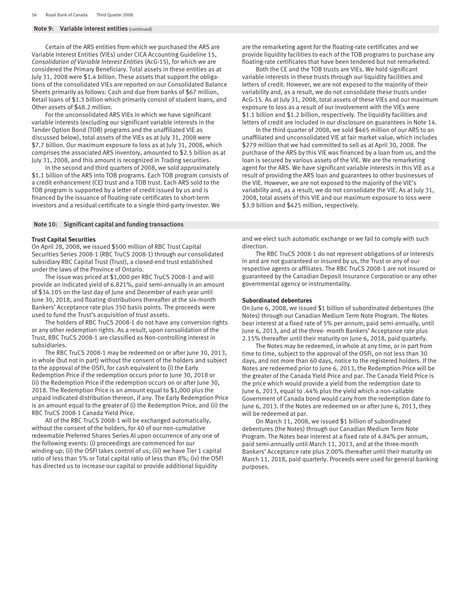#### Note 9: Variable interest entities (continued)

Certain of the ARS entities from which we purchased the ARS are Variable Interest Entities (VIEs) under CICA Accounting Guideline 15, *Consolidation of Variable Interest Entities* (AcG-15), for which we are considered the Primary Beneficiary. Total assets in these entities as at July 31, 2008 were \$1.4 billion. These assets that support the obligations of the consolidated VIEs are reported on our Consolidated Balance Sheets primarily as follows: Cash and due from banks of \$67 million, Retail loans of \$1.3 billion which primarily consist of student loans, and Other assets of \$48.2 million.

For the unconsolidated ARS VIEs in which we have significant variable interests (excluding our significant variable interests in the Tender Option Bond (TOB) programs and the unaffiliated VIE as discussed below), total assets of the VIEs as at July 31, 2008 were \$7.7 billion. Our maximum exposure to loss as at July 31, 2008, which comprises the associated ARS inventory, amounted to \$2.5 billion as at July 31, 2008, and this amount is recognized in Trading securities.

In the second and third quarters of 2008, we sold approximately \$1.1 billion of the ARS into TOB programs. Each TOB program consists of a credit enhancement (CE) trust and a TOB trust. Each ARS sold to the TOB program is supported by a letter of credit issued by us and is financed by the issuance of floating-rate certificates to short-term investors and a residual certificate to a single third-party investor. We

#### Note 10: Significant capital and funding transactions

### **Trust Capital Securities**

On April 28, 2008, we issued \$500 million of RBC Trust Capital Securities Series 2008-1 (RBC TruCS 2008-1) through our consolidated subsidiary RBC Capital Trust (Trust), a closed-end trust established under the laws of the Province of Ontario.

The issue was priced at \$1,000 per RBC TruCS 2008-1 and will provide an indicated yield of 6.821%, paid semi-annually in an amount of \$34.105 on the last day of June and December of each year until June 30, 2018, and floating distributions thereafter at the six-month Bankers' Acceptance rate plus 350 basis points. The proceeds were used to fund the Trust's acquisition of trust assets.

The holders of RBC TruCS 2008-1 do not have any conversion rights or any other redemption rights. As a result, upon consolidation of the Trust, RBC TruCS 2008-1 are classified as Non-controlling interest in subsidiaries.

The RBC TruCS 2008-1 may be redeemed on or after June 30, 2013, in whole (but not in part) without the consent of the holders and subject to the approval of the OSFI, for cash equivalent to (i) the Early Redemption Price if the redemption occurs prior to June 30, 2018 or (ii) the Redemption Price if the redemption occurs on or after June 30, 2018. The Redemption Price is an amount equal to \$1,000 plus the unpaid indicated distribution thereon, if any. The Early Redemption Price is an amount equal to the greater of (i) the Redemption Price, and (ii) the RBC TruCS 2008-1 Canada Yield Price.

All of the RBC TruCS 2008-1 will be exchanged automatically, without the consent of the holders, for 40 of our non-cumulative redeemable Preferred Shares Series AI upon occurrence of any one of the following events: (i) proceedings are commenced for our winding-up; (ii) the OSFI takes control of us; (iii) we have Tier 1 capital ratio of less than 5% or Total capital ratio of less than 8%; (iv) the OSFI has directed us to increase our capital or provide additional liquidity

are the remarketing agent for the floating-rate certificates and we provide liquidity facilities to each of the TOB programs to purchase any floating-rate certificates that have been tendered but not remarketed.

Both the CE and the TOB trusts are VIEs. We hold significant variable interests in these trusts through our liquidity facilities and letters of credit. However, we are not exposed to the majority of their variability and, as a result, we do not consolidate these trusts under AcG-15. As at July 31, 2008, total assets of these VIEs and our maximum exposure to loss as a result of our involvement with the VIEs were \$1.1 billion and \$1.2 billion, respectively. The liquidity facilities and letters of credit are included in our disclosure on guarantees in Note 14.

In the third quarter of 2008, we sold \$465 million of our ARS to an unaffiliated and unconsolidated VIE at fair market value, which includes \$279 million that we had committed to sell as at April 30, 2008. The purchase of the ARS by this VIE was financed by a loan from us, and the loan is secured by various assets of the VIE. We are the remarketing agent for the ARS. We have significant variable interests in this VIE as a result of providing the ARS loan and guarantees to other businesses of the VIE. However, we are not exposed to the majority of the VIE's variability and, as a result, we do not consolidate the VIE. As at July 31, 2008, total assets of this VIE and our maximum exposure to loss were \$3.9 billion and \$425 million, respectively.

and we elect such automatic exchange or we fail to comply with such direction.

The RBC TruCS 2008-1 do not represent obligations of or interests in and are not guaranteed or insured by us, the Trust or any of our respective agents or affiliates. The RBC TruCS 2008-1 are not insured or guaranteed by the Canadian Deposit Insurance Corporation or any other governmental agency or instrumentality.

#### **Subordinated debentures**

On June 6, 2008, we issued \$1 billion of subordinated debentures (the Notes) through our Canadian Medium Term Note Program. The Notes bear interest at a fixed rate of 5% per annum, paid semi-annually, until June 6, 2013, and at the three- month Bankers' Acceptance rate plus 2.15% thereafter until their maturity on June 6, 2018, paid quarterly.

The Notes may be redeemed, in whole at any time, or in part from time to time, subject to the approval of the OSFI, on not less than 30 days, and not more than 60 days, notice to the registered holders. If the Notes are redeemed prior to June 6, 2013, the Redemption Price will be the greater of the Canada Yield Price and par. The Canada Yield Price is the price which would provide a yield from the redemption date to June 6, 2013, equal to .44% plus the yield which a non-callable Government of Canada bond would carry from the redemption date to June 6, 2013. If the Notes are redeemed on or after June 6, 2013, they will be redeemed at par.

On March 11, 2008, we issued \$1 billion of subordinated debentures (the Notes) through our Canadian Medium Term Note Program. The Notes bear interest at a fixed rate of 4.84% per annum, paid semi-annually until March 11, 2013, and at the three-month Bankers' Acceptance rate plus 2.00% thereafter until their maturity on March 11, 2018, paid quarterly. Proceeds were used for general banking purposes.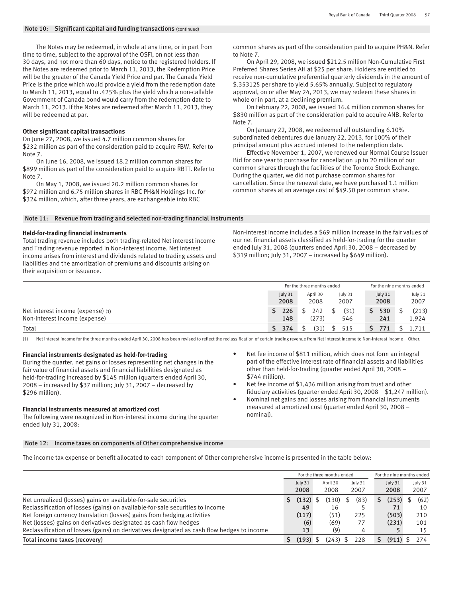#### Note 10: Significant capital and funding transactions (continued)

The Notes may be redeemed, in whole at any time, or in part from time to time, subject to the approval of the OSFI, on not less than 30 days, and not more than 60 days, notice to the registered holders. If the Notes are redeemed prior to March 11, 2013, the Redemption Price will be the greater of the Canada Yield Price and par. The Canada Yield Price is the price which would provide a yield from the redemption date to March 11, 2013, equal to .425% plus the yield which a non-callable Government of Canada bond would carry from the redemption date to March 11, 2013. If the Notes are redeemed after March 11, 2013, they will be redeemed at par.

## **Other significant capital transactions**

On June 27, 2008, we issued 4.7 million common shares for \$232 million as part of the consideration paid to acquire FBW. Refer to Note 7.

On June 16, 2008, we issued 18.2 million common shares for \$899 million as part of the consideration paid to acquire RBTT. Refer to Note 7.

On May 1, 2008, we issued 20.2 million common shares for \$972 million and 6.75 million shares in RBC PH&N Holdings Inc. for \$324 million, which, after three years, are exchangeable into RBC

common shares as part of the consideration paid to acquire PH&N. Refer to Note 7.

On April 29, 2008, we issued \$212.5 million Non-Cumulative First Preferred Shares Series AH at \$25 per share. Holders are entitled to receive non-cumulative preferential quarterly dividends in the amount of \$.353125 per share to yield 5.65% annually. Subject to regulatory approval, on or after May 24, 2013, we may redeem these shares in whole or in part, at a declining premium.

On February 22, 2008, we issued 16.4 million common shares for \$830 million as part of the consideration paid to acquire ANB. Refer to Note 7.

On January 22, 2008, we redeemed all outstanding 6.10% subordinated debentures due January 22, 2013, for 100% of their principal amount plus accrued interest to the redemption date.

Effective November 1, 2007, we renewed our Normal Course Issuer Bid for one year to purchase for cancellation up to 20 million of our common shares through the facilities of the Toronto Stock Exchange. During the quarter, we did not purchase common shares for cancellation. Since the renewal date, we have purchased 1.1 million common shares at an average cost of \$49.50 per common share.

#### Note 11: Revenue from trading and selected non-trading financial instruments

## **Held-for-trading financial instruments**

Total trading revenue includes both trading-related Net interest income and Trading revenue reported in Non-interest income. Net interest income arises from interest and dividends related to trading assets and liabilities and the amortization of premiums and discounts arising on their acquisition or issuance.

Non-interest income includes a \$69 million increase in the fair values of our net financial assets classified as held-for-trading for the quarter ended July 31, 2008 (quarters ended April 30, 2008 – decreased by \$319 million; July 31, 2007 – increased by \$649 million).

|                                   |         | For the three months ended |         |         | For the nine months ended |
|-----------------------------------|---------|----------------------------|---------|---------|---------------------------|
|                                   | July 31 | April 30                   | July 31 | July 31 | July 31                   |
|                                   | 2008    | 2008                       | 2007    | 2008    | 2007                      |
| Net interest income (expense) (1) | 226     | 242                        | (31)    | 530     | (213)                     |
| Non-interest income (expense)     | 148     | (273)                      | 546     | 241     | 1,924                     |
| Total                             | 374     | (31)                       | 515     | 771     | 1.711                     |

(1) Net interest income for the three months ended April 30, 2008 has been revised to reflect the reclassification of certain trading revenue from Net interest income to Non-interest income – Other.

#### **Financial instruments designated as held-for-trading**

During the quarter, net gains or losses representing net changes in the fair value of financial assets and financial liabilities designated as held-for-trading increased by \$145 million (quarters ended April 30, 2008 – increased by \$37 million; July 31, 2007 – decreased by \$296 million).

#### **Financial instruments measured at amortized cost**

The following were recognized in Non-interest income during the quarter ended July 31, 2008:

- Net fee income of \$811 million, which does not form an integral part of the effective interest rate of financial assets and liabilities other than held-for-trading (quarter ended April 30, 2008 – \$744 million).
- Net fee income of \$1,436 million arising from trust and other fiduciary activities (quarter ended April 30, 2008 – \$1,247 million).
- Nominal net gains and losses arising from financial instruments measured at amortized cost (quarter ended April 30, 2008 – nominal).

# Note 12: Income taxes on components of Other comprehensive income

The income tax expense or benefit allocated to each component of Other comprehensive income is presented in the table below:

|                                                                                            |    |         | For the three months ended |         | For the nine months ended |         |         |
|--------------------------------------------------------------------------------------------|----|---------|----------------------------|---------|---------------------------|---------|---------|
|                                                                                            |    | July 31 | April 30                   | July 31 |                           | July 31 | July 31 |
|                                                                                            |    | 2008    | 2008                       | 2007    |                           | 2008    | 2007    |
| Net unrealized (losses) gains on available-for-sale securities                             | S. | (132)   | (130)                      | (83)    | S                         | (253)   | (62)    |
| Reclassification of losses (gains) on available-for-sale securities to income              |    | 49      | 16                         |         |                           | 71      | 10      |
| Net foreign currency translation (losses) gains from hedging activities                    |    | (117)   | (51)                       | 225     |                           | (503)   | 210     |
| Net (losses) gains on derivatives designated as cash flow hedges                           |    | (6)     | (69)                       | 77      |                           | (231)   | 101     |
| Reclassification of losses (gains) on derivatives designated as cash flow hedges to income |    | 13      | (9)                        | 4       |                           |         | 15      |
| Total income taxes (recovery)                                                              |    | (193)   | 243)                       | 228     |                           | (911)   | 274     |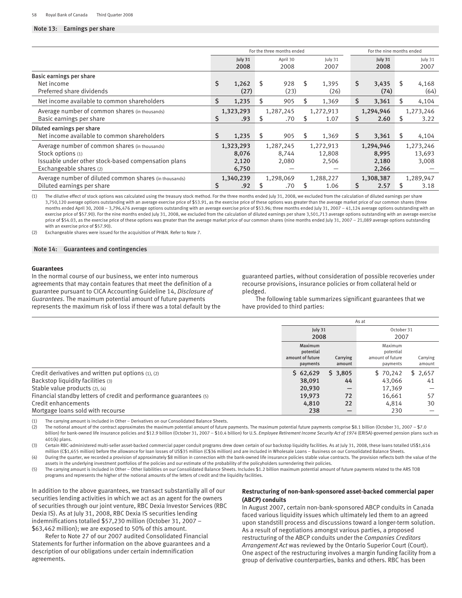## Note 13: Earnings per share

|                                                        |    |           | For the three months ended |    |           |    | For the nine months ended |    |           |
|--------------------------------------------------------|----|-----------|----------------------------|----|-----------|----|---------------------------|----|-----------|
|                                                        |    | July 31   | April 30                   |    | July 31   |    | July 31                   |    | July 31   |
|                                                        |    | 2008      | 2008                       |    | 2007      |    | 2008                      |    | 2007      |
| Basic earnings per share                               |    |           |                            |    |           |    |                           |    |           |
| Net income                                             | Ś  | 1.262     | \$<br>928                  | \$ | 1,395     | Ś. | 3,435                     | \$ | 4,168     |
| Preferred share dividends                              |    | (27)      | (23)                       |    | (26)      |    | (74)                      |    | (64)      |
| Net income available to common shareholders            | \$ | 1,235     | \$<br>905                  | \$ | 1,369     | \$ | 3,361                     | \$ | 4,104     |
| Average number of common shares (in thousands)         |    | 1,323,293 | 1,287,245                  |    | 1,272,913 |    | 1,294,946                 |    | 1,273,246 |
| Basic earnings per share                               | \$ | .93       | \$<br>.70                  | S  | 1.07      | S. | 2.60                      | S  | 3.22      |
| Diluted earnings per share                             |    |           |                            |    |           |    |                           |    |           |
| Net income available to common shareholders            | \$ | 1,235     | \$<br>905                  | \$ | 1,369     | \$ | 3,361                     | \$ | 4,104     |
| Average number of common shares (in thousands)         |    | 1,323,293 | 1,287,245                  |    | 1,272,913 |    | 1,294,946                 |    | 1,273,246 |
| Stock options (1)                                      |    | 8,076     | 8,744                      |    | 12,808    |    | 8,995                     |    | 13,693    |
| Issuable under other stock-based compensation plans    |    | 2,120     | 2,080                      |    | 2,506     |    | 2,180                     |    | 3,008     |
| Exchangeable shares (2)                                |    | 6,750     |                            |    |           |    | 2,266                     |    |           |
| Average number of diluted common shares (in thousands) |    | 1,340,239 | 1,298,069                  |    | 1,288,227 |    | 1,308,387                 |    | 1,289,947 |
| Diluted earnings per share                             | \$ | .92       | \$<br>.70                  | S  | 1.06      | S  | 2.57                      | S  | 3.18      |

(1) The dilutive effect of stock options was calculated using the treasury stock method. For the three months ended July 31, 2008, we excluded from the calculation of diluted earnings per share 3,750,120 average options outstanding with an average exercise price of \$53.91, as the exercise price of these options was greater than the average market price of our common shares (three months ended April 30, 2008 – 3,796,476 average options outstanding with an average exercise price of \$53.96; three months ended July 31, 2007 – 41,124 average options outstanding with an exercise price of \$57.90). For the nine months ended July 31, 2008, we excluded from the calculation of diluted earnings per share 3,501,713 average eptions outstanding with an average exercise price of \$54.03, as the exercise price of these options was greater than the average market price of our common shares (nine months ended July 31, 2007 – 21,089 average options outstanding with an exercise price of \$57.90).

(2) Exchangeable shares were issued for the acquisition of PH&N. Refer to Note 7.

#### Note 14: Guarantees and contingencies

## **Guarantees**

In the normal course of our business, we enter into numerous agreements that may contain features that meet the definition of a guarantee pursuant to CICA Accounting Guideline 14, *Disclosure of Guarantees*. The maximum potential amount of future payments represents the maximum risk of loss if there was a total default by the guaranteed parties, without consideration of possible recoveries under recourse provisions, insurance policies or from collateral held or pledged.

The following table summarizes significant guarantees that we have provided to third parties:

|                                                                    | July 31                       | October 31 |                               |          |
|--------------------------------------------------------------------|-------------------------------|------------|-------------------------------|----------|
|                                                                    | 2008                          | 2007       |                               |          |
|                                                                    | Maximum                       |            |                               |          |
|                                                                    | potential<br>amount of future | Carrying   | potential<br>amount of future | Carrying |
|                                                                    | payments                      | amount     | payments                      | amount   |
| Credit derivatives and written put options (1), (2)                | \$62,629                      | 53,805     | \$70,242                      | \$2,657  |
| Backstop liquidity facilities (3)                                  | 38,091                        | 44         | 43,066                        | 41       |
| Stable value products (2), (4)                                     | 20,930                        |            | 17,369                        |          |
| Financial standby letters of credit and performance guarantees (5) | 19,973                        | 72         | 16,661                        | 57       |
| Credit enhancements                                                | 4,810                         | 22         | 4,814                         | 30       |
| Mortgage loans sold with recourse                                  | 238                           | –          | 230                           |          |

(1) The carrying amount is included in Other – Derivatives on our Consolidated Balance Sheets.

(2) The notional amount of the contract approximates the maximum potential amount of future payments. The maximum potential future payments comprise \$8.1 billion (October 31, 2007 – \$7.0 billion) for bank-owned life insurance policies and \$12.9 billion (October 31, 2007 – \$10.4 billion) for U.S. *Employee Retirement Income Security Act of 1974* (ERISA)-governed pension plans such as 401(k) plans.

(3) Certain RBC-administered multi-seller asset-backed commercial paper conduit programs drew down certain of our backstop liquidity facilities. As at July 31, 2008, these loans totalled US\$1,616 million (C\$1,655 million) before the allowance for loan losses of US\$35 million (C\$36 million) and are included in Wholesale Loans – Business on our Consolidated Balance Sheets.

(4) During the quarter, we recorded a provision of approximately \$8 million in connection with the bank-owned life insurance policies stable value contracts. The provision reflects both the value of the assets in the underlying investment portfolios of the policies and our estimate of the probability of the policyholders surrendering their policies.

(5) The carrying amount is included in Other – Other liabilities on our Consolidated Balance Sheets. Includes \$1.2 billion maximum potential amount of future payments related to the ARS TOB programs and represents the higher of the notional amounts of the letters of credit and the liquidity facilities.

In addition to the above guarantees, we transact substantially all of our securities lending activities in which we act as an agent for the owners of securities through our joint venture, RBC Dexia Investor Services (RBC Dexia IS). As at July 31, 2008, RBC Dexia IS securities lending indemnifications totalled \$57,230 million (October 31, 2007 – \$63,462 million); we are exposed to 50% of this amount.

Refer to Note 27 of our 2007 audited Consolidated Financial Statements for further information on the above guarantees and a description of our obligations under certain indemnification agreements.

## **Restructuring of non-bank-sponsored asset-backed commercial paper (ABCP) conduits**

In August 2007, certain non-bank-sponsored ABCP conduits in Canada faced various liquidity issues which ultimately led them to an agreed upon standstill process and discussions toward a longer-term solution. As a result of negotiations amongst various parties, a proposed restructuring of the ABCP conduits under the *Companies Creditors Arrangement Act* was reviewed by the Ontario Superior Court (Court). One aspect of the restructuring involves a margin funding facility from a group of derivative counterparties, banks and others. RBC has been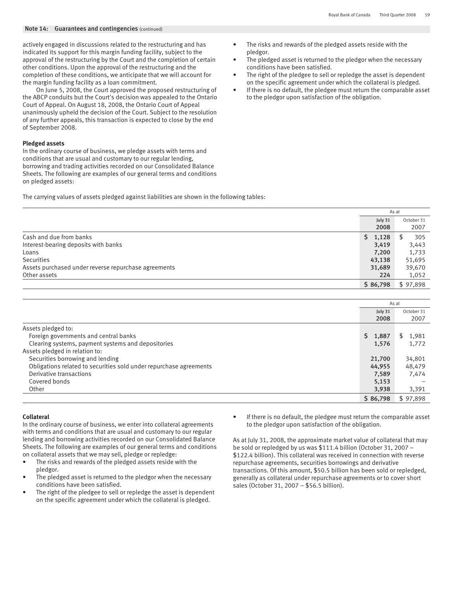actively engaged in discussions related to the restructuring and has indicated its support for this margin funding facility, subject to the approval of the restructuring by the Court and the completion of certain other conditions. Upon the approval of the restructuring and the completion of these conditions, we anticipate that we will account for the margin funding facility as a loan commitment.

On June 5, 2008, the Court approved the proposed restructuring of the ABCP conduits but the Court's decision was appealed to the Ontario Court of Appeal. On August 18, 2008, the Ontario Court of Appeal unanimously upheld the decision of the Court. Subject to the resolution of any further appeals, this transaction is expected to close by the end of September 2008.

## **Pledged assets**

In the ordinary course of business, we pledge assets with terms and conditions that are usual and customary to our regular lending, borrowing and trading activities recorded on our Consolidated Balance Sheets. The following are examples of our general terms and conditions on pledged assets:

The carrying values of assets pledged against liabilities are shown in the following tables:

| The risks and rewards of the pledged assets reside with the |
|-------------------------------------------------------------|
| pledgor.                                                    |

- The pledged asset is returned to the pledgor when the necessary conditions have been satisfied.
- The right of the pledgee to sell or repledge the asset is dependent on the specific agreement under which the collateral is pledged.
- If there is no default, the pledgee must return the comparable asset to the pledgor upon satisfaction of the obligation.

|                                                      |    | As at    |            |
|------------------------------------------------------|----|----------|------------|
|                                                      |    | July 31  | October 31 |
|                                                      |    | 2008     | 2007       |
| Cash and due from banks                              | S. | 1,128    | 305        |
| Interest-bearing deposits with banks                 |    | 3,419    | 3,443      |
| Loans                                                |    | 7,200    | 1,733      |
| Securities                                           |    | 43,138   | 51,695     |
| Assets purchased under reverse repurchase agreements |    | 31,689   | 39,670     |
| Other assets                                         |    | 224      | 1,052      |
|                                                      |    | \$86,798 | \$97,898   |

|                                                                    |             | As at       |
|--------------------------------------------------------------------|-------------|-------------|
|                                                                    | July 31     | October 31  |
|                                                                    | 2008        | 2007        |
| Assets pledged to:                                                 |             |             |
| Foreign governments and central banks                              | $5 \t1,887$ | \$<br>1,981 |
| Clearing systems, payment systems and depositories                 | 1,576       | 1,772       |
| Assets pledged in relation to:                                     |             |             |
| Securities borrowing and lending                                   | 21,700      | 34,801      |
| Obligations related to securities sold under repurchase agreements | 44,955      | 48,479      |
| Derivative transactions                                            | 7,589       | 7,474       |
| Covered bonds                                                      | 5,153       |             |
| Other                                                              | 3,938       | 3,391       |
|                                                                    | \$86,798    | \$97,898    |

# **Collateral**

In the ordinary course of business, we enter into collateral agreements with terms and conditions that are usual and customary to our regular lending and borrowing activities recorded on our Consolidated Balance Sheets. The following are examples of our general terms and conditions on collateral assets that we may sell, pledge or repledge:

- The risks and rewards of the pledged assets reside with the pledgor.
- The pledged asset is returned to the pledgor when the necessary conditions have been satisfied.
- The right of the pledgee to sell or repledge the asset is dependent on the specific agreement under which the collateral is pledged.

• If there is no default, the pledgee must return the comparable asset to the pledgor upon satisfaction of the obligation.

As at July 31, 2008, the approximate market value of collateral that may be sold or repledged by us was \$111.4 billion (October 31, 2007 – \$122.4 billion). This collateral was received in connection with reverse repurchase agreements, securities borrowings and derivative transactions. Of this amount, \$50.5 billion has been sold or repledged, generally as collateral under repurchase agreements or to cover short sales (October 31, 2007 – \$56.5 billion).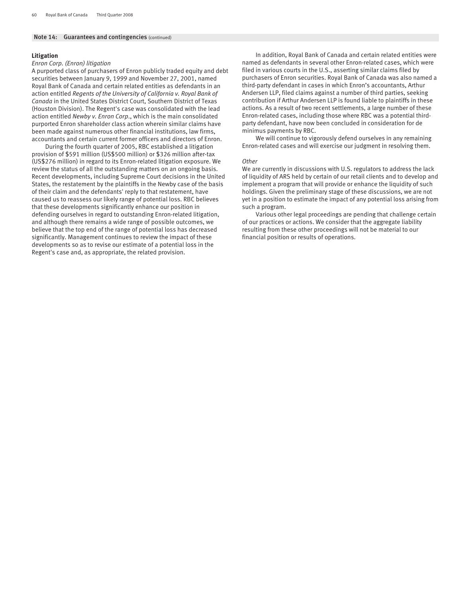#### Note 14: Guarantees and contingencies (continued)

## **Litigation**

## *Enron Corp. (Enron) litigation*

A purported class of purchasers of Enron publicly traded equity and debt securities between January 9, 1999 and November 27, 2001, named Royal Bank of Canada and certain related entities as defendants in an action entitled *Regents of the University of California v. Royal Bank of Canada* in the United States District Court, Southern District of Texas (Houston Division). The Regent's case was consolidated with the lead action entitled *Newby v. Enron Corp*., which is the main consolidated purported Enron shareholder class action wherein similar claims have been made against numerous other financial institutions, law firms, accountants and certain current former officers and directors of Enron.

During the fourth quarter of 2005, RBC established a litigation provision of \$591 million (US\$500 million) or \$326 million after-tax (US\$276 million) in regard to its Enron-related litigation exposure. We review the status of all the outstanding matters on an ongoing basis. Recent developments, including Supreme Court decisions in the United States, the restatement by the plaintiffs in the Newby case of the basis of their claim and the defendants' reply to that restatement, have caused us to reassess our likely range of potential loss. RBC believes that these developments significantly enhance our position in defending ourselves in regard to outstanding Enron-related litigation, and although there remains a wide range of possible outcomes, we believe that the top end of the range of potential loss has decreased significantly. Management continues to review the impact of these developments so as to revise our estimate of a potential loss in the Regent's case and, as appropriate, the related provision.

In addition, Royal Bank of Canada and certain related entities were named as defendants in several other Enron-related cases, which were filed in various courts in the U.S., asserting similar claims filed by purchasers of Enron securities. Royal Bank of Canada was also named a third-party defendant in cases in which Enron's accountants, Arthur Andersen LLP, filed claims against a number of third parties, seeking contribution if Arthur Andersen LLP is found liable to plaintiffs in these actions. As a result of two recent settlements, a large number of these Enron-related cases, including those where RBC was a potential thirdparty defendant, have now been concluded in consideration for de minimus payments by RBC.

We will continue to vigorously defend ourselves in any remaining Enron-related cases and will exercise our judgment in resolving them.

#### *Other*

We are currently in discussions with U.S. regulators to address the lack of liquidity of ARS held by certain of our retail clients and to develop and implement a program that will provide or enhance the liquidity of such holdings. Given the preliminary stage of these discussions, we are not yet in a position to estimate the impact of any potential loss arising from such a program.

Various other legal proceedings are pending that challenge certain of our practices or actions. We consider that the aggregate liability resulting from these other proceedings will not be material to our financial position or results of operations.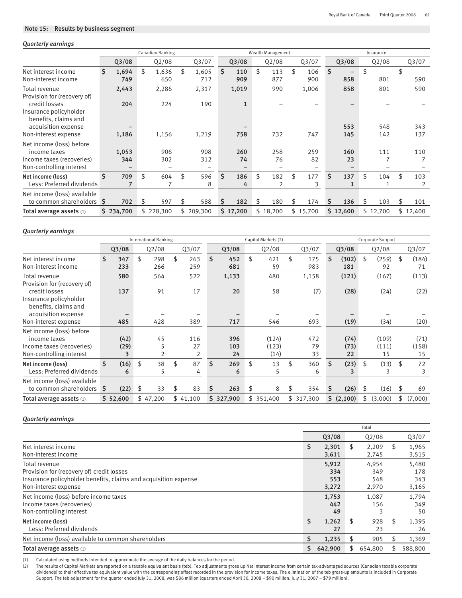# Note 15: Results by business segment

# *Quarterly earnings*

|                                 | Canadian Banking |           |    |           |     |                          |               |             |    | Wealth Management |           | Insurance |                          |    |          |    |          |  |
|---------------------------------|------------------|-----------|----|-----------|-----|--------------------------|---------------|-------------|----|-------------------|-----------|-----------|--------------------------|----|----------|----|----------|--|
|                                 |                  | Q3/08     |    | Q2/08     |     | Q3/07                    |               | Q3/08       |    | Q2/08             | Q3/07     |           | Q3/08                    |    | Q2/08    |    | Q3/07    |  |
| Net interest income             | Ŝ.               | 1,694     | \$ | 1,636     | \$  | 1,605                    | <sup>S</sup>  | 110         | \$ | 113               | \$<br>106 | Ś         |                          | \$ |          |    |          |  |
| Non-interest income             |                  | 749       |    | 650       |     | 712                      |               | 909         |    | 877               | 900       |           | 858                      |    | 801      |    | 590      |  |
| Total revenue                   |                  | 2,443     |    | 2,286     |     | 2,317                    |               | 1,019       |    | 990               | 1,006     |           | 858                      |    | 801      |    | 590      |  |
| Provision for (recovery of)     |                  |           |    |           |     |                          |               |             |    |                   |           |           |                          |    |          |    |          |  |
| credit losses                   |                  | 204       |    | 224       |     | 190                      |               | $\mathbf 1$ |    |                   |           |           |                          |    |          |    |          |  |
| Insurance policyholder          |                  |           |    |           |     |                          |               |             |    |                   |           |           |                          |    |          |    |          |  |
| benefits, claims and            |                  |           |    |           |     |                          |               |             |    |                   |           |           |                          |    |          |    |          |  |
| acquisition expense             |                  |           |    |           |     |                          |               |             |    |                   |           |           | 553                      |    | 548      |    | 343      |  |
| Non-interest expense            |                  | 1,186     |    | 1,156     |     | 1,219                    |               | 758         |    | 732               | 747       |           | 145                      |    | 142      |    | 137      |  |
| Net income (loss) before        |                  |           |    |           |     |                          |               |             |    |                   |           |           |                          |    |          |    |          |  |
| income taxes                    |                  | 1,053     |    | 906       |     | 908                      |               | 260         |    | 258               | 259       |           | 160                      |    | 111      |    | 110      |  |
| Income taxes (recoveries)       |                  | 344       |    | 302       |     | 312                      |               | 74          |    | 76                | 82        |           | 23                       |    |          |    |          |  |
| Non-controlling interest        |                  |           |    |           |     | $\overline{\phantom{m}}$ |               |             |    | -                 |           |           | $\overline{\phantom{0}}$ |    |          |    |          |  |
| Net income (loss)               | Ś.               | 709       | \$ | 604       | \$  | 596                      | <sup>\$</sup> | 186         | \$ | 182               | \$<br>177 | Ś         | 137                      | \$ | 104      | \$ | 103      |  |
| Less: Preferred dividends       |                  |           |    |           |     | 8                        |               | 4           |    | 2                 | 3         |           | $\mathbf{1}$             |    |          |    | 2        |  |
| Net income (loss) available     |                  |           |    |           |     |                          |               |             |    |                   |           |           |                          |    |          |    |          |  |
| to common shareholders S        |                  | 702       | \$ | 597       | \$  | 588                      | S             | 182         | S  | 180               | \$<br>174 | \$        | 136                      | \$ | 103      |    | 101      |  |
| <b>Total average assets (1)</b> |                  | \$234,700 |    | \$228,300 | \$. | 209,300                  |               | \$17,200    |    | \$18,200          | \$15,700  |           | \$12,600                 |    | \$12,700 |    | \$12,400 |  |

## *Quarterly earnings*

|                                                                                                   | <b>International Banking</b> |                   |    |                           |    |                |    |                  | Capital Markets (2)    |    | Corporate Support |   |                    |    |                      |    |                     |  |
|---------------------------------------------------------------------------------------------------|------------------------------|-------------------|----|---------------------------|----|----------------|----|------------------|------------------------|----|-------------------|---|--------------------|----|----------------------|----|---------------------|--|
|                                                                                                   |                              | Q3/08             |    | Q2/08                     |    | Q3/07          |    | Q3/08            | Q2/08                  |    | Q3/07             |   | Q3/08              |    | Q2/08                |    | $Q_3/07$            |  |
| Net interest income<br>Non-interest income                                                        | Ś.                           | 347<br>233        | \$ | 298<br>266                | \$ | 263<br>259     | Ŝ. | 452<br>681       | \$<br>421<br>59        | \$ | 175<br>983        | Ś | (302)<br>181       | \$ | (259)<br>92          | \$ | (184)<br>71         |  |
| Total revenue<br>Provision for (recovery of)<br>credit losses                                     |                              | 580<br>137        |    | 564<br>91                 |    | 522<br>17      |    | 1,133<br>20      | 480<br>58              |    | 1,158<br>(7)      |   | (121)<br>(28)      |    | (167)<br>(24)        |    | (113)<br>(22)       |  |
| Insurance policyholder<br>benefits, claims and<br>acquisition expense                             |                              |                   |    |                           |    |                |    |                  |                        |    |                   |   |                    |    |                      |    |                     |  |
| Non-interest expense                                                                              |                              | 485               |    | 428                       |    | 389            |    | 717              | 546                    |    | 693               |   | (19)               |    | (34)                 |    | (20)                |  |
| Net income (loss) before<br>income taxes<br>Income taxes (recoveries)<br>Non-controlling interest |                              | (42)<br>(29)<br>3 |    | 45<br>5<br>$\overline{2}$ |    | 116<br>27<br>2 |    | 396<br>103<br>24 | (124)<br>(123)<br>(14) |    | 472<br>79<br>33   |   | (74)<br>(73)<br>22 |    | (109)<br>(111)<br>15 |    | (71)<br>(158)<br>15 |  |
| Net income (loss)<br>Less: Preferred dividends                                                    | Ś.                           | (16)<br>6         | \$ | 38<br>5                   | \$ | 87<br>4        | Ś  | 269<br>6         | \$<br>13<br>5          | \$ | 360<br>6          | Ś | (23)<br>3          | \$ | (13)<br>3            | \$ | 72<br>3             |  |
| Net income (loss) available<br>to common shareholders                                             | \$.                          | (22)              | \$ | 33                        | \$ | 83             |    | 263              | \$<br>8                |    | 354               | S | (26)               | \$ | (16)                 | \$ | 69                  |  |
| Total average assets (1)                                                                          |                              | \$ 52,600         |    | \$47,200                  |    | \$41,100       |    | \$327,900        | \$<br>351,400          |    | \$317,300         |   | \$(2,100)          | S  | (3,000)              | \$ | (7,000)             |  |

# *Quarterly earnings*

|                                                                 |              |         |     | Total   |    |         |
|-----------------------------------------------------------------|--------------|---------|-----|---------|----|---------|
|                                                                 |              | Q3/08   |     | Q2/08   |    | Q3/07   |
| Net interest income                                             | \$.          | 2,301   | \$. | 2.209   | S. | 1,965   |
| Non-interest income                                             |              | 3,611   |     | 2,745   |    | 3,515   |
| Total revenue                                                   |              | 5,912   |     | 4.954   |    | 5,480   |
| Provision for (recovery of) credit losses                       |              | 334     |     | 349     |    | 178     |
| Insurance policyholder benefits, claims and acquisition expense |              | 553     |     | 548     |    | 343     |
| Non-interest expense                                            |              | 3,272   |     | 2,970   |    | 3,165   |
| Net income (loss) before income taxes                           |              | 1,753   |     | 1.087   |    | 1.794   |
| Income taxes (recoveries)                                       |              | 442     |     | 156     |    | 349     |
| Non-controlling interest                                        |              | 49      |     |         |    | 50      |
| Net income (loss)                                               | $\mathsf{S}$ | 1,262   | \$  | 928     | \$ | 1,395   |
| Less: Preferred dividends                                       |              | 27      |     | 23      |    | 26      |
| Net income (loss) available to common shareholders              | \$           | 1,235   | S   | 905     |    | 1,369   |
| Total average assets (1)                                        | S.           | 642,900 | \$. | 654.800 |    | 588,800 |

(1) Calculated using methods intended to approximate the average of the daily balances for the period. The results of Capital Markets are reported on a taxable equivalent basis (teb). Teb adjustments gross up Net interest income from certain tax-advantaged sources (Canadian taxable corporate dividends) to their effective tax equivalent value with the corresponding offset recorded in the provision for income taxes. The elimination of the teb gross-up amounts is included in Corporate Support. The teb adjustment for the quarter ended July 31, 2008, was \$86 million (quarters ended April 30, 2008 – \$90 million; July 31, 2007 – \$79 million).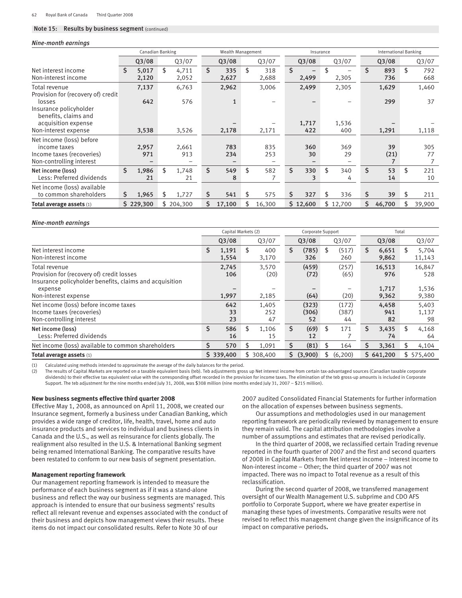# Note 15: Results by business segment (continued)

#### *Nine-month earnings*

|                                    | Canadian Banking |           |    |           |    | Wealth Management |              |    |                          | Insurance |          | <b>International Banking</b> |        |    |        |  |
|------------------------------------|------------------|-----------|----|-----------|----|-------------------|--------------|----|--------------------------|-----------|----------|------------------------------|--------|----|--------|--|
|                                    |                  | Q3/08     |    | Q3/07     |    | Q3/08             | Q3/07        |    | Q3/08                    |           | Q3/07    |                              | Q3/08  |    | Q3/07  |  |
| Net interest income                | Ŝ.               | 5,017     | \$ | 4,711     | \$ | 335               | \$<br>318    | Ś. | $\overline{\phantom{0}}$ | \$        |          | Ś                            | 893    | \$ | 792    |  |
| Non-interest income                |                  | 2,120     |    | 2,052     |    | 2,627             | 2,688        |    | 2,499                    |           | 2,305    |                              | 736    |    | 668    |  |
| Total revenue                      |                  | 7,137     |    | 6,763     |    | 2,962             | 3,006        |    | 2,499                    |           | 2,305    |                              | 1,629  |    | 1,460  |  |
| Provision for (recovery of) credit |                  |           |    |           |    |                   |              |    |                          |           |          |                              |        |    |        |  |
| losses                             |                  | 642       |    | 576       |    |                   |              |    |                          |           |          |                              | 299    |    | 37     |  |
| Insurance policyholder             |                  |           |    |           |    |                   |              |    |                          |           |          |                              |        |    |        |  |
| benefits, claims and               |                  |           |    |           |    |                   |              |    |                          |           |          |                              |        |    |        |  |
| acquisition expense                |                  |           |    |           |    |                   |              |    | 1,717                    |           | 1,536    |                              |        |    |        |  |
| Non-interest expense               |                  | 3,538     |    | 3,526     |    | 2,178             | 2,171        |    | 422                      |           | 400      |                              | 1,291  |    | 1,118  |  |
| Net income (loss) before           |                  |           |    |           |    |                   |              |    |                          |           |          |                              |        |    |        |  |
| income taxes                       |                  | 2,957     |    | 2,661     |    | 783               | 835          |    | 360                      |           | 369      |                              | 39     |    | 305    |  |
| Income taxes (recoveries)          |                  | 971       |    | 913       |    | 234               | 253          |    | 30                       |           | 29       |                              | (21)   |    | 77     |  |
| Non-controlling interest           |                  |           |    |           |    |                   |              |    |                          |           |          |                              |        |    |        |  |
| Net income (loss)                  | Ś.               | 1,986     | \$ | 1,748     | \$ | 549               | \$<br>582    | Ś  | 330                      | \$        | 340      | Ś                            | 53     |    | 221    |  |
| Less: Preferred dividends          |                  | 21        |    | 21        |    | 8                 |              |    | 3                        |           | 4        |                              | 14     |    | 10     |  |
| Net income (loss) available        |                  |           |    |           |    |                   |              |    |                          |           |          |                              |        |    |        |  |
| to common shareholders             | S.               | 1,965     | \$ | 1,727     | \$ | 541               | \$<br>575    | Ś  | 327                      | \$.       | 336      | \$                           | 39     | S  | 211    |  |
| <b>Total average assets (1)</b>    |                  | \$229,300 |    | \$204,300 | Ś. | 17,100            | \$<br>16,300 |    | \$12,600                 |           | \$12,700 | Ś                            | 46,700 |    | 39,900 |  |

#### *Nine-month earnings*

|                                                                                                                                  |    | Capital Markets (2)      |    |                             |    | Corporate Support            |     |                              |    |                             | Total |                               |  |
|----------------------------------------------------------------------------------------------------------------------------------|----|--------------------------|----|-----------------------------|----|------------------------------|-----|------------------------------|----|-----------------------------|-------|-------------------------------|--|
|                                                                                                                                  |    | Q3/08                    |    | Q3/07                       |    | Q3/08                        |     | Q3/07                        |    | Q3/08                       |       | Q3/07                         |  |
| Net interest income<br>Non-interest income                                                                                       | \$ | 1,191<br>1,554           | \$ | 400<br>3,170                | Ś  | (785)<br>326                 | \$  | (517)<br>260                 | Ś. | 6,651<br>9,862              | \$    | 5,704<br>11,143               |  |
| Total revenue<br>Provision for (recovery of) credit losses<br>Insurance policyholder benefits, claims and acquisition<br>expense |    | 2.745<br>106             |    | 3,570<br>(20)               |    | (459)<br>(72)                |     | (257)<br>(65)                |    | 16.513<br>976<br>1,717      |       | 16.847<br>528<br>1,536        |  |
| Non-interest expense<br>Net income (loss) before income taxes<br>Income taxes (recoveries)<br>Non-controlling interest           |    | 1,997<br>642<br>33<br>23 |    | 2,185<br>1,405<br>252<br>47 |    | (64)<br>(323)<br>(306)<br>52 |     | (20)<br>(172)<br>(387)<br>44 |    | 9,362<br>4,458<br>941<br>82 |       | 9,380<br>5,403<br>1,137<br>98 |  |
| Net income (loss)<br>Less: Preferred dividends                                                                                   | \$ | 586<br>16                | \$ | 1,106<br>15                 | Ś. | (69)<br>12                   | \$  | 171                          | Ś  | 3,435<br>74                 | \$    | 4,168<br>64                   |  |
| Net income (loss) available to common shareholders                                                                               | Ś  | 570                      | S  | 1,091                       | Ś  | (81)                         |     | 164                          | Ś  | 3,361                       |       | 4,104                         |  |
| <b>Total average assets (1)</b>                                                                                                  |    | \$339,400                |    | \$ 308,400                  | Ś. | (3,900)                      | \$. | (6,200)                      |    | \$641,200                   |       | \$575,400                     |  |

(1) Calculated using methods intended to approximate the average of the daily balances for the period.

(2) The results of Capital Markets are reported on a taxable equivalent basis (teb). Teb adjustments gross up Net interest income from certain tax-advantaged sources (Canadian taxable corporate dividends) to their effective tax equivalent value with the corresponding offset recorded in the provision for income taxes. The elimination of the teb gross-up amounts is included in Corporate Support. The teb adjustment for the nine months ended July 31, 2008, was \$308 million (nine months ended July 31, 2007 – \$215 million).

#### **New business segments effective third quarter 2008**

Effective May 1, 2008, as announced on April 11, 2008, we created our Insurance segment, formerly a business under Canadian Banking, which provides a wide range of creditor, life, health, travel, home and auto insurance products and services to individual and business clients in Canada and the U.S., as well as reinsurance for clients globally. The realignment also resulted in the U.S. & International Banking segment being renamed International Banking. The comparative results have been restated to conform to our new basis of segment presentation.

## **Management reporting framework**

Our management reporting framework is intended to measure the performance of each business segment as if it was a stand-alone business and reflect the way our business segments are managed. This approach is intended to ensure that our business segments' results reflect all relevant revenue and expenses associated with the conduct of their business and depicts how management views their results. These items do not impact our consolidated results. Refer to Note 30 of our

2007 audited Consolidated Financial Statements for further information on the allocation of expenses between business segments.

Our assumptions and methodologies used in our management reporting framework are periodically reviewed by management to ensure they remain valid. The capital attribution methodologies involve a number of assumptions and estimates that are revised periodically.

In the third quarter of 2008, we reclassified certain Trading revenue reported in the fourth quarter of 2007 and the first and second quarters of 2008 in Capital Markets from Net interest income – Interest income to Non-interest income – Other; the third quarter of 2007 was not impacted. There was no impact to Total revenue as a result of this reclassification.

During the second quarter of 2008, we transferred management oversight of our Wealth Management U.S. subprime and CDO AFS portfolio to Corporate Support, where we have greater expertise in managing these types of investments. Comparative results were not revised to reflect this management change given the insignificance of its impact on comparative periods**.**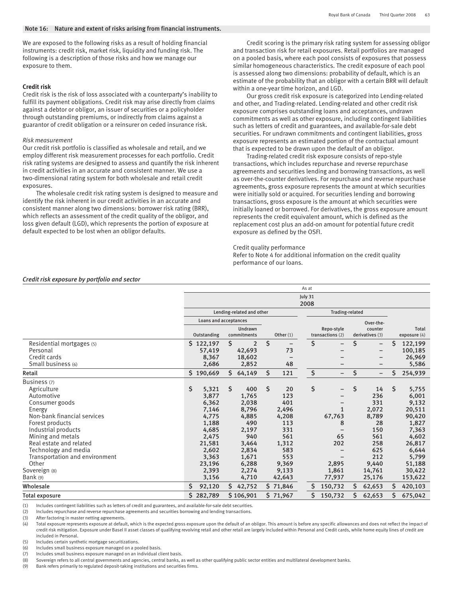We are exposed to the following risks as a result of holding financial instruments: credit risk, market risk, liquidity and funding risk. The following is a description of those risks and how we manage our exposure to them.

# **Credit risk**

Credit risk is the risk of loss associated with a counterparty's inability to fulfill its payment obligations. Credit risk may arise directly from claims against a debtor or obligor, an issuer of securities or a policyholder through outstanding premiums, or indirectly from claims against a guarantor of credit obligation or a reinsurer on ceded insurance risk.

## *Risk measurement*

Our credit risk portfolio is classified as wholesale and retail, and we employ different risk measurement processes for each portfolio. Credit risk rating systems are designed to assess and quantify the risk inherent in credit activities in an accurate and consistent manner. We use a two-dimensional rating system for both wholesale and retail credit exposures.

The wholesale credit risk rating system is designed to measure and identify the risk inherent in our credit activities in an accurate and consistent manner along two dimensions: borrower risk rating (BRR), which reflects an assessment of the credit quality of the obligor, and loss given default (LGD), which represents the portion of exposure at default expected to be lost when an obligor defaults.

Credit scoring is the primary risk rating system for assessing obligor and transaction risk for retail exposures. Retail portfolios are managed on a pooled basis, where each pool consists of exposures that possess similar homogeneous characteristics. The credit exposure of each pool is assessed along two dimensions: probability of default, which is an estimate of the probability that an obligor with a certain BRR will default within a one-year time horizon, and LGD.

Our gross credit risk exposure is categorized into Lending-related and other, and Trading-related. Lending-related and other credit risk exposure comprises outstanding loans and acceptances, undrawn commitments as well as other exposure, including contingent liabilities such as letters of credit and guarantees, and available-for-sale debt securities. For undrawn commitments and contingent liabilities, gross exposure represents an estimated portion of the contractual amount that is expected to be drawn upon the default of an obligor.

Trading-related credit risk exposure consists of repo-style transactions, which includes repurchase and reverse repurchase agreements and securities lending and borrowing transactions, as well as over-the-counter derivatives. For repurchase and reverse repurchase agreements, gross exposure represents the amount at which securities were initially sold or acquired. For securities lending and borrowing transactions, gross exposure is the amount at which securities were initially loaned or borrowed. For derivatives, the gross exposure amount represents the credit equivalent amount, which is defined as the replacement cost plus an add-on amount for potential future credit exposure as defined by the OSFI.

#### Credit quality performance

Refer to Note 4 for additional information on the credit quality performance of our loans.

#### *Credit risk exposure by portfolio and sector*

|                                |                       |     |                           |    |             | As at   |    |                          |    |                 |    |              |
|--------------------------------|-----------------------|-----|---------------------------|----|-------------|---------|----|--------------------------|----|-----------------|----|--------------|
|                                |                       |     |                           |    |             | July 31 |    |                          |    |                 |    |              |
|                                |                       |     |                           |    |             | 2008    |    |                          |    |                 |    |              |
|                                |                       |     | Lending-related and other |    |             |         |    | Trading-related          |    |                 |    |              |
|                                | Loans and acceptances |     |                           |    |             |         |    |                          |    | Over-the-       |    |              |
|                                |                       |     | Undrawn                   |    |             |         |    | Repo-style               |    | counter         |    | <b>Total</b> |
|                                | Outstanding           |     | commitments               |    | Other $(1)$ |         |    | transactions (2)         |    | derivatives (3) |    | exposure (4) |
| Residential mortgages (5)      | \$122,197             | Ŝ.  | $\overline{2}$            | Ś  | —           |         | Ś  | $\overline{\phantom{0}}$ | Ś  |                 | Ś  | 122,199      |
| Personal                       | 57,419                |     | 42,693                    |    | 73          |         |    |                          |    |                 |    | 100,185      |
| Credit cards                   | 8,367                 |     | 18,602                    |    |             |         |    |                          |    |                 |    | 26,969       |
| Small business (6)             | 2,686                 |     | 2,852                     |    | 48          |         |    |                          |    |                 |    | 5,586        |
| Retail                         | \$190,669             | S.  | 64,149                    | Ś. | 121         |         | \$ | $\overline{\phantom{0}}$ | Ś  | -               | Ś  | 254,939      |
| Business (7)                   |                       |     |                           |    |             |         |    |                          |    |                 |    |              |
| Agriculture                    | \$<br>5,321           | \$. | 400                       | \$ | 20          |         | \$ | $\overline{\phantom{0}}$ | \$ | 14              | \$ | 5,755        |
| Automotive                     | 3,877                 |     | 1,765                     |    | 123         |         |    |                          |    | 236             |    | 6,001        |
| Consumer goods                 | 6,362                 |     | 2,038                     |    | 401         |         |    |                          |    | 331             |    | 9,132        |
| Energy                         | 7,146                 |     | 8,796                     |    | 2,496       |         |    | $\mathbf{1}$             |    | 2,072           |    | 20,511       |
| Non-bank financial services    | 4,775                 |     | 4,885                     |    | 4,208       |         |    | 67,763                   |    | 8,789           |    | 90,420       |
| Forest products                | 1,188                 |     | 490                       |    | 113         |         |    | 8                        |    | 28              |    | 1,827        |
| Industrial products            | 4,685                 |     | 2,197                     |    | 331         |         |    |                          |    | 150             |    | 7,363        |
| Mining and metals              | 2,475                 |     | 940                       |    | 561         |         |    | 65                       |    | 561             |    | 4,602        |
| Real estate and related        | 21,581                |     | 3,464                     |    | 1,312       |         |    | 202                      |    | 258             |    | 26,817       |
| Technology and media           | 2,602                 |     | 2,834                     |    | 583         |         |    |                          |    | 625             |    | 6,644        |
| Transportation and environment | 3,363                 |     | 1,671                     |    | 553         |         |    |                          |    | 212             |    | 5,799        |
| Other                          | 23,196                |     | 6,288                     |    | 9,369       |         |    | 2,895                    |    | 9,440           |    | 51,188       |
| Sovereign (8)                  | 2,393                 |     | 2,274                     |    | 9,133       |         |    | 1,861                    |    | 14,761          |    | 30,422       |
| Bank (9)                       | 3,156                 |     | 4,710                     |    | 42,643      |         |    | 77,937                   |    | 25,176          |    | 153,622      |
| Wholesale                      | Ŝ.<br>92,120          | Ŝ.  | 42,752                    |    | \$71,846    |         | Ŝ  | 150,732                  | S. | 62,653          | S  | 420,103      |
| <b>Total exposure</b>          | \$282,789             |     | \$106,901                 |    | \$71,967    |         | Ś  | 150,732                  | Ś. | 62,653          | Ś. | 675,042      |

(1) Includes contingent liabilities such as letters of credit and guarantees, and available-for-sale debt securities.

(2) Includes repurchase and reverse repurchase agreements and securities borrowing and lending transactions.<br>(3) After factoring in master netting agreements.

After factoring in master netting agreements.

(4) Total exposure represents exposure at default, which is the expected gross exposure upon the default of an obligor. This amount is before any specific allowances and does not reflect the impact of credit risk mitigation. Exposure under Basel II asset classes of qualifying revolving retail and other retail are largely included within Personal and Credit cards, while home equity lines of credit are included in Personal.

(5) Includes certain synthetic mortgage securitizations.

(6) Includes small business exposure managed on a pooled basis.

(7) Includes small business exposure managed on an individual client basis.

(8) Sovereign refers to all central governments and agencies, central banks, as well as other qualifying public sector entities and multilateral development banks.

(9) Bank refers primarily to regulated deposit-taking institutions and securities firms.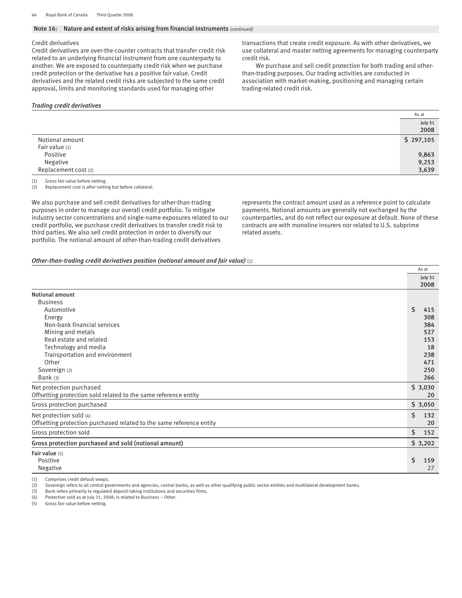#### Credit derivatives

Credit derivatives are over-the-counter contracts that transfer credit risk related to an underlying financial instrument from one counterparty to another. We are exposed to counterparty credit risk when we purchase credit protection or the derivative has a positive fair value. Credit derivatives and the related credit risks are subjected to the same credit approval, limits and monitoring standards used for managing other

#### *Trading credit derivatives*

transactions that create credit exposure. As with other derivatives, we use collateral and master netting agreements for managing counterparty credit risk.

We purchase and sell credit protection for both trading and otherthan-trading purposes. Our trading activities are conducted in association with market-making, positioning and managing certain trading-related credit risk.

As at

|                      | July 31   |
|----------------------|-----------|
|                      | 2008      |
| Notional amount      | \$297,105 |
| Fair value (1)       |           |
| Positive             | 9,863     |
| Negative             | 9,253     |
| Replacement cost (2) | 3,639     |
|                      |           |

(1) Gross fair value before netting.

(2) Replacement cost is after netting but before collateral.

We also purchase and sell credit derivatives for other-than-trading purposes in order to manage our overall credit portfolio. To mitigate industry sector concentrations and single-name exposures related to our credit portfolio, we purchase credit derivatives to transfer credit risk to third parties. We also sell credit protection in order to diversify our portfolio. The notional amount of other-than-trading credit derivatives

represents the contract amount used as a reference point to calculate payments. Notional amounts are generally not exchanged by the counterparties, and do not reflect our exposure at default. None of these contracts are with monoline insurers nor related to U.S. subprime related assets.

#### *Other-than-trading credit derivatives position (notional amount and fair value)* (1)

|                                                                      | As at      |
|----------------------------------------------------------------------|------------|
|                                                                      | July 31    |
|                                                                      | 2008       |
| Notional amount                                                      |            |
| <b>Business</b>                                                      |            |
| Automotive                                                           | \$<br>415  |
| Energy                                                               | 308        |
| Non-bank financial services                                          | 384        |
| Mining and metals                                                    | 527        |
| Real estate and related                                              | 153        |
| Technology and media                                                 | 18         |
| Transportation and environment                                       | 238        |
| Other                                                                | 471        |
| Sovereign (2)                                                        | 250        |
| Bank $(3)$                                                           | 266        |
| Net protection purchased                                             | \$3,030    |
| Offsetting protection sold related to the same reference entity      | 20         |
| Gross protection purchased                                           | \$3,050    |
| Net protection sold (4)                                              | Ś.<br>132  |
| Offsetting protection purchased related to the same reference entity | 20         |
| Gross protection sold                                                | \$.<br>152 |
| Gross protection purchased and sold (notional amount)                | \$3,202    |
| Fair value (5)                                                       |            |
| Positive                                                             | \$<br>159  |
| Negative                                                             | 27         |
|                                                                      |            |

(1) Comprises credit default swaps.

(2) Sovereign refers to all central governments and agencies, central banks, as well as other qualifying public sector entities and multilateral development banks.

(3) Bank refers primarily to regulated deposit-taking institutions and securities firms.

(4) Protection sold as at July 31, 2008, is related to Business – Other.

(5) Gross fair value before netting.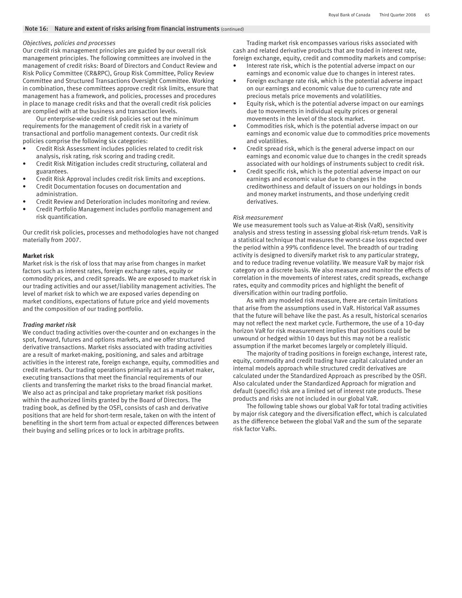## *Objectives, policies and processes*

Our credit risk management principles are guided by our overall risk management principles. The following committees are involved in the management of credit risks: Board of Directors and Conduct Review and Risk Policy Committee (CR&RPC), Group Risk Committee, Policy Review Committee and Structured Transactions Oversight Committee. Working in combination, these committees approve credit risk limits, ensure that management has a framework, and policies, processes and procedures in place to manage credit risks and that the overall credit risk policies are complied with at the business and transaction levels.

Our enterprise-wide credit risk policies set out the minimum requirements for the management of credit risk in a variety of transactional and portfolio management contexts. Our credit risk policies comprise the following six categories:

- Credit Risk Assessment includes policies related to credit risk analysis, risk rating, risk scoring and trading credit.
- Credit Risk Mitigation includes credit structuring, collateral and guarantees.
- Credit Risk Approval includes credit risk limits and exceptions.
- Credit Documentation focuses on documentation and administration.
- Credit Review and Deterioration includes monitoring and review.
- Credit Portfolio Management includes portfolio management and risk quantification.

Our credit risk policies, processes and methodologies have not changed materially from 2007.

#### **Market risk**

Market risk is the risk of loss that may arise from changes in market factors such as interest rates, foreign exchange rates, equity or commodity prices, and credit spreads. We are exposed to market risk in our trading activities and our asset/liability management activities. The level of market risk to which we are exposed varies depending on market conditions, expectations of future price and yield movements and the composition of our trading portfolio.

#### *Trading market risk*

We conduct trading activities over-the-counter and on exchanges in the spot, forward, futures and options markets, and we offer structured derivative transactions. Market risks associated with trading activities are a result of market-making, positioning, and sales and arbitrage activities in the interest rate, foreign exchange, equity, commodities and credit markets. Our trading operations primarily act as a market maker, executing transactions that meet the financial requirements of our clients and transferring the market risks to the broad financial market. We also act as principal and take proprietary market risk positions within the authorized limits granted by the Board of Directors. The trading book, as defined by the OSFI, consists of cash and derivative positions that are held for short-term resale, taken on with the intent of benefiting in the short term from actual or expected differences between their buying and selling prices or to lock in arbitrage profits.

Trading market risk encompasses various risks associated with cash and related derivative products that are traded in interest rate, foreign exchange, equity, credit and commodity markets and comprise:

- Interest rate risk, which is the potential adverse impact on our earnings and economic value due to changes in interest rates.
- Foreign exchange rate risk, which is the potential adverse impact on our earnings and economic value due to currency rate and precious metals price movements and volatilities.
- Equity risk, which is the potential adverse impact on our earnings due to movements in individual equity prices or general movements in the level of the stock market.
- Commodities risk, which is the potential adverse impact on our earnings and economic value due to commodities price movements and volatilities.
- Credit spread risk, which is the general adverse impact on our earnings and economic value due to changes in the credit spreads associated with our holdings of instruments subject to credit risk.
- Credit specific risk, which is the potential adverse impact on our earnings and economic value due to changes in the creditworthiness and default of issuers on our holdings in bonds and money market instruments, and those underlying credit derivatives.

#### *Risk measurement*

We use measurement tools such as Value-at-Risk (VaR), sensitivity analysis and stress testing in assessing global risk-return trends. VaR is a statistical technique that measures the worst-case loss expected over the period within a 99% confidence level. The breadth of our trading activity is designed to diversify market risk to any particular strategy, and to reduce trading revenue volatility. We measure VaR by major risk category on a discrete basis. We also measure and monitor the effects of correlation in the movements of interest rates, credit spreads, exchange rates, equity and commodity prices and highlight the benefit of diversification within our trading portfolio.

As with any modeled risk measure, there are certain limitations that arise from the assumptions used in VaR. Historical VaR assumes that the future will behave like the past. As a result, historical scenarios may not reflect the next market cycle. Furthermore, the use of a 10-day horizon VaR for risk measurement implies that positions could be unwound or hedged within 10 days but this may not be a realistic assumption if the market becomes largely or completely illiquid.

The majority of trading positions in foreign exchange, interest rate, equity, commodity and credit trading have capital calculated under an internal models approach while structured credit derivatives are calculated under the Standardized Approach as prescribed by the OSFI. Also calculated under the Standardized Approach for migration and default (specific) risk are a limited set of interest rate products. These products and risks are not included in our global VaR.

The following table shows our global VaR for total trading activities by major risk category and the diversification effect, which is calculated as the difference between the global VaR and the sum of the separate risk factor VaRs.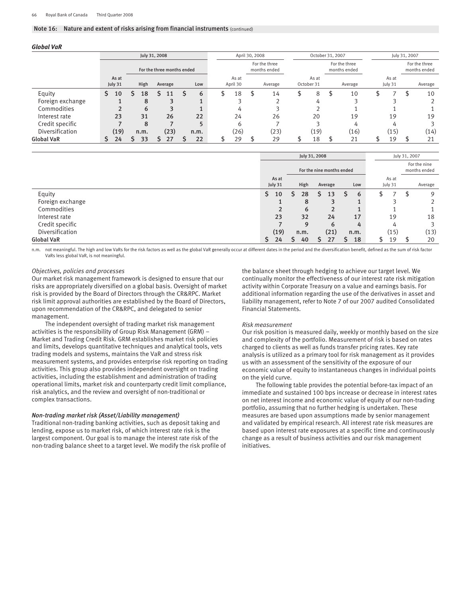#### *Global VaR*

|                   | July 31, 2008 |                  |                            |      | April 30, 2008 |         |                               |  | October 31, 2007  |                               |         |  | July 31, 2007       |  |         |                               |                  |  |         |
|-------------------|---------------|------------------|----------------------------|------|----------------|---------|-------------------------------|--|-------------------|-------------------------------|---------|--|---------------------|--|---------|-------------------------------|------------------|--|---------|
|                   |               |                  | For the three months ended |      |                |         | For the three<br>months ended |  |                   | For the three<br>months ended |         |  |                     |  |         | For the three<br>months ended |                  |  |         |
|                   |               | As at<br>July 31 |                            | High |                | Average | Low                           |  | As at<br>April 30 |                               | Average |  | As at<br>October 31 |  | Average |                               | As at<br>July 31 |  | Average |
| Equity            | S.            | 10               |                            | 18   | ς              | 11      | 6                             |  | 18                |                               | 14      |  | 8                   |  | 10      |                               |                  |  | 10      |
| Foreign exchange  |               |                  |                            | 8    |                |         |                               |  |                   |                               |         |  | 4                   |  |         |                               |                  |  |         |
| Commodities       |               |                  |                            | 6    |                |         |                               |  | 4                 |                               |         |  |                     |  |         |                               |                  |  |         |
| Interest rate     |               | 23               |                            | 31   |                | 26      | 22                            |  | 24                |                               | 26      |  | 20                  |  | 19      |                               | 19               |  | 19      |
| Credit specific   |               |                  |                            | 8    |                |         |                               |  | 6                 |                               |         |  |                     |  |         |                               |                  |  |         |
| Diversification   |               | (19)             |                            | n.m. |                | (23)    | n.m.                          |  | (26)              |                               | (23)    |  | (19)                |  | (16)    |                               | (15)             |  | (14)    |
| <b>Global VaR</b> | S             | 24               |                            | 33   |                | 27      | 22                            |  | 29                |                               | 29      |  | 18                  |  | 21      |                               | 19               |  | 21      |

|                   |          |         | July 31, 2008             |         | July 31, 2007                |   |         |
|-------------------|----------|---------|---------------------------|---------|------------------------------|---|---------|
|                   |          |         | For the nine months ended |         | For the nine<br>months ended |   |         |
|                   | As at    |         |                           |         | As at                        |   |         |
|                   | July 31  | High    | Average                   | Low     | July 31                      |   | Average |
| Equity            | \$<br>10 | 28<br>S | S.<br>13                  | S<br>6  | \$                           | J | 9       |
| Foreign exchange  |          | 8       | 3                         |         |                              |   |         |
| Commodities       |          | 6       |                           |         |                              |   |         |
| Interest rate     | 23       | 32      | 24                        | 17      | 19                           |   | 18      |
| Credit specific   |          | 9       | 6                         | 4       | 4                            |   | 3       |
| Diversification   | (19)     | n.m.    | (21)                      | n.m.    | (15)                         |   | (13)    |
| <b>Global VaR</b> | 24<br>S  | 40<br>S | 27<br>S.                  | 18<br>ς | \$<br>19                     |   | 20      |

n.m. not meaningful. The high and low VaRs for the risk factors as well as the global VaR generally occur at different dates in the period and the diversification benefit, defined as the sum of risk factor VaRs less global VaR, is not meaningful.

## *Objectives, policies and processes*

Our market risk management framework is designed to ensure that our risks are appropriately diversified on a global basis. Oversight of market risk is provided by the Board of Directors through the CR&RPC. Market risk limit approval authorities are established by the Board of Directors, upon recommendation of the CR&RPC, and delegated to senior management.

The independent oversight of trading market risk management activities is the responsibility of Group Risk Management (GRM) – Market and Trading Credit Risk. GRM establishes market risk policies and limits, develops quantitative techniques and analytical tools, vets trading models and systems, maintains the VaR and stress risk measurement systems, and provides enterprise risk reporting on trading activities. This group also provides independent oversight on trading activities, including the establishment and administration of trading operational limits, market risk and counterparty credit limit compliance, risk analytics, and the review and oversight of non-traditional or complex transactions.

## *Non-trading market risk (Asset/Liability management)*

Traditional non-trading banking activities, such as deposit taking and lending, expose us to market risk, of which interest rate risk is the largest component. Our goal is to manage the interest rate risk of the non-trading balance sheet to a target level. We modify the risk profile of the balance sheet through hedging to achieve our target level. We continually monitor the effectiveness of our interest rate risk mitigation activity within Corporate Treasury on a value and earnings basis. For additional information regarding the use of the derivatives in asset and liability management, refer to Note 7 of our 2007 audited Consolidated Financial Statements.

## *Risk measurement*

Our risk position is measured daily, weekly or monthly based on the size and complexity of the portfolio. Measurement of risk is based on rates charged to clients as well as funds transfer pricing rates. Key rate analysis is utilized as a primary tool for risk management as it provides us with an assessment of the sensitivity of the exposure of our economic value of equity to instantaneous changes in individual points on the yield curve.

The following table provides the potential before-tax impact of an immediate and sustained 100 bps increase or decrease in interest rates on net interest income and economic value of equity of our non-trading portfolio, assuming that no further hedging is undertaken. These measures are based upon assumptions made by senior management and validated by empirical research. All interest rate risk measures are based upon interest rate exposures at a specific time and continuously change as a result of business activities and our risk management initiatives.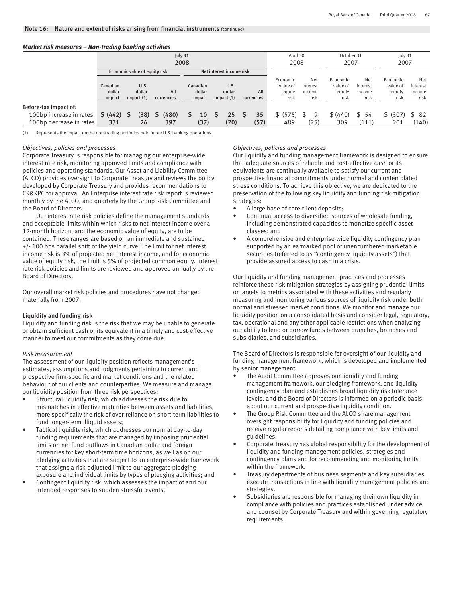#### *Market risk measures – Non-trading banking activities*

|                                                                             | July 31<br>2008              |                               |                   |                          |                              |  |                             |  | April 30<br>2008  |                                        | October 31<br>2007                |                                        | July 31<br>2007                   |                                        |                                   |
|-----------------------------------------------------------------------------|------------------------------|-------------------------------|-------------------|--------------------------|------------------------------|--|-----------------------------|--|-------------------|----------------------------------------|-----------------------------------|----------------------------------------|-----------------------------------|----------------------------------------|-----------------------------------|
|                                                                             |                              | Economic value of equity risk |                   | Net interest income risk |                              |  |                             |  |                   |                                        |                                   |                                        |                                   |                                        |                                   |
|                                                                             | Canadian<br>dollar<br>impact | U.S.<br>dollar<br>impact(1)   | All<br>currencies |                          | Canadian<br>dollar<br>impact |  | U.S.<br>dollar<br>impact(1) |  | All<br>currencies | Economic<br>value of<br>equity<br>risk | Net<br>interest<br>income<br>risk | Economic<br>value of<br>equity<br>risk | Net<br>interest<br>income<br>risk | Economic<br>value of<br>equity<br>risk | Net<br>interest<br>income<br>risk |
| Before-tax impact of:<br>100bp increase in rates<br>100bp decrease in rates | 5(442)<br>371                | (38)<br>S<br>26               | (480)<br>397      |                          | 10<br>(37)                   |  | 25<br>(20)                  |  | 35<br>(57)        | \$ (575)<br>489                        | (25)                              | \$(440)<br>309                         | 54<br>(111)                       | \$ (307)<br>201                        | -82<br>(140)                      |

(1) Represents the impact on the non-trading portfolios held in our U.S. banking operations.

## *Objectives, policies and processes*

Corporate Treasury is responsible for managing our enterprise-wide interest rate risk, monitoring approved limits and compliance with policies and operating standards. Our Asset and Liability Committee (ALCO) provides oversight to Corporate Treasury and reviews the policy developed by Corporate Treasury and provides recommendations to CR&RPC for approval. An Enterprise interest rate risk report is reviewed monthly by the ALCO, and quarterly by the Group Risk Committee and the Board of Directors.

Our interest rate risk policies define the management standards and acceptable limits within which risks to net interest income over a 12-month horizon, and the economic value of equity, are to be contained. These ranges are based on an immediate and sustained +/- 100 bps parallel shift of the yield curve. The limit for net interest income risk is 3% of projected net interest income, and for economic value of equity risk, the limit is 5% of projected common equity. Interest rate risk policies and limits are reviewed and approved annually by the Board of Directors.

Our overall market risk policies and procedures have not changed materially from 2007.

## Liquidity and funding risk

Liquidity and funding risk is the risk that we may be unable to generate or obtain sufficient cash or its equivalent in a timely and cost-effective manner to meet our commitments as they come due.

#### *Risk measurement*

The assessment of our liquidity position reflects management's estimates, assumptions and judgments pertaining to current and prospective firm-specific and market conditions and the related behaviour of our clients and counterparties. We measure and manage our liquidity position from three risk perspectives:

- Structural liquidity risk, which addresses the risk due to mismatches in effective maturities between assets and liabilities, more specifically the risk of over-reliance on short-term liabilities to fund longer-term illiquid assets;
- Tactical liquidity risk, which addresses our normal day-to-day funding requirements that are managed by imposing prudential limits on net fund outflows in Canadian dollar and foreign currencies for key short-term time horizons, as well as on our pledging activities that are subject to an enterprise-wide framework that assigns a risk-adjusted limit to our aggregate pledging exposure and individual limits by types of pledging activities; and
- Contingent liquidity risk, which assesses the impact of and our intended responses to sudden stressful events.

# *Objectives, policies and processes*

Our liquidity and funding management framework is designed to ensure that adequate sources of reliable and cost-effective cash or its equivalents are continually available to satisfy our current and prospective financial commitments under normal and contemplated stress conditions. To achieve this objective, we are dedicated to the preservation of the following key liquidity and funding risk mitigation strategies:

- A large base of core client deposits;
- Continual access to diversified sources of wholesale funding, including demonstrated capacities to monetize specific asset classes; and
- A comprehensive and enterprise-wide liquidity contingency plan supported by an earmarked pool of unencumbered marketable securities (referred to as "contingency liquidity assets") that provide assured access to cash in a crisis.

Our liquidity and funding management practices and processes reinforce these risk mitigation strategies by assigning prudential limits or targets to metrics associated with these activities and regularly measuring and monitoring various sources of liquidity risk under both normal and stressed market conditions. We monitor and manage our liquidity position on a consolidated basis and consider legal, regulatory, tax, operational and any other applicable restrictions when analyzing our ability to lend or borrow funds between branches, branches and subsidiaries, and subsidiaries.

The Board of Directors is responsible for oversight of our liquidity and funding management framework, which is developed and implemented by senior management.

- The Audit Committee approves our liquidity and funding management framework, our pledging framework, and liquidity contingency plan and establishes broad liquidity risk tolerance levels, and the Board of Directors is informed on a periodic basis about our current and prospective liquidity condition.
- The Group Risk Committee and the ALCO share management oversight responsibility for liquidity and funding policies and receive regular reports detailing compliance with key limits and guidelines.
- Corporate Treasury has global responsibility for the development of liquidity and funding management policies, strategies and contingency plans and for recommending and monitoring limits within the framework.
- Treasury departments of business segments and key subsidiaries execute transactions in line with liquidity management policies and strategies.
- Subsidiaries are responsible for managing their own liquidity in compliance with policies and practices established under advice and counsel by Corporate Treasury and within governing regulatory requirements.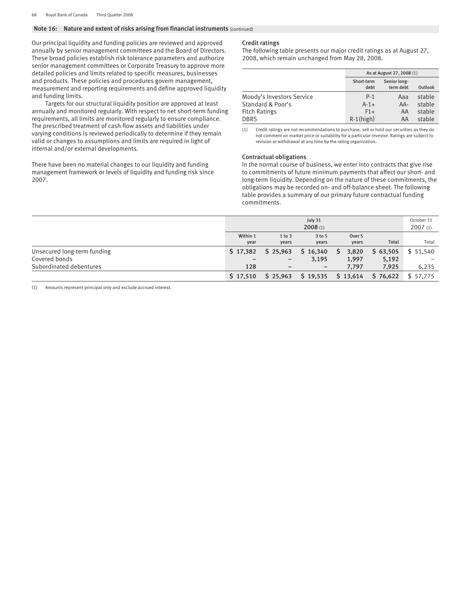Our principal liquidity and funding policies are reviewed and approved annually by senior management committees and the Board of Directors. These broad policies establish risk tolerance parameters and authorize senior management committees or Corporate Treasury to approve more detailed policies and limits related to specific measures, businesses and products. These policies and procedures govern management, measurement and reporting requirements and define approved liquidity and funding limits.

Targets for our structural liquidity position are approved at least annually and monitored regularly. With respect to net short-term funding requirements, all limits are monitored regularly to ensure compliance. The prescribed treatment of cash flow assets and liabilities under varying conditions is reviewed periodically to determine if they remain valid or changes to assumptions and limits are required in light of internal and/or external developments.

There have been no material changes to our liquidity and funding management framework or levels of liquidity and funding risk since 2007.

## Credit ratings

The following table presents our major credit ratings as at August 27, 2008, which remain unchanged from May 28, 2008.

|                           | As at August 27, 2008 (1) |                           |         |  |  |  |
|---------------------------|---------------------------|---------------------------|---------|--|--|--|
|                           | Short-term<br>debt        | Senior long-<br>term debt | Outlook |  |  |  |
| Moody's Investors Service | $P-1$                     | Aaa                       | stable  |  |  |  |
| Standard & Poor's         | $A-1+$                    | AA-                       | stable  |  |  |  |
| <b>Fitch Ratings</b>      | $F1+$                     | AA                        | stable  |  |  |  |
| <b>DBRS</b>               | $R-1$ (high)              | AA                        | stable  |  |  |  |

(1) Credit ratings are not recommendations to purchase, sell or hold our securities as they do not comment on market price or suitability for a particular investor. Ratings are subject to revision or withdrawal at any time by the rating organization.

## Contractual obligations

In the normal course of business, we enter into contracts that give rise to commitments of future minimum payments that affect our short- and long-term liquidity. Depending on the nature of these commitments, the obligations may be recorded on- and off-balance sheet. The following table provides a summary of our primary future contractual funding commitments.

|                                              |                  | October 31<br>2007(1)                |                               |                      |                   |          |
|----------------------------------------------|------------------|--------------------------------------|-------------------------------|----------------------|-------------------|----------|
|                                              | Within 1<br>year | 1 to 3<br>years                      | 3 to 5<br>vears               | Over 5<br>vears      | Total             | Total    |
| Unsecured long-term funding<br>Covered bonds | \$17,382         | \$25,963<br>$\overline{\phantom{m}}$ | \$16,340<br>3,195             | 3,820<br>S.<br>1,997 | \$63,505<br>5,192 | \$51,540 |
| Subordinated debentures                      | 128              | $\qquad \qquad -$                    | -                             | 7,797                | 7,925             | 6,235    |
|                                              | \$17,510         |                                      | $$25,963$ $$19,535$ $$13,614$ |                      | \$76,622          | \$57.775 |

(1) Amounts represent principal only and exclude accrued interest.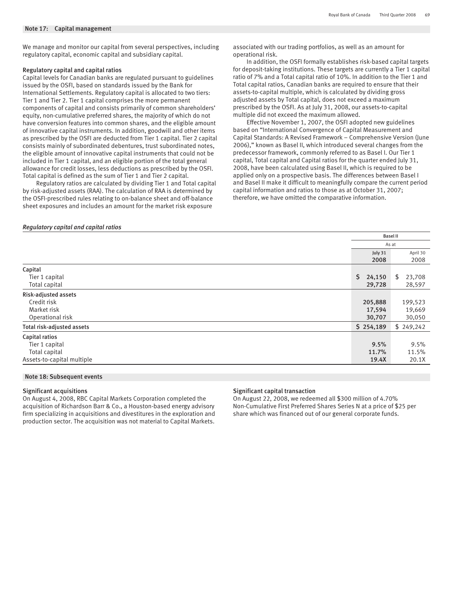Basel II

We manage and monitor our capital from several perspectives, including regulatory capital, economic capital and subsidiary capital.

## Regulatory capital and capital ratios

Capital levels for Canadian banks are regulated pursuant to guidelines issued by the OSFI, based on standards issued by the Bank for International Settlements. Regulatory capital is allocated to two tiers: Tier 1 and Tier 2. Tier 1 capital comprises the more permanent components of capital and consists primarily of common shareholders' equity, non-cumulative preferred shares, the majority of which do not have conversion features into common shares, and the eligible amount of innovative capital instruments. In addition, goodwill and other items as prescribed by the OSFI are deducted from Tier 1 capital. Tier 2 capital consists mainly of subordinated debentures, trust subordinated notes, the eligible amount of innovative capital instruments that could not be included in Tier 1 capital, and an eligible portion of the total general allowance for credit losses, less deductions as prescribed by the OSFI. Total capital is defined as the sum of Tier 1 and Tier 2 capital.

Regulatory ratios are calculated by dividing Tier 1 and Total capital by risk-adjusted assets (RAA). The calculation of RAA is determined by the OSFI-prescribed rules relating to on-balance sheet and off-balance sheet exposures and includes an amount for the market risk exposure

associated with our trading portfolios, as well as an amount for operational risk.

In addition, the OSFI formally establishes risk-based capital targets for deposit-taking institutions. These targets are currently a Tier 1 capital ratio of 7% and a Total capital ratio of 10%. In addition to the Tier 1 and Total capital ratios, Canadian banks are required to ensure that their assets-to-capital multiple, which is calculated by dividing gross adjusted assets by Total capital, does not exceed a maximum prescribed by the OSFI. As at July 31, 2008, our assets-to-capital multiple did not exceed the maximum allowed.

Effective November 1, 2007, the OSFI adopted new guidelines based on "International Convergence of Capital Measurement and Capital Standards: A Revised Framework – Comprehensive Version (June 2006)," known as Basel II, which introduced several changes from the predecessor framework, commonly referred to as Basel I. Our Tier 1 capital, Total capital and Capital ratios for the quarter ended July 31, 2008, have been calculated using Basel II, which is required to be applied only on a prospective basis. The differences between Basel I and Basel II make it difficult to meaningfully compare the current period capital information and ratios to those as at October 31, 2007; therefore, we have omitted the comparative information.

## *Regulatory capital and capital ratios*

|                            |                 | baset II         |
|----------------------------|-----------------|------------------|
|                            |                 | As at            |
|                            | July 31<br>2008 | April 30<br>2008 |
| Capital                    |                 |                  |
| Tier 1 capital             | Ś.<br>24,150    | \$<br>23,708     |
| Total capital              | 29,728          | 28,597           |
| Risk-adjusted assets       |                 |                  |
| Credit risk                | 205,888         | 199,523          |
| Market risk                | 17,594          | 19,669           |
| Operational risk           | 30,707          | 30,050           |
| Total risk-adjusted assets | \$254,189       | \$249,242        |
| Capital ratios             |                 |                  |
| Tier 1 capital             | 9.5%            | 9.5%             |
| Total capital              | 11.7%           | 11.5%            |
| Assets-to-capital multiple | 19.4X           | 20.1X            |
|                            |                 |                  |

## Note 18: Subsequent events

#### Significant acquisitions

On August 4, 2008, RBC Capital Markets Corporation completed the acquisition of Richardson Barr & Co., a Houston-based energy advisory firm specializing in acquisitions and divestitures in the exploration and production sector. The acquisition was not material to Capital Markets.

#### Significant capital transaction

On August 22, 2008, we redeemed all \$300 million of 4.70% Non-Cumulative First Preferred Shares Series N at a price of \$25 per share which was financed out of our general corporate funds.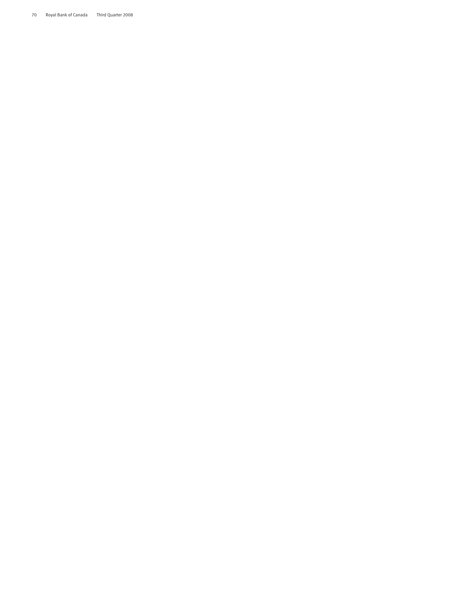70 Royal Bank of Canada Third Quarter 2008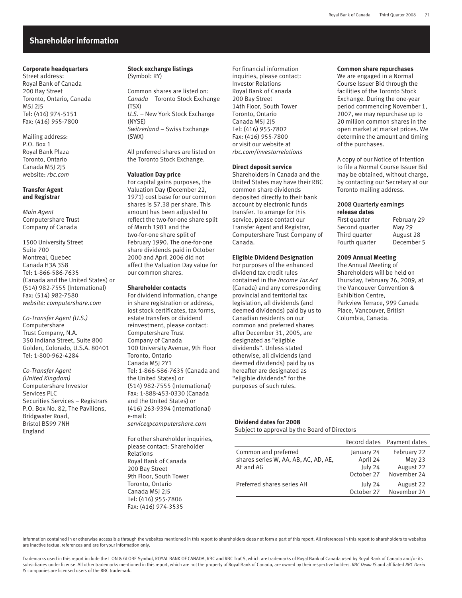# **Shareholder information**

### **Corporate headquarters**

Street address: Royal Bank of Canada 200 Bay Street Toronto, Ontario, Canada M5J 2J5 Tel: (416) 974-5151 Fax: (416) 955-7800

Mailing address: P.O. Box 1 Royal Bank Plaza Toronto, Ontario Canada M5J 2J5 website: *rbc.com*

## **Transfer Agent and Registrar**

*Main Agent* Computershare Trust Company of Canada

1500 University Street Suite 700 Montreal, Quebec Canada H3A 3S8 Tel: 1-866-586-7635 (Canada and the United States) or (514) 982-7555 (International) Fax: (514) 982-7580 *website: computershare.com*

*Co-Transfer Agent (U.S.)* Computershare Trust Company, N.A. 350 Indiana Street, Suite 800 Golden, Colorado, U.S.A. 80401 Tel: 1-800-962-4284

*Co-Transfer Agent (United Kingdom)* Computershare Investor Services PLC Securities Services – Registrars P.O. Box No. 82, The Pavilions, Bridgwater Road, Bristol BS99 7NH England

## **Stock exchange listings** (Symbol: RY)

Common shares are listed on: C*anada –* Toronto Stock Exchange  $(T<sub>S</sub>X)$ *U.S. –* New York Stock Exchange (NYSE) *Switzerland –* Swiss Exchange (SWX)

All preferred shares are listed on the Toronto Stock Exchange.

# **Valuation Day price**

For capital gains purposes, the Valuation Day (December 22, 1971) cost base for our common shares is \$7.38 per share. This amount has been adjusted to reflect the two-for-one share split of March 1981 and the two-for-one share split of February 1990. The one-for-one share dividends paid in October 2000 and April 2006 did not affect the Valuation Day value for our common shares.

## **Shareholder contacts**

For dividend information, change in share registration or address, lost stock certificates, tax forms, estate transfers or dividend reinvestment, please contact: Computershare Trust Company of Canada 100 University Avenue, 9th Floor Toronto, Ontario Canada M5J 2Y1 Tel: 1-866-586-7635 (Canada and the United States) or (514) 982-7555 (International) Fax: 1-888-453-0330 (Canada and the United States) or (416) 263-9394 (International) e-mail: *service@computershare.com*

For other shareholder inquiries, please contact: Shareholder Relations Royal Bank of Canada 200 Bay Street 9th Floor, South Tower Toronto, Ontario Canada M5J 2J5 Tel: (416) 955-7806 Fax: (416) 974-3535

For financial information inquiries, please contact: Investor Relations Royal Bank of Canada 200 Bay Street 14th Floor, South Tower Toronto, Ontario Canada M5J 2J5 Tel: (416) 955-7802 Fax: (416) 955-7800 or visit our website at *rbc.com/investorrelations*

## **Direct deposit service**

Shareholders in Canada and the United States may have their RBC common share dividends deposited directly to their bank account by electronic funds transfer. To arrange for this service, please contact our Transfer Agent and Registrar, Computershare Trust Company of Canada.

# **Eligible Dividend Designation**

For purposes of the enhanced dividend tax credit rules contained in the *Income Tax Act* (Canada) and any corresponding provincial and territorial tax legislation, all dividends (and deemed dividends) paid by us to Canadian residents on our common and preferred shares after December 31, 2005, are designated as "eligible dividends". Unless stated otherwise, all dividends (and deemed dividends) paid by us hereafter are designated as "eligible dividends" for the purposes of such rules.

## **Dividend dates for 2008**

Subject to approval by the Board of Directors

|                                      | Record dates | Payment dates |
|--------------------------------------|--------------|---------------|
| Common and preferred                 | January 24   | February 22   |
| shares series W, AA, AB, AC, AD, AE, | April 24     | May $23$      |
| AF and AG                            | July 24      | August 22     |
|                                      | October 27   | November 24   |
| Preferred shares series AH           | July 24      | August 22     |
|                                      | October 27   | November 24   |

Information contained in or otherwise accessible through the websites mentioned in this report to shareholders does not form a part of this report. All references in this report to shareholders to websites are inactive textual references and are for your information only.

Trademarks used in this report include the LION & GLOBE Symbol, ROYAL BANK OF CANADA, RBC and RBC TruCS, which are trademarks of Royal Bank of Canada used by Royal Bank of Canada and/or its subsidiaries under license. All other trademarks mentioned in this report, which are not the property of Royal Bank of Canada, are owned by their respective holders. *RBC Dexia IS* and affiliated *RBC Dexia IS* companies are licensed users of the RBC trademark.

# **Common share repurchases**

We are engaged in a Normal Course Issuer Bid through the facilities of the Toronto Stock Exchange. During the one-year period commencing November 1, 2007, we may repurchase up to 20 million common shares in the open market at market prices. We determine the amount and timing of the purchases.

A copy of our Notice of Intention to file a Normal Course Issuer Bid may be obtained, without charge, by contacting our Secretary at our Toronto mailing address.

# 2008 Quarterly earnings **release dates**

February 29 Second quarter May 29 Third quarter August 28 Fourth quarter December 5

## **2009 Annual Meeting**

The Annual Meeting of Shareholders will be held on Thursday, February 26, 2009, at the Vancouver Convention & Exhibition Centre, Parkview Terrace, 999 Canada Place, Vancouver, British Columbia, Canada.